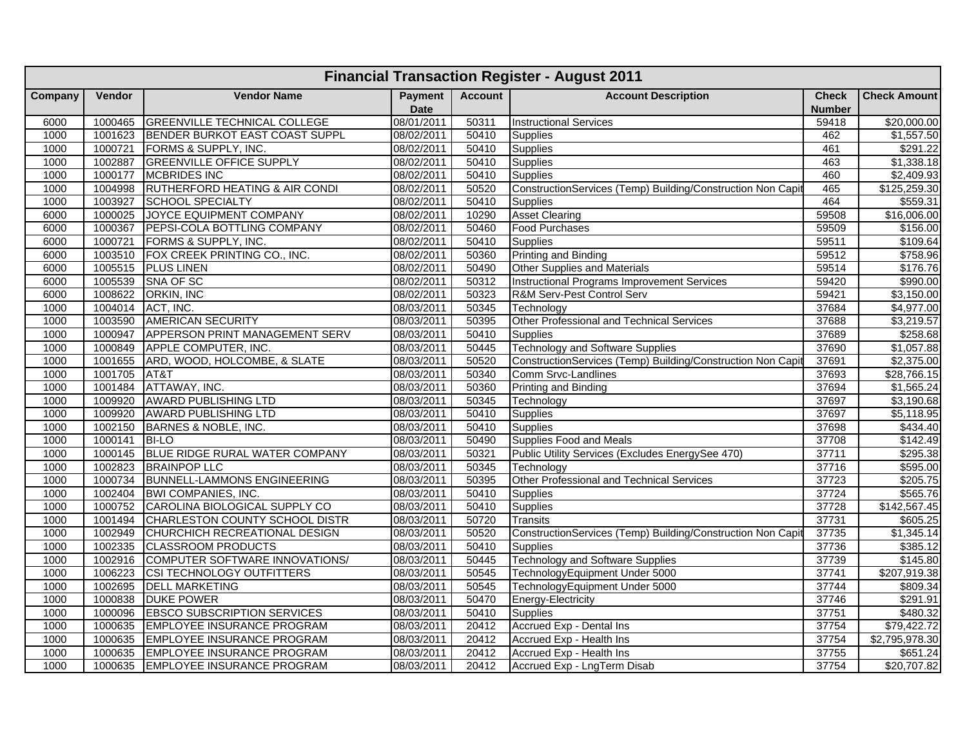|         | <b>Financial Transaction Register - August 2011</b> |                                           |                        |                |                                                             |                               |                       |  |  |  |  |  |
|---------|-----------------------------------------------------|-------------------------------------------|------------------------|----------------|-------------------------------------------------------------|-------------------------------|-----------------------|--|--|--|--|--|
| Company | <b>Vendor</b>                                       | <b>Vendor Name</b>                        | Payment<br><b>Date</b> | <b>Account</b> | <b>Account Description</b>                                  | <b>Check</b><br><b>Number</b> | <b>Check Amount</b>   |  |  |  |  |  |
| 6000    | 1000465                                             | <b>GREENVILLE TECHNICAL COLLEGE</b>       | 08/01/2011             | 50311          | <b>Instructional Services</b>                               | 59418                         | \$20,000.00           |  |  |  |  |  |
| 1000    | 1001623                                             | <b>BENDER BURKOT EAST COAST SUPPL</b>     | 08/02/2011             | 50410          | Supplies                                                    | 462                           | \$1,557.50            |  |  |  |  |  |
| 1000    | 1000721                                             | FORMS & SUPPLY, INC.                      | 08/02/2011             | 50410          | <b>Supplies</b>                                             | 461                           | \$291.22              |  |  |  |  |  |
| 1000    | 1002887                                             | <b>GREENVILLE OFFICE SUPPLY</b>           | 08/02/2011             | 50410          | Supplies                                                    | 463                           | $\overline{1,338.18}$ |  |  |  |  |  |
| 1000    | 1000177                                             | <b>MCBRIDES INC</b>                       | 08/02/2011             | 50410          | <b>Supplies</b>                                             | 460                           | \$2,409.93            |  |  |  |  |  |
| 1000    | 1004998                                             | <b>RUTHERFORD HEATING &amp; AIR CONDI</b> | 08/02/2011             | 50520          | ConstructionServices (Temp) Building/Construction Non Capit | 465                           | \$125,259.30          |  |  |  |  |  |
| 1000    | 1003927                                             | <b>SCHOOL SPECIALTY</b>                   | 08/02/2011             | 50410          | <b>Supplies</b>                                             | 464                           | \$559.31              |  |  |  |  |  |
| 6000    | 1000025                                             | JOYCE EQUIPMENT COMPANY                   | 08/02/2011             | 10290          | <b>Asset Clearing</b>                                       | 59508                         | \$16,006.00           |  |  |  |  |  |
| 6000    | 1000367                                             | PEPSI-COLA BOTTLING COMPANY               | 08/02/2011             | 50460          | Food Purchases                                              | 59509                         | \$156.00              |  |  |  |  |  |
| 6000    | 1000721                                             | FORMS & SUPPLY, INC.                      | 08/02/2011             | 50410          | <b>Supplies</b>                                             | 59511                         | \$109.64              |  |  |  |  |  |
| 6000    | 1003510                                             | FOX CREEK PRINTING CO., INC.              | 08/02/2011             | 50360          | Printing and Binding                                        | 59512                         | \$758.96              |  |  |  |  |  |
| 6000    | 1005515                                             | <b>PLUS LINEN</b>                         | 08/02/2011             | 50490          | Other Supplies and Materials                                | 59514                         | \$176.76              |  |  |  |  |  |
| 6000    | 1005539                                             | SNA OF SC                                 | 08/02/2011             | 50312          | <b>Instructional Programs Improvement Services</b>          | 59420                         | \$990.00              |  |  |  |  |  |
| 6000    | 1008622                                             | ORKIN, INC                                | 08/02/2011             | 50323          | R&M Serv-Pest Control Serv                                  | 59421                         | \$3,150.00            |  |  |  |  |  |
| 1000    | 1004014                                             | ACT, INC.                                 | 08/03/2011             | 50345          | Technology                                                  | 37684                         | \$4,977.00            |  |  |  |  |  |
| 1000    | 1003590                                             | <b>AMERICAN SECURITY</b>                  | 08/03/2011             | 50395          | Other Professional and Technical Services                   | 37688                         | \$3,219.57            |  |  |  |  |  |
| 1000    | 1000947                                             | APPERSON PRINT MANAGEMENT SERV            | 08/03/2011             | 50410          | Supplies                                                    | 37689                         | \$258.68              |  |  |  |  |  |
| 1000    | 1000849                                             | <b>APPLE COMPUTER, INC.</b>               | 08/03/2011             | 50445          | <b>Technology and Software Supplies</b>                     | 37690                         | \$1,057.88            |  |  |  |  |  |
| 1000    | 1001655                                             | ARD, WOOD, HOLCOMBE, & SLATE              | 08/03/2011             | 50520          | ConstructionServices (Temp) Building/Construction Non Capit | 37691                         | \$2,375.00            |  |  |  |  |  |
| 1000    | 1001705                                             | AT&T                                      | 08/03/2011             | 50340          | Comm Srvc-Landlines                                         | 37693                         | \$28,766.15           |  |  |  |  |  |
| 1000    | 1001484                                             | ATTAWAY, INC.                             | 08/03/2011             | 50360          | <b>Printing and Binding</b>                                 | 37694                         | \$1,565.24            |  |  |  |  |  |
| 1000    | 1009920                                             | <b>AWARD PUBLISHING LTD</b>               | 08/03/2011             | 50345          | Technology                                                  | 37697                         | \$3,190.68            |  |  |  |  |  |
| 1000    | 1009920                                             | <b>AWARD PUBLISHING LTD</b>               | 08/03/2011             | 50410          | <b>Supplies</b>                                             | 37697                         | \$5,118.95            |  |  |  |  |  |
| 1000    | 1002150                                             | BARNES & NOBLE, INC.                      | 08/03/2011             | 50410          | <b>Supplies</b>                                             | 37698                         | \$434.40              |  |  |  |  |  |
| 1000    | 1000141                                             | <b>BI-LO</b>                              | 08/03/2011             | 50490          | <b>Supplies Food and Meals</b>                              | 37708                         | \$142.49              |  |  |  |  |  |
| 1000    | 1000145                                             | BLUE RIDGE RURAL WATER COMPANY            | 08/03/2011             | 50321          | Public Utility Services (Excludes EnergySee 470)            | 37711                         | \$295.38              |  |  |  |  |  |
| 1000    | 1002823                                             | <b>BRAINPOP LLC</b>                       | 08/03/2011             | 50345          | Technology                                                  | 37716                         | \$595.00              |  |  |  |  |  |
| 1000    | 1000734                                             | <b>BUNNELL-LAMMONS ENGINEERING</b>        | 08/03/2011             | 50395          | Other Professional and Technical Services                   | 37723                         | \$205.75              |  |  |  |  |  |
| 1000    | 1002404                                             | <b>BWI COMPANIES, INC.</b>                | 08/03/2011             | 50410          | <b>Supplies</b>                                             | 37724                         | \$565.76              |  |  |  |  |  |
| 1000    | 1000752                                             | CAROLINA BIOLOGICAL SUPPLY CO             | 08/03/2011             | 50410          | Supplies                                                    | 37728                         | \$142,567.45          |  |  |  |  |  |
| 1000    | 1001494                                             | CHARLESTON COUNTY SCHOOL DISTR            | 08/03/2011             | 50720          | <b>Transits</b>                                             | 37731                         | \$605.25              |  |  |  |  |  |
| 1000    | 1002949                                             | CHURCHICH RECREATIONAL DESIGN             | 08/03/2011             | 50520          | ConstructionServices (Temp) Building/Construction Non Capit | 37735                         | \$1,345.14            |  |  |  |  |  |
| 1000    | 1002335                                             | <b>CLASSROOM PRODUCTS</b>                 | 08/03/2011             | 50410          | Supplies                                                    | 37736                         | \$385.12              |  |  |  |  |  |
| 1000    | 1002916                                             | COMPUTER SOFTWARE INNOVATIONS/            | 08/03/2011             | 50445          | <b>Technology and Software Supplies</b>                     | 37739                         | \$145.80              |  |  |  |  |  |
| 1000    | 1006223                                             | <b>CSI TECHNOLOGY OUTFITTERS</b>          | 08/03/2011             | 50545          | TechnologyEquipment Under 5000                              | 37741                         | \$207,919.38          |  |  |  |  |  |
| 1000    | 1002695                                             | <b>DELL MARKETING</b>                     | 08/03/2011             | 50545          | TechnologyEquipment Under 5000                              | 37744                         | $\overline{$809.34}$  |  |  |  |  |  |
| 1000    | 1000838                                             | <b>DUKE POWER</b>                         | 08/03/2011             | 50470          | Energy-Electricity                                          | 37746                         | \$291.91              |  |  |  |  |  |
| 1000    | 1000096                                             | <b>EBSCO SUBSCRIPTION SERVICES</b>        | 08/03/2011             | 50410          | <b>Supplies</b>                                             | 37751                         | \$480.32              |  |  |  |  |  |
| 1000    | 1000635                                             | <b>EMPLOYEE INSURANCE PROGRAM</b>         | 08/03/2011             | 20412          | <b>Accrued Exp - Dental Ins</b>                             | 37754                         | \$79,422.72           |  |  |  |  |  |
| 1000    | 1000635                                             | <b>EMPLOYEE INSURANCE PROGRAM</b>         | 08/03/2011             | 20412          | Accrued Exp - Health Ins                                    | 37754                         | \$2,795,978.30        |  |  |  |  |  |
| 1000    | 1000635                                             | <b>EMPLOYEE INSURANCE PROGRAM</b>         | 08/03/2011             | 20412          | Accrued Exp - Health Ins                                    | 37755                         | \$651.24              |  |  |  |  |  |
| 1000    | 1000635                                             | <b>EMPLOYEE INSURANCE PROGRAM</b>         | 08/03/2011             | 20412          | Accrued Exp - LngTerm Disab                                 | 37754                         | \$20,707.82           |  |  |  |  |  |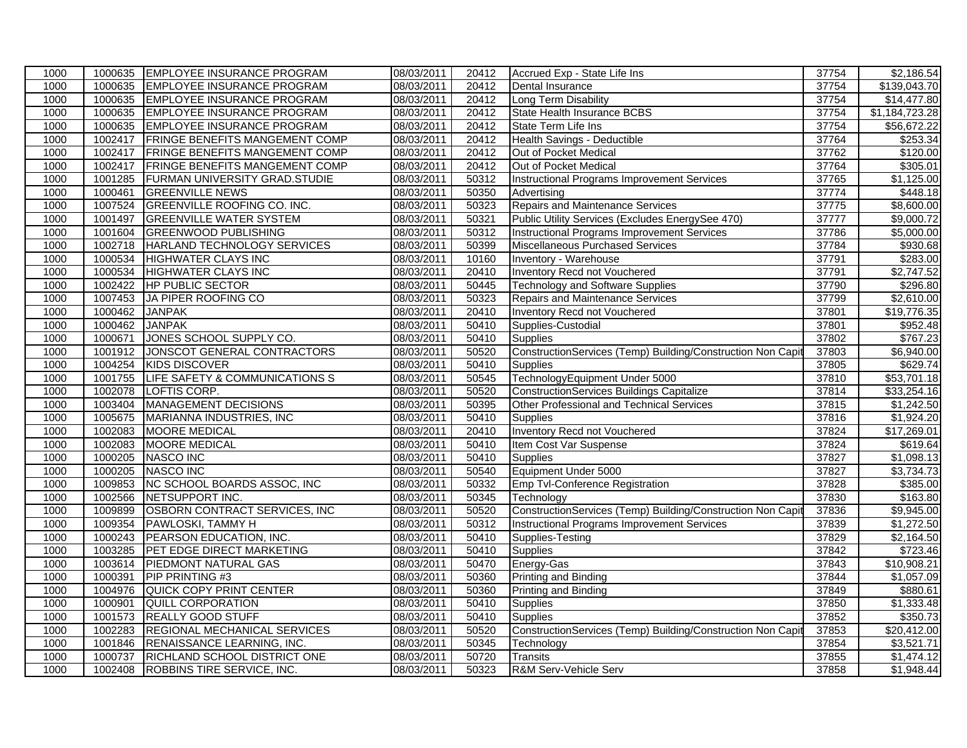| 1000 |         | 1000635 EMPLOYEE INSURANCE PROGRAM    | 08/03/2011 | 20412 | Accrued Exp - State Life Ins                                | 37754 | \$2,186.54     |
|------|---------|---------------------------------------|------------|-------|-------------------------------------------------------------|-------|----------------|
| 1000 | 1000635 | <b>EMPLOYEE INSURANCE PROGRAM</b>     | 08/03/2011 | 20412 | Dental Insurance                                            | 37754 | \$139,043.70   |
| 1000 | 1000635 | <b>EMPLOYEE INSURANCE PROGRAM</b>     | 08/03/2011 | 20412 | Long Term Disability                                        | 37754 | \$14,477.80    |
| 1000 | 1000635 | <b>EMPLOYEE INSURANCE PROGRAM</b>     | 08/03/2011 | 20412 | State Health Insurance BCBS                                 | 37754 | \$1,184,723.28 |
| 1000 | 1000635 | <b>EMPLOYEE INSURANCE PROGRAM</b>     | 08/03/2011 | 20412 | <b>State Term Life Ins</b>                                  | 37754 | \$56,672.22    |
| 1000 | 1002417 | <b>FRINGE BENEFITS MANGEMENT COMP</b> | 08/03/2011 | 20412 | Health Savings - Deductible                                 | 37764 | \$253.34       |
| 1000 | 1002417 | <b>FRINGE BENEFITS MANGEMENT COMP</b> | 08/03/2011 | 20412 | Out of Pocket Medical                                       | 37762 | \$120.00       |
| 1000 | 1002417 | <b>FRINGE BENEFITS MANGEMENT COMP</b> | 08/03/2011 | 20412 | Out of Pocket Medical                                       | 37764 | \$305.01       |
| 1000 | 1001285 | <b>FURMAN UNIVERSITY GRAD.STUDIE</b>  | 08/03/2011 | 50312 | <b>Instructional Programs Improvement Services</b>          | 37765 | \$1,125.00     |
| 1000 | 1000461 | <b>GREENVILLE NEWS</b>                | 08/03/2011 | 50350 | Advertising                                                 | 37774 | \$448.18       |
| 1000 | 1007524 | <b>GREENVILLE ROOFING CO. INC.</b>    | 08/03/2011 | 50323 | Repairs and Maintenance Services                            | 37775 | \$8,600.00     |
| 1000 | 1001497 | <b>GREENVILLE WATER SYSTEM</b>        | 08/03/2011 | 50321 | Public Utility Services (Excludes EnergySee 470)            | 37777 | \$9,000.72     |
| 1000 | 1001604 | <b>GREENWOOD PUBLISHING</b>           | 08/03/2011 | 50312 | <b>Instructional Programs Improvement Services</b>          | 37786 | \$5,000.00     |
| 1000 | 1002718 | HARLAND TECHNOLOGY SERVICES           | 08/03/2011 | 50399 | Miscellaneous Purchased Services                            | 37784 | \$930.68       |
| 1000 | 1000534 | <b>HIGHWATER CLAYS INC</b>            | 08/03/2011 | 10160 | Inventory - Warehouse                                       | 37791 | \$283.00       |
| 1000 | 1000534 | <b>HIGHWATER CLAYS INC</b>            | 08/03/2011 | 20410 | Inventory Recd not Vouchered                                | 37791 | \$2,747.52     |
| 1000 | 1002422 | <b>HP PUBLIC SECTOR</b>               | 08/03/2011 | 50445 | <b>Technology and Software Supplies</b>                     | 37790 | \$296.80       |
| 1000 | 1007453 | JA PIPER ROOFING CO                   | 08/03/2011 | 50323 | Repairs and Maintenance Services                            | 37799 | \$2,610.00     |
| 1000 | 1000462 | <b>JANPAK</b>                         | 08/03/2011 | 20410 | Inventory Recd not Vouchered                                | 37801 | \$19,776.35    |
| 1000 | 1000462 | <b>JANPAK</b>                         | 08/03/2011 | 50410 | Supplies-Custodial                                          | 37801 | \$952.48       |
| 1000 | 1000671 | JONES SCHOOL SUPPLY CO.               | 08/03/2011 | 50410 | <b>Supplies</b>                                             | 37802 | \$767.23       |
| 1000 | 1001912 | JONSCOT GENERAL CONTRACTORS           | 08/03/2011 | 50520 | ConstructionServices (Temp) Building/Construction Non Capit | 37803 | \$6,940.00     |
| 1000 | 1004254 | <b>KIDS DISCOVER</b>                  | 08/03/2011 | 50410 | <b>Supplies</b>                                             | 37805 | \$629.74       |
| 1000 | 1001755 | LIFE SAFETY & COMMUNICATIONS S        | 08/03/2011 | 50545 | TechnologyEquipment Under 5000                              | 37810 | \$53,701.18    |
| 1000 | 1002078 | LOFTIS CORP.                          | 08/03/2011 | 50520 | <b>ConstructionServices Buildings Capitalize</b>            | 37814 | \$33,254.16    |
| 1000 | 1003404 | <b>MANAGEMENT DECISIONS</b>           | 08/03/2011 | 50395 | Other Professional and Technical Services                   | 37815 | \$1,242.50     |
| 1000 | 1005675 | MARIANNA INDUSTRIES, INC              | 08/03/2011 | 50410 | Supplies                                                    | 37816 | \$1,924.20     |
| 1000 | 1002083 | <b>MOORE MEDICAL</b>                  | 08/03/2011 | 20410 | Inventory Recd not Vouchered                                | 37824 | \$17,269.01    |
| 1000 | 1002083 | <b>MOORE MEDICAL</b>                  | 08/03/2011 | 50410 | Item Cost Var Suspense                                      | 37824 | \$619.64       |
| 1000 | 1000205 | NASCO INC                             | 08/03/2011 | 50410 | <b>Supplies</b>                                             | 37827 | \$1,098.13     |
| 1000 | 1000205 | <b>NASCO INC</b>                      | 08/03/2011 | 50540 | Equipment Under 5000                                        | 37827 | \$3,734.73     |
| 1000 | 1009853 | NC SCHOOL BOARDS ASSOC, INC           | 08/03/2011 | 50332 | Emp Tvl-Conference Registration                             | 37828 | \$385.00       |
| 1000 | 1002566 | NETSUPPORT INC.                       | 08/03/2011 | 50345 | Technology                                                  | 37830 | \$163.80       |
| 1000 | 1009899 | OSBORN CONTRACT SERVICES, INC         | 08/03/2011 | 50520 | ConstructionServices (Temp) Building/Construction Non Capit | 37836 | \$9,945.00     |
| 1000 | 1009354 | PAWLOSKI, TAMMY H                     | 08/03/2011 | 50312 | Instructional Programs Improvement Services                 | 37839 | \$1,272.50     |
| 1000 | 1000243 | PEARSON EDUCATION, INC.               | 08/03/2011 | 50410 | Supplies-Testing                                            | 37829 | \$2,164.50     |
| 1000 | 1003285 | PET EDGE DIRECT MARKETING             | 08/03/2011 | 50410 | Supplies                                                    | 37842 | \$723.46       |
| 1000 | 1003614 | <b>PIEDMONT NATURAL GAS</b>           | 08/03/2011 | 50470 | Energy-Gas                                                  | 37843 | \$10,908.21    |
| 1000 | 1000391 | <b>PIP PRINTING #3</b>                | 08/03/2011 | 50360 | Printing and Binding                                        | 37844 | \$1,057.09     |
| 1000 | 1004976 | QUICK COPY PRINT CENTER               | 08/03/2011 | 50360 | <b>Printing and Binding</b>                                 | 37849 | \$880.61       |
| 1000 | 1000901 | <b>QUILL CORPORATION</b>              | 08/03/2011 | 50410 | Supplies                                                    | 37850 | \$1,333.48     |
| 1000 | 1001573 | <b>REALLY GOOD STUFF</b>              | 08/03/2011 | 50410 | Supplies                                                    | 37852 | \$350.73       |
| 1000 | 1002283 | REGIONAL MECHANICAL SERVICES          | 08/03/2011 | 50520 | ConstructionServices (Temp) Building/Construction Non Capit | 37853 | \$20,412.00    |
| 1000 | 1001846 | RENAISSANCE LEARNING, INC.            | 08/03/2011 | 50345 | Technology                                                  | 37854 | \$3,521.71     |
| 1000 | 1000737 | RICHLAND SCHOOL DISTRICT ONE          | 08/03/2011 | 50720 | Transits                                                    | 37855 | \$1,474.12     |
| 1000 | 1002408 | ROBBINS TIRE SERVICE, INC.            | 08/03/2011 | 50323 | R&M Serv-Vehicle Serv                                       | 37858 | \$1,948.44     |
|      |         |                                       |            |       |                                                             |       |                |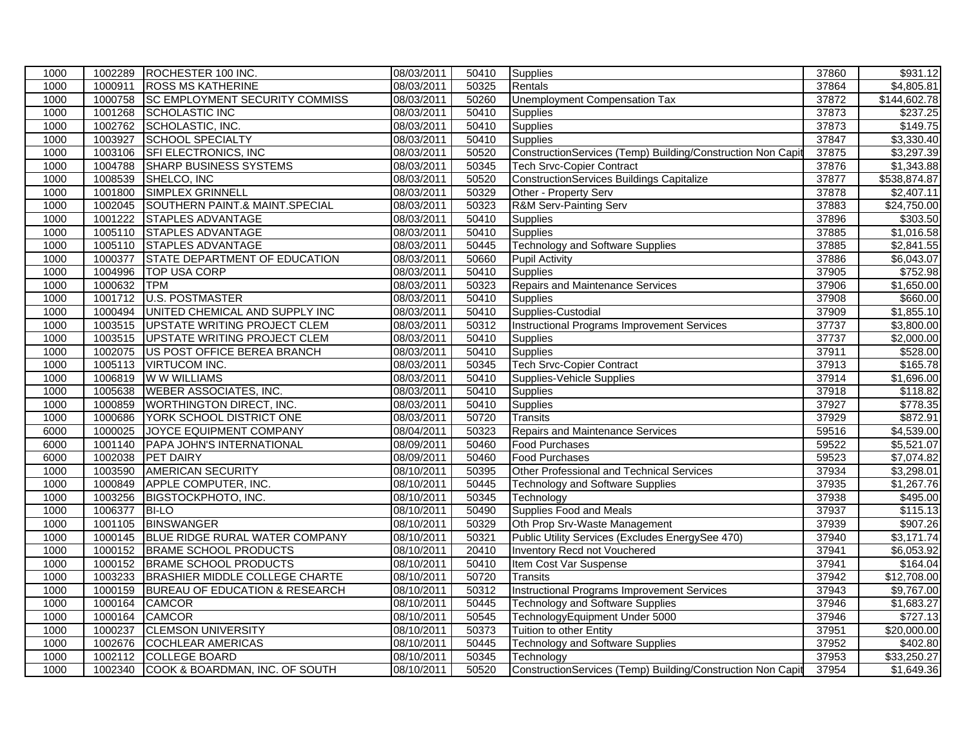| 1000 |         | 1002289 ROCHESTER 100 INC.                | 08/03/2011 | 50410 | Supplies                                                    | 37860 | \$931.12               |
|------|---------|-------------------------------------------|------------|-------|-------------------------------------------------------------|-------|------------------------|
| 1000 | 1000911 | <b>ROSS MS KATHERINE</b>                  | 08/03/2011 | 50325 | Rentals                                                     | 37864 | $\overline{$4,805.81}$ |
| 1000 | 1000758 | <b>SC EMPLOYMENT SECURITY COMMISS</b>     | 08/03/2011 | 50260 | <b>Unemployment Compensation Tax</b>                        | 37872 | \$144,602.78           |
| 1000 | 1001268 | <b>SCHOLASTIC INC</b>                     | 08/03/2011 | 50410 | Supplies                                                    | 37873 | \$237.25               |
| 1000 | 1002762 | SCHOLASTIC, INC.                          | 08/03/2011 | 50410 | <b>Supplies</b>                                             | 37873 | \$149.75               |
| 1000 | 1003927 | <b>SCHOOL SPECIALTY</b>                   | 08/03/2011 | 50410 | Supplies                                                    | 37847 | \$3,330.40             |
| 1000 | 1003106 | SFI ELECTRONICS, INC                      | 08/03/2011 | 50520 | ConstructionServices (Temp) Building/Construction Non Capit | 37875 | \$3,297.39             |
| 1000 | 1004788 | SHARP BUSINESS SYSTEMS                    | 08/03/2011 | 50345 | <b>Tech Srvc-Copier Contract</b>                            | 37876 | \$1,343.88             |
| 1000 | 1008539 | SHELCO, INC                               | 08/03/2011 | 50520 | <b>ConstructionServices Buildings Capitalize</b>            | 37877 | \$538,874.87           |
| 1000 | 1001800 | SIMPLEX GRINNELL                          | 08/03/2011 | 50329 | Other - Property Serv                                       | 37878 | \$2,407.11             |
| 1000 | 1002045 | SOUTHERN PAINT.& MAINT.SPECIAL            | 08/03/2011 | 50323 | <b>R&amp;M Serv-Painting Serv</b>                           | 37883 | \$24,750.00            |
| 1000 | 1001222 | <b>STAPLES ADVANTAGE</b>                  | 08/03/2011 | 50410 | <b>Supplies</b>                                             | 37896 | \$303.50               |
| 1000 | 1005110 | <b>STAPLES ADVANTAGE</b>                  | 08/03/2011 | 50410 | Supplies                                                    | 37885 | \$1,016.58             |
| 1000 | 1005110 | <b>STAPLES ADVANTAGE</b>                  | 08/03/2011 | 50445 | <b>Technology and Software Supplies</b>                     | 37885 | \$2,841.55             |
| 1000 | 1000377 | STATE DEPARTMENT OF EDUCATION             | 08/03/2011 | 50660 | <b>Pupil Activity</b>                                       | 37886 | \$6,043.07             |
| 1000 | 1004996 | <b>TOP USA CORP</b>                       | 08/03/2011 | 50410 | Supplies                                                    | 37905 | \$752.98               |
| 1000 | 1000632 | <b>TPM</b>                                | 08/03/2011 | 50323 | Repairs and Maintenance Services                            | 37906 | \$1,650.00             |
| 1000 | 1001712 | <b>U.S. POSTMASTER</b>                    | 08/03/2011 | 50410 | <b>Supplies</b>                                             | 37908 | \$660.00               |
| 1000 | 1000494 | UNITED CHEMICAL AND SUPPLY INC            | 08/03/2011 | 50410 | Supplies-Custodial                                          | 37909 | \$1,855.10             |
| 1000 | 1003515 | UPSTATE WRITING PROJECT CLEM              | 08/03/2011 | 50312 | <b>Instructional Programs Improvement Services</b>          | 37737 | \$3,800.00             |
| 1000 | 1003515 | UPSTATE WRITING PROJECT CLEM              | 08/03/2011 | 50410 | <b>Supplies</b>                                             | 37737 | \$2,000.00             |
| 1000 | 1002075 | US POST OFFICE BEREA BRANCH               | 08/03/2011 | 50410 | <b>Supplies</b>                                             | 37911 | \$528.00               |
| 1000 | 1005113 | <b>VIRTUCOM INC.</b>                      | 08/03/2011 | 50345 | <b>Tech Srvc-Copier Contract</b>                            | 37913 | \$165.78               |
| 1000 | 1006819 | W W WILLIAMS                              | 08/03/2011 | 50410 | Supplies-Vehicle Supplies                                   | 37914 | \$1,696.00             |
| 1000 | 1005638 | <b>WEBER ASSOCIATES, INC.</b>             | 08/03/2011 | 50410 | Supplies                                                    | 37918 | \$118.82               |
| 1000 | 1000859 | WORTHINGTON DIRECT, INC.                  | 08/03/2011 | 50410 | <b>Supplies</b>                                             | 37927 | \$778.35               |
| 1000 | 1000686 | YORK SCHOOL DISTRICT ONE                  | 08/03/2011 | 50720 | Transits                                                    | 37929 | \$872.91               |
| 6000 | 1000025 | JOYCE EQUIPMENT COMPANY                   | 08/04/2011 | 50323 | <b>Repairs and Maintenance Services</b>                     | 59516 | \$4,539.00             |
| 6000 | 1001140 | <b>PAPA JOHN'S INTERNATIONAL</b>          | 08/09/2011 | 50460 | <b>Food Purchases</b>                                       | 59522 | \$5,521.07             |
| 6000 | 1002038 | <b>PET DAIRY</b>                          | 08/09/2011 | 50460 | <b>Food Purchases</b>                                       | 59523 | \$7,074.82             |
| 1000 | 1003590 | <b>AMERICAN SECURITY</b>                  | 08/10/2011 | 50395 | Other Professional and Technical Services                   | 37934 | \$3,298.01             |
| 1000 | 1000849 | APPLE COMPUTER, INC.                      | 08/10/2011 | 50445 | <b>Technology and Software Supplies</b>                     | 37935 | \$1,267.76             |
| 1000 | 1003256 | BIGSTOCKPHOTO, INC.                       | 08/10/2011 | 50345 | Technology                                                  | 37938 | \$495.00               |
| 1000 | 1006377 | <b>BI-LO</b>                              | 08/10/2011 | 50490 | Supplies Food and Meals                                     | 37937 | \$115.13               |
| 1000 | 1001105 | <b>BINSWANGER</b>                         | 08/10/2011 | 50329 | Oth Prop Srv-Waste Management                               | 37939 | \$907.26               |
| 1000 | 1000145 | BLUE RIDGE RURAL WATER COMPANY            | 08/10/2011 | 50321 | Public Utility Services (Excludes EnergySee 470)            | 37940 | \$3,171.74             |
| 1000 | 1000152 | <b>BRAME SCHOOL PRODUCTS</b>              | 08/10/2011 | 20410 | <b>Inventory Recd not Vouchered</b>                         | 37941 | \$6,053.92             |
| 1000 | 1000152 | <b>BRAME SCHOOL PRODUCTS</b>              | 08/10/2011 | 50410 | Item Cost Var Suspense                                      | 37941 | \$164.04               |
| 1000 | 1003233 | <b>BRASHIER MIDDLE COLLEGE CHARTE</b>     | 08/10/2011 | 50720 | <b>Transits</b>                                             | 37942 | \$12,708.00            |
| 1000 | 1000159 | <b>BUREAU OF EDUCATION &amp; RESEARCH</b> | 08/10/2011 | 50312 | <b>Instructional Programs Improvement Services</b>          | 37943 | \$9,767.00             |
| 1000 | 1000164 | <b>CAMCOR</b>                             | 08/10/2011 | 50445 | <b>Technology and Software Supplies</b>                     | 37946 | \$1,683.27             |
| 1000 | 1000164 | <b>CAMCOR</b>                             | 08/10/2011 | 50545 | TechnologyEquipment Under 5000                              | 37946 | \$727.13               |
| 1000 | 1000237 | <b>CLEMSON UNIVERSITY</b>                 | 08/10/2011 | 50373 | <b>Tuition to other Entity</b>                              | 37951 | \$20,000.00            |
| 1000 | 1002676 | <b>COCHLEAR AMERICAS</b>                  | 08/10/2011 | 50445 | <b>Technology and Software Supplies</b>                     | 37952 | \$402.80               |
| 1000 | 1002112 | <b>COLLEGE BOARD</b>                      | 08/10/2011 | 50345 | Technology                                                  | 37953 | \$33,250.27            |
| 1000 |         | 1002340 COOK & BOARDMAN, INC. OF SOUTH    | 08/10/2011 | 50520 | ConstructionServices (Temp) Building/Construction Non Capit | 37954 | $\overline{$1,649.36}$ |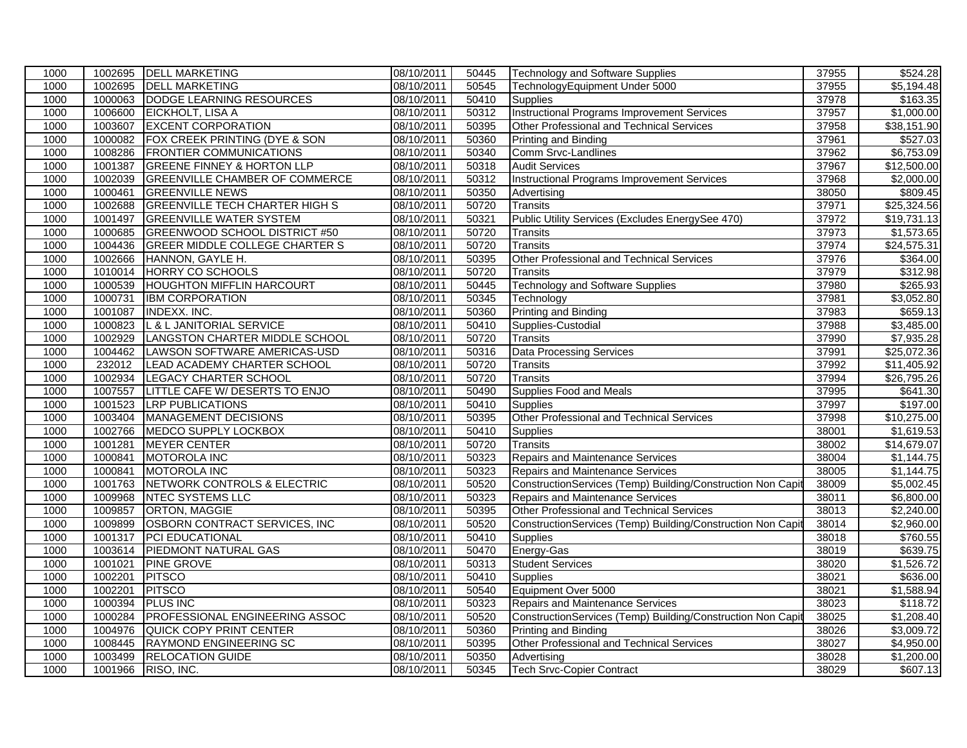| 1000<br>1002695<br><b>DELL MARKETING</b><br>08/10/2011<br>50545<br>37955<br>TechnologyEquipment Under 5000<br>1000063<br>08/10/2011<br>1000<br>DODGE LEARNING RESOURCES<br>50410<br>37978<br><b>Supplies</b><br>1006600<br>08/10/2011<br><b>Instructional Programs Improvement Services</b><br>37957<br>1000<br>EICKHOLT, LISA A<br>50312<br><b>EXCENT CORPORATION</b><br>1003607<br>08/10/2011<br>Other Professional and Technical Services<br>37958<br>1000<br>50395<br>1000082<br>FOX CREEK PRINTING (DYE & SON<br>08/10/2011<br>50360<br>37961<br>1000<br>Printing and Binding<br>08/10/2011<br>37962<br>1000<br>1008286<br><b>FRONTIER COMMUNICATIONS</b><br>50340<br>Comm Srvc-Landlines<br>1001387<br><b>GREENE FINNEY &amp; HORTON LLP</b><br>08/10/2011<br>37967<br>1000<br>50318<br><b>Audit Services</b><br><b>Instructional Programs Improvement Services</b><br>1002039<br><b>GREENVILLE CHAMBER OF COMMERCE</b><br>08/10/2011<br>50312<br>37968<br>1000<br><b>GREENVILLE NEWS</b><br>38050<br>1000<br>1000461<br>08/10/2011<br>50350<br>Advertising<br>50720<br>1000<br>1002688<br><b>GREENVILLE TECH CHARTER HIGH S</b><br>08/10/2011<br>37971<br><b>Transits</b><br>1000<br>1001497<br><b>GREENVILLE WATER SYSTEM</b><br>08/10/2011<br>50321<br>Public Utility Services (Excludes EnergySee 470)<br>37972<br>37973<br>\$1,573.65<br>1000<br>1000685<br><b>GREENWOOD SCHOOL DISTRICT #50</b><br>08/10/2011<br>50720<br><b>Transits</b><br>08/10/2011<br>50720<br>37974<br>1000<br>1004436<br><b>GREER MIDDLE COLLEGE CHARTER S</b><br>Transits<br>37976<br>1000<br>1002666<br>08/10/2011<br>50395<br>HANNON, GAYLE H.<br>Other Professional and Technical Services<br>1000<br>1010014<br>HORRY CO SCHOOLS<br>08/10/2011<br>50720<br>37979<br>Transits<br>1000539<br><b>HOUGHTON MIFFLIN HARCOURT</b><br>08/10/2011<br>50445<br><b>Technology and Software Supplies</b><br>37980<br>1000<br>1000731<br>08/10/2011<br>50345<br>37981<br>1000<br><b>IBM CORPORATION</b><br>Technology<br>1001087<br>08/10/2011<br>50360<br>Printing and Binding<br>37983<br>1000<br><b>INDEXX. INC.</b><br>L & L JANITORIAL SERVICE<br>1000<br>1000823<br>08/10/2011<br>50410<br>Supplies-Custodial<br>37988<br>1002929<br>LANGSTON CHARTER MIDDLE SCHOOL<br>37990<br>1000<br>08/10/2011<br>50720<br><b>Transits</b><br>1004462<br>LAWSON SOFTWARE AMERICAS-USD<br>50316<br><b>Data Processing Services</b><br>37991<br>1000<br>08/10/2011<br>50720<br>37992<br>1000<br>232012<br>LEAD ACADEMY CHARTER SCHOOL<br>08/10/2011<br><b>Transits</b><br>1002934<br>1000<br>LEGACY CHARTER SCHOOL<br>08/10/2011<br>50720<br>37994<br><b>Transits</b><br>1007557<br>LITTLE CAFE W/ DESERTS TO ENJO<br>08/10/2011<br>50490<br><b>Supplies Food and Meals</b><br>37995<br>1000<br>1000<br>1001523<br><b>LRP PUBLICATIONS</b><br>08/10/2011<br>50410<br>37997<br>Supplies<br>1003404<br><b>MANAGEMENT DECISIONS</b><br>08/10/2011<br>50395<br>Other Professional and Technical Services<br>37998<br>1000<br>1000<br>1002766<br>MEDCO SUPPLY LOCKBOX<br>08/10/2011<br>50410<br>38001<br><b>Supplies</b><br>1000<br>1001281<br><b>MEYER CENTER</b><br>08/10/2011<br>50720<br>38002<br><b>Transits</b><br>1000841<br>MOTOROLA INC<br>08/10/2011<br>50323<br>Repairs and Maintenance Services<br>38004<br>1000<br>1000<br>1000841<br>08/10/2011<br>50323<br>Repairs and Maintenance Services<br>38005<br>MOTOROLA INC<br>1000<br>1001763<br>NETWORK CONTROLS & ELECTRIC<br>08/10/2011<br>50520<br>ConstructionServices (Temp) Building/Construction Non Capit<br>38009<br>1009968<br><b>NTEC SYSTEMS LLC</b><br>08/10/2011<br>50323<br>1000<br>Repairs and Maintenance Services<br>38011<br>1000<br>1009857<br>ORTON, MAGGIE<br>08/10/2011<br>Other Professional and Technical Services<br>38013<br>50395<br><b>OSBORN CONTRACT SERVICES, INC</b><br>50520<br>1000<br>1009899<br>08/10/2011<br>ConstructionServices (Temp) Building/Construction Non Capit<br>38014<br>08/10/2011<br>1000<br>1001317<br><b>PCI EDUCATIONAL</b><br>50410<br>38018<br><b>Supplies</b><br>PIEDMONT NATURAL GAS<br>08/10/2011<br>Energy-Gas<br>1000<br>1003614<br>50470<br>38019<br>1001021<br><b>PINE GROVE</b><br>08/10/2011<br><b>Student Services</b><br>38020<br>1000<br>50313<br>1000<br>1002201<br><b>PITSCO</b><br>08/10/2011<br>50410<br>38021<br><b>Supplies</b><br>1000<br>1002201<br><b>PITSCO</b><br>08/10/2011<br>50540<br>Equipment Over 5000<br>38021<br>1000394<br><b>PLUS INC</b><br>08/10/2011<br>50323<br>Repairs and Maintenance Services<br>38023<br>1000<br>ConstructionServices (Temp) Building/Construction Non Capit<br>1000284<br><b>PROFESSIONAL ENGINEERING ASSOC</b><br>38025<br>1000<br>08/10/2011<br>50520<br>1004976<br><b>QUICK COPY PRINT CENTER</b><br>50360<br>1000<br>08/10/2011<br><b>Printing and Binding</b><br>38026<br>Other Professional and Technical Services<br>1000<br>1008445<br><b>RAYMOND ENGINEERING SC</b><br>08/10/2011<br>50395<br>38027<br>1000<br>1003499<br><b>RELOCATION GUIDE</b><br>08/10/2011<br>50350<br>38028<br>Advertising<br>1000<br>1001966 RISO, INC.<br>50345<br><b>Tech Srvc-Copier Contract</b><br>38029<br>08/10/2011 | 1000 | 1002695 | <b>DELL MARKETING</b> | 08/10/2011 | 50445 | <b>Technology and Software Supplies</b> | 37955 | \$524.28              |
|---------------------------------------------------------------------------------------------------------------------------------------------------------------------------------------------------------------------------------------------------------------------------------------------------------------------------------------------------------------------------------------------------------------------------------------------------------------------------------------------------------------------------------------------------------------------------------------------------------------------------------------------------------------------------------------------------------------------------------------------------------------------------------------------------------------------------------------------------------------------------------------------------------------------------------------------------------------------------------------------------------------------------------------------------------------------------------------------------------------------------------------------------------------------------------------------------------------------------------------------------------------------------------------------------------------------------------------------------------------------------------------------------------------------------------------------------------------------------------------------------------------------------------------------------------------------------------------------------------------------------------------------------------------------------------------------------------------------------------------------------------------------------------------------------------------------------------------------------------------------------------------------------------------------------------------------------------------------------------------------------------------------------------------------------------------------------------------------------------------------------------------------------------------------------------------------------------------------------------------------------------------------------------------------------------------------------------------------------------------------------------------------------------------------------------------------------------------------------------------------------------------------------------------------------------------------------------------------------------------------------------------------------------------------------------------------------------------------------------------------------------------------------------------------------------------------------------------------------------------------------------------------------------------------------------------------------------------------------------------------------------------------------------------------------------------------------------------------------------------------------------------------------------------------------------------------------------------------------------------------------------------------------------------------------------------------------------------------------------------------------------------------------------------------------------------------------------------------------------------------------------------------------------------------------------------------------------------------------------------------------------------------------------------------------------------------------------------------------------------------------------------------------------------------------------------------------------------------------------------------------------------------------------------------------------------------------------------------------------------------------------------------------------------------------------------------------------------------------------------------------------------------------------------------------------------------------------------------------------------------------------------------------------------------------------------------------------------------------------------------------------------------------------------------------------------------------------------------------------------------------------------------------------------------------------------------------------------------------------------------------------------------------------------------------------------------------------------------------------------------------------------------------------------------------------------------------------------------------------------------------------------------------------------------------------------------------------------------------------------------------------------------------------------------------------------------------------------------------------------------------------------------------------|------|---------|-----------------------|------------|-------|-----------------------------------------|-------|-----------------------|
|                                                                                                                                                                                                                                                                                                                                                                                                                                                                                                                                                                                                                                                                                                                                                                                                                                                                                                                                                                                                                                                                                                                                                                                                                                                                                                                                                                                                                                                                                                                                                                                                                                                                                                                                                                                                                                                                                                                                                                                                                                                                                                                                                                                                                                                                                                                                                                                                                                                                                                                                                                                                                                                                                                                                                                                                                                                                                                                                                                                                                                                                                                                                                                                                                                                                                                                                                                                                                                                                                                                                                                                                                                                                                                                                                                                                                                                                                                                                                                                                                                                                                                                                                                                                                                                                                                                                                                                                                                                                                                                                                                                                                                                                                                                                                                                                                                                                                                                                                                                                                                                                                                                                                         |      |         |                       |            |       |                                         |       | $\overline{5,194.48}$ |
|                                                                                                                                                                                                                                                                                                                                                                                                                                                                                                                                                                                                                                                                                                                                                                                                                                                                                                                                                                                                                                                                                                                                                                                                                                                                                                                                                                                                                                                                                                                                                                                                                                                                                                                                                                                                                                                                                                                                                                                                                                                                                                                                                                                                                                                                                                                                                                                                                                                                                                                                                                                                                                                                                                                                                                                                                                                                                                                                                                                                                                                                                                                                                                                                                                                                                                                                                                                                                                                                                                                                                                                                                                                                                                                                                                                                                                                                                                                                                                                                                                                                                                                                                                                                                                                                                                                                                                                                                                                                                                                                                                                                                                                                                                                                                                                                                                                                                                                                                                                                                                                                                                                                                         |      |         |                       |            |       |                                         |       | \$163.35              |
|                                                                                                                                                                                                                                                                                                                                                                                                                                                                                                                                                                                                                                                                                                                                                                                                                                                                                                                                                                                                                                                                                                                                                                                                                                                                                                                                                                                                                                                                                                                                                                                                                                                                                                                                                                                                                                                                                                                                                                                                                                                                                                                                                                                                                                                                                                                                                                                                                                                                                                                                                                                                                                                                                                                                                                                                                                                                                                                                                                                                                                                                                                                                                                                                                                                                                                                                                                                                                                                                                                                                                                                                                                                                                                                                                                                                                                                                                                                                                                                                                                                                                                                                                                                                                                                                                                                                                                                                                                                                                                                                                                                                                                                                                                                                                                                                                                                                                                                                                                                                                                                                                                                                                         |      |         |                       |            |       |                                         |       | \$1,000.00            |
|                                                                                                                                                                                                                                                                                                                                                                                                                                                                                                                                                                                                                                                                                                                                                                                                                                                                                                                                                                                                                                                                                                                                                                                                                                                                                                                                                                                                                                                                                                                                                                                                                                                                                                                                                                                                                                                                                                                                                                                                                                                                                                                                                                                                                                                                                                                                                                                                                                                                                                                                                                                                                                                                                                                                                                                                                                                                                                                                                                                                                                                                                                                                                                                                                                                                                                                                                                                                                                                                                                                                                                                                                                                                                                                                                                                                                                                                                                                                                                                                                                                                                                                                                                                                                                                                                                                                                                                                                                                                                                                                                                                                                                                                                                                                                                                                                                                                                                                                                                                                                                                                                                                                                         |      |         |                       |            |       |                                         |       | \$38,151.90           |
|                                                                                                                                                                                                                                                                                                                                                                                                                                                                                                                                                                                                                                                                                                                                                                                                                                                                                                                                                                                                                                                                                                                                                                                                                                                                                                                                                                                                                                                                                                                                                                                                                                                                                                                                                                                                                                                                                                                                                                                                                                                                                                                                                                                                                                                                                                                                                                                                                                                                                                                                                                                                                                                                                                                                                                                                                                                                                                                                                                                                                                                                                                                                                                                                                                                                                                                                                                                                                                                                                                                                                                                                                                                                                                                                                                                                                                                                                                                                                                                                                                                                                                                                                                                                                                                                                                                                                                                                                                                                                                                                                                                                                                                                                                                                                                                                                                                                                                                                                                                                                                                                                                                                                         |      |         |                       |            |       |                                         |       | \$527.03              |
|                                                                                                                                                                                                                                                                                                                                                                                                                                                                                                                                                                                                                                                                                                                                                                                                                                                                                                                                                                                                                                                                                                                                                                                                                                                                                                                                                                                                                                                                                                                                                                                                                                                                                                                                                                                                                                                                                                                                                                                                                                                                                                                                                                                                                                                                                                                                                                                                                                                                                                                                                                                                                                                                                                                                                                                                                                                                                                                                                                                                                                                                                                                                                                                                                                                                                                                                                                                                                                                                                                                                                                                                                                                                                                                                                                                                                                                                                                                                                                                                                                                                                                                                                                                                                                                                                                                                                                                                                                                                                                                                                                                                                                                                                                                                                                                                                                                                                                                                                                                                                                                                                                                                                         |      |         |                       |            |       |                                         |       | \$6,753.09            |
|                                                                                                                                                                                                                                                                                                                                                                                                                                                                                                                                                                                                                                                                                                                                                                                                                                                                                                                                                                                                                                                                                                                                                                                                                                                                                                                                                                                                                                                                                                                                                                                                                                                                                                                                                                                                                                                                                                                                                                                                                                                                                                                                                                                                                                                                                                                                                                                                                                                                                                                                                                                                                                                                                                                                                                                                                                                                                                                                                                                                                                                                                                                                                                                                                                                                                                                                                                                                                                                                                                                                                                                                                                                                                                                                                                                                                                                                                                                                                                                                                                                                                                                                                                                                                                                                                                                                                                                                                                                                                                                                                                                                                                                                                                                                                                                                                                                                                                                                                                                                                                                                                                                                                         |      |         |                       |            |       |                                         |       | \$12,500.00           |
|                                                                                                                                                                                                                                                                                                                                                                                                                                                                                                                                                                                                                                                                                                                                                                                                                                                                                                                                                                                                                                                                                                                                                                                                                                                                                                                                                                                                                                                                                                                                                                                                                                                                                                                                                                                                                                                                                                                                                                                                                                                                                                                                                                                                                                                                                                                                                                                                                                                                                                                                                                                                                                                                                                                                                                                                                                                                                                                                                                                                                                                                                                                                                                                                                                                                                                                                                                                                                                                                                                                                                                                                                                                                                                                                                                                                                                                                                                                                                                                                                                                                                                                                                                                                                                                                                                                                                                                                                                                                                                                                                                                                                                                                                                                                                                                                                                                                                                                                                                                                                                                                                                                                                         |      |         |                       |            |       |                                         |       | \$2,000.00            |
|                                                                                                                                                                                                                                                                                                                                                                                                                                                                                                                                                                                                                                                                                                                                                                                                                                                                                                                                                                                                                                                                                                                                                                                                                                                                                                                                                                                                                                                                                                                                                                                                                                                                                                                                                                                                                                                                                                                                                                                                                                                                                                                                                                                                                                                                                                                                                                                                                                                                                                                                                                                                                                                                                                                                                                                                                                                                                                                                                                                                                                                                                                                                                                                                                                                                                                                                                                                                                                                                                                                                                                                                                                                                                                                                                                                                                                                                                                                                                                                                                                                                                                                                                                                                                                                                                                                                                                                                                                                                                                                                                                                                                                                                                                                                                                                                                                                                                                                                                                                                                                                                                                                                                         |      |         |                       |            |       |                                         |       | \$809.45              |
|                                                                                                                                                                                                                                                                                                                                                                                                                                                                                                                                                                                                                                                                                                                                                                                                                                                                                                                                                                                                                                                                                                                                                                                                                                                                                                                                                                                                                                                                                                                                                                                                                                                                                                                                                                                                                                                                                                                                                                                                                                                                                                                                                                                                                                                                                                                                                                                                                                                                                                                                                                                                                                                                                                                                                                                                                                                                                                                                                                                                                                                                                                                                                                                                                                                                                                                                                                                                                                                                                                                                                                                                                                                                                                                                                                                                                                                                                                                                                                                                                                                                                                                                                                                                                                                                                                                                                                                                                                                                                                                                                                                                                                                                                                                                                                                                                                                                                                                                                                                                                                                                                                                                                         |      |         |                       |            |       |                                         |       | \$25,324.56           |
|                                                                                                                                                                                                                                                                                                                                                                                                                                                                                                                                                                                                                                                                                                                                                                                                                                                                                                                                                                                                                                                                                                                                                                                                                                                                                                                                                                                                                                                                                                                                                                                                                                                                                                                                                                                                                                                                                                                                                                                                                                                                                                                                                                                                                                                                                                                                                                                                                                                                                                                                                                                                                                                                                                                                                                                                                                                                                                                                                                                                                                                                                                                                                                                                                                                                                                                                                                                                                                                                                                                                                                                                                                                                                                                                                                                                                                                                                                                                                                                                                                                                                                                                                                                                                                                                                                                                                                                                                                                                                                                                                                                                                                                                                                                                                                                                                                                                                                                                                                                                                                                                                                                                                         |      |         |                       |            |       |                                         |       | \$19,731.13           |
|                                                                                                                                                                                                                                                                                                                                                                                                                                                                                                                                                                                                                                                                                                                                                                                                                                                                                                                                                                                                                                                                                                                                                                                                                                                                                                                                                                                                                                                                                                                                                                                                                                                                                                                                                                                                                                                                                                                                                                                                                                                                                                                                                                                                                                                                                                                                                                                                                                                                                                                                                                                                                                                                                                                                                                                                                                                                                                                                                                                                                                                                                                                                                                                                                                                                                                                                                                                                                                                                                                                                                                                                                                                                                                                                                                                                                                                                                                                                                                                                                                                                                                                                                                                                                                                                                                                                                                                                                                                                                                                                                                                                                                                                                                                                                                                                                                                                                                                                                                                                                                                                                                                                                         |      |         |                       |            |       |                                         |       |                       |
|                                                                                                                                                                                                                                                                                                                                                                                                                                                                                                                                                                                                                                                                                                                                                                                                                                                                                                                                                                                                                                                                                                                                                                                                                                                                                                                                                                                                                                                                                                                                                                                                                                                                                                                                                                                                                                                                                                                                                                                                                                                                                                                                                                                                                                                                                                                                                                                                                                                                                                                                                                                                                                                                                                                                                                                                                                                                                                                                                                                                                                                                                                                                                                                                                                                                                                                                                                                                                                                                                                                                                                                                                                                                                                                                                                                                                                                                                                                                                                                                                                                                                                                                                                                                                                                                                                                                                                                                                                                                                                                                                                                                                                                                                                                                                                                                                                                                                                                                                                                                                                                                                                                                                         |      |         |                       |            |       |                                         |       | \$24,575.31           |
|                                                                                                                                                                                                                                                                                                                                                                                                                                                                                                                                                                                                                                                                                                                                                                                                                                                                                                                                                                                                                                                                                                                                                                                                                                                                                                                                                                                                                                                                                                                                                                                                                                                                                                                                                                                                                                                                                                                                                                                                                                                                                                                                                                                                                                                                                                                                                                                                                                                                                                                                                                                                                                                                                                                                                                                                                                                                                                                                                                                                                                                                                                                                                                                                                                                                                                                                                                                                                                                                                                                                                                                                                                                                                                                                                                                                                                                                                                                                                                                                                                                                                                                                                                                                                                                                                                                                                                                                                                                                                                                                                                                                                                                                                                                                                                                                                                                                                                                                                                                                                                                                                                                                                         |      |         |                       |            |       |                                         |       | \$364.00              |
|                                                                                                                                                                                                                                                                                                                                                                                                                                                                                                                                                                                                                                                                                                                                                                                                                                                                                                                                                                                                                                                                                                                                                                                                                                                                                                                                                                                                                                                                                                                                                                                                                                                                                                                                                                                                                                                                                                                                                                                                                                                                                                                                                                                                                                                                                                                                                                                                                                                                                                                                                                                                                                                                                                                                                                                                                                                                                                                                                                                                                                                                                                                                                                                                                                                                                                                                                                                                                                                                                                                                                                                                                                                                                                                                                                                                                                                                                                                                                                                                                                                                                                                                                                                                                                                                                                                                                                                                                                                                                                                                                                                                                                                                                                                                                                                                                                                                                                                                                                                                                                                                                                                                                         |      |         |                       |            |       |                                         |       | \$312.98              |
|                                                                                                                                                                                                                                                                                                                                                                                                                                                                                                                                                                                                                                                                                                                                                                                                                                                                                                                                                                                                                                                                                                                                                                                                                                                                                                                                                                                                                                                                                                                                                                                                                                                                                                                                                                                                                                                                                                                                                                                                                                                                                                                                                                                                                                                                                                                                                                                                                                                                                                                                                                                                                                                                                                                                                                                                                                                                                                                                                                                                                                                                                                                                                                                                                                                                                                                                                                                                                                                                                                                                                                                                                                                                                                                                                                                                                                                                                                                                                                                                                                                                                                                                                                                                                                                                                                                                                                                                                                                                                                                                                                                                                                                                                                                                                                                                                                                                                                                                                                                                                                                                                                                                                         |      |         |                       |            |       |                                         |       | \$265.93              |
|                                                                                                                                                                                                                                                                                                                                                                                                                                                                                                                                                                                                                                                                                                                                                                                                                                                                                                                                                                                                                                                                                                                                                                                                                                                                                                                                                                                                                                                                                                                                                                                                                                                                                                                                                                                                                                                                                                                                                                                                                                                                                                                                                                                                                                                                                                                                                                                                                                                                                                                                                                                                                                                                                                                                                                                                                                                                                                                                                                                                                                                                                                                                                                                                                                                                                                                                                                                                                                                                                                                                                                                                                                                                                                                                                                                                                                                                                                                                                                                                                                                                                                                                                                                                                                                                                                                                                                                                                                                                                                                                                                                                                                                                                                                                                                                                                                                                                                                                                                                                                                                                                                                                                         |      |         |                       |            |       |                                         |       | \$3,052.80            |
|                                                                                                                                                                                                                                                                                                                                                                                                                                                                                                                                                                                                                                                                                                                                                                                                                                                                                                                                                                                                                                                                                                                                                                                                                                                                                                                                                                                                                                                                                                                                                                                                                                                                                                                                                                                                                                                                                                                                                                                                                                                                                                                                                                                                                                                                                                                                                                                                                                                                                                                                                                                                                                                                                                                                                                                                                                                                                                                                                                                                                                                                                                                                                                                                                                                                                                                                                                                                                                                                                                                                                                                                                                                                                                                                                                                                                                                                                                                                                                                                                                                                                                                                                                                                                                                                                                                                                                                                                                                                                                                                                                                                                                                                                                                                                                                                                                                                                                                                                                                                                                                                                                                                                         |      |         |                       |            |       |                                         |       | \$659.13              |
|                                                                                                                                                                                                                                                                                                                                                                                                                                                                                                                                                                                                                                                                                                                                                                                                                                                                                                                                                                                                                                                                                                                                                                                                                                                                                                                                                                                                                                                                                                                                                                                                                                                                                                                                                                                                                                                                                                                                                                                                                                                                                                                                                                                                                                                                                                                                                                                                                                                                                                                                                                                                                                                                                                                                                                                                                                                                                                                                                                                                                                                                                                                                                                                                                                                                                                                                                                                                                                                                                                                                                                                                                                                                                                                                                                                                                                                                                                                                                                                                                                                                                                                                                                                                                                                                                                                                                                                                                                                                                                                                                                                                                                                                                                                                                                                                                                                                                                                                                                                                                                                                                                                                                         |      |         |                       |            |       |                                         |       | \$3,485.00            |
|                                                                                                                                                                                                                                                                                                                                                                                                                                                                                                                                                                                                                                                                                                                                                                                                                                                                                                                                                                                                                                                                                                                                                                                                                                                                                                                                                                                                                                                                                                                                                                                                                                                                                                                                                                                                                                                                                                                                                                                                                                                                                                                                                                                                                                                                                                                                                                                                                                                                                                                                                                                                                                                                                                                                                                                                                                                                                                                                                                                                                                                                                                                                                                                                                                                                                                                                                                                                                                                                                                                                                                                                                                                                                                                                                                                                                                                                                                                                                                                                                                                                                                                                                                                                                                                                                                                                                                                                                                                                                                                                                                                                                                                                                                                                                                                                                                                                                                                                                                                                                                                                                                                                                         |      |         |                       |            |       |                                         |       | \$7,935.28            |
|                                                                                                                                                                                                                                                                                                                                                                                                                                                                                                                                                                                                                                                                                                                                                                                                                                                                                                                                                                                                                                                                                                                                                                                                                                                                                                                                                                                                                                                                                                                                                                                                                                                                                                                                                                                                                                                                                                                                                                                                                                                                                                                                                                                                                                                                                                                                                                                                                                                                                                                                                                                                                                                                                                                                                                                                                                                                                                                                                                                                                                                                                                                                                                                                                                                                                                                                                                                                                                                                                                                                                                                                                                                                                                                                                                                                                                                                                                                                                                                                                                                                                                                                                                                                                                                                                                                                                                                                                                                                                                                                                                                                                                                                                                                                                                                                                                                                                                                                                                                                                                                                                                                                                         |      |         |                       |            |       |                                         |       | \$25,072.36           |
|                                                                                                                                                                                                                                                                                                                                                                                                                                                                                                                                                                                                                                                                                                                                                                                                                                                                                                                                                                                                                                                                                                                                                                                                                                                                                                                                                                                                                                                                                                                                                                                                                                                                                                                                                                                                                                                                                                                                                                                                                                                                                                                                                                                                                                                                                                                                                                                                                                                                                                                                                                                                                                                                                                                                                                                                                                                                                                                                                                                                                                                                                                                                                                                                                                                                                                                                                                                                                                                                                                                                                                                                                                                                                                                                                                                                                                                                                                                                                                                                                                                                                                                                                                                                                                                                                                                                                                                                                                                                                                                                                                                                                                                                                                                                                                                                                                                                                                                                                                                                                                                                                                                                                         |      |         |                       |            |       |                                         |       | \$11,405.92           |
|                                                                                                                                                                                                                                                                                                                                                                                                                                                                                                                                                                                                                                                                                                                                                                                                                                                                                                                                                                                                                                                                                                                                                                                                                                                                                                                                                                                                                                                                                                                                                                                                                                                                                                                                                                                                                                                                                                                                                                                                                                                                                                                                                                                                                                                                                                                                                                                                                                                                                                                                                                                                                                                                                                                                                                                                                                                                                                                                                                                                                                                                                                                                                                                                                                                                                                                                                                                                                                                                                                                                                                                                                                                                                                                                                                                                                                                                                                                                                                                                                                                                                                                                                                                                                                                                                                                                                                                                                                                                                                                                                                                                                                                                                                                                                                                                                                                                                                                                                                                                                                                                                                                                                         |      |         |                       |            |       |                                         |       | \$26,795.26           |
|                                                                                                                                                                                                                                                                                                                                                                                                                                                                                                                                                                                                                                                                                                                                                                                                                                                                                                                                                                                                                                                                                                                                                                                                                                                                                                                                                                                                                                                                                                                                                                                                                                                                                                                                                                                                                                                                                                                                                                                                                                                                                                                                                                                                                                                                                                                                                                                                                                                                                                                                                                                                                                                                                                                                                                                                                                                                                                                                                                                                                                                                                                                                                                                                                                                                                                                                                                                                                                                                                                                                                                                                                                                                                                                                                                                                                                                                                                                                                                                                                                                                                                                                                                                                                                                                                                                                                                                                                                                                                                                                                                                                                                                                                                                                                                                                                                                                                                                                                                                                                                                                                                                                                         |      |         |                       |            |       |                                         |       | \$641.30              |
|                                                                                                                                                                                                                                                                                                                                                                                                                                                                                                                                                                                                                                                                                                                                                                                                                                                                                                                                                                                                                                                                                                                                                                                                                                                                                                                                                                                                                                                                                                                                                                                                                                                                                                                                                                                                                                                                                                                                                                                                                                                                                                                                                                                                                                                                                                                                                                                                                                                                                                                                                                                                                                                                                                                                                                                                                                                                                                                                                                                                                                                                                                                                                                                                                                                                                                                                                                                                                                                                                                                                                                                                                                                                                                                                                                                                                                                                                                                                                                                                                                                                                                                                                                                                                                                                                                                                                                                                                                                                                                                                                                                                                                                                                                                                                                                                                                                                                                                                                                                                                                                                                                                                                         |      |         |                       |            |       |                                         |       | \$197.00              |
|                                                                                                                                                                                                                                                                                                                                                                                                                                                                                                                                                                                                                                                                                                                                                                                                                                                                                                                                                                                                                                                                                                                                                                                                                                                                                                                                                                                                                                                                                                                                                                                                                                                                                                                                                                                                                                                                                                                                                                                                                                                                                                                                                                                                                                                                                                                                                                                                                                                                                                                                                                                                                                                                                                                                                                                                                                                                                                                                                                                                                                                                                                                                                                                                                                                                                                                                                                                                                                                                                                                                                                                                                                                                                                                                                                                                                                                                                                                                                                                                                                                                                                                                                                                                                                                                                                                                                                                                                                                                                                                                                                                                                                                                                                                                                                                                                                                                                                                                                                                                                                                                                                                                                         |      |         |                       |            |       |                                         |       | \$10,275.00           |
|                                                                                                                                                                                                                                                                                                                                                                                                                                                                                                                                                                                                                                                                                                                                                                                                                                                                                                                                                                                                                                                                                                                                                                                                                                                                                                                                                                                                                                                                                                                                                                                                                                                                                                                                                                                                                                                                                                                                                                                                                                                                                                                                                                                                                                                                                                                                                                                                                                                                                                                                                                                                                                                                                                                                                                                                                                                                                                                                                                                                                                                                                                                                                                                                                                                                                                                                                                                                                                                                                                                                                                                                                                                                                                                                                                                                                                                                                                                                                                                                                                                                                                                                                                                                                                                                                                                                                                                                                                                                                                                                                                                                                                                                                                                                                                                                                                                                                                                                                                                                                                                                                                                                                         |      |         |                       |            |       |                                         |       | \$1,619.53            |
|                                                                                                                                                                                                                                                                                                                                                                                                                                                                                                                                                                                                                                                                                                                                                                                                                                                                                                                                                                                                                                                                                                                                                                                                                                                                                                                                                                                                                                                                                                                                                                                                                                                                                                                                                                                                                                                                                                                                                                                                                                                                                                                                                                                                                                                                                                                                                                                                                                                                                                                                                                                                                                                                                                                                                                                                                                                                                                                                                                                                                                                                                                                                                                                                                                                                                                                                                                                                                                                                                                                                                                                                                                                                                                                                                                                                                                                                                                                                                                                                                                                                                                                                                                                                                                                                                                                                                                                                                                                                                                                                                                                                                                                                                                                                                                                                                                                                                                                                                                                                                                                                                                                                                         |      |         |                       |            |       |                                         |       | \$14,679.07           |
|                                                                                                                                                                                                                                                                                                                                                                                                                                                                                                                                                                                                                                                                                                                                                                                                                                                                                                                                                                                                                                                                                                                                                                                                                                                                                                                                                                                                                                                                                                                                                                                                                                                                                                                                                                                                                                                                                                                                                                                                                                                                                                                                                                                                                                                                                                                                                                                                                                                                                                                                                                                                                                                                                                                                                                                                                                                                                                                                                                                                                                                                                                                                                                                                                                                                                                                                                                                                                                                                                                                                                                                                                                                                                                                                                                                                                                                                                                                                                                                                                                                                                                                                                                                                                                                                                                                                                                                                                                                                                                                                                                                                                                                                                                                                                                                                                                                                                                                                                                                                                                                                                                                                                         |      |         |                       |            |       |                                         |       | \$1,144.75            |
|                                                                                                                                                                                                                                                                                                                                                                                                                                                                                                                                                                                                                                                                                                                                                                                                                                                                                                                                                                                                                                                                                                                                                                                                                                                                                                                                                                                                                                                                                                                                                                                                                                                                                                                                                                                                                                                                                                                                                                                                                                                                                                                                                                                                                                                                                                                                                                                                                                                                                                                                                                                                                                                                                                                                                                                                                                                                                                                                                                                                                                                                                                                                                                                                                                                                                                                                                                                                                                                                                                                                                                                                                                                                                                                                                                                                                                                                                                                                                                                                                                                                                                                                                                                                                                                                                                                                                                                                                                                                                                                                                                                                                                                                                                                                                                                                                                                                                                                                                                                                                                                                                                                                                         |      |         |                       |            |       |                                         |       | \$1,144.75            |
|                                                                                                                                                                                                                                                                                                                                                                                                                                                                                                                                                                                                                                                                                                                                                                                                                                                                                                                                                                                                                                                                                                                                                                                                                                                                                                                                                                                                                                                                                                                                                                                                                                                                                                                                                                                                                                                                                                                                                                                                                                                                                                                                                                                                                                                                                                                                                                                                                                                                                                                                                                                                                                                                                                                                                                                                                                                                                                                                                                                                                                                                                                                                                                                                                                                                                                                                                                                                                                                                                                                                                                                                                                                                                                                                                                                                                                                                                                                                                                                                                                                                                                                                                                                                                                                                                                                                                                                                                                                                                                                                                                                                                                                                                                                                                                                                                                                                                                                                                                                                                                                                                                                                                         |      |         |                       |            |       |                                         |       | \$5,002.45            |
|                                                                                                                                                                                                                                                                                                                                                                                                                                                                                                                                                                                                                                                                                                                                                                                                                                                                                                                                                                                                                                                                                                                                                                                                                                                                                                                                                                                                                                                                                                                                                                                                                                                                                                                                                                                                                                                                                                                                                                                                                                                                                                                                                                                                                                                                                                                                                                                                                                                                                                                                                                                                                                                                                                                                                                                                                                                                                                                                                                                                                                                                                                                                                                                                                                                                                                                                                                                                                                                                                                                                                                                                                                                                                                                                                                                                                                                                                                                                                                                                                                                                                                                                                                                                                                                                                                                                                                                                                                                                                                                                                                                                                                                                                                                                                                                                                                                                                                                                                                                                                                                                                                                                                         |      |         |                       |            |       |                                         |       | \$6,800.00            |
|                                                                                                                                                                                                                                                                                                                                                                                                                                                                                                                                                                                                                                                                                                                                                                                                                                                                                                                                                                                                                                                                                                                                                                                                                                                                                                                                                                                                                                                                                                                                                                                                                                                                                                                                                                                                                                                                                                                                                                                                                                                                                                                                                                                                                                                                                                                                                                                                                                                                                                                                                                                                                                                                                                                                                                                                                                                                                                                                                                                                                                                                                                                                                                                                                                                                                                                                                                                                                                                                                                                                                                                                                                                                                                                                                                                                                                                                                                                                                                                                                                                                                                                                                                                                                                                                                                                                                                                                                                                                                                                                                                                                                                                                                                                                                                                                                                                                                                                                                                                                                                                                                                                                                         |      |         |                       |            |       |                                         |       | \$2,240.00            |
|                                                                                                                                                                                                                                                                                                                                                                                                                                                                                                                                                                                                                                                                                                                                                                                                                                                                                                                                                                                                                                                                                                                                                                                                                                                                                                                                                                                                                                                                                                                                                                                                                                                                                                                                                                                                                                                                                                                                                                                                                                                                                                                                                                                                                                                                                                                                                                                                                                                                                                                                                                                                                                                                                                                                                                                                                                                                                                                                                                                                                                                                                                                                                                                                                                                                                                                                                                                                                                                                                                                                                                                                                                                                                                                                                                                                                                                                                                                                                                                                                                                                                                                                                                                                                                                                                                                                                                                                                                                                                                                                                                                                                                                                                                                                                                                                                                                                                                                                                                                                                                                                                                                                                         |      |         |                       |            |       |                                         |       | \$2,960.00            |
|                                                                                                                                                                                                                                                                                                                                                                                                                                                                                                                                                                                                                                                                                                                                                                                                                                                                                                                                                                                                                                                                                                                                                                                                                                                                                                                                                                                                                                                                                                                                                                                                                                                                                                                                                                                                                                                                                                                                                                                                                                                                                                                                                                                                                                                                                                                                                                                                                                                                                                                                                                                                                                                                                                                                                                                                                                                                                                                                                                                                                                                                                                                                                                                                                                                                                                                                                                                                                                                                                                                                                                                                                                                                                                                                                                                                                                                                                                                                                                                                                                                                                                                                                                                                                                                                                                                                                                                                                                                                                                                                                                                                                                                                                                                                                                                                                                                                                                                                                                                                                                                                                                                                                         |      |         |                       |            |       |                                         |       | \$760.55              |
|                                                                                                                                                                                                                                                                                                                                                                                                                                                                                                                                                                                                                                                                                                                                                                                                                                                                                                                                                                                                                                                                                                                                                                                                                                                                                                                                                                                                                                                                                                                                                                                                                                                                                                                                                                                                                                                                                                                                                                                                                                                                                                                                                                                                                                                                                                                                                                                                                                                                                                                                                                                                                                                                                                                                                                                                                                                                                                                                                                                                                                                                                                                                                                                                                                                                                                                                                                                                                                                                                                                                                                                                                                                                                                                                                                                                                                                                                                                                                                                                                                                                                                                                                                                                                                                                                                                                                                                                                                                                                                                                                                                                                                                                                                                                                                                                                                                                                                                                                                                                                                                                                                                                                         |      |         |                       |            |       |                                         |       | \$639.75              |
|                                                                                                                                                                                                                                                                                                                                                                                                                                                                                                                                                                                                                                                                                                                                                                                                                                                                                                                                                                                                                                                                                                                                                                                                                                                                                                                                                                                                                                                                                                                                                                                                                                                                                                                                                                                                                                                                                                                                                                                                                                                                                                                                                                                                                                                                                                                                                                                                                                                                                                                                                                                                                                                                                                                                                                                                                                                                                                                                                                                                                                                                                                                                                                                                                                                                                                                                                                                                                                                                                                                                                                                                                                                                                                                                                                                                                                                                                                                                                                                                                                                                                                                                                                                                                                                                                                                                                                                                                                                                                                                                                                                                                                                                                                                                                                                                                                                                                                                                                                                                                                                                                                                                                         |      |         |                       |            |       |                                         |       | \$1,526.72            |
|                                                                                                                                                                                                                                                                                                                                                                                                                                                                                                                                                                                                                                                                                                                                                                                                                                                                                                                                                                                                                                                                                                                                                                                                                                                                                                                                                                                                                                                                                                                                                                                                                                                                                                                                                                                                                                                                                                                                                                                                                                                                                                                                                                                                                                                                                                                                                                                                                                                                                                                                                                                                                                                                                                                                                                                                                                                                                                                                                                                                                                                                                                                                                                                                                                                                                                                                                                                                                                                                                                                                                                                                                                                                                                                                                                                                                                                                                                                                                                                                                                                                                                                                                                                                                                                                                                                                                                                                                                                                                                                                                                                                                                                                                                                                                                                                                                                                                                                                                                                                                                                                                                                                                         |      |         |                       |            |       |                                         |       | \$636.00              |
|                                                                                                                                                                                                                                                                                                                                                                                                                                                                                                                                                                                                                                                                                                                                                                                                                                                                                                                                                                                                                                                                                                                                                                                                                                                                                                                                                                                                                                                                                                                                                                                                                                                                                                                                                                                                                                                                                                                                                                                                                                                                                                                                                                                                                                                                                                                                                                                                                                                                                                                                                                                                                                                                                                                                                                                                                                                                                                                                                                                                                                                                                                                                                                                                                                                                                                                                                                                                                                                                                                                                                                                                                                                                                                                                                                                                                                                                                                                                                                                                                                                                                                                                                                                                                                                                                                                                                                                                                                                                                                                                                                                                                                                                                                                                                                                                                                                                                                                                                                                                                                                                                                                                                         |      |         |                       |            |       |                                         |       | \$1,588.94            |
|                                                                                                                                                                                                                                                                                                                                                                                                                                                                                                                                                                                                                                                                                                                                                                                                                                                                                                                                                                                                                                                                                                                                                                                                                                                                                                                                                                                                                                                                                                                                                                                                                                                                                                                                                                                                                                                                                                                                                                                                                                                                                                                                                                                                                                                                                                                                                                                                                                                                                                                                                                                                                                                                                                                                                                                                                                                                                                                                                                                                                                                                                                                                                                                                                                                                                                                                                                                                                                                                                                                                                                                                                                                                                                                                                                                                                                                                                                                                                                                                                                                                                                                                                                                                                                                                                                                                                                                                                                                                                                                                                                                                                                                                                                                                                                                                                                                                                                                                                                                                                                                                                                                                                         |      |         |                       |            |       |                                         |       | \$118.72              |
|                                                                                                                                                                                                                                                                                                                                                                                                                                                                                                                                                                                                                                                                                                                                                                                                                                                                                                                                                                                                                                                                                                                                                                                                                                                                                                                                                                                                                                                                                                                                                                                                                                                                                                                                                                                                                                                                                                                                                                                                                                                                                                                                                                                                                                                                                                                                                                                                                                                                                                                                                                                                                                                                                                                                                                                                                                                                                                                                                                                                                                                                                                                                                                                                                                                                                                                                                                                                                                                                                                                                                                                                                                                                                                                                                                                                                                                                                                                                                                                                                                                                                                                                                                                                                                                                                                                                                                                                                                                                                                                                                                                                                                                                                                                                                                                                                                                                                                                                                                                                                                                                                                                                                         |      |         |                       |            |       |                                         |       | \$1,208.40            |
|                                                                                                                                                                                                                                                                                                                                                                                                                                                                                                                                                                                                                                                                                                                                                                                                                                                                                                                                                                                                                                                                                                                                                                                                                                                                                                                                                                                                                                                                                                                                                                                                                                                                                                                                                                                                                                                                                                                                                                                                                                                                                                                                                                                                                                                                                                                                                                                                                                                                                                                                                                                                                                                                                                                                                                                                                                                                                                                                                                                                                                                                                                                                                                                                                                                                                                                                                                                                                                                                                                                                                                                                                                                                                                                                                                                                                                                                                                                                                                                                                                                                                                                                                                                                                                                                                                                                                                                                                                                                                                                                                                                                                                                                                                                                                                                                                                                                                                                                                                                                                                                                                                                                                         |      |         |                       |            |       |                                         |       | \$3,009.72            |
|                                                                                                                                                                                                                                                                                                                                                                                                                                                                                                                                                                                                                                                                                                                                                                                                                                                                                                                                                                                                                                                                                                                                                                                                                                                                                                                                                                                                                                                                                                                                                                                                                                                                                                                                                                                                                                                                                                                                                                                                                                                                                                                                                                                                                                                                                                                                                                                                                                                                                                                                                                                                                                                                                                                                                                                                                                                                                                                                                                                                                                                                                                                                                                                                                                                                                                                                                                                                                                                                                                                                                                                                                                                                                                                                                                                                                                                                                                                                                                                                                                                                                                                                                                                                                                                                                                                                                                                                                                                                                                                                                                                                                                                                                                                                                                                                                                                                                                                                                                                                                                                                                                                                                         |      |         |                       |            |       |                                         |       | \$4,950.00            |
|                                                                                                                                                                                                                                                                                                                                                                                                                                                                                                                                                                                                                                                                                                                                                                                                                                                                                                                                                                                                                                                                                                                                                                                                                                                                                                                                                                                                                                                                                                                                                                                                                                                                                                                                                                                                                                                                                                                                                                                                                                                                                                                                                                                                                                                                                                                                                                                                                                                                                                                                                                                                                                                                                                                                                                                                                                                                                                                                                                                                                                                                                                                                                                                                                                                                                                                                                                                                                                                                                                                                                                                                                                                                                                                                                                                                                                                                                                                                                                                                                                                                                                                                                                                                                                                                                                                                                                                                                                                                                                                                                                                                                                                                                                                                                                                                                                                                                                                                                                                                                                                                                                                                                         |      |         |                       |            |       |                                         |       | \$1,200.00            |
|                                                                                                                                                                                                                                                                                                                                                                                                                                                                                                                                                                                                                                                                                                                                                                                                                                                                                                                                                                                                                                                                                                                                                                                                                                                                                                                                                                                                                                                                                                                                                                                                                                                                                                                                                                                                                                                                                                                                                                                                                                                                                                                                                                                                                                                                                                                                                                                                                                                                                                                                                                                                                                                                                                                                                                                                                                                                                                                                                                                                                                                                                                                                                                                                                                                                                                                                                                                                                                                                                                                                                                                                                                                                                                                                                                                                                                                                                                                                                                                                                                                                                                                                                                                                                                                                                                                                                                                                                                                                                                                                                                                                                                                                                                                                                                                                                                                                                                                                                                                                                                                                                                                                                         |      |         |                       |            |       |                                         |       | \$607.13              |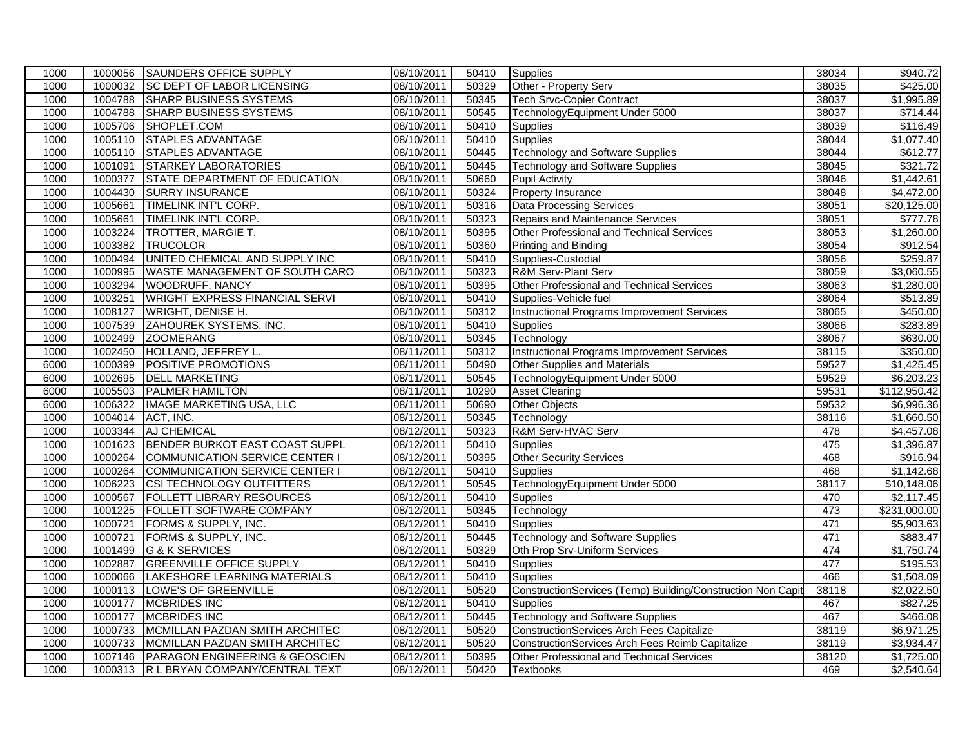| 1000 | 1000056 | SAUNDERS OFFICE SUPPLY                    | 08/10/2011 | 50410 | <b>Supplies</b>                                             | 38034 | \$940.72              |
|------|---------|-------------------------------------------|------------|-------|-------------------------------------------------------------|-------|-----------------------|
| 1000 | 1000032 | <b>SC DEPT OF LABOR LICENSING</b>         | 08/10/2011 | 50329 | Other - Property Serv                                       | 38035 | \$425.00              |
| 1000 | 1004788 | <b>SHARP BUSINESS SYSTEMS</b>             | 08/10/2011 | 50345 | <b>Tech Srvc-Copier Contract</b>                            | 38037 | \$1,995.89            |
| 1000 | 1004788 | <b>SHARP BUSINESS SYSTEMS</b>             | 08/10/2011 | 50545 | TechnologyEquipment Under 5000                              | 38037 | \$714.44              |
| 1000 | 1005706 | SHOPLET.COM                               | 08/10/2011 | 50410 | Supplies                                                    | 38039 | \$116.49              |
| 1000 | 1005110 | <b>STAPLES ADVANTAGE</b>                  | 08/10/2011 | 50410 | Supplies                                                    | 38044 | \$1,077.40            |
| 1000 | 1005110 | STAPLES ADVANTAGE                         | 08/10/2011 | 50445 | <b>Technology and Software Supplies</b>                     | 38044 | \$612.77              |
| 1000 | 1001091 | <b>STARKEY LABORATORIES</b>               | 08/10/2011 | 50445 | <b>Technology and Software Supplies</b>                     | 38045 | \$321.72              |
| 1000 | 1000377 | STATE DEPARTMENT OF EDUCATION             | 08/10/2011 | 50660 | <b>Pupil Activity</b>                                       | 38046 | \$1,442.61            |
| 1000 | 1004430 | <b>SURRY INSURANCE</b>                    | 08/10/2011 | 50324 | <b>Property Insurance</b>                                   | 38048 | $\sqrt{4,472.00}$     |
| 1000 | 1005661 | TIMELINK INT'L CORP.                      | 08/10/2011 | 50316 | <b>Data Processing Services</b>                             | 38051 | \$20,125.00           |
| 1000 | 1005661 | TIMELINK INT'L CORP.                      | 08/10/2011 | 50323 | Repairs and Maintenance Services                            | 38051 | \$777.78              |
| 1000 | 1003224 | TROTTER, MARGIE T.                        | 08/10/2011 | 50395 | Other Professional and Technical Services                   | 38053 | \$1,260.00            |
| 1000 | 1003382 | <b>TRUCOLOR</b>                           | 08/10/2011 | 50360 | Printing and Binding                                        | 38054 | \$912.54              |
| 1000 | 1000494 | UNITED CHEMICAL AND SUPPLY INC            | 08/10/2011 | 50410 | Supplies-Custodial                                          | 38056 | \$259.87              |
| 1000 | 1000995 | WASTE MANAGEMENT OF SOUTH CARO            | 08/10/2011 | 50323 | R&M Serv-Plant Serv                                         | 38059 | \$3,060.55            |
| 1000 | 1003294 | <b>WOODRUFF, NANCY</b>                    | 08/10/2011 | 50395 | Other Professional and Technical Services                   | 38063 | \$1,280.00            |
| 1000 | 1003251 | <b>WRIGHT EXPRESS FINANCIAL SERVI</b>     | 08/10/2011 | 50410 | Supplies-Vehicle fuel                                       | 38064 | \$513.89              |
| 1000 | 1008127 | WRIGHT, DENISE H.                         | 08/10/2011 | 50312 | Instructional Programs Improvement Services                 | 38065 | \$450.00              |
| 1000 | 1007539 | <b>ZAHOUREK SYSTEMS, INC.</b>             | 08/10/2011 | 50410 | <b>Supplies</b>                                             | 38066 | \$283.89              |
| 1000 | 1002499 | <b>ZOOMERANG</b>                          | 08/10/2011 | 50345 | Technology                                                  | 38067 | \$630.00              |
| 1000 | 1002450 | HOLLAND, JEFFREY L.                       | 08/11/2011 | 50312 | <b>Instructional Programs Improvement Services</b>          | 38115 | \$350.00              |
| 6000 | 1000399 | <b>POSITIVE PROMOTIONS</b>                | 08/11/2011 | 50490 | <b>Other Supplies and Materials</b>                         | 59527 | \$1,425.45            |
| 6000 | 1002695 | <b>DELL MARKETING</b>                     | 08/11/2011 | 50545 | TechnologyEquipment Under 5000                              | 59529 | \$6,203.23            |
| 6000 | 1005503 | <b>PALMER HAMILTON</b>                    | 08/11/2011 | 10290 | <b>Asset Clearing</b>                                       | 59531 | \$112,950.42          |
| 6000 | 1006322 | <b>IMAGE MARKETING USA, LLC</b>           | 08/11/2011 | 50690 | Other Objects                                               | 59532 | \$6,996.36            |
| 1000 | 1004014 | ACT, INC.                                 | 08/12/2011 | 50345 | Technology                                                  | 38116 | \$1,660.50            |
| 1000 | 1003344 | <b>AJ CHEMICAL</b>                        | 08/12/2011 | 50323 | R&M Serv-HVAC Serv                                          | 478   | \$4,457.08            |
| 1000 | 1001623 | BENDER BURKOT EAST COAST SUPPL            | 08/12/2011 | 50410 | <b>Supplies</b>                                             | 475   | \$1,396.87            |
| 1000 | 1000264 | COMMUNICATION SERVICE CENTER I            | 08/12/2011 | 50395 | <b>Other Security Services</b>                              | 468   | \$916.94              |
| 1000 | 1000264 | COMMUNICATION SERVICE CENTER I            | 08/12/2011 | 50410 | Supplies                                                    | 468   | $\overline{1,142.68}$ |
| 1000 | 1006223 | <b>CSI TECHNOLOGY OUTFITTERS</b>          | 08/12/2011 | 50545 | TechnologyEquipment Under 5000                              | 38117 | \$10,148.06           |
| 1000 | 1000567 | <b>FOLLETT LIBRARY RESOURCES</b>          | 08/12/2011 | 50410 | Supplies                                                    | 470   | \$2,117.45            |
| 1000 | 1001225 | <b>FOLLETT SOFTWARE COMPANY</b>           | 08/12/2011 | 50345 | Technology                                                  | 473   | \$231,000.00          |
| 1000 | 1000721 | FORMS & SUPPLY, INC.                      | 08/12/2011 | 50410 | <b>Supplies</b>                                             | 471   | \$5,903.63            |
| 1000 | 1000721 | FORMS & SUPPLY, INC.                      | 08/12/2011 | 50445 | <b>Technology and Software Supplies</b>                     | 471   | \$883.47              |
| 1000 | 1001499 | G & K SERVICES                            | 08/12/2011 | 50329 | Oth Prop Srv-Uniform Services                               | 474   | \$1,750.74            |
| 1000 | 1002887 | <b>GREENVILLE OFFICE SUPPLY</b>           | 08/12/2011 | 50410 | Supplies                                                    | 477   | \$195.53              |
| 1000 | 1000066 | LAKESHORE LEARNING MATERIALS              | 08/12/2011 | 50410 | Supplies                                                    | 466   | \$1,508.09            |
| 1000 | 1000113 | LOWE'S OF GREENVILLE                      | 08/12/2011 | 50520 | ConstructionServices (Temp) Building/Construction Non Capit | 38118 | \$2,022.50            |
| 1000 | 1000177 | <b>MCBRIDES INC</b>                       | 08/12/2011 | 50410 | <b>Supplies</b>                                             | 467   | \$827.25              |
| 1000 | 1000177 | <b>MCBRIDES INC</b>                       | 08/12/2011 | 50445 | <b>Technology and Software Supplies</b>                     | 467   | \$466.08              |
| 1000 | 1000733 | MCMILLAN PAZDAN SMITH ARCHITEC            | 08/12/2011 | 50520 | <b>ConstructionServices Arch Fees Capitalize</b>            | 38119 | \$6,971.25            |
| 1000 | 1000733 | MCMILLAN PAZDAN SMITH ARCHITEC            | 08/12/2011 | 50520 | ConstructionServices Arch Fees Reimb Capitalize             | 38119 | 3,934.47              |
| 1000 | 1007146 | <b>PARAGON ENGINEERING &amp; GEOSCIEN</b> | 08/12/2011 | 50395 | <b>Other Professional and Technical Services</b>            | 38120 | \$1,725.00            |
| 1000 |         | 1000313 R L BRYAN COMPANY/CENTRAL TEXT    | 08/12/2011 | 50420 | <b>Textbooks</b>                                            | 469   | \$2,540.64            |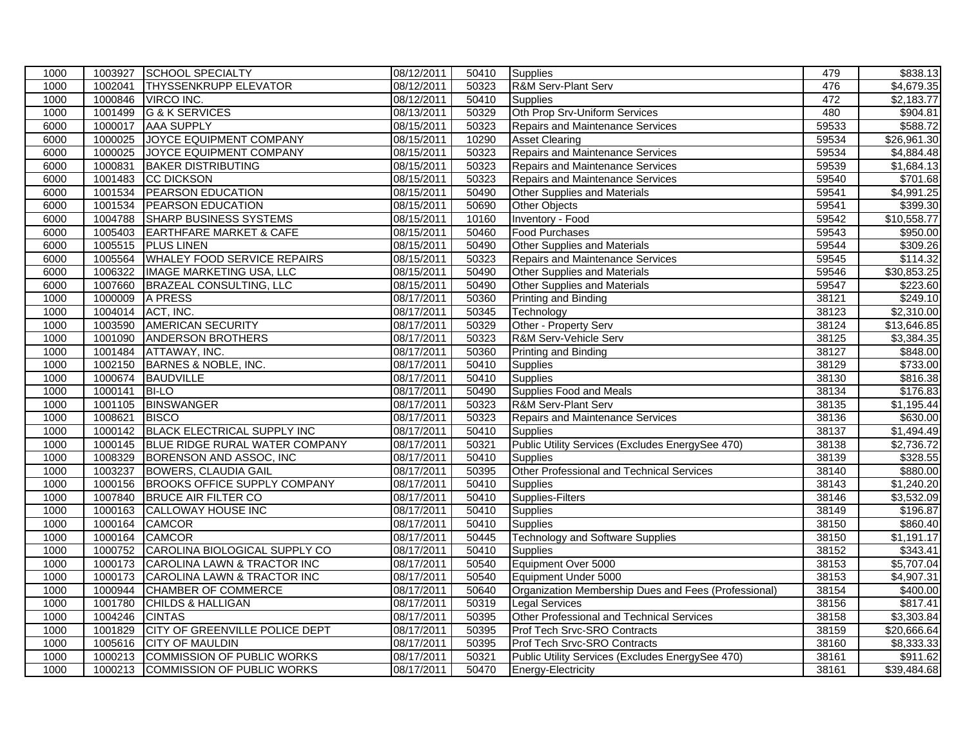| 1000 | 1003927 | <b>SCHOOL SPECIALTY</b>             | 08/12/2011 | 50410 | <b>Supplies</b>                                      | 479   | \$838.13               |
|------|---------|-------------------------------------|------------|-------|------------------------------------------------------|-------|------------------------|
| 1000 | 1002041 | <b>THYSSENKRUPP ELEVATOR</b>        | 08/12/2011 | 50323 | <b>R&amp;M Serv-Plant Serv</b>                       | 476   | $\overline{4,679.35}$  |
| 1000 | 1000846 | VIRCO INC.                          | 08/12/2011 | 50410 | <b>Supplies</b>                                      | 472   | \$2,183.77             |
| 1000 | 1001499 | G & K SERVICES                      | 08/13/2011 | 50329 | Oth Prop Srv-Uniform Services                        | 480   | \$904.81               |
| 6000 | 1000017 | <b>AAA SUPPLY</b>                   | 08/15/2011 | 50323 | <b>Repairs and Maintenance Services</b>              | 59533 | \$588.72               |
| 6000 | 1000025 | JOYCE EQUIPMENT COMPANY             | 08/15/2011 | 10290 | <b>Asset Clearing</b>                                | 59534 | \$26,961.30            |
| 6000 | 1000025 | JOYCE EQUIPMENT COMPANY             | 08/15/2011 | 50323 | <b>Repairs and Maintenance Services</b>              | 59534 | $\overline{84,884.48}$ |
| 6000 | 1000831 | <b>BAKER DISTRIBUTING</b>           | 08/15/2011 | 50323 | Repairs and Maintenance Services                     | 59539 | \$1,684.13             |
| 6000 | 1001483 | <b>CC DICKSON</b>                   | 08/15/2011 | 50323 | <b>Repairs and Maintenance Services</b>              | 59540 | \$701.68               |
| 6000 | 1001534 | <b>PEARSON EDUCATION</b>            | 08/15/2011 | 50490 | Other Supplies and Materials                         | 59541 | \$4,991.25             |
| 6000 | 1001534 | <b>PEARSON EDUCATION</b>            | 08/15/2011 | 50690 | Other Objects                                        | 59541 | \$399.30               |
| 6000 | 1004788 | <b>SHARP BUSINESS SYSTEMS</b>       | 08/15/2011 | 10160 | <b>Inventory - Food</b>                              | 59542 | \$10,558.77            |
| 6000 | 1005403 | <b>EARTHFARE MARKET &amp; CAFE</b>  | 08/15/2011 | 50460 | <b>Food Purchases</b>                                | 59543 | \$950.00               |
| 6000 | 1005515 | <b>PLUS LINEN</b>                   | 08/15/2011 | 50490 | Other Supplies and Materials                         | 59544 | \$309.26               |
| 6000 | 1005564 | <b>WHALEY FOOD SERVICE REPAIRS</b>  | 08/15/2011 | 50323 | <b>Repairs and Maintenance Services</b>              | 59545 | \$114.32               |
| 6000 | 1006322 | <b>IMAGE MARKETING USA, LLC</b>     | 08/15/2011 | 50490 | <b>Other Supplies and Materials</b>                  | 59546 | \$30,853.25            |
| 6000 | 1007660 | <b>BRAZEAL CONSULTING, LLC</b>      | 08/15/2011 | 50490 | <b>Other Supplies and Materials</b>                  | 59547 | \$223.60               |
| 1000 | 1000009 | A PRESS                             | 08/17/2011 | 50360 | Printing and Binding                                 | 38121 | \$249.10               |
| 1000 |         | 1004014 ACT, INC.                   | 08/17/2011 | 50345 | Technology                                           | 38123 | \$2,310.00             |
| 1000 | 1003590 | <b>AMERICAN SECURITY</b>            | 08/17/2011 | 50329 | Other - Property Serv                                | 38124 | \$13,646.85            |
| 1000 | 1001090 | <b>ANDERSON BROTHERS</b>            | 08/17/2011 | 50323 | R&M Serv-Vehicle Serv                                | 38125 | \$3,384.35             |
| 1000 | 1001484 | ATTAWAY, INC.                       | 08/17/2011 | 50360 | <b>Printing and Binding</b>                          | 38127 | \$848.00               |
| 1000 | 1002150 | BARNES & NOBLE, INC.                | 08/17/2011 | 50410 | <b>Supplies</b>                                      | 38129 | \$733.00               |
| 1000 | 1000674 | BAUDVILLE                           | 08/17/2011 | 50410 | Supplies                                             | 38130 | \$816.38               |
| 1000 | 1000141 | <b>BI-LO</b>                        | 08/17/2011 | 50490 | Supplies Food and Meals                              | 38134 | \$176.83               |
| 1000 | 1001105 | <b>BINSWANGER</b>                   | 08/17/2011 | 50323 | <b>R&amp;M Serv-Plant Serv</b>                       | 38135 | \$1,195.44             |
| 1000 | 1008621 | <b>BISCO</b>                        | 08/17/2011 | 50323 | Repairs and Maintenance Services                     | 38136 | \$630.00               |
| 1000 | 1000142 | BLACK ELECTRICAL SUPPLY INC         | 08/17/2011 | 50410 | <b>Supplies</b>                                      | 38137 | \$1,494.49             |
| 1000 | 1000145 | BLUE RIDGE RURAL WATER COMPANY      | 08/17/2011 | 50321 | Public Utility Services (Excludes EnergySee 470)     | 38138 | \$2,736.72             |
| 1000 | 1008329 | BORENSON AND ASSOC, INC             | 08/17/2011 | 50410 | <b>Supplies</b>                                      | 38139 | \$328.55               |
| 1000 | 1003237 | <b>BOWERS, CLAUDIA GAIL</b>         | 08/17/2011 | 50395 | Other Professional and Technical Services            | 38140 | \$880.00               |
| 1000 | 1000156 | <b>BROOKS OFFICE SUPPLY COMPANY</b> | 08/17/2011 | 50410 | <b>Supplies</b>                                      | 38143 | \$1,240.20             |
| 1000 | 1007840 | <b>BRUCE AIR FILTER CO</b>          | 08/17/2011 | 50410 | Supplies-Filters                                     | 38146 | \$3,532.09             |
| 1000 | 1000163 | CALLOWAY HOUSE INC                  | 08/17/2011 | 50410 | <b>Supplies</b>                                      | 38149 | \$196.87               |
| 1000 | 1000164 | <b>CAMCOR</b>                       | 08/17/2011 | 50410 | <b>Supplies</b>                                      | 38150 | \$860.40               |
| 1000 | 1000164 | <b>CAMCOR</b>                       | 08/17/2011 | 50445 | <b>Technology and Software Supplies</b>              | 38150 | \$1,191.17             |
| 1000 | 1000752 | CAROLINA BIOLOGICAL SUPPLY CO       | 08/17/2011 | 50410 | Supplies                                             | 38152 | \$343.41               |
| 1000 | 1000173 | CAROLINA LAWN & TRACTOR INC         | 08/17/2011 | 50540 | Equipment Over 5000                                  | 38153 | \$5,707.04             |
| 1000 | 1000173 | CAROLINA LAWN & TRACTOR INC         | 08/17/2011 | 50540 | Equipment Under 5000                                 | 38153 | \$4,907.31             |
| 1000 | 1000944 | <b>CHAMBER OF COMMERCE</b>          | 08/17/2011 | 50640 | Organization Membership Dues and Fees (Professional) | 38154 | \$400.00               |
| 1000 | 1001780 | <b>CHILDS &amp; HALLIGAN</b>        | 08/17/2011 | 50319 | <b>Legal Services</b>                                | 38156 | \$817.41               |
| 1000 | 1004246 | <b>CINTAS</b>                       | 08/17/2011 | 50395 | Other Professional and Technical Services            | 38158 | \$3,303.84             |
| 1000 | 1001829 | CITY OF GREENVILLE POLICE DEPT      | 08/17/2011 | 50395 | Prof Tech Srvc-SRO Contracts                         | 38159 | \$20,666.64            |
| 1000 | 1005616 | <b>CITY OF MAULDIN</b>              | 08/17/2011 | 50395 | Prof Tech Srvc-SRO Contracts                         | 38160 | \$8,333.33             |
| 1000 | 1000213 | <b>COMMISSION OF PUBLIC WORKS</b>   | 08/17/2011 | 50321 | Public Utility Services (Excludes EnergySee 470)     | 38161 | \$911.62               |
| 1000 |         | 1000213 COMMISSION OF PUBLIC WORKS  | 08/17/2011 | 50470 | <b>Energy-Electricity</b>                            | 38161 | \$39,484.68            |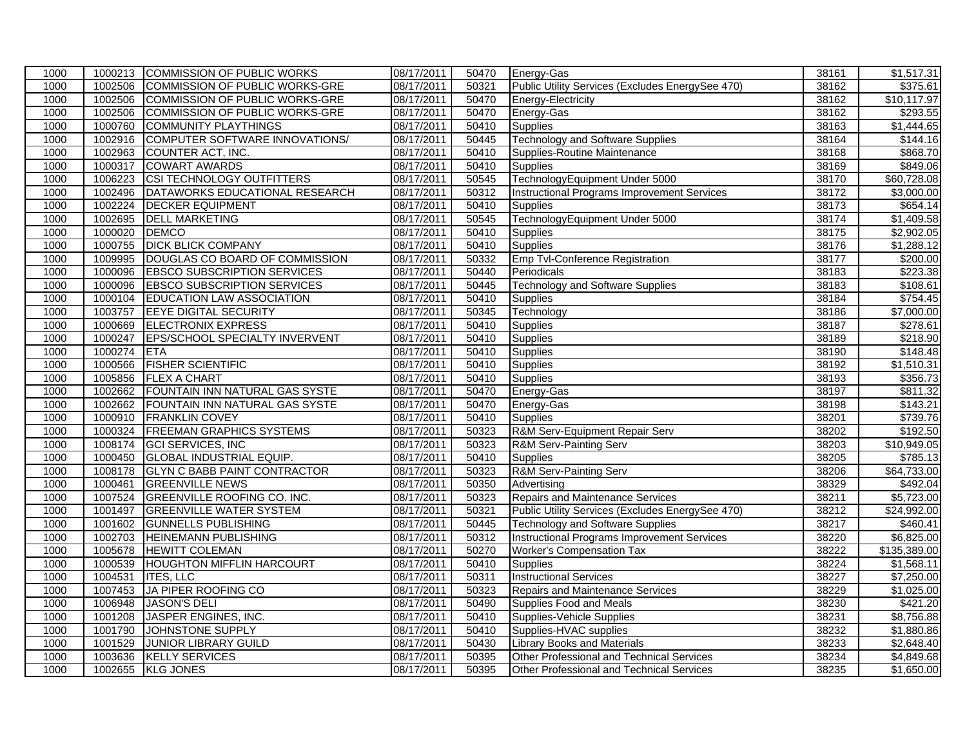| 1000 |         | 1000213 COMMISSION OF PUBLIC WORKS  | 08/17/2011 | 50470             | Energy-Gas                                         | 38161 | \$1,517.31             |
|------|---------|-------------------------------------|------------|-------------------|----------------------------------------------------|-------|------------------------|
| 1000 | 1002506 | COMMISSION OF PUBLIC WORKS-GRE      | 08/17/2011 | 50321             | Public Utility Services (Excludes EnergySee 470)   | 38162 | \$375.61               |
| 1000 | 1002506 | COMMISSION OF PUBLIC WORKS-GRE      | 08/17/2011 | 50470             | Energy-Electricity                                 | 38162 | \$10,117.97            |
| 1000 | 1002506 | COMMISSION OF PUBLIC WORKS-GRE      | 08/17/2011 | 50470             | Energy-Gas                                         | 38162 | \$293.55               |
| 1000 | 1000760 | <b>COMMUNITY PLAYTHINGS</b>         | 08/17/2011 | $\frac{1}{50410}$ | <b>Supplies</b>                                    | 38163 | \$1,444.65             |
| 1000 | 1002916 | COMPUTER SOFTWARE INNOVATIONS/      | 08/17/2011 | 50445             | <b>Technology and Software Supplies</b>            | 38164 | \$144.16               |
| 1000 | 1002963 | COUNTER ACT, INC.                   | 08/17/2011 | 50410             | Supplies-Routine Maintenance                       | 38168 | \$868.70               |
| 1000 | 1000317 | <b>COWART AWARDS</b>                | 08/17/2011 | 50410             | <b>Supplies</b>                                    | 38169 | \$849.06               |
| 1000 | 1006223 | <b>CSI TECHNOLOGY OUTFITTERS</b>    | 08/17/2011 | 50545             | TechnologyEquipment Under 5000                     | 38170 | \$60,728.08            |
| 1000 | 1002496 | DATAWORKS EDUCATIONAL RESEARCH      | 08/17/2011 | 50312             | <b>Instructional Programs Improvement Services</b> | 38172 | \$3,000.00             |
| 1000 | 1002224 | <b>DECKER EQUIPMENT</b>             | 08/17/2011 | 50410             | <b>Supplies</b>                                    | 38173 | \$654.14               |
| 1000 | 1002695 | <b>DELL MARKETING</b>               | 08/17/2011 | 50545             | TechnologyEquipment Under 5000                     | 38174 | \$1,409.58             |
| 1000 | 1000020 | <b>DEMCO</b>                        | 08/17/2011 | 50410             | Supplies                                           | 38175 | $\overline{$2,902.05}$ |
| 1000 | 1000755 | <b>DICK BLICK COMPANY</b>           | 08/17/2011 | 50410             | <b>Supplies</b>                                    | 38176 | \$1,288.12             |
| 1000 | 1009995 | DOUGLAS CO BOARD OF COMMISSION      | 08/17/2011 | 50332             | Emp Tvl-Conference Registration                    | 38177 | \$200.00               |
| 1000 | 1000096 | <b>EBSCO SUBSCRIPTION SERVICES</b>  | 08/17/2011 | 50440             | Periodicals                                        | 38183 | \$223.38               |
| 1000 | 1000096 | <b>EBSCO SUBSCRIPTION SERVICES</b>  | 08/17/2011 | 50445             | <b>Technology and Software Supplies</b>            | 38183 | \$108.61               |
| 1000 | 1000104 | <b>EDUCATION LAW ASSOCIATION</b>    | 08/17/2011 | 50410             | <b>Supplies</b>                                    | 38184 | \$754.45               |
| 1000 | 1003757 | <b>EEYE DIGITAL SECURITY</b>        | 08/17/2011 | 50345             | Technology                                         | 38186 | \$7,000.00             |
| 1000 | 1000669 | <b>ELECTRONIX EXPRESS</b>           | 08/17/2011 | 50410             | <b>Supplies</b>                                    | 38187 | \$278.61               |
| 1000 | 1000247 | EPS/SCHOOL SPECIALTY INVERVENT      | 08/17/2011 | 50410             | <b>Supplies</b>                                    | 38189 | \$218.90               |
| 1000 | 1000274 | <b>ETA</b>                          | 08/17/2011 | 50410             | <b>Supplies</b>                                    | 38190 | \$148.48               |
| 1000 | 1000566 | <b>FISHER SCIENTIFIC</b>            | 08/17/2011 | 50410             | <b>Supplies</b>                                    | 38192 | \$1,510.31             |
| 1000 | 1005856 | <b>FLEX A CHART</b>                 | 08/17/2011 | 50410             | Supplies                                           | 38193 | \$356.73               |
| 1000 | 1002662 | FOUNTAIN INN NATURAL GAS SYSTE      | 08/17/2011 | 50470             | Energy-Gas                                         | 38197 | \$811.32               |
| 1000 | 1002662 | FOUNTAIN INN NATURAL GAS SYSTE      | 08/17/2011 | 50470             | Energy-Gas                                         | 38198 | \$143.21               |
| 1000 | 1000910 | <b>FRANKLIN COVEY</b>               | 08/17/2011 | 50410             | <b>Supplies</b>                                    | 38201 | \$739.76               |
| 1000 | 1000324 | <b>FREEMAN GRAPHICS SYSTEMS</b>     | 08/17/2011 | 50323             | R&M Serv-Equipment Repair Serv                     | 38202 | \$192.50               |
| 1000 | 1008174 | <b>GCI SERVICES, INC</b>            | 08/17/2011 | 50323             | R&M Serv-Painting Serv                             | 38203 | \$10,949.05            |
| 1000 | 1000450 | <b>GLOBAL INDUSTRIAL EQUIP.</b>     | 08/17/2011 | 50410             | <b>Supplies</b>                                    | 38205 | \$785.13               |
| 1000 | 1008178 | <b>GLYN C BABB PAINT CONTRACTOR</b> | 08/17/2011 | 50323             | R&M Serv-Painting Serv                             | 38206 | \$64,733.00            |
| 1000 | 1000461 | <b>GREENVILLE NEWS</b>              | 08/17/2011 | 50350             | Advertising                                        | 38329 | \$492.04               |
| 1000 | 1007524 | <b>GREENVILLE ROOFING CO. INC.</b>  | 08/17/2011 | 50323             | <b>Repairs and Maintenance Services</b>            | 38211 | \$5,723.00             |
| 1000 | 1001497 | <b>GREENVILLE WATER SYSTEM</b>      | 08/17/2011 | 50321             | Public Utility Services (Excludes EnergySee 470)   | 38212 | \$24,992.00            |
| 1000 | 1001602 | <b>GUNNELLS PUBLISHING</b>          | 08/17/2011 | 50445             | <b>Technology and Software Supplies</b>            | 38217 | \$460.41               |
| 1000 | 1002703 | <b>HEINEMANN PUBLISHING</b>         | 08/17/2011 | 50312             | <b>Instructional Programs Improvement Services</b> | 38220 | \$6,825.00             |
| 1000 | 1005678 | <b>HEWITT COLEMAN</b>               | 08/17/2011 | 50270             | <b>Worker's Compensation Tax</b>                   | 38222 | \$135,389.00           |
| 1000 | 1000539 | <b>HOUGHTON MIFFLIN HARCOURT</b>    | 08/17/2011 | 50410             | <b>Supplies</b>                                    | 38224 | \$1,568.11             |
| 1000 | 1004531 | <b>ITES, LLC</b>                    | 08/17/2011 | 50311             | <b>Instructional Services</b>                      | 38227 | \$7,250.00             |
| 1000 | 1007453 | JA PIPER ROOFING CO                 | 08/17/2011 | 50323             | Repairs and Maintenance Services                   | 38229 | \$1,025.00             |
| 1000 | 1006948 | JASON'S DELI                        | 08/17/2011 | 50490             | Supplies Food and Meals                            | 38230 | \$421.20               |
| 1000 | 1001208 | JASPER ENGINES, INC.                | 08/17/2011 | 50410             | <b>Supplies-Vehicle Supplies</b>                   | 38231 | \$8,756.88             |
| 1000 | 1001790 | JOHNSTONE SUPPLY                    | 08/17/2011 | 50410             | Supplies-HVAC supplies                             | 38232 | \$1,880.86             |
| 1000 | 1001529 | <b>JUNIOR LIBRARY GUILD</b>         | 08/17/2011 | 50430             | <b>Library Books and Materials</b>                 | 38233 | \$2,648.40             |
| 1000 | 1003636 | <b>KELLY SERVICES</b>               | 08/17/2011 | 50395             | Other Professional and Technical Services          | 38234 | \$4,849.68             |
| 1000 |         | 1002655 KLG JONES                   | 08/17/2011 | 50395             | Other Professional and Technical Services          | 38235 | \$1,650.00             |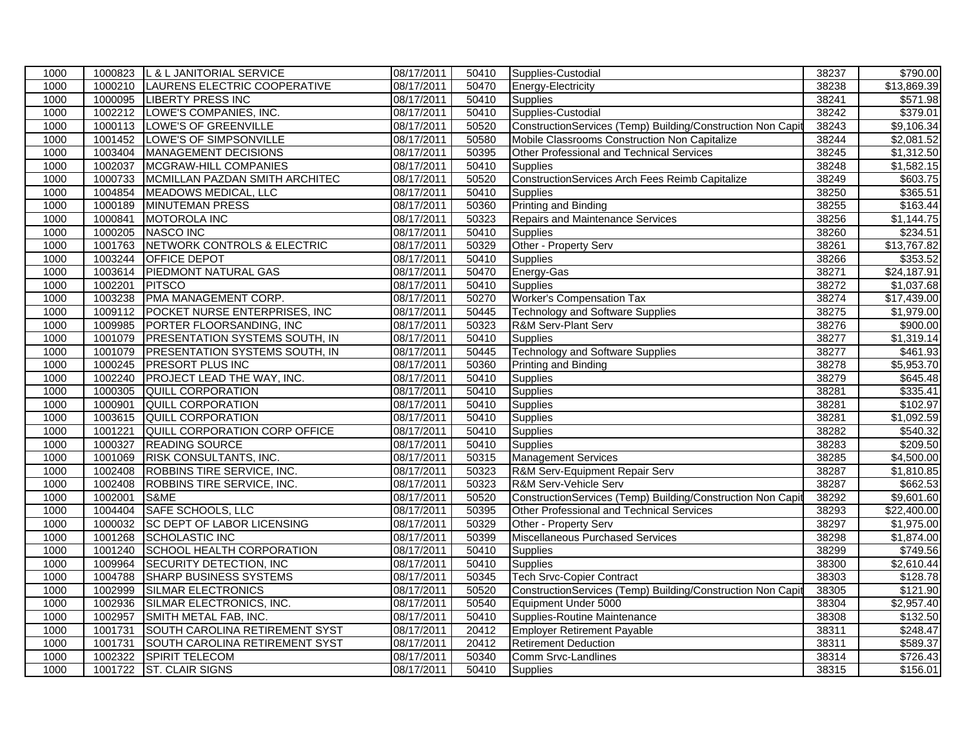| 1000 | 1000823 | L & L JANITORIAL SERVICE              | 08/17/2011 | 50410 | Supplies-Custodial                                          | 38237 | \$790.00                |
|------|---------|---------------------------------------|------------|-------|-------------------------------------------------------------|-------|-------------------------|
| 1000 | 1000210 | LAURENS ELECTRIC COOPERATIVE          | 08/17/2011 | 50470 | Energy-Electricity                                          | 38238 | \$13,869.39             |
| 1000 | 1000095 | <b>LIBERTY PRESS INC</b>              | 08/17/2011 | 50410 | Supplies                                                    | 38241 | \$571.98                |
| 1000 | 1002212 | LOWE'S COMPANIES, INC.                | 08/17/2011 | 50410 | Supplies-Custodial                                          | 38242 | \$379.01                |
| 1000 | 1000113 | LOWE'S OF GREENVILLE                  | 08/17/2011 | 50520 | ConstructionServices (Temp) Building/Construction Non Capit | 38243 | \$9,106.34              |
| 1000 | 1001452 | LOWE'S OF SIMPSONVILLE                | 08/17/2011 | 50580 | Mobile Classrooms Construction Non Capitalize               | 38244 | \$2,081.52              |
| 1000 | 1003404 | MANAGEMENT DECISIONS                  | 08/17/2011 | 50395 | Other Professional and Technical Services                   | 38245 | \$1,312.50              |
| 1000 | 1002037 | MCGRAW-HILL COMPANIES                 | 08/17/2011 | 50410 | <b>Supplies</b>                                             | 38248 | \$1,582.15              |
| 1000 | 1000733 | MCMILLAN PAZDAN SMITH ARCHITEC        | 08/17/2011 | 50520 | ConstructionServices Arch Fees Reimb Capitalize             | 38249 | \$603.75                |
| 1000 | 1004854 | MEADOWS MEDICAL, LLC                  | 08/17/2011 | 50410 | <b>Supplies</b>                                             | 38250 | \$365.51                |
| 1000 | 1000189 | <b>MINUTEMAN PRESS</b>                | 08/17/2011 | 50360 | <b>Printing and Binding</b>                                 | 38255 | \$163.44                |
| 1000 | 1000841 | MOTOROLA INC                          | 08/17/2011 | 50323 | <b>Repairs and Maintenance Services</b>                     | 38256 | \$1,144.75              |
| 1000 | 1000205 | NASCO INC                             | 08/17/2011 | 50410 | Supplies                                                    | 38260 | \$234.51                |
| 1000 | 1001763 | NETWORK CONTROLS & ELECTRIC           | 08/17/2011 | 50329 | Other - Property Serv                                       | 38261 | \$13,767.82             |
| 1000 | 1003244 | <b>OFFICE DEPOT</b>                   | 08/17/2011 | 50410 | <b>Supplies</b>                                             | 38266 | \$353.52                |
| 1000 | 1003614 | <b>PIEDMONT NATURAL GAS</b>           | 08/17/2011 | 50470 | Energy-Gas                                                  | 38271 | \$24,187.91             |
| 1000 | 1002201 | <b>PITSCO</b>                         | 08/17/2011 | 50410 | <b>Supplies</b>                                             | 38272 | \$1,037.68              |
| 1000 | 1003238 | PMA MANAGEMENT CORP.                  | 08/17/2011 | 50270 | <b>Worker's Compensation Tax</b>                            | 38274 | \$17,439.00             |
| 1000 | 1009112 | POCKET NURSE ENTERPRISES, INC         | 08/17/2011 | 50445 | <b>Technology and Software Supplies</b>                     | 38275 | \$1,979.00              |
| 1000 | 1009985 | PORTER FLOORSANDING, INC              | 08/17/2011 | 50323 | <b>R&amp;M Serv-Plant Serv</b>                              | 38276 | \$900.00                |
| 1000 | 1001079 | <b>PRESENTATION SYSTEMS SOUTH, IN</b> | 08/17/2011 | 50410 | <b>Supplies</b>                                             | 38277 | \$1,319.14              |
| 1000 | 1001079 | <b>PRESENTATION SYSTEMS SOUTH, IN</b> | 08/17/2011 | 50445 | <b>Technology and Software Supplies</b>                     | 38277 | \$461.93                |
| 1000 | 1000245 | <b>PRESORT PLUS INC</b>               | 08/17/2011 | 50360 | <b>Printing and Binding</b>                                 | 38278 | \$5,953.70              |
| 1000 | 1002240 | <b>PROJECT LEAD THE WAY, INC.</b>     | 08/17/2011 | 50410 | Supplies                                                    | 38279 | \$645.48                |
| 1000 | 1000305 | <b>QUILL CORPORATION</b>              | 08/17/2011 | 50410 | <b>Supplies</b>                                             | 38281 | \$335.41                |
| 1000 | 1000901 | <b>QUILL CORPORATION</b>              | 08/17/2011 | 50410 | Supplies                                                    | 38281 | \$102.97                |
| 1000 | 1003615 | <b>QUILL CORPORATION</b>              | 08/17/2011 | 50410 | Supplies                                                    | 38281 | \$1,092.59              |
| 1000 | 1001221 | QUILL CORPORATION CORP OFFICE         | 08/17/2011 | 50410 | <b>Supplies</b>                                             | 38282 | \$540.32                |
| 1000 | 1000327 | <b>READING SOURCE</b>                 | 08/17/2011 | 50410 | Supplies                                                    | 38283 | \$209.50                |
| 1000 | 1001069 | <b>RISK CONSULTANTS, INC.</b>         | 08/17/2011 | 50315 | <b>Management Services</b>                                  | 38285 | \$4,500.00              |
| 1000 | 1002408 | ROBBINS TIRE SERVICE, INC.            | 08/17/2011 | 50323 | R&M Serv-Equipment Repair Serv                              | 38287 | $\overline{\$1,810.85}$ |
| 1000 | 1002408 | ROBBINS TIRE SERVICE, INC.            | 08/17/2011 | 50323 | R&M Serv-Vehicle Serv                                       | 38287 | \$662.53                |
| 1000 | 1002001 | S&ME                                  | 08/17/2011 | 50520 | ConstructionServices (Temp) Building/Construction Non Capit | 38292 | $\overline{$9,601.60}$  |
| 1000 | 1004404 | <b>SAFE SCHOOLS, LLC</b>              | 08/17/2011 | 50395 | Other Professional and Technical Services                   | 38293 | \$22,400.00             |
| 1000 | 1000032 | <b>SC DEPT OF LABOR LICENSING</b>     | 08/17/2011 | 50329 | Other - Property Serv                                       | 38297 | \$1,975.00              |
| 1000 | 1001268 | <b>SCHOLASTIC INC</b>                 | 08/17/2011 | 50399 | Miscellaneous Purchased Services                            | 38298 | \$1,874.00              |
| 1000 | 1001240 | <b>SCHOOL HEALTH CORPORATION</b>      | 08/17/2011 | 50410 | Supplies                                                    | 38299 | \$749.56                |
| 1000 | 1009964 | <b>SECURITY DETECTION, INC.</b>       | 08/17/2011 | 50410 | Supplies                                                    | 38300 | \$2,610.44              |
| 1000 | 1004788 | <b>SHARP BUSINESS SYSTEMS</b>         | 08/17/2011 | 50345 | <b>Tech Srvc-Copier Contract</b>                            | 38303 | \$128.78                |
| 1000 | 1002999 | <b>SILMAR ELECTRONICS</b>             | 08/17/2011 | 50520 | ConstructionServices (Temp) Building/Construction Non Capit | 38305 | \$121.90                |
| 1000 | 1002936 | SILMAR ELECTRONICS, INC.              | 08/17/2011 | 50540 | Equipment Under 5000                                        | 38304 | \$2,957.40              |
| 1000 | 1002957 | SMITH METAL FAB, INC.                 | 08/17/2011 | 50410 | Supplies-Routine Maintenance                                | 38308 | \$132.50                |
| 1000 | 1001731 | <b>SOUTH CAROLINA RETIREMENT SYST</b> | 08/17/2011 | 20412 | <b>Employer Retirement Payable</b>                          | 38311 | \$248.47                |
| 1000 | 1001731 | SOUTH CAROLINA RETIREMENT SYST        | 08/17/2011 | 20412 | <b>Retirement Deduction</b>                                 | 38311 | \$589.37                |
| 1000 | 1002322 | <b>SPIRIT TELECOM</b>                 | 08/17/2011 | 50340 | <b>Comm Srvc-Landlines</b>                                  | 38314 | \$726.43                |
| 1000 | 1001722 | <b>ST. CLAIR SIGNS</b>                | 08/17/2011 | 50410 | Supplies                                                    | 38315 | \$156.01                |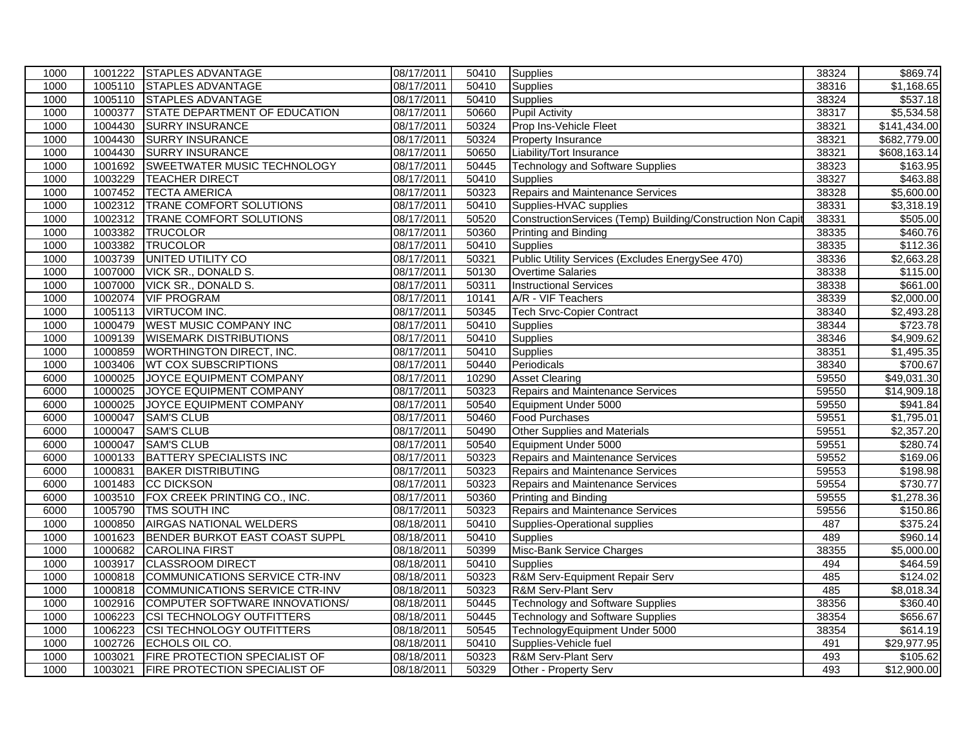| 1000 |         | 1001222 STAPLES ADVANTAGE            | 08/17/2011 | 50410 | Supplies                                                    | 38324 | \$869.74              |
|------|---------|--------------------------------------|------------|-------|-------------------------------------------------------------|-------|-----------------------|
| 1000 |         | 1005110 STAPLES ADVANTAGE            | 08/17/2011 | 50410 | <b>Supplies</b>                                             | 38316 | $\overline{1,168.65}$ |
| 1000 |         | 1005110 STAPLES ADVANTAGE            | 08/17/2011 | 50410 | Supplies                                                    | 38324 | \$537.18              |
| 1000 | 1000377 | STATE DEPARTMENT OF EDUCATION        | 08/17/2011 | 50660 | <b>Pupil Activity</b>                                       | 38317 | \$5,534.58            |
| 1000 | 1004430 | <b>SURRY INSURANCE</b>               | 08/17/2011 | 50324 | Prop Ins-Vehicle Fleet                                      | 38321 | \$141,434.00          |
| 1000 | 1004430 | <b>SURRY INSURANCE</b>               | 08/17/2011 | 50324 | Property Insurance                                          | 38321 | \$682,779.00          |
| 1000 | 1004430 | <b>SURRY INSURANCE</b>               | 08/17/2011 | 50650 | Liability/Tort Insurance                                    | 38321 | \$608,163.14          |
| 1000 | 1001692 | <b>SWEETWATER MUSIC TECHNOLOGY</b>   | 08/17/2011 | 50445 | Technology and Software Supplies                            | 38323 | \$163.95              |
| 1000 | 1003229 | <b>TEACHER DIRECT</b>                | 08/17/2011 | 50410 | <b>Supplies</b>                                             | 38327 | \$463.88              |
| 1000 | 1007452 | <b>TECTA AMERICA</b>                 | 08/17/2011 | 50323 | Repairs and Maintenance Services                            | 38328 | \$5,600.00            |
| 1000 | 1002312 | TRANE COMFORT SOLUTIONS              | 08/17/2011 | 50410 | Supplies-HVAC supplies                                      | 38331 | \$3,318.19            |
| 1000 | 1002312 | <b>TRANE COMFORT SOLUTIONS</b>       | 08/17/2011 | 50520 | ConstructionServices (Temp) Building/Construction Non Capit | 38331 | \$505.00              |
| 1000 | 1003382 | TRUCOLOR                             | 08/17/2011 | 50360 | <b>Printing and Binding</b>                                 | 38335 | \$460.76              |
| 1000 | 1003382 | TRUCOLOR                             | 08/17/2011 | 50410 | Supplies                                                    | 38335 | \$112.36              |
| 1000 | 1003739 | UNITED UTILITY CO                    | 08/17/2011 | 50321 | Public Utility Services (Excludes EnergySee 470)            | 38336 | \$2,663.28            |
| 1000 | 1007000 | <b>VICK SR., DONALD S.</b>           | 08/17/2011 | 50130 | <b>Overtime Salaries</b>                                    | 38338 | \$115.00              |
| 1000 | 1007000 | <b>VICK SR., DONALD S.</b>           | 08/17/2011 | 50311 | <b>Instructional Services</b>                               | 38338 | \$661.00              |
| 1000 | 1002074 | <b>VIF PROGRAM</b>                   | 08/17/2011 | 10141 | A/R - VIF Teachers                                          | 38339 | \$2,000.00            |
| 1000 | 1005113 | <b>VIRTUCOM INC.</b>                 | 08/17/2011 | 50345 | <b>Tech Srvc-Copier Contract</b>                            | 38340 | \$2,493.28            |
| 1000 | 1000479 | <b>WEST MUSIC COMPANY INC</b>        | 08/17/2011 | 50410 | Supplies                                                    | 38344 | \$723.78              |
| 1000 | 1009139 | <b>WISEMARK DISTRIBUTIONS</b>        | 08/17/2011 | 50410 | Supplies                                                    | 38346 | \$4,909.62            |
| 1000 | 1000859 | <b>WORTHINGTON DIRECT, INC.</b>      | 08/17/2011 | 50410 | Supplies                                                    | 38351 | \$1,495.35            |
| 1000 | 1003406 | <b>WT COX SUBSCRIPTIONS</b>          | 08/17/2011 | 50440 | Periodicals                                                 | 38340 | \$700.67              |
| 6000 | 1000025 | JOYCE EQUIPMENT COMPANY              | 08/17/2011 | 10290 | <b>Asset Clearing</b>                                       | 59550 | \$49,031.30           |
| 6000 | 1000025 | JOYCE EQUIPMENT COMPANY              | 08/17/2011 | 50323 | Repairs and Maintenance Services                            | 59550 | \$14,909.18           |
| 6000 | 1000025 | JOYCE EQUIPMENT COMPANY              | 08/17/2011 | 50540 | Equipment Under 5000                                        | 59550 | \$941.84              |
| 6000 | 1000047 | <b>SAM'S CLUB</b>                    | 08/17/2011 | 50460 | <b>Food Purchases</b>                                       | 59551 | \$1,795.01            |
| 6000 | 1000047 | <b>SAM'S CLUB</b>                    | 08/17/2011 | 50490 | Other Supplies and Materials                                | 59551 | \$2,357.20            |
| 6000 | 1000047 | <b>SAM'S CLUB</b>                    | 08/17/2011 | 50540 | Equipment Under 5000                                        | 59551 | \$280.74              |
| 6000 | 1000133 | BATTERY SPECIALISTS INC              | 08/17/2011 | 50323 | Repairs and Maintenance Services                            | 59552 | \$169.06              |
| 6000 | 1000831 | <b>BAKER DISTRIBUTING</b>            | 08/17/2011 | 50323 | Repairs and Maintenance Services                            | 59553 | \$198.98              |
| 6000 | 1001483 | CC DICKSON                           | 08/17/2011 | 50323 | Repairs and Maintenance Services                            | 59554 | \$730.77              |
| 6000 | 1003510 | FOX CREEK PRINTING CO., INC.         | 08/17/2011 | 50360 | Printing and Binding                                        | 59555 | \$1,278.36            |
| 6000 | 1005790 | TMS SOUTH INC                        | 08/17/2011 | 50323 | Repairs and Maintenance Services                            | 59556 | \$150.86              |
| 1000 | 1000850 | <b>AIRGAS NATIONAL WELDERS</b>       | 08/18/2011 | 50410 | Supplies-Operational supplies                               | 487   | \$375.24              |
| 1000 | 1001623 | BENDER BURKOT EAST COAST SUPPL       | 08/18/2011 | 50410 | Supplies                                                    | 489   | \$960.14              |
| 1000 | 1000682 | <b>CAROLINA FIRST</b>                | 08/18/2011 | 50399 | Misc-Bank Service Charges                                   | 38355 | \$5,000.00            |
| 1000 | 1003917 | <b>CLASSROOM DIRECT</b>              | 08/18/2011 | 50410 | <b>Supplies</b>                                             | 494   | \$464.59              |
| 1000 | 1000818 | COMMUNICATIONS SERVICE CTR-INV       | 08/18/2011 | 50323 | R&M Serv-Equipment Repair Serv                              | 485   | \$124.02              |
| 1000 | 1000818 | COMMUNICATIONS SERVICE CTR-INV       | 08/18/2011 | 50323 | R&M Serv-Plant Serv                                         | 485   | \$8,018.34            |
| 1000 | 1002916 | COMPUTER SOFTWARE INNOVATIONS/       | 08/18/2011 | 50445 | Technology and Software Supplies                            | 38356 | \$360.40              |
| 1000 | 1006223 | <b>CSI TECHNOLOGY OUTFITTERS</b>     | 08/18/2011 | 50445 | <b>Technology and Software Supplies</b>                     | 38354 | \$656.67              |
| 1000 | 1006223 | <b>CSI TECHNOLOGY OUTFITTERS</b>     | 08/18/2011 | 50545 | TechnologyEquipment Under 5000                              | 38354 | \$614.19              |
| 1000 | 1002726 | ECHOLS OIL CO.                       | 08/18/2011 | 50410 | Supplies-Vehicle fuel                                       | 491   | \$29,977.95           |
| 1000 | 1003021 | <b>FIRE PROTECTION SPECIALIST OF</b> | 08/18/2011 | 50323 | R&M Serv-Plant Serv                                         | 493   | \$105.62              |
| 1000 | 1003021 | <b>FIRE PROTECTION SPECIALIST OF</b> | 08/18/2011 | 50329 | Other - Property Serv                                       | 493   | \$12,900.00           |
|      |         |                                      |            |       |                                                             |       |                       |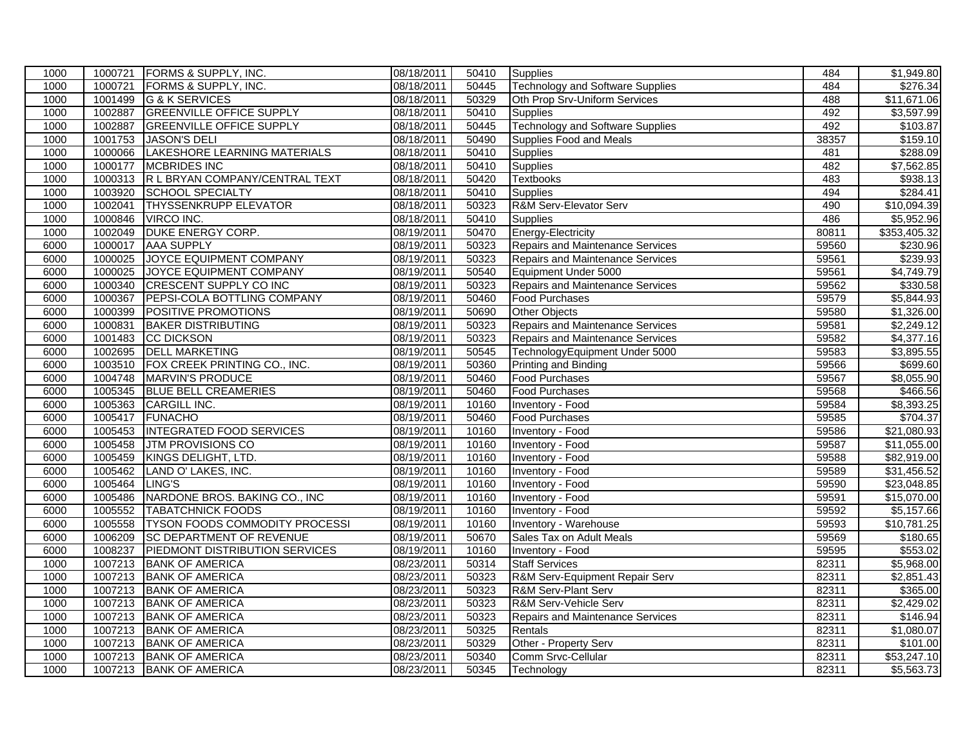| 1000 | 1000721 | <b>FORMS &amp; SUPPLY, INC.</b>   | 08/18/2011 | 50410 | Supplies                                | 484   | \$1,949.80             |
|------|---------|-----------------------------------|------------|-------|-----------------------------------------|-------|------------------------|
| 1000 | 1000721 | FORMS & SUPPLY, INC.              | 08/18/2011 | 50445 | <b>Technology and Software Supplies</b> | 484   | \$276.34               |
| 1000 | 1001499 | G & K SERVICES                    | 08/18/2011 | 50329 | Oth Prop Srv-Uniform Services           | 488   | \$11,671.06            |
| 1000 | 1002887 | <b>GREENVILLE OFFICE SUPPLY</b>   | 08/18/2011 | 50410 | <b>Supplies</b>                         | 492   | \$3,597.99             |
| 1000 | 1002887 | <b>GREENVILLE OFFICE SUPPLY</b>   | 08/18/2011 | 50445 | <b>Technology and Software Supplies</b> | 492   | \$103.87               |
| 1000 | 1001753 | JASON'S DELI                      | 08/18/2011 | 50490 | Supplies Food and Meals                 | 38357 | \$159.10               |
| 1000 | 1000066 | LAKESHORE LEARNING MATERIALS      | 08/18/2011 | 50410 | <b>Supplies</b>                         | 481   | \$288.09               |
| 1000 | 1000177 | <b>MCBRIDES INC</b>               | 08/18/2011 | 50410 | <b>Supplies</b>                         | 482   | $\overline{$7,562.85}$ |
| 1000 | 1000313 | R L BRYAN COMPANY/CENTRAL TEXT    | 08/18/2011 | 50420 | <b>Textbooks</b>                        | 483   | \$938.13               |
| 1000 | 1003920 | <b>SCHOOL SPECIALTY</b>           | 08/18/2011 | 50410 | <b>Supplies</b>                         | 494   | \$284.41               |
| 1000 | 1002041 | <b>THYSSENKRUPP ELEVATOR</b>      | 08/18/2011 | 50323 | R&M Serv-Elevator Serv                  | 490   | \$10,094.39            |
| 1000 | 1000846 | <b>VIRCO INC.</b>                 | 08/18/2011 | 50410 | <b>Supplies</b>                         | 486   | \$5,952.96             |
| 1000 | 1002049 | <b>DUKE ENERGY CORP.</b>          | 08/19/2011 | 50470 | Energy-Electricity                      | 80811 | \$353,405.32           |
| 6000 | 1000017 | <b>AAA SUPPLY</b>                 | 08/19/2011 | 50323 | Repairs and Maintenance Services        | 59560 | \$230.96               |
| 6000 | 1000025 | JOYCE EQUIPMENT COMPANY           | 08/19/2011 | 50323 | Repairs and Maintenance Services        | 59561 | \$239.93               |
| 6000 | 1000025 | JOYCE EQUIPMENT COMPANY           | 08/19/2011 | 50540 | Equipment Under 5000                    | 59561 | \$4,749.79             |
| 6000 | 1000340 | <b>CRESCENT SUPPLY CO INC</b>     | 08/19/2011 | 50323 | <b>Repairs and Maintenance Services</b> | 59562 | \$330.58               |
| 6000 | 1000367 | PEPSI-COLA BOTTLING COMPANY       | 08/19/2011 | 50460 | <b>Food Purchases</b>                   | 59579 | \$5,844.93             |
| 6000 | 1000399 | POSITIVE PROMOTIONS               | 08/19/2011 | 50690 | <b>Other Objects</b>                    | 59580 | \$1,326.00             |
| 6000 | 1000831 | <b>BAKER DISTRIBUTING</b>         | 08/19/2011 | 50323 | Repairs and Maintenance Services        | 59581 | \$2,249.12             |
| 6000 | 1001483 | <b>CC DICKSON</b>                 | 08/19/2011 | 50323 | <b>Repairs and Maintenance Services</b> | 59582 | \$4,377.16             |
| 6000 | 1002695 | <b>DELL MARKETING</b>             | 08/19/2011 | 50545 | TechnologyEquipment Under 5000          | 59583 | \$3,895.55             |
| 6000 | 1003510 | FOX CREEK PRINTING CO., INC.      | 08/19/2011 | 50360 | <b>Printing and Binding</b>             | 59566 | \$699.60               |
| 6000 |         | 1004748 MARVIN'S PRODUCE          | 08/19/2011 | 50460 | <b>Food Purchases</b>                   | 59567 | \$8,055.90             |
| 6000 | 1005345 | <b>BLUE BELL CREAMERIES</b>       | 08/19/2011 | 50460 | <b>Food Purchases</b>                   | 59568 | \$466.56               |
| 6000 | 1005363 | CARGILL INC.                      | 08/19/2011 | 10160 | <b>Inventory - Food</b>                 | 59584 | \$8,393.25             |
| 6000 | 1005417 | <b>FUNACHO</b>                    | 08/19/2011 | 50460 | <b>Food Purchases</b>                   | 59585 | \$704.37               |
| 6000 |         | 1005453  INTEGRATED FOOD SERVICES | 08/19/2011 | 10160 | Inventory - Food                        | 59586 | \$21,080.93            |
| 6000 |         | 1005458 JTM PROVISIONS CO         | 08/19/2011 | 10160 | <b>Inventory - Food</b>                 | 59587 | \$11,055.00            |
| 6000 | 1005459 | KINGS DELIGHT, LTD.               | 08/19/2011 | 10160 | Inventory - Food                        | 59588 | \$82,919.00            |
| 6000 | 1005462 | LAND O' LAKES, INC.               | 08/19/2011 | 10160 | Inventory - Food                        | 59589 | \$31,456.52            |
| 6000 | 1005464 | LING'S                            | 08/19/2011 | 10160 | Inventory - Food                        | 59590 | \$23,048.85            |
| 6000 | 1005486 | NARDONE BROS. BAKING CO., INC     | 08/19/2011 | 10160 | Inventory - Food                        | 59591 | \$15,070.00            |
| 6000 | 1005552 | <b>TABATCHNICK FOODS</b>          | 08/19/2011 | 10160 | Inventory - Food                        | 59592 | \$5,157.66             |
| 6000 | 1005558 | TYSON FOODS COMMODITY PROCESSI    | 08/19/2011 | 10160 | Inventory - Warehouse                   | 59593 | \$10,781.25            |
| 6000 | 1006209 | <b>SC DEPARTMENT OF REVENUE</b>   | 08/19/2011 | 50670 | Sales Tax on Adult Meals                | 59569 | \$180.65               |
| 6000 | 1008237 | PIEDMONT DISTRIBUTION SERVICES    | 08/19/2011 | 10160 | <b>Inventory - Food</b>                 | 59595 | \$553.02               |
| 1000 | 1007213 | <b>BANK OF AMERICA</b>            | 08/23/2011 | 50314 | <b>Staff Services</b>                   | 82311 | \$5,968.00             |
| 1000 | 1007213 | <b>BANK OF AMERICA</b>            | 08/23/2011 | 50323 | R&M Serv-Equipment Repair Serv          | 82311 | \$2,851.43             |
| 1000 |         | 1007213 BANK OF AMERICA           | 08/23/2011 | 50323 | R&M Serv-Plant Serv                     | 82311 | \$365.00               |
| 1000 | 1007213 | <b>BANK OF AMERICA</b>            | 08/23/2011 | 50323 | R&M Serv-Vehicle Serv                   | 82311 | \$2,429.02             |
| 1000 | 1007213 | <b>BANK OF AMERICA</b>            | 08/23/2011 | 50323 | Repairs and Maintenance Services        | 82311 | \$146.94               |
| 1000 | 1007213 | <b>BANK OF AMERICA</b>            | 08/23/2011 | 50325 | Rentals                                 | 82311 | \$1,080.07             |
| 1000 | 1007213 | <b>BANK OF AMERICA</b>            | 08/23/2011 | 50329 | Other - Property Serv                   | 82311 | \$101.00               |
| 1000 | 1007213 | <b>BANK OF AMERICA</b>            | 08/23/2011 | 50340 | Comm Srvc-Cellular                      | 82311 | \$53,247.10            |
| 1000 |         | 1007213 BANK OF AMERICA           | 08/23/2011 | 50345 | Technology                              | 82311 | \$5,563.73             |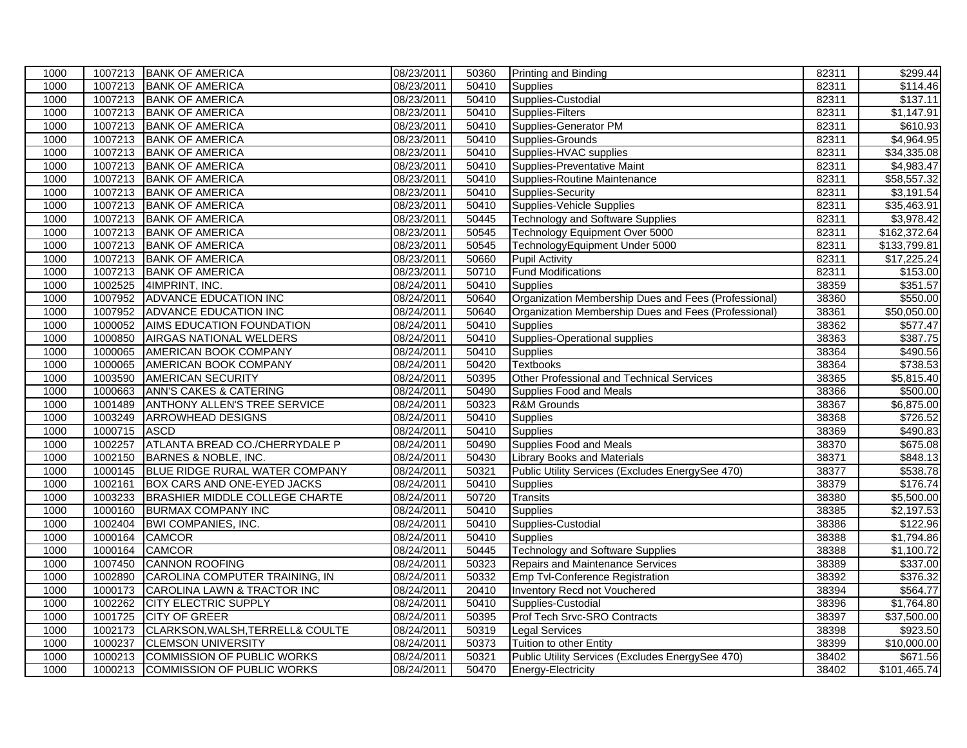| 1000<br>1007213 BANK OF AMERICA<br>08/23/2011<br>50410<br><b>Supplies</b><br>1007213 BANK OF AMERICA<br>Supplies-Custodial<br>1000<br>08/23/2011<br>50410<br>1007213 BANK OF AMERICA<br>08/23/2011<br>Supplies-Filters<br>1000<br>50410<br>1000<br>1007213 BANK OF AMERICA<br>08/23/2011<br>Supplies-Generator PM<br>50410<br>1007213 BANK OF AMERICA<br>1000<br>08/23/2011<br>50410<br>Supplies-Grounds<br>1000<br>1007213 BANK OF AMERICA<br>08/23/2011<br>50410<br>Supplies-HVAC supplies<br>1007213 BANK OF AMERICA<br>08/23/2011<br>1000<br>50410<br>Supplies-Preventative Maint<br>1007213 BANK OF AMERICA<br>08/23/2011<br>50410<br>Supplies-Routine Maintenance<br>1000<br>1000<br>1007213<br><b>BANK OF AMERICA</b><br>08/23/2011<br>50410<br>Supplies-Security<br>1000<br>1007213 BANK OF AMERICA<br>08/23/2011<br>50410<br>Supplies-Vehicle Supplies<br>1007213 BANK OF AMERICA<br>08/23/2011<br>1000<br>50445<br><b>Technology and Software Supplies</b><br>1007213 BANK OF AMERICA<br>08/23/2011<br>Technology Equipment Over 5000<br>1000<br>50545<br>1000<br>1007213 BANK OF AMERICA<br>08/23/2011<br>50545<br>TechnologyEquipment Under 5000<br>1000<br>1007213 BANK OF AMERICA<br>08/23/2011<br>50660<br><b>Pupil Activity</b><br>1007213<br><b>Fund Modifications</b><br>1000<br><b>BANK OF AMERICA</b><br>08/23/2011<br>50710<br>1002525<br>4IMPRINT, INC.<br>08/24/2011<br>50410<br>1000<br><b>Supplies</b><br>1000<br>1007952<br><b>ADVANCE EDUCATION INC</b><br>08/24/2011<br>50640<br>Organization Membership Dues and Fees (Professional)<br>1000<br>1007952<br>ADVANCE EDUCATION INC<br>08/24/2011<br>50640<br>Organization Membership Dues and Fees (Professional)<br>1000<br>1000052<br>AIMS EDUCATION FOUNDATION<br>08/24/2011<br>50410<br><b>Supplies</b><br>Supplies-Operational supplies<br>1000850<br>08/24/2011<br>50410<br>1000<br><b>AIRGAS NATIONAL WELDERS</b><br>1000<br>1000065<br>AMERICAN BOOK COMPANY<br>08/24/2011<br>50410<br><b>Supplies</b><br>1000<br>08/24/2011<br>50420<br><b>Textbooks</b><br>1000065<br>AMERICAN BOOK COMPANY<br>1000<br>1003590<br><b>AMERICAN SECURITY</b><br>08/24/2011<br>50395<br>Other Professional and Technical Services<br>1000663<br><b>ANN'S CAKES &amp; CATERING</b><br>08/24/2011<br>50490<br>1000<br>Supplies Food and Meals<br>1000<br><b>ANTHONY ALLEN'S TREE SERVICE</b><br>08/24/2011<br>50323<br>1001489<br>R&M Grounds<br>1000<br>1003249<br>08/24/2011<br>50410<br><b>ARROWHEAD DESIGNS</b><br><b>Supplies</b><br>1000715<br>08/24/2011<br>1000<br><b>ASCD</b><br>50410<br>Supplies<br>1002257<br>ATLANTA BREAD CO./CHERRYDALE P<br>08/24/2011<br>50490<br>Supplies Food and Meals<br>1000 | 82311<br>82311<br>82311<br>82311<br>82311<br>82311<br>82311<br>82311<br>82311<br>82311<br>82311<br>82311<br>82311<br>82311<br>82311<br>38359<br>38360<br>38361 | \$114.46<br>\$137.11<br>\$1,147.91<br>\$610.93<br>\$4,964.95<br>\$34,335.08<br>\$4,983.47<br>\$58,557.32<br>\$3,191.54<br>\$35,463.91<br>\$3,978.42<br>\$162,372.64<br>\$133,799.81<br>\$17,225.24<br>\$153.00<br>\$351.57<br>\$550.00 |
|------------------------------------------------------------------------------------------------------------------------------------------------------------------------------------------------------------------------------------------------------------------------------------------------------------------------------------------------------------------------------------------------------------------------------------------------------------------------------------------------------------------------------------------------------------------------------------------------------------------------------------------------------------------------------------------------------------------------------------------------------------------------------------------------------------------------------------------------------------------------------------------------------------------------------------------------------------------------------------------------------------------------------------------------------------------------------------------------------------------------------------------------------------------------------------------------------------------------------------------------------------------------------------------------------------------------------------------------------------------------------------------------------------------------------------------------------------------------------------------------------------------------------------------------------------------------------------------------------------------------------------------------------------------------------------------------------------------------------------------------------------------------------------------------------------------------------------------------------------------------------------------------------------------------------------------------------------------------------------------------------------------------------------------------------------------------------------------------------------------------------------------------------------------------------------------------------------------------------------------------------------------------------------------------------------------------------------------------------------------------------------------------------------------------------------------------------------------------------------------------------------------------------------------------------------------------------------------------------------------------------------------------------------------------------------|----------------------------------------------------------------------------------------------------------------------------------------------------------------|----------------------------------------------------------------------------------------------------------------------------------------------------------------------------------------------------------------------------------------|
|                                                                                                                                                                                                                                                                                                                                                                                                                                                                                                                                                                                                                                                                                                                                                                                                                                                                                                                                                                                                                                                                                                                                                                                                                                                                                                                                                                                                                                                                                                                                                                                                                                                                                                                                                                                                                                                                                                                                                                                                                                                                                                                                                                                                                                                                                                                                                                                                                                                                                                                                                                                                                                                                                    |                                                                                                                                                                |                                                                                                                                                                                                                                        |
|                                                                                                                                                                                                                                                                                                                                                                                                                                                                                                                                                                                                                                                                                                                                                                                                                                                                                                                                                                                                                                                                                                                                                                                                                                                                                                                                                                                                                                                                                                                                                                                                                                                                                                                                                                                                                                                                                                                                                                                                                                                                                                                                                                                                                                                                                                                                                                                                                                                                                                                                                                                                                                                                                    |                                                                                                                                                                |                                                                                                                                                                                                                                        |
|                                                                                                                                                                                                                                                                                                                                                                                                                                                                                                                                                                                                                                                                                                                                                                                                                                                                                                                                                                                                                                                                                                                                                                                                                                                                                                                                                                                                                                                                                                                                                                                                                                                                                                                                                                                                                                                                                                                                                                                                                                                                                                                                                                                                                                                                                                                                                                                                                                                                                                                                                                                                                                                                                    |                                                                                                                                                                |                                                                                                                                                                                                                                        |
|                                                                                                                                                                                                                                                                                                                                                                                                                                                                                                                                                                                                                                                                                                                                                                                                                                                                                                                                                                                                                                                                                                                                                                                                                                                                                                                                                                                                                                                                                                                                                                                                                                                                                                                                                                                                                                                                                                                                                                                                                                                                                                                                                                                                                                                                                                                                                                                                                                                                                                                                                                                                                                                                                    |                                                                                                                                                                |                                                                                                                                                                                                                                        |
|                                                                                                                                                                                                                                                                                                                                                                                                                                                                                                                                                                                                                                                                                                                                                                                                                                                                                                                                                                                                                                                                                                                                                                                                                                                                                                                                                                                                                                                                                                                                                                                                                                                                                                                                                                                                                                                                                                                                                                                                                                                                                                                                                                                                                                                                                                                                                                                                                                                                                                                                                                                                                                                                                    |                                                                                                                                                                |                                                                                                                                                                                                                                        |
|                                                                                                                                                                                                                                                                                                                                                                                                                                                                                                                                                                                                                                                                                                                                                                                                                                                                                                                                                                                                                                                                                                                                                                                                                                                                                                                                                                                                                                                                                                                                                                                                                                                                                                                                                                                                                                                                                                                                                                                                                                                                                                                                                                                                                                                                                                                                                                                                                                                                                                                                                                                                                                                                                    |                                                                                                                                                                |                                                                                                                                                                                                                                        |
|                                                                                                                                                                                                                                                                                                                                                                                                                                                                                                                                                                                                                                                                                                                                                                                                                                                                                                                                                                                                                                                                                                                                                                                                                                                                                                                                                                                                                                                                                                                                                                                                                                                                                                                                                                                                                                                                                                                                                                                                                                                                                                                                                                                                                                                                                                                                                                                                                                                                                                                                                                                                                                                                                    |                                                                                                                                                                |                                                                                                                                                                                                                                        |
|                                                                                                                                                                                                                                                                                                                                                                                                                                                                                                                                                                                                                                                                                                                                                                                                                                                                                                                                                                                                                                                                                                                                                                                                                                                                                                                                                                                                                                                                                                                                                                                                                                                                                                                                                                                                                                                                                                                                                                                                                                                                                                                                                                                                                                                                                                                                                                                                                                                                                                                                                                                                                                                                                    |                                                                                                                                                                |                                                                                                                                                                                                                                        |
|                                                                                                                                                                                                                                                                                                                                                                                                                                                                                                                                                                                                                                                                                                                                                                                                                                                                                                                                                                                                                                                                                                                                                                                                                                                                                                                                                                                                                                                                                                                                                                                                                                                                                                                                                                                                                                                                                                                                                                                                                                                                                                                                                                                                                                                                                                                                                                                                                                                                                                                                                                                                                                                                                    |                                                                                                                                                                |                                                                                                                                                                                                                                        |
|                                                                                                                                                                                                                                                                                                                                                                                                                                                                                                                                                                                                                                                                                                                                                                                                                                                                                                                                                                                                                                                                                                                                                                                                                                                                                                                                                                                                                                                                                                                                                                                                                                                                                                                                                                                                                                                                                                                                                                                                                                                                                                                                                                                                                                                                                                                                                                                                                                                                                                                                                                                                                                                                                    |                                                                                                                                                                |                                                                                                                                                                                                                                        |
|                                                                                                                                                                                                                                                                                                                                                                                                                                                                                                                                                                                                                                                                                                                                                                                                                                                                                                                                                                                                                                                                                                                                                                                                                                                                                                                                                                                                                                                                                                                                                                                                                                                                                                                                                                                                                                                                                                                                                                                                                                                                                                                                                                                                                                                                                                                                                                                                                                                                                                                                                                                                                                                                                    |                                                                                                                                                                |                                                                                                                                                                                                                                        |
|                                                                                                                                                                                                                                                                                                                                                                                                                                                                                                                                                                                                                                                                                                                                                                                                                                                                                                                                                                                                                                                                                                                                                                                                                                                                                                                                                                                                                                                                                                                                                                                                                                                                                                                                                                                                                                                                                                                                                                                                                                                                                                                                                                                                                                                                                                                                                                                                                                                                                                                                                                                                                                                                                    |                                                                                                                                                                |                                                                                                                                                                                                                                        |
|                                                                                                                                                                                                                                                                                                                                                                                                                                                                                                                                                                                                                                                                                                                                                                                                                                                                                                                                                                                                                                                                                                                                                                                                                                                                                                                                                                                                                                                                                                                                                                                                                                                                                                                                                                                                                                                                                                                                                                                                                                                                                                                                                                                                                                                                                                                                                                                                                                                                                                                                                                                                                                                                                    |                                                                                                                                                                |                                                                                                                                                                                                                                        |
|                                                                                                                                                                                                                                                                                                                                                                                                                                                                                                                                                                                                                                                                                                                                                                                                                                                                                                                                                                                                                                                                                                                                                                                                                                                                                                                                                                                                                                                                                                                                                                                                                                                                                                                                                                                                                                                                                                                                                                                                                                                                                                                                                                                                                                                                                                                                                                                                                                                                                                                                                                                                                                                                                    |                                                                                                                                                                |                                                                                                                                                                                                                                        |
|                                                                                                                                                                                                                                                                                                                                                                                                                                                                                                                                                                                                                                                                                                                                                                                                                                                                                                                                                                                                                                                                                                                                                                                                                                                                                                                                                                                                                                                                                                                                                                                                                                                                                                                                                                                                                                                                                                                                                                                                                                                                                                                                                                                                                                                                                                                                                                                                                                                                                                                                                                                                                                                                                    |                                                                                                                                                                |                                                                                                                                                                                                                                        |
|                                                                                                                                                                                                                                                                                                                                                                                                                                                                                                                                                                                                                                                                                                                                                                                                                                                                                                                                                                                                                                                                                                                                                                                                                                                                                                                                                                                                                                                                                                                                                                                                                                                                                                                                                                                                                                                                                                                                                                                                                                                                                                                                                                                                                                                                                                                                                                                                                                                                                                                                                                                                                                                                                    |                                                                                                                                                                |                                                                                                                                                                                                                                        |
|                                                                                                                                                                                                                                                                                                                                                                                                                                                                                                                                                                                                                                                                                                                                                                                                                                                                                                                                                                                                                                                                                                                                                                                                                                                                                                                                                                                                                                                                                                                                                                                                                                                                                                                                                                                                                                                                                                                                                                                                                                                                                                                                                                                                                                                                                                                                                                                                                                                                                                                                                                                                                                                                                    |                                                                                                                                                                |                                                                                                                                                                                                                                        |
|                                                                                                                                                                                                                                                                                                                                                                                                                                                                                                                                                                                                                                                                                                                                                                                                                                                                                                                                                                                                                                                                                                                                                                                                                                                                                                                                                                                                                                                                                                                                                                                                                                                                                                                                                                                                                                                                                                                                                                                                                                                                                                                                                                                                                                                                                                                                                                                                                                                                                                                                                                                                                                                                                    |                                                                                                                                                                | \$50,050.00                                                                                                                                                                                                                            |
|                                                                                                                                                                                                                                                                                                                                                                                                                                                                                                                                                                                                                                                                                                                                                                                                                                                                                                                                                                                                                                                                                                                                                                                                                                                                                                                                                                                                                                                                                                                                                                                                                                                                                                                                                                                                                                                                                                                                                                                                                                                                                                                                                                                                                                                                                                                                                                                                                                                                                                                                                                                                                                                                                    | 38362                                                                                                                                                          | \$577.47                                                                                                                                                                                                                               |
|                                                                                                                                                                                                                                                                                                                                                                                                                                                                                                                                                                                                                                                                                                                                                                                                                                                                                                                                                                                                                                                                                                                                                                                                                                                                                                                                                                                                                                                                                                                                                                                                                                                                                                                                                                                                                                                                                                                                                                                                                                                                                                                                                                                                                                                                                                                                                                                                                                                                                                                                                                                                                                                                                    | 38363                                                                                                                                                          | \$387.75                                                                                                                                                                                                                               |
|                                                                                                                                                                                                                                                                                                                                                                                                                                                                                                                                                                                                                                                                                                                                                                                                                                                                                                                                                                                                                                                                                                                                                                                                                                                                                                                                                                                                                                                                                                                                                                                                                                                                                                                                                                                                                                                                                                                                                                                                                                                                                                                                                                                                                                                                                                                                                                                                                                                                                                                                                                                                                                                                                    | 38364                                                                                                                                                          | \$490.56                                                                                                                                                                                                                               |
|                                                                                                                                                                                                                                                                                                                                                                                                                                                                                                                                                                                                                                                                                                                                                                                                                                                                                                                                                                                                                                                                                                                                                                                                                                                                                                                                                                                                                                                                                                                                                                                                                                                                                                                                                                                                                                                                                                                                                                                                                                                                                                                                                                                                                                                                                                                                                                                                                                                                                                                                                                                                                                                                                    | 38364                                                                                                                                                          | \$738.53                                                                                                                                                                                                                               |
|                                                                                                                                                                                                                                                                                                                                                                                                                                                                                                                                                                                                                                                                                                                                                                                                                                                                                                                                                                                                                                                                                                                                                                                                                                                                                                                                                                                                                                                                                                                                                                                                                                                                                                                                                                                                                                                                                                                                                                                                                                                                                                                                                                                                                                                                                                                                                                                                                                                                                                                                                                                                                                                                                    | 38365                                                                                                                                                          | \$5,815.40                                                                                                                                                                                                                             |
|                                                                                                                                                                                                                                                                                                                                                                                                                                                                                                                                                                                                                                                                                                                                                                                                                                                                                                                                                                                                                                                                                                                                                                                                                                                                                                                                                                                                                                                                                                                                                                                                                                                                                                                                                                                                                                                                                                                                                                                                                                                                                                                                                                                                                                                                                                                                                                                                                                                                                                                                                                                                                                                                                    | 38366                                                                                                                                                          | \$500.00                                                                                                                                                                                                                               |
|                                                                                                                                                                                                                                                                                                                                                                                                                                                                                                                                                                                                                                                                                                                                                                                                                                                                                                                                                                                                                                                                                                                                                                                                                                                                                                                                                                                                                                                                                                                                                                                                                                                                                                                                                                                                                                                                                                                                                                                                                                                                                                                                                                                                                                                                                                                                                                                                                                                                                                                                                                                                                                                                                    | 38367                                                                                                                                                          | \$6,875.00                                                                                                                                                                                                                             |
|                                                                                                                                                                                                                                                                                                                                                                                                                                                                                                                                                                                                                                                                                                                                                                                                                                                                                                                                                                                                                                                                                                                                                                                                                                                                                                                                                                                                                                                                                                                                                                                                                                                                                                                                                                                                                                                                                                                                                                                                                                                                                                                                                                                                                                                                                                                                                                                                                                                                                                                                                                                                                                                                                    | 38368                                                                                                                                                          | \$726.52                                                                                                                                                                                                                               |
|                                                                                                                                                                                                                                                                                                                                                                                                                                                                                                                                                                                                                                                                                                                                                                                                                                                                                                                                                                                                                                                                                                                                                                                                                                                                                                                                                                                                                                                                                                                                                                                                                                                                                                                                                                                                                                                                                                                                                                                                                                                                                                                                                                                                                                                                                                                                                                                                                                                                                                                                                                                                                                                                                    | 38369                                                                                                                                                          | \$490.83                                                                                                                                                                                                                               |
|                                                                                                                                                                                                                                                                                                                                                                                                                                                                                                                                                                                                                                                                                                                                                                                                                                                                                                                                                                                                                                                                                                                                                                                                                                                                                                                                                                                                                                                                                                                                                                                                                                                                                                                                                                                                                                                                                                                                                                                                                                                                                                                                                                                                                                                                                                                                                                                                                                                                                                                                                                                                                                                                                    | 38370                                                                                                                                                          | \$675.08                                                                                                                                                                                                                               |
| 1000<br>1002150<br>BARNES & NOBLE, INC.<br>08/24/2011<br>50430<br><b>Library Books and Materials</b>                                                                                                                                                                                                                                                                                                                                                                                                                                                                                                                                                                                                                                                                                                                                                                                                                                                                                                                                                                                                                                                                                                                                                                                                                                                                                                                                                                                                                                                                                                                                                                                                                                                                                                                                                                                                                                                                                                                                                                                                                                                                                                                                                                                                                                                                                                                                                                                                                                                                                                                                                                               | 38371                                                                                                                                                          | \$848.13                                                                                                                                                                                                                               |
| 1000<br>BLUE RIDGE RURAL WATER COMPANY<br>08/24/2011<br>50321<br>1000145<br>Public Utility Services (Excludes EnergySee 470)                                                                                                                                                                                                                                                                                                                                                                                                                                                                                                                                                                                                                                                                                                                                                                                                                                                                                                                                                                                                                                                                                                                                                                                                                                                                                                                                                                                                                                                                                                                                                                                                                                                                                                                                                                                                                                                                                                                                                                                                                                                                                                                                                                                                                                                                                                                                                                                                                                                                                                                                                       | 38377                                                                                                                                                          | $\overline{$}538.78$                                                                                                                                                                                                                   |
| 08/24/2011<br>1000<br>1002161<br>BOX CARS AND ONE-EYED JACKS<br>50410<br><b>Supplies</b>                                                                                                                                                                                                                                                                                                                                                                                                                                                                                                                                                                                                                                                                                                                                                                                                                                                                                                                                                                                                                                                                                                                                                                                                                                                                                                                                                                                                                                                                                                                                                                                                                                                                                                                                                                                                                                                                                                                                                                                                                                                                                                                                                                                                                                                                                                                                                                                                                                                                                                                                                                                           | 38379                                                                                                                                                          | \$176.74                                                                                                                                                                                                                               |
| 1003233 BRASHIER MIDDLE COLLEGE CHARTE<br>08/24/2011<br>50720<br><b>Transits</b><br>1000                                                                                                                                                                                                                                                                                                                                                                                                                                                                                                                                                                                                                                                                                                                                                                                                                                                                                                                                                                                                                                                                                                                                                                                                                                                                                                                                                                                                                                                                                                                                                                                                                                                                                                                                                                                                                                                                                                                                                                                                                                                                                                                                                                                                                                                                                                                                                                                                                                                                                                                                                                                           | 38380                                                                                                                                                          | \$5,500.00                                                                                                                                                                                                                             |
| 1000<br>1000160<br><b>BURMAX COMPANY INC</b><br>08/24/2011<br>50410<br><b>Supplies</b>                                                                                                                                                                                                                                                                                                                                                                                                                                                                                                                                                                                                                                                                                                                                                                                                                                                                                                                                                                                                                                                                                                                                                                                                                                                                                                                                                                                                                                                                                                                                                                                                                                                                                                                                                                                                                                                                                                                                                                                                                                                                                                                                                                                                                                                                                                                                                                                                                                                                                                                                                                                             | 38385                                                                                                                                                          | \$2,197.53                                                                                                                                                                                                                             |
| <b>BWI COMPANIES, INC.</b><br>08/24/2011<br>Supplies-Custodial<br>1000<br>1002404<br>50410                                                                                                                                                                                                                                                                                                                                                                                                                                                                                                                                                                                                                                                                                                                                                                                                                                                                                                                                                                                                                                                                                                                                                                                                                                                                                                                                                                                                                                                                                                                                                                                                                                                                                                                                                                                                                                                                                                                                                                                                                                                                                                                                                                                                                                                                                                                                                                                                                                                                                                                                                                                         | 38386                                                                                                                                                          | \$122.96                                                                                                                                                                                                                               |
| 1000164<br>08/24/2011<br>1000<br><b>CAMCOR</b><br>50410<br><b>Supplies</b>                                                                                                                                                                                                                                                                                                                                                                                                                                                                                                                                                                                                                                                                                                                                                                                                                                                                                                                                                                                                                                                                                                                                                                                                                                                                                                                                                                                                                                                                                                                                                                                                                                                                                                                                                                                                                                                                                                                                                                                                                                                                                                                                                                                                                                                                                                                                                                                                                                                                                                                                                                                                         | 38388                                                                                                                                                          | \$1,794.86                                                                                                                                                                                                                             |
| 1000<br>1000164<br>08/24/2011<br><b>CAMCOR</b><br>50445<br><b>Technology and Software Supplies</b>                                                                                                                                                                                                                                                                                                                                                                                                                                                                                                                                                                                                                                                                                                                                                                                                                                                                                                                                                                                                                                                                                                                                                                                                                                                                                                                                                                                                                                                                                                                                                                                                                                                                                                                                                                                                                                                                                                                                                                                                                                                                                                                                                                                                                                                                                                                                                                                                                                                                                                                                                                                 | 38388                                                                                                                                                          | \$1,100.72                                                                                                                                                                                                                             |
| <b>CANNON ROOFING</b><br>1000<br>1007450<br>08/24/2011<br>50323<br>Repairs and Maintenance Services                                                                                                                                                                                                                                                                                                                                                                                                                                                                                                                                                                                                                                                                                                                                                                                                                                                                                                                                                                                                                                                                                                                                                                                                                                                                                                                                                                                                                                                                                                                                                                                                                                                                                                                                                                                                                                                                                                                                                                                                                                                                                                                                                                                                                                                                                                                                                                                                                                                                                                                                                                                | 38389                                                                                                                                                          | \$337.00                                                                                                                                                                                                                               |
| 1000<br>1002890<br>CAROLINA COMPUTER TRAINING, IN<br>08/24/2011<br>50332<br>Emp Tvl-Conference Registration                                                                                                                                                                                                                                                                                                                                                                                                                                                                                                                                                                                                                                                                                                                                                                                                                                                                                                                                                                                                                                                                                                                                                                                                                                                                                                                                                                                                                                                                                                                                                                                                                                                                                                                                                                                                                                                                                                                                                                                                                                                                                                                                                                                                                                                                                                                                                                                                                                                                                                                                                                        | 38392                                                                                                                                                          | \$376.32                                                                                                                                                                                                                               |
| 1000<br>1000173<br>08/24/2011<br>20410<br>CAROLINA LAWN & TRACTOR INC<br>Inventory Recd not Vouchered                                                                                                                                                                                                                                                                                                                                                                                                                                                                                                                                                                                                                                                                                                                                                                                                                                                                                                                                                                                                                                                                                                                                                                                                                                                                                                                                                                                                                                                                                                                                                                                                                                                                                                                                                                                                                                                                                                                                                                                                                                                                                                                                                                                                                                                                                                                                                                                                                                                                                                                                                                              | 38394                                                                                                                                                          | \$564.77                                                                                                                                                                                                                               |
| 1002262<br><b>CITY ELECTRIC SUPPLY</b><br>08/24/2011<br>50410<br>1000<br>Supplies-Custodial                                                                                                                                                                                                                                                                                                                                                                                                                                                                                                                                                                                                                                                                                                                                                                                                                                                                                                                                                                                                                                                                                                                                                                                                                                                                                                                                                                                                                                                                                                                                                                                                                                                                                                                                                                                                                                                                                                                                                                                                                                                                                                                                                                                                                                                                                                                                                                                                                                                                                                                                                                                        | 38396                                                                                                                                                          | \$1,764.80                                                                                                                                                                                                                             |
| 1001725<br><b>CITY OF GREER</b><br>08/24/2011<br>Prof Tech Srvc-SRO Contracts<br>1000<br>50395                                                                                                                                                                                                                                                                                                                                                                                                                                                                                                                                                                                                                                                                                                                                                                                                                                                                                                                                                                                                                                                                                                                                                                                                                                                                                                                                                                                                                                                                                                                                                                                                                                                                                                                                                                                                                                                                                                                                                                                                                                                                                                                                                                                                                                                                                                                                                                                                                                                                                                                                                                                     | 38397                                                                                                                                                          | \$37,500.00                                                                                                                                                                                                                            |
| CLARKSON, WALSH, TERRELL& COULTE<br>08/24/2011<br>1000<br>1002173<br>50319<br>Legal Services                                                                                                                                                                                                                                                                                                                                                                                                                                                                                                                                                                                                                                                                                                                                                                                                                                                                                                                                                                                                                                                                                                                                                                                                                                                                                                                                                                                                                                                                                                                                                                                                                                                                                                                                                                                                                                                                                                                                                                                                                                                                                                                                                                                                                                                                                                                                                                                                                                                                                                                                                                                       | 38398                                                                                                                                                          | \$923.50                                                                                                                                                                                                                               |
| 1000<br>1000237<br><b>CLEMSON UNIVERSITY</b><br>08/24/2011<br>50373<br>Tuition to other Entity                                                                                                                                                                                                                                                                                                                                                                                                                                                                                                                                                                                                                                                                                                                                                                                                                                                                                                                                                                                                                                                                                                                                                                                                                                                                                                                                                                                                                                                                                                                                                                                                                                                                                                                                                                                                                                                                                                                                                                                                                                                                                                                                                                                                                                                                                                                                                                                                                                                                                                                                                                                     | 38399                                                                                                                                                          | \$10,000.00                                                                                                                                                                                                                            |
| 1000<br>1000213<br><b>COMMISSION OF PUBLIC WORKS</b><br>08/24/2011<br>50321<br>Public Utility Services (Excludes EnergySee 470)                                                                                                                                                                                                                                                                                                                                                                                                                                                                                                                                                                                                                                                                                                                                                                                                                                                                                                                                                                                                                                                                                                                                                                                                                                                                                                                                                                                                                                                                                                                                                                                                                                                                                                                                                                                                                                                                                                                                                                                                                                                                                                                                                                                                                                                                                                                                                                                                                                                                                                                                                    | 38402                                                                                                                                                          | \$671.56                                                                                                                                                                                                                               |
| 1000<br>1000213 COMMISSION OF PUBLIC WORKS<br>Energy-Electricity<br>08/24/2011<br>50470                                                                                                                                                                                                                                                                                                                                                                                                                                                                                                                                                                                                                                                                                                                                                                                                                                                                                                                                                                                                                                                                                                                                                                                                                                                                                                                                                                                                                                                                                                                                                                                                                                                                                                                                                                                                                                                                                                                                                                                                                                                                                                                                                                                                                                                                                                                                                                                                                                                                                                                                                                                            | 38402                                                                                                                                                          | \$101,465.74                                                                                                                                                                                                                           |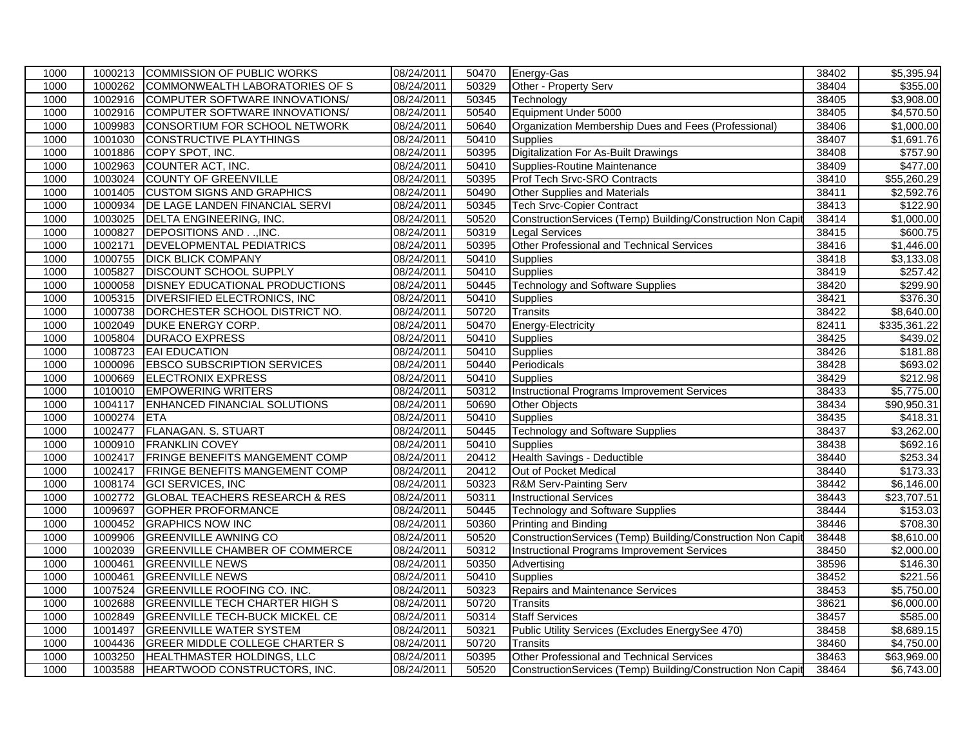| 1000 |         | 1000213 COMMISSION OF PUBLIC WORKS        | 08/24/2011 | 50470 | Energy-Gas                                                  | 38402 | \$5,395.94              |
|------|---------|-------------------------------------------|------------|-------|-------------------------------------------------------------|-------|-------------------------|
| 1000 | 1000262 | COMMONWEALTH LABORATORIES OF S            | 08/24/2011 | 50329 | Other - Property Serv                                       | 38404 | \$355.00                |
| 1000 | 1002916 | COMPUTER SOFTWARE INNOVATIONS/            | 08/24/2011 | 50345 | Technology                                                  | 38405 | \$3,908.00              |
| 1000 | 1002916 | COMPUTER SOFTWARE INNOVATIONS/            | 08/24/2011 | 50540 | Equipment Under 5000                                        | 38405 | \$4,570.50              |
| 1000 | 1009983 | CONSORTIUM FOR SCHOOL NETWORK             | 08/24/2011 | 50640 | Organization Membership Dues and Fees (Professional)        | 38406 | \$1,000.00              |
| 1000 | 1001030 | CONSTRUCTIVE PLAYTHINGS                   | 08/24/2011 | 50410 | <b>Supplies</b>                                             | 38407 | \$1,691.76              |
| 1000 | 1001886 | COPY SPOT, INC.                           | 08/24/2011 | 50395 | Digitalization For As-Built Drawings                        | 38408 | \$757.90                |
| 1000 | 1002963 | COUNTER ACT, INC.                         | 08/24/2011 | 50410 | Supplies-Routine Maintenance                                | 38409 | \$477.00                |
| 1000 | 1003024 | <b>COUNTY OF GREENVILLE</b>               | 08/24/2011 | 50395 | Prof Tech Srvc-SRO Contracts                                | 38410 | $\overline{$55,260.29}$ |
| 1000 | 1001405 | <b>CUSTOM SIGNS AND GRAPHICS</b>          | 08/24/2011 | 50490 | Other Supplies and Materials                                | 38411 | \$2,592.76              |
| 1000 | 1000934 | DE LAGE LANDEN FINANCIAL SERVI            | 08/24/2011 | 50345 | <b>Tech Srvc-Copier Contract</b>                            | 38413 | \$122.90                |
| 1000 | 1003025 | DELTA ENGINEERING, INC.                   | 08/24/2011 | 50520 | ConstructionServices (Temp) Building/Construction Non Capit | 38414 | \$1,000.00              |
| 1000 | 1000827 | DEPOSITIONS AND, INC.                     | 08/24/2011 | 50319 | <b>Legal Services</b>                                       | 38415 | \$600.75                |
| 1000 | 1002171 | <b>DEVELOPMENTAL PEDIATRICS</b>           | 08/24/2011 | 50395 | Other Professional and Technical Services                   | 38416 | $\overline{$1,446.00}$  |
| 1000 | 1000755 | <b>DICK BLICK COMPANY</b>                 | 08/24/2011 | 50410 | Supplies                                                    | 38418 | \$3,133.08              |
| 1000 | 1005827 | <b>DISCOUNT SCHOOL SUPPLY</b>             | 08/24/2011 | 50410 | Supplies                                                    | 38419 | \$257.42                |
| 1000 | 1000058 | <b>DISNEY EDUCATIONAL PRODUCTIONS</b>     | 08/24/2011 | 50445 | <b>Technology and Software Supplies</b>                     | 38420 | \$299.90                |
| 1000 | 1005315 | DIVERSIFIED ELECTRONICS, INC.             | 08/24/2011 | 50410 | Supplies                                                    | 38421 | \$376.30                |
| 1000 | 1000738 | DORCHESTER SCHOOL DISTRICT NO.            | 08/24/2011 | 50720 | <b>Transits</b>                                             | 38422 | \$8,640.00              |
| 1000 | 1002049 | DUKE ENERGY CORP.                         | 08/24/2011 | 50470 | Energy-Electricity                                          | 82411 | \$335,361.22            |
| 1000 | 1005804 | <b>DURACO EXPRESS</b>                     | 08/24/2011 | 50410 | Supplies                                                    | 38425 | \$439.02                |
| 1000 | 1008723 | <b>EAI EDUCATION</b>                      | 08/24/2011 | 50410 | Supplies                                                    | 38426 | \$181.88                |
| 1000 | 1000096 | <b>EBSCO SUBSCRIPTION SERVICES</b>        | 08/24/2011 | 50440 | Periodicals                                                 | 38428 | \$693.02                |
| 1000 | 1000669 | <b>ELECTRONIX EXPRESS</b>                 | 08/24/2011 | 50410 | Supplies                                                    | 38429 | \$212.98                |
| 1000 | 1010010 | <b>EMPOWERING WRITERS</b>                 | 08/24/2011 | 50312 | <b>Instructional Programs Improvement Services</b>          | 38433 | $\overline{$5,775.00}$  |
| 1000 | 1004117 | ENHANCED FINANCIAL SOLUTIONS              | 08/24/2011 | 50690 | Other Objects                                               | 38434 | \$90,950.31             |
| 1000 | 1000274 | <b>ETA</b>                                | 08/24/2011 | 50410 | Supplies                                                    | 38435 | \$418.31                |
| 1000 | 1002477 | <b>FLANAGAN. S. STUART</b>                | 08/24/2011 | 50445 | Technology and Software Supplies                            | 38437 | \$3,262.00              |
| 1000 | 1000910 | <b>FRANKLIN COVEY</b>                     | 08/24/2011 | 50410 | Supplies                                                    | 38438 | \$692.16                |
| 1000 | 1002417 | <b>FRINGE BENEFITS MANGEMENT COMP</b>     | 08/24/2011 | 20412 | Health Savings - Deductible                                 | 38440 | \$253.34                |
| 1000 | 1002417 | <b>FRINGE BENEFITS MANGEMENT COMP</b>     | 08/24/2011 | 20412 | Out of Pocket Medical                                       | 38440 | $\overline{$}173.33$    |
| 1000 | 1008174 | <b>GCI SERVICES, INC</b>                  | 08/24/2011 | 50323 | R&M Serv-Painting Serv                                      | 38442 | \$6,146.00              |
| 1000 | 1002772 | <b>GLOBAL TEACHERS RESEARCH &amp; RES</b> | 08/24/2011 | 50311 | <b>Instructional Services</b>                               | 38443 | \$23,707.51             |
| 1000 | 1009697 | <b>GOPHER PROFORMANCE</b>                 | 08/24/2011 | 50445 | Technology and Software Supplies                            | 38444 | \$153.03                |
| 1000 | 1000452 | <b>GRAPHICS NOW INC</b>                   | 08/24/2011 | 50360 | <b>Printing and Binding</b>                                 | 38446 | \$708.30                |
| 1000 | 1009906 | <b>GREENVILLE AWNING CO</b>               | 08/24/2011 | 50520 | ConstructionServices (Temp) Building/Construction Non Capit | 38448 | \$8,610.00              |
| 1000 | 1002039 | <b>GREENVILLE CHAMBER OF COMMERCE</b>     | 08/24/2011 | 50312 | Instructional Programs Improvement Services                 | 38450 | \$2,000.00              |
| 1000 | 1000461 | <b>GREENVILLE NEWS</b>                    | 08/24/2011 | 50350 | Advertising                                                 | 38596 | \$146.30                |
| 1000 | 1000461 | <b>GREENVILLE NEWS</b>                    | 08/24/2011 | 50410 | <b>Supplies</b>                                             | 38452 | \$221.56                |
| 1000 | 1007524 | <b>GREENVILLE ROOFING CO. INC.</b>        | 08/24/2011 | 50323 | Repairs and Maintenance Services                            | 38453 | \$5,750.00              |
| 1000 | 1002688 | <b>GREENVILLE TECH CHARTER HIGH S</b>     | 08/24/2011 | 50720 | <b>Transits</b>                                             | 38621 | \$6,000.00              |
| 1000 | 1002849 | <b>GREENVILLE TECH-BUCK MICKEL CE</b>     | 08/24/2011 | 50314 | <b>Staff Services</b>                                       | 38457 | \$585.00                |
| 1000 | 1001497 | <b>GREENVILLE WATER SYSTEM</b>            | 08/24/2011 | 50321 | Public Utility Services (Excludes EnergySee 470)            | 38458 | \$8,689.15              |
| 1000 | 1004436 | <b>GREER MIDDLE COLLEGE CHARTER S</b>     | 08/24/2011 | 50720 | <b>Transits</b>                                             | 38460 | \$4,750.00              |
| 1000 | 1003250 | HEALTHMASTER HOLDINGS, LLC                | 08/24/2011 | 50395 | Other Professional and Technical Services                   | 38463 | \$63,969.00             |
| 1000 | 1003588 | HEARTWOOD CONSTRUCTORS, INC.              | 08/24/2011 | 50520 | ConstructionServices (Temp) Building/Construction Non Capit | 38464 | \$6,743.00              |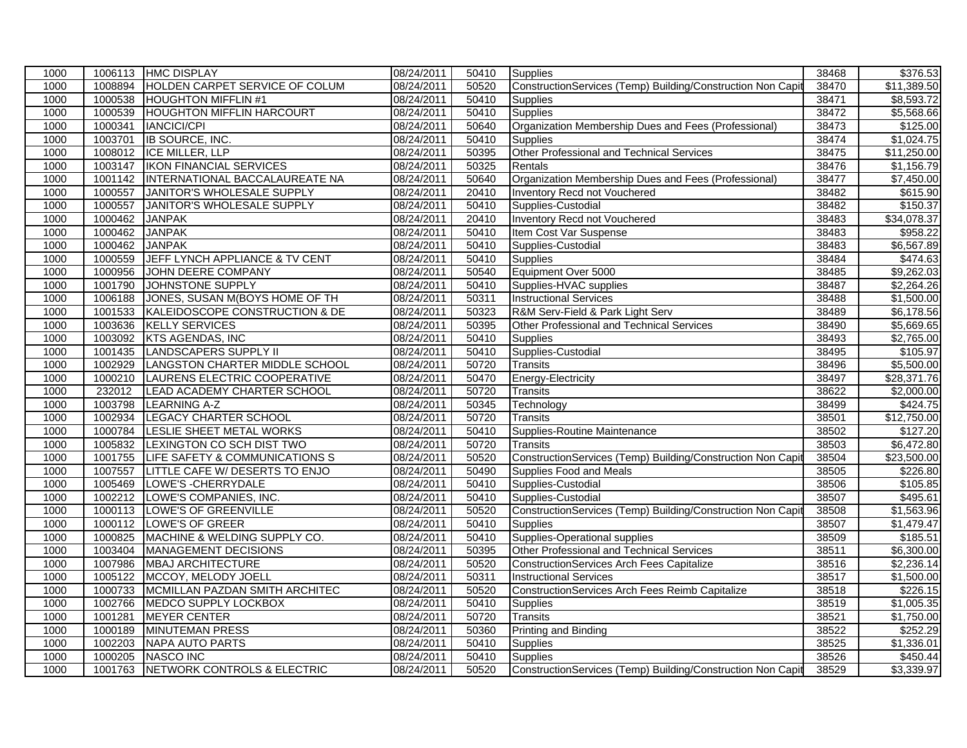| 1000 | 1006113 | <b>HMC DISPLAY</b>               | 08/24/2011 | 50410 | Supplies                                                    | 38468 | \$376.53                |
|------|---------|----------------------------------|------------|-------|-------------------------------------------------------------|-------|-------------------------|
| 1000 | 1008894 | HOLDEN CARPET SERVICE OF COLUM   | 08/24/2011 | 50520 | ConstructionServices (Temp) Building/Construction Non Capit | 38470 | $\overline{$11,389.50}$ |
| 1000 | 1000538 | <b>HOUGHTON MIFFLIN#1</b>        | 08/24/2011 | 50410 | <b>Supplies</b>                                             | 38471 | \$8,593.72              |
| 1000 | 1000539 | <b>HOUGHTON MIFFLIN HARCOURT</b> | 08/24/2011 | 50410 | <b>Supplies</b>                                             | 38472 | \$5,568.66              |
| 1000 | 1000341 | <b>IANCICI/CPI</b>               | 08/24/2011 | 50640 | Organization Membership Dues and Fees (Professional)        | 38473 | \$125.00                |
| 1000 | 1003701 | <b>IB SOURCE, INC.</b>           | 08/24/2011 | 50410 | <b>Supplies</b>                                             | 38474 | \$1,024.75              |
| 1000 | 1008012 | ICE MILLER, LLP                  | 08/24/2011 | 50395 | Other Professional and Technical Services                   | 38475 | \$11,250.00             |
| 1000 | 1003147 | <b>IKON FINANCIAL SERVICES</b>   | 08/24/2011 | 50325 | Rentals                                                     | 38476 | \$1,156.79              |
| 1000 | 1001142 | INTERNATIONAL BACCALAUREATE NA   | 08/24/2011 | 50640 | Organization Membership Dues and Fees (Professional)        | 38477 | \$7,450.00              |
| 1000 | 1000557 | JANITOR'S WHOLESALE SUPPLY       | 08/24/2011 | 20410 | Inventory Recd not Vouchered                                | 38482 | \$615.90                |
| 1000 | 1000557 | JANITOR'S WHOLESALE SUPPLY       | 08/24/2011 | 50410 | Supplies-Custodial                                          | 38482 | \$150.37                |
| 1000 | 1000462 | <b>JANPAK</b>                    | 08/24/2011 | 20410 | Inventory Recd not Vouchered                                | 38483 | \$34,078.37             |
| 1000 | 1000462 | <b>JANPAK</b>                    | 08/24/2011 | 50410 | Item Cost Var Suspense                                      | 38483 | \$958.22                |
| 1000 | 1000462 | <b>JANPAK</b>                    | 08/24/2011 | 50410 | Supplies-Custodial                                          | 38483 | \$6,567.89              |
| 1000 | 1000559 | JEFF LYNCH APPLIANCE & TV CENT   | 08/24/2011 | 50410 | <b>Supplies</b>                                             | 38484 | \$474.63                |
| 1000 | 1000956 | JOHN DEERE COMPANY               | 08/24/2011 | 50540 | Equipment Over 5000                                         | 38485 | \$9,262.03              |
| 1000 | 1001790 | <b>JOHNSTONE SUPPLY</b>          | 08/24/2011 | 50410 | Supplies-HVAC supplies                                      | 38487 | \$2,264.26              |
| 1000 | 1006188 | JONES, SUSAN M(BOYS HOME OF TH   | 08/24/2011 | 50311 | <b>Instructional Services</b>                               | 38488 | \$1,500.00              |
| 1000 | 1001533 | KALEIDOSCOPE CONSTRUCTION & DE   | 08/24/2011 | 50323 | R&M Serv-Field & Park Light Serv                            | 38489 | \$6,178.56              |
| 1000 | 1003636 | <b>KELLY SERVICES</b>            | 08/24/2011 | 50395 | Other Professional and Technical Services                   | 38490 | \$5,669.65              |
| 1000 | 1003092 | <b>KTS AGENDAS, INC</b>          | 08/24/2011 | 50410 | <b>Supplies</b>                                             | 38493 | $\overline{$2,765.00}$  |
| 1000 | 1001435 | <b>LANDSCAPERS SUPPLY II</b>     | 08/24/2011 | 50410 | Supplies-Custodial                                          | 38495 | \$105.97                |
| 1000 | 1002929 | LANGSTON CHARTER MIDDLE SCHOOL   | 08/24/2011 | 50720 | <b>Transits</b>                                             | 38496 | \$5,500.00              |
| 1000 | 1000210 | LAURENS ELECTRIC COOPERATIVE     | 08/24/2011 | 50470 | Energy-Electricity                                          | 38497 | \$28,371.76             |
| 1000 | 232012  | LEAD ACADEMY CHARTER SCHOOL      | 08/24/2011 | 50720 | <b>Transits</b>                                             | 38622 | \$2,000.00              |
| 1000 | 1003798 | <b>LEARNING A-Z</b>              | 08/24/2011 | 50345 | Technology                                                  | 38499 | \$424.75                |
| 1000 | 1002934 | LEGACY CHARTER SCHOOL            | 08/24/2011 | 50720 | <b>Transits</b>                                             | 38501 | \$12,750.00             |
| 1000 | 1000784 | LESLIE SHEET METAL WORKS         | 08/24/2011 | 50410 | Supplies-Routine Maintenance                                | 38502 | \$127.20                |
| 1000 | 1005832 | LEXINGTON CO SCH DIST TWO        | 08/24/2011 | 50720 | <b>Transits</b>                                             | 38503 | \$6,472.80              |
| 1000 | 1001755 | LIFE SAFETY & COMMUNICATIONS S   | 08/24/2011 | 50520 | ConstructionServices (Temp) Building/Construction Non Capit | 38504 | \$23,500.00             |
| 1000 | 1007557 | LITTLE CAFE W/ DESERTS TO ENJO   | 08/24/2011 | 50490 | Supplies Food and Meals                                     | 38505 | \$226.80                |
| 1000 | 1005469 | LOWE'S - CHERRYDALE              | 08/24/2011 | 50410 | Supplies-Custodial                                          | 38506 | \$105.85                |
| 1000 | 1002212 | LOWE'S COMPANIES, INC.           | 08/24/2011 | 50410 | Supplies-Custodial                                          | 38507 | \$495.61                |
| 1000 | 1000113 | LOWE'S OF GREENVILLE             | 08/24/2011 | 50520 | ConstructionServices (Temp) Building/Construction Non Capit | 38508 | \$1,563.96              |
| 1000 | 1000112 | LOWE'S OF GREER                  | 08/24/2011 | 50410 | <b>Supplies</b>                                             | 38507 | \$1,479.47              |
| 1000 | 1000825 | MACHINE & WELDING SUPPLY CO.     | 08/24/2011 | 50410 | Supplies-Operational supplies                               | 38509 | \$185.51                |
| 1000 | 1003404 | MANAGEMENT DECISIONS             | 08/24/2011 | 50395 | Other Professional and Technical Services                   | 38511 | \$6,300.00              |
| 1000 | 1007986 | <b>MBAJ ARCHITECTURE</b>         | 08/24/2011 | 50520 | ConstructionServices Arch Fees Capitalize                   | 38516 | \$2,236.14              |
| 1000 | 1005122 | MCCOY, MELODY JOELL              | 08/24/2011 | 50311 | <b>Instructional Services</b>                               | 38517 | \$1,500.00              |
| 1000 | 1000733 | MCMILLAN PAZDAN SMITH ARCHITEC   | 08/24/2011 | 50520 | ConstructionServices Arch Fees Reimb Capitalize             | 38518 | \$226.15                |
| 1000 | 1002766 | MEDCO SUPPLY LOCKBOX             | 08/24/2011 | 50410 | Supplies                                                    | 38519 | $\overline{$1,005.35}$  |
| 1000 | 1001281 | <b>MEYER CENTER</b>              | 08/24/2011 | 50720 | Transits                                                    | 38521 | \$1,750.00              |
| 1000 | 1000189 | MINUTEMAN PRESS                  | 08/24/2011 | 50360 | Printing and Binding                                        | 38522 | \$252.29                |
| 1000 | 1002203 | NAPA AUTO PARTS                  | 08/24/2011 | 50410 | <b>Supplies</b>                                             | 38525 | \$1,336.01              |
| 1000 | 1000205 | <b>NASCO INC</b>                 | 08/24/2011 | 50410 | Supplies                                                    | 38526 | \$450.44                |
| 1000 | 1001763 | NETWORK CONTROLS & ELECTRIC      | 08/24/2011 | 50520 | ConstructionServices (Temp) Building/Construction Non Capit | 38529 | \$3,339.97              |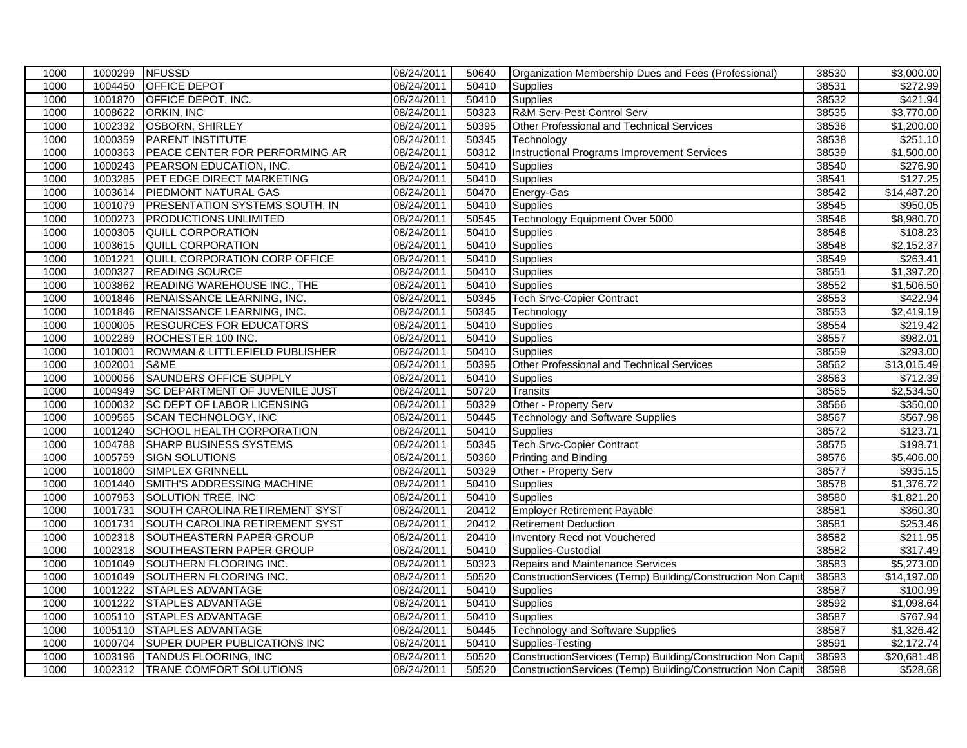| 1000 | 1000299 NFUSSD |                                       | 08/24/2011 | 50640 | Organization Membership Dues and Fees (Professional)        | 38530 | \$3,000.00             |
|------|----------------|---------------------------------------|------------|-------|-------------------------------------------------------------|-------|------------------------|
| 1000 | 1004450        | <b>OFFICE DEPOT</b>                   | 08/24/2011 | 50410 | Supplies                                                    | 38531 | \$272.99               |
| 1000 | 1001870        | OFFICE DEPOT, INC.                    | 08/24/2011 | 50410 | <b>Supplies</b>                                             | 38532 | \$421.94               |
| 1000 | 1008622        | <b>ORKIN, INC</b>                     | 08/24/2011 | 50323 | R&M Serv-Pest Control Serv                                  | 38535 | \$3,770.00             |
| 1000 | 1002332        | <b>OSBORN, SHIRLEY</b>                | 08/24/2011 | 50395 | Other Professional and Technical Services                   | 38536 | \$1,200.00             |
| 1000 | 1000359        | <b>PARENT INSTITUTE</b>               | 08/24/2011 | 50345 | Technology                                                  | 38538 | \$251.10               |
| 1000 | 1000363        | PEACE CENTER FOR PERFORMING AR        | 08/24/2011 | 50312 | <b>Instructional Programs Improvement Services</b>          | 38539 | \$1,500.00             |
| 1000 | 1000243        | PEARSON EDUCATION, INC.               | 08/24/2011 | 50410 | Supplies                                                    | 38540 | \$276.90               |
| 1000 | 1003285        | PET EDGE DIRECT MARKETING             | 08/24/2011 | 50410 | <b>Supplies</b>                                             | 38541 | \$127.25               |
| 1000 | 1003614        | PIEDMONT NATURAL GAS                  | 08/24/2011 | 50470 | Energy-Gas                                                  | 38542 | \$14,487.20            |
| 1000 | 1001079        | <b>PRESENTATION SYSTEMS SOUTH, IN</b> | 08/24/2011 | 50410 | <b>Supplies</b>                                             | 38545 | \$950.05               |
| 1000 | 1000273        | <b>PRODUCTIONS UNLIMITED</b>          | 08/24/2011 | 50545 | Technology Equipment Over 5000                              | 38546 | \$8,980.70             |
| 1000 | 1000305        | QUILL CORPORATION                     | 08/24/2011 | 50410 | Supplies                                                    | 38548 | \$108.23               |
| 1000 | 1003615        | <b>QUILL CORPORATION</b>              | 08/24/2011 | 50410 | Supplies                                                    | 38548 | \$2,152.37             |
| 1000 | 1001221        | QUILL CORPORATION CORP OFFICE         | 08/24/2011 | 50410 | <b>Supplies</b>                                             | 38549 | \$263.41               |
| 1000 | 1000327        | <b>READING SOURCE</b>                 | 08/24/2011 | 50410 | Supplies                                                    | 38551 | \$1,397.20             |
| 1000 | 1003862        | READING WAREHOUSE INC., THE           | 08/24/2011 | 50410 | Supplies                                                    | 38552 | \$1,506.50             |
| 1000 | 1001846        | RENAISSANCE LEARNING, INC.            | 08/24/2011 | 50345 | <b>Tech Srvc-Copier Contract</b>                            | 38553 | \$422.94               |
| 1000 | 1001846        | RENAISSANCE LEARNING, INC.            | 08/24/2011 | 50345 | Technology                                                  | 38553 | \$2,419.19             |
| 1000 | 1000005        | <b>RESOURCES FOR EDUCATORS</b>        | 08/24/2011 | 50410 | Supplies                                                    | 38554 | \$219.42               |
| 1000 | 1002289        | ROCHESTER 100 INC.                    | 08/24/2011 | 50410 | Supplies                                                    | 38557 | \$982.01               |
| 1000 | 1010001        | ROWMAN & LITTLEFIELD PUBLISHER        | 08/24/2011 | 50410 | Supplies                                                    | 38559 | \$293.00               |
| 1000 | 1002001        | S&ME                                  | 08/24/2011 | 50395 | Other Professional and Technical Services                   | 38562 | \$13,015.49            |
| 1000 | 1000056        | <b>SAUNDERS OFFICE SUPPLY</b>         | 08/24/2011 | 50410 | Supplies                                                    | 38563 | \$712.39               |
| 1000 | 1004949        | <b>SC DEPARTMENT OF JUVENILE JUST</b> | 08/24/2011 | 50720 | <b>Transits</b>                                             | 38565 | \$2,534.50             |
| 1000 | 1000032        | <b>SC DEPT OF LABOR LICENSING</b>     | 08/24/2011 | 50329 | Other - Property Serv                                       | 38566 | \$350.00               |
| 1000 | 1009565        | <b>SCAN TECHNOLOGY, INC</b>           | 08/24/2011 | 50445 | <b>Technology and Software Supplies</b>                     | 38567 | \$567.98               |
| 1000 | 1001240        | <b>SCHOOL HEALTH CORPORATION</b>      | 08/24/2011 | 50410 | <b>Supplies</b>                                             | 38572 | \$123.71               |
| 1000 | 1004788        | <b>SHARP BUSINESS SYSTEMS</b>         | 08/24/2011 | 50345 | <b>Tech Srvc-Copier Contract</b>                            | 38575 | \$198.71               |
| 1000 | 1005759        | <b>SIGN SOLUTIONS</b>                 | 08/24/2011 | 50360 | Printing and Binding                                        | 38576 | \$5,406.00             |
| 1000 | 1001800        | SIMPLEX GRINNELL                      | 08/24/2011 | 50329 | Other - Property Serv                                       | 38577 | $\overline{$935.15}$   |
| 1000 | 1001440        | SMITH'S ADDRESSING MACHINE            | 08/24/2011 | 50410 | Supplies                                                    | 38578 | \$1,376.72             |
| 1000 | 1007953        | <b>SOLUTION TREE, INC</b>             | 08/24/2011 | 50410 | <b>Supplies</b>                                             | 38580 | \$1,821.20             |
| 1000 | 1001731        | SOUTH CAROLINA RETIREMENT SYST        | 08/24/2011 | 20412 | <b>Employer Retirement Payable</b>                          | 38581 | \$360.30               |
| 1000 | 1001731        | SOUTH CAROLINA RETIREMENT SYST        | 08/24/2011 | 20412 | <b>Retirement Deduction</b>                                 | 38581 | \$253.46               |
| 1000 | 1002318        | SOUTHEASTERN PAPER GROUP              | 08/24/2011 | 20410 | Inventory Recd not Vouchered                                | 38582 | \$211.95               |
| 1000 | 1002318        | SOUTHEASTERN PAPER GROUP              | 08/24/2011 | 50410 | Supplies-Custodial                                          | 38582 | \$317.49               |
| 1000 | 1001049        | SOUTHERN FLOORING INC.                | 08/24/2011 | 50323 | Repairs and Maintenance Services                            | 38583 | \$5,273.00             |
| 1000 | 1001049        | SOUTHERN FLOORING INC.                | 08/24/2011 | 50520 | ConstructionServices (Temp) Building/Construction Non Capit | 38583 | \$14,197.00            |
| 1000 | 1001222        | <b>STAPLES ADVANTAGE</b>              | 08/24/2011 | 50410 | Supplies                                                    | 38587 | \$100.99               |
| 1000 | 1001222        | <b>STAPLES ADVANTAGE</b>              | 08/24/2011 | 50410 | Supplies                                                    | 38592 | $\overline{$1,098.64}$ |
| 1000 | 1005110        | <b>STAPLES ADVANTAGE</b>              | 08/24/2011 | 50410 | Supplies                                                    | 38587 | \$767.94               |
| 1000 | 1005110        | <b>STAPLES ADVANTAGE</b>              | 08/24/2011 | 50445 | <b>Technology and Software Supplies</b>                     | 38587 | \$1,326.42             |
| 1000 | 1000704        | <b>SUPER DUPER PUBLICATIONS INC</b>   | 08/24/2011 | 50410 | Supplies-Testing                                            | 38591 | \$2,172.74             |
| 1000 | 1003196        | <b>TANDUS FLOORING, INC</b>           | 08/24/2011 | 50520 | ConstructionServices (Temp) Building/Construction Non Capit | 38593 | \$20,681.48            |
| 1000 |                | 1002312  TRANE COMFORT SOLUTIONS      | 08/24/2011 | 50520 | ConstructionServices (Temp) Building/Construction Non Capit | 38598 | \$528.68               |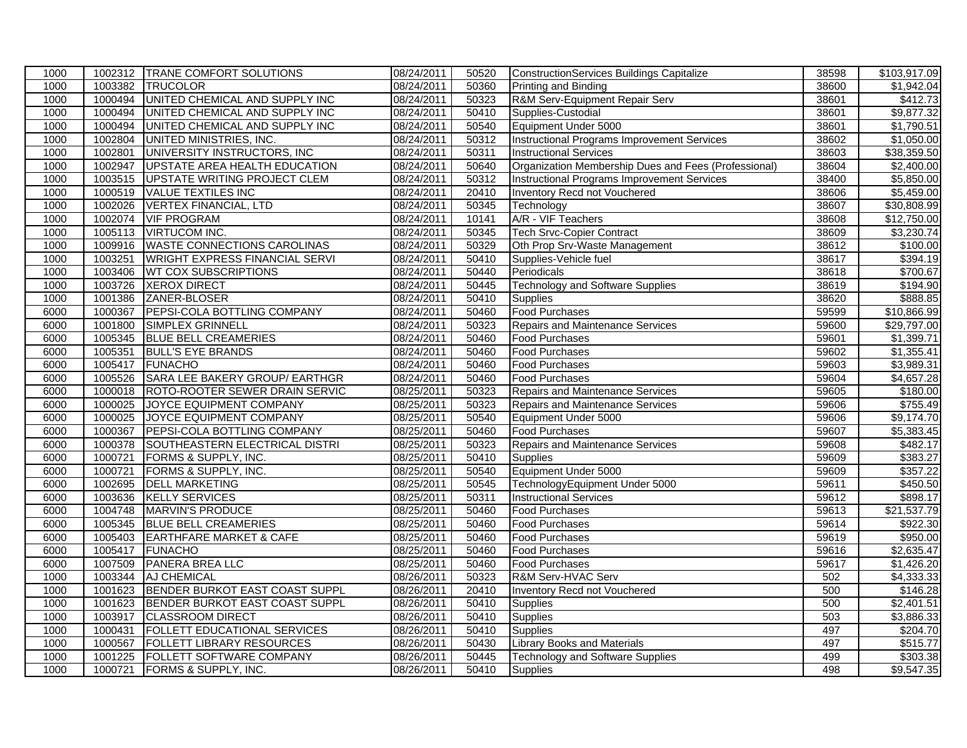| 08/24/2011<br>38600<br>1000<br>1003382<br>TRUCOLOR<br>50360<br>Printing and Binding<br>1000494<br>UNITED CHEMICAL AND SUPPLY INC<br>08/24/2011<br>50323<br>R&M Serv-Equipment Repair Serv<br>38601<br>1000<br>1000<br>1000494<br>UNITED CHEMICAL AND SUPPLY INC<br>08/24/2011<br>50410<br>Supplies-Custodial<br>\$9,877.32<br>38601<br>Equipment Under 5000<br>1000<br>1000494<br>UNITED CHEMICAL AND SUPPLY INC<br>08/24/2011<br>50540<br>38601<br>1002804<br>UNITED MINISTRIES, INC.<br>08/24/2011<br><b>Instructional Programs Improvement Services</b><br>38602<br>\$1,050.00<br>1000<br>50312<br>UNIVERSITY INSTRUCTORS, INC<br>08/24/2011<br>1000<br>1002801<br>50311<br><b>Instructional Services</b><br>38603<br>Organization Membership Dues and Fees (Professional)<br>1000<br>1002947<br>UPSTATE AREA HEALTH EDUCATION<br>08/24/2011<br>38604<br>50640<br>1003515<br>38400<br>1000<br>UPSTATE WRITING PROJECT CLEM<br>08/24/2011<br>50312<br>Instructional Programs Improvement Services<br>1000<br>1000519<br><b>VALUE TEXTILES INC</b><br>08/24/2011<br>20410<br>Inventory Recd not Vouchered<br>38606<br>\$5,459.00<br>1002026<br>50345<br>1000<br><b>VERTEX FINANCIAL, LTD</b><br>08/24/2011<br>Technology<br>38607<br>1002074<br>A/R - VIF Teachers<br>1000<br><b>VIF PROGRAM</b><br>08/24/2011<br>10141<br>38608<br>\$12,750.00<br>1005113<br><b>VIRTUCOM INC.</b><br>08/24/2011<br>$\overline{$3,230.74}$<br>1000<br>50345<br><b>Tech Srvc-Copier Contract</b><br>38609<br>1009916<br><b>WASTE CONNECTIONS CAROLINAS</b><br>38612<br>1000<br>08/24/2011<br>50329<br>Oth Prop Srv-Waste Management<br>1003251<br>WRIGHT EXPRESS FINANCIAL SERVI<br>08/24/2011<br>50410<br>38617<br>1000<br>Supplies-Vehicle fuel<br>1000<br>1003406<br><b>WT COX SUBSCRIPTIONS</b><br>08/24/2011<br>50440<br>38618<br>Periodicals<br>1003726<br><b>XEROX DIRECT</b><br>08/24/2011<br>50445<br><b>Technology and Software Supplies</b><br>1000<br>38619<br>1001386<br>ZANER-BLOSER<br>08/24/2011<br>50410<br>38620<br>1000<br>Supplies<br>1000367<br>PEPSI-COLA BOTTLING COMPANY<br>08/24/2011<br>50460<br><b>Food Purchases</b><br>59599<br>6000<br>6000<br>1001800<br><b>SIMPLEX GRINNELL</b><br>08/24/2011<br>50323<br>Repairs and Maintenance Services<br>59600<br>6000<br>1005345<br><b>BLUE BELL CREAMERIES</b><br>08/24/2011<br>50460<br>59601<br>Food Purchases<br>1005351<br><b>BULL'S EYE BRANDS</b><br>08/24/2011<br>50460<br><b>Food Purchases</b><br>59602<br>6000<br>6000<br>1005417<br><b>FUNACHO</b><br>08/24/2011<br>50460<br><b>Food Purchases</b><br>59603<br>1005526<br>08/24/2011<br>6000<br>SARA LEE BAKERY GROUP/ EARTHGR<br>50460<br>59604<br><b>Food Purchases</b><br>ROTO-ROOTER SEWER DRAIN SERVIC<br>6000<br>1000018<br>08/25/2011<br>50323<br>Repairs and Maintenance Services<br>59605<br>59606<br>6000<br>1000025<br>JOYCE EQUIPMENT COMPANY<br>08/25/2011<br>50323<br><b>Repairs and Maintenance Services</b><br>6000<br>1000025<br>JOYCE EQUIPMENT COMPANY<br>08/25/2011<br>50540<br>59606<br>Equipment Under 5000<br>1000367<br>08/25/2011<br>50460<br><b>Food Purchases</b><br>6000<br>PEPSI-COLA BOTTLING COMPANY<br>59607<br>6000<br>1000378<br>SOUTHEASTERN ELECTRICAL DISTRI<br>08/25/2011<br>50323<br>Repairs and Maintenance Services<br>59608<br>1000721<br>FORMS & SUPPLY, INC.<br>08/25/2011<br>50410<br>59609<br>6000<br><b>Supplies</b><br>Equipment Under 5000<br>6000<br>1000721<br>FORMS & SUPPLY, INC.<br>08/25/2011<br>50540<br>59609<br>1002695<br>08/25/2011<br>TechnologyEquipment Under 5000<br>6000<br><b>DELL MARKETING</b><br>50545<br>59611<br>1003636<br><b>KELLY SERVICES</b><br>08/25/2011<br>50311<br>59612<br>6000<br><b>Instructional Services</b><br>1004748<br>MARVIN'S PRODUCE<br>08/25/2011<br>50460<br>Food Purchases<br>59613<br>6000<br>59614<br>6000<br>1005345<br><b>BLUE BELL CREAMERIES</b><br>08/25/2011<br>50460<br>Food Purchases<br>1005403<br><b>EARTHFARE MARKET &amp; CAFE</b><br>08/25/2011<br>50460<br>Food Purchases<br>59619<br>6000<br>1005417<br>6000<br><b>FUNACHO</b><br>08/25/2011<br>50460<br><b>Food Purchases</b><br>59616<br><b>PANERA BREA LLC</b><br>1007509<br>08/25/2011<br>50460<br>59617<br>6000<br><b>Food Purchases</b><br>1003344<br>AJ CHEMICAL<br>08/26/2011<br>50323<br>R&M Serv-HVAC Serv<br>502<br>1000<br>1001623<br>BENDER BURKOT EAST COAST SUPPL<br>08/26/2011<br>20410<br>500<br>1000<br>Inventory Recd not Vouchered<br>08/26/2011<br>50410<br>500<br>1000<br>1001623<br>BENDER BURKOT EAST COAST SUPPL<br><b>Supplies</b><br>503<br>1003917<br><b>CLASSROOM DIRECT</b><br>08/26/2011<br>50410<br>Supplies<br>1000<br><b>FOLLETT EDUCATIONAL SERVICES</b><br>497<br>1000<br>1000431<br>08/26/2011<br>50410<br><b>Supplies</b><br>497<br>1000<br>1000567<br><b>FOLLETT LIBRARY RESOURCES</b><br>08/26/2011<br>50430<br><b>Library Books and Materials</b><br>499<br>1000<br>1001225<br>FOLLETT SOFTWARE COMPANY<br>08/26/2011<br>50445<br><b>Technology and Software Supplies</b><br>498<br>1000<br>1000721<br>FORMS & SUPPLY, INC.<br>08/26/2011<br>50410<br><b>Supplies</b> | 1000 | 1002312 TRANE COMFORT SOLUTIONS | 08/24/2011 | 50520 | <b>ConstructionServices Buildings Capitalize</b> | 38598 | \$103,917.09       |
|--------------------------------------------------------------------------------------------------------------------------------------------------------------------------------------------------------------------------------------------------------------------------------------------------------------------------------------------------------------------------------------------------------------------------------------------------------------------------------------------------------------------------------------------------------------------------------------------------------------------------------------------------------------------------------------------------------------------------------------------------------------------------------------------------------------------------------------------------------------------------------------------------------------------------------------------------------------------------------------------------------------------------------------------------------------------------------------------------------------------------------------------------------------------------------------------------------------------------------------------------------------------------------------------------------------------------------------------------------------------------------------------------------------------------------------------------------------------------------------------------------------------------------------------------------------------------------------------------------------------------------------------------------------------------------------------------------------------------------------------------------------------------------------------------------------------------------------------------------------------------------------------------------------------------------------------------------------------------------------------------------------------------------------------------------------------------------------------------------------------------------------------------------------------------------------------------------------------------------------------------------------------------------------------------------------------------------------------------------------------------------------------------------------------------------------------------------------------------------------------------------------------------------------------------------------------------------------------------------------------------------------------------------------------------------------------------------------------------------------------------------------------------------------------------------------------------------------------------------------------------------------------------------------------------------------------------------------------------------------------------------------------------------------------------------------------------------------------------------------------------------------------------------------------------------------------------------------------------------------------------------------------------------------------------------------------------------------------------------------------------------------------------------------------------------------------------------------------------------------------------------------------------------------------------------------------------------------------------------------------------------------------------------------------------------------------------------------------------------------------------------------------------------------------------------------------------------------------------------------------------------------------------------------------------------------------------------------------------------------------------------------------------------------------------------------------------------------------------------------------------------------------------------------------------------------------------------------------------------------------------------------------------------------------------------------------------------------------------------------------------------------------------------------------------------------------------------------------------------------------------------------------------------------------------------------------------------------------------------------------------------------------------------------------------------------------------------------------------------------------------------------------------------------------------------------------------------------------------------------------------------------------------------------------------------------------------------------------------------------------------------------------------------------------------------------------------------------------------|------|---------------------------------|------------|-------|--------------------------------------------------|-------|--------------------|
|                                                                                                                                                                                                                                                                                                                                                                                                                                                                                                                                                                                                                                                                                                                                                                                                                                                                                                                                                                                                                                                                                                                                                                                                                                                                                                                                                                                                                                                                                                                                                                                                                                                                                                                                                                                                                                                                                                                                                                                                                                                                                                                                                                                                                                                                                                                                                                                                                                                                                                                                                                                                                                                                                                                                                                                                                                                                                                                                                                                                                                                                                                                                                                                                                                                                                                                                                                                                                                                                                                                                                                                                                                                                                                                                                                                                                                                                                                                                                                                                                                                                                                                                                                                                                                                                                                                                                                                                                                                                                                                                                                                                                                                                                                                                                                                                                                                                                                                                                                                                                                                                                                  |      |                                 |            |       |                                                  |       | \$1,942.04         |
|                                                                                                                                                                                                                                                                                                                                                                                                                                                                                                                                                                                                                                                                                                                                                                                                                                                                                                                                                                                                                                                                                                                                                                                                                                                                                                                                                                                                                                                                                                                                                                                                                                                                                                                                                                                                                                                                                                                                                                                                                                                                                                                                                                                                                                                                                                                                                                                                                                                                                                                                                                                                                                                                                                                                                                                                                                                                                                                                                                                                                                                                                                                                                                                                                                                                                                                                                                                                                                                                                                                                                                                                                                                                                                                                                                                                                                                                                                                                                                                                                                                                                                                                                                                                                                                                                                                                                                                                                                                                                                                                                                                                                                                                                                                                                                                                                                                                                                                                                                                                                                                                                                  |      |                                 |            |       |                                                  |       | \$412.73           |
|                                                                                                                                                                                                                                                                                                                                                                                                                                                                                                                                                                                                                                                                                                                                                                                                                                                                                                                                                                                                                                                                                                                                                                                                                                                                                                                                                                                                                                                                                                                                                                                                                                                                                                                                                                                                                                                                                                                                                                                                                                                                                                                                                                                                                                                                                                                                                                                                                                                                                                                                                                                                                                                                                                                                                                                                                                                                                                                                                                                                                                                                                                                                                                                                                                                                                                                                                                                                                                                                                                                                                                                                                                                                                                                                                                                                                                                                                                                                                                                                                                                                                                                                                                                                                                                                                                                                                                                                                                                                                                                                                                                                                                                                                                                                                                                                                                                                                                                                                                                                                                                                                                  |      |                                 |            |       |                                                  |       |                    |
|                                                                                                                                                                                                                                                                                                                                                                                                                                                                                                                                                                                                                                                                                                                                                                                                                                                                                                                                                                                                                                                                                                                                                                                                                                                                                                                                                                                                                                                                                                                                                                                                                                                                                                                                                                                                                                                                                                                                                                                                                                                                                                                                                                                                                                                                                                                                                                                                                                                                                                                                                                                                                                                                                                                                                                                                                                                                                                                                                                                                                                                                                                                                                                                                                                                                                                                                                                                                                                                                                                                                                                                                                                                                                                                                                                                                                                                                                                                                                                                                                                                                                                                                                                                                                                                                                                                                                                                                                                                                                                                                                                                                                                                                                                                                                                                                                                                                                                                                                                                                                                                                                                  |      |                                 |            |       |                                                  |       | \$1,790.51         |
|                                                                                                                                                                                                                                                                                                                                                                                                                                                                                                                                                                                                                                                                                                                                                                                                                                                                                                                                                                                                                                                                                                                                                                                                                                                                                                                                                                                                                                                                                                                                                                                                                                                                                                                                                                                                                                                                                                                                                                                                                                                                                                                                                                                                                                                                                                                                                                                                                                                                                                                                                                                                                                                                                                                                                                                                                                                                                                                                                                                                                                                                                                                                                                                                                                                                                                                                                                                                                                                                                                                                                                                                                                                                                                                                                                                                                                                                                                                                                                                                                                                                                                                                                                                                                                                                                                                                                                                                                                                                                                                                                                                                                                                                                                                                                                                                                                                                                                                                                                                                                                                                                                  |      |                                 |            |       |                                                  |       |                    |
|                                                                                                                                                                                                                                                                                                                                                                                                                                                                                                                                                                                                                                                                                                                                                                                                                                                                                                                                                                                                                                                                                                                                                                                                                                                                                                                                                                                                                                                                                                                                                                                                                                                                                                                                                                                                                                                                                                                                                                                                                                                                                                                                                                                                                                                                                                                                                                                                                                                                                                                                                                                                                                                                                                                                                                                                                                                                                                                                                                                                                                                                                                                                                                                                                                                                                                                                                                                                                                                                                                                                                                                                                                                                                                                                                                                                                                                                                                                                                                                                                                                                                                                                                                                                                                                                                                                                                                                                                                                                                                                                                                                                                                                                                                                                                                                                                                                                                                                                                                                                                                                                                                  |      |                                 |            |       |                                                  |       | \$38,359.50        |
|                                                                                                                                                                                                                                                                                                                                                                                                                                                                                                                                                                                                                                                                                                                                                                                                                                                                                                                                                                                                                                                                                                                                                                                                                                                                                                                                                                                                                                                                                                                                                                                                                                                                                                                                                                                                                                                                                                                                                                                                                                                                                                                                                                                                                                                                                                                                                                                                                                                                                                                                                                                                                                                                                                                                                                                                                                                                                                                                                                                                                                                                                                                                                                                                                                                                                                                                                                                                                                                                                                                                                                                                                                                                                                                                                                                                                                                                                                                                                                                                                                                                                                                                                                                                                                                                                                                                                                                                                                                                                                                                                                                                                                                                                                                                                                                                                                                                                                                                                                                                                                                                                                  |      |                                 |            |       |                                                  |       | \$2,400.00         |
|                                                                                                                                                                                                                                                                                                                                                                                                                                                                                                                                                                                                                                                                                                                                                                                                                                                                                                                                                                                                                                                                                                                                                                                                                                                                                                                                                                                                                                                                                                                                                                                                                                                                                                                                                                                                                                                                                                                                                                                                                                                                                                                                                                                                                                                                                                                                                                                                                                                                                                                                                                                                                                                                                                                                                                                                                                                                                                                                                                                                                                                                                                                                                                                                                                                                                                                                                                                                                                                                                                                                                                                                                                                                                                                                                                                                                                                                                                                                                                                                                                                                                                                                                                                                                                                                                                                                                                                                                                                                                                                                                                                                                                                                                                                                                                                                                                                                                                                                                                                                                                                                                                  |      |                                 |            |       |                                                  |       | \$5,850.00         |
|                                                                                                                                                                                                                                                                                                                                                                                                                                                                                                                                                                                                                                                                                                                                                                                                                                                                                                                                                                                                                                                                                                                                                                                                                                                                                                                                                                                                                                                                                                                                                                                                                                                                                                                                                                                                                                                                                                                                                                                                                                                                                                                                                                                                                                                                                                                                                                                                                                                                                                                                                                                                                                                                                                                                                                                                                                                                                                                                                                                                                                                                                                                                                                                                                                                                                                                                                                                                                                                                                                                                                                                                                                                                                                                                                                                                                                                                                                                                                                                                                                                                                                                                                                                                                                                                                                                                                                                                                                                                                                                                                                                                                                                                                                                                                                                                                                                                                                                                                                                                                                                                                                  |      |                                 |            |       |                                                  |       |                    |
|                                                                                                                                                                                                                                                                                                                                                                                                                                                                                                                                                                                                                                                                                                                                                                                                                                                                                                                                                                                                                                                                                                                                                                                                                                                                                                                                                                                                                                                                                                                                                                                                                                                                                                                                                                                                                                                                                                                                                                                                                                                                                                                                                                                                                                                                                                                                                                                                                                                                                                                                                                                                                                                                                                                                                                                                                                                                                                                                                                                                                                                                                                                                                                                                                                                                                                                                                                                                                                                                                                                                                                                                                                                                                                                                                                                                                                                                                                                                                                                                                                                                                                                                                                                                                                                                                                                                                                                                                                                                                                                                                                                                                                                                                                                                                                                                                                                                                                                                                                                                                                                                                                  |      |                                 |            |       |                                                  |       | \$30,808.99        |
|                                                                                                                                                                                                                                                                                                                                                                                                                                                                                                                                                                                                                                                                                                                                                                                                                                                                                                                                                                                                                                                                                                                                                                                                                                                                                                                                                                                                                                                                                                                                                                                                                                                                                                                                                                                                                                                                                                                                                                                                                                                                                                                                                                                                                                                                                                                                                                                                                                                                                                                                                                                                                                                                                                                                                                                                                                                                                                                                                                                                                                                                                                                                                                                                                                                                                                                                                                                                                                                                                                                                                                                                                                                                                                                                                                                                                                                                                                                                                                                                                                                                                                                                                                                                                                                                                                                                                                                                                                                                                                                                                                                                                                                                                                                                                                                                                                                                                                                                                                                                                                                                                                  |      |                                 |            |       |                                                  |       |                    |
|                                                                                                                                                                                                                                                                                                                                                                                                                                                                                                                                                                                                                                                                                                                                                                                                                                                                                                                                                                                                                                                                                                                                                                                                                                                                                                                                                                                                                                                                                                                                                                                                                                                                                                                                                                                                                                                                                                                                                                                                                                                                                                                                                                                                                                                                                                                                                                                                                                                                                                                                                                                                                                                                                                                                                                                                                                                                                                                                                                                                                                                                                                                                                                                                                                                                                                                                                                                                                                                                                                                                                                                                                                                                                                                                                                                                                                                                                                                                                                                                                                                                                                                                                                                                                                                                                                                                                                                                                                                                                                                                                                                                                                                                                                                                                                                                                                                                                                                                                                                                                                                                                                  |      |                                 |            |       |                                                  |       |                    |
|                                                                                                                                                                                                                                                                                                                                                                                                                                                                                                                                                                                                                                                                                                                                                                                                                                                                                                                                                                                                                                                                                                                                                                                                                                                                                                                                                                                                                                                                                                                                                                                                                                                                                                                                                                                                                                                                                                                                                                                                                                                                                                                                                                                                                                                                                                                                                                                                                                                                                                                                                                                                                                                                                                                                                                                                                                                                                                                                                                                                                                                                                                                                                                                                                                                                                                                                                                                                                                                                                                                                                                                                                                                                                                                                                                                                                                                                                                                                                                                                                                                                                                                                                                                                                                                                                                                                                                                                                                                                                                                                                                                                                                                                                                                                                                                                                                                                                                                                                                                                                                                                                                  |      |                                 |            |       |                                                  |       | \$100.00           |
|                                                                                                                                                                                                                                                                                                                                                                                                                                                                                                                                                                                                                                                                                                                                                                                                                                                                                                                                                                                                                                                                                                                                                                                                                                                                                                                                                                                                                                                                                                                                                                                                                                                                                                                                                                                                                                                                                                                                                                                                                                                                                                                                                                                                                                                                                                                                                                                                                                                                                                                                                                                                                                                                                                                                                                                                                                                                                                                                                                                                                                                                                                                                                                                                                                                                                                                                                                                                                                                                                                                                                                                                                                                                                                                                                                                                                                                                                                                                                                                                                                                                                                                                                                                                                                                                                                                                                                                                                                                                                                                                                                                                                                                                                                                                                                                                                                                                                                                                                                                                                                                                                                  |      |                                 |            |       |                                                  |       | \$394.19           |
|                                                                                                                                                                                                                                                                                                                                                                                                                                                                                                                                                                                                                                                                                                                                                                                                                                                                                                                                                                                                                                                                                                                                                                                                                                                                                                                                                                                                                                                                                                                                                                                                                                                                                                                                                                                                                                                                                                                                                                                                                                                                                                                                                                                                                                                                                                                                                                                                                                                                                                                                                                                                                                                                                                                                                                                                                                                                                                                                                                                                                                                                                                                                                                                                                                                                                                                                                                                                                                                                                                                                                                                                                                                                                                                                                                                                                                                                                                                                                                                                                                                                                                                                                                                                                                                                                                                                                                                                                                                                                                                                                                                                                                                                                                                                                                                                                                                                                                                                                                                                                                                                                                  |      |                                 |            |       |                                                  |       | \$700.67           |
|                                                                                                                                                                                                                                                                                                                                                                                                                                                                                                                                                                                                                                                                                                                                                                                                                                                                                                                                                                                                                                                                                                                                                                                                                                                                                                                                                                                                                                                                                                                                                                                                                                                                                                                                                                                                                                                                                                                                                                                                                                                                                                                                                                                                                                                                                                                                                                                                                                                                                                                                                                                                                                                                                                                                                                                                                                                                                                                                                                                                                                                                                                                                                                                                                                                                                                                                                                                                                                                                                                                                                                                                                                                                                                                                                                                                                                                                                                                                                                                                                                                                                                                                                                                                                                                                                                                                                                                                                                                                                                                                                                                                                                                                                                                                                                                                                                                                                                                                                                                                                                                                                                  |      |                                 |            |       |                                                  |       | \$194.90           |
|                                                                                                                                                                                                                                                                                                                                                                                                                                                                                                                                                                                                                                                                                                                                                                                                                                                                                                                                                                                                                                                                                                                                                                                                                                                                                                                                                                                                                                                                                                                                                                                                                                                                                                                                                                                                                                                                                                                                                                                                                                                                                                                                                                                                                                                                                                                                                                                                                                                                                                                                                                                                                                                                                                                                                                                                                                                                                                                                                                                                                                                                                                                                                                                                                                                                                                                                                                                                                                                                                                                                                                                                                                                                                                                                                                                                                                                                                                                                                                                                                                                                                                                                                                                                                                                                                                                                                                                                                                                                                                                                                                                                                                                                                                                                                                                                                                                                                                                                                                                                                                                                                                  |      |                                 |            |       |                                                  |       | \$888.85           |
|                                                                                                                                                                                                                                                                                                                                                                                                                                                                                                                                                                                                                                                                                                                                                                                                                                                                                                                                                                                                                                                                                                                                                                                                                                                                                                                                                                                                                                                                                                                                                                                                                                                                                                                                                                                                                                                                                                                                                                                                                                                                                                                                                                                                                                                                                                                                                                                                                                                                                                                                                                                                                                                                                                                                                                                                                                                                                                                                                                                                                                                                                                                                                                                                                                                                                                                                                                                                                                                                                                                                                                                                                                                                                                                                                                                                                                                                                                                                                                                                                                                                                                                                                                                                                                                                                                                                                                                                                                                                                                                                                                                                                                                                                                                                                                                                                                                                                                                                                                                                                                                                                                  |      |                                 |            |       |                                                  |       | \$10,866.99        |
|                                                                                                                                                                                                                                                                                                                                                                                                                                                                                                                                                                                                                                                                                                                                                                                                                                                                                                                                                                                                                                                                                                                                                                                                                                                                                                                                                                                                                                                                                                                                                                                                                                                                                                                                                                                                                                                                                                                                                                                                                                                                                                                                                                                                                                                                                                                                                                                                                                                                                                                                                                                                                                                                                                                                                                                                                                                                                                                                                                                                                                                                                                                                                                                                                                                                                                                                                                                                                                                                                                                                                                                                                                                                                                                                                                                                                                                                                                                                                                                                                                                                                                                                                                                                                                                                                                                                                                                                                                                                                                                                                                                                                                                                                                                                                                                                                                                                                                                                                                                                                                                                                                  |      |                                 |            |       |                                                  |       | \$29,797.00        |
|                                                                                                                                                                                                                                                                                                                                                                                                                                                                                                                                                                                                                                                                                                                                                                                                                                                                                                                                                                                                                                                                                                                                                                                                                                                                                                                                                                                                                                                                                                                                                                                                                                                                                                                                                                                                                                                                                                                                                                                                                                                                                                                                                                                                                                                                                                                                                                                                                                                                                                                                                                                                                                                                                                                                                                                                                                                                                                                                                                                                                                                                                                                                                                                                                                                                                                                                                                                                                                                                                                                                                                                                                                                                                                                                                                                                                                                                                                                                                                                                                                                                                                                                                                                                                                                                                                                                                                                                                                                                                                                                                                                                                                                                                                                                                                                                                                                                                                                                                                                                                                                                                                  |      |                                 |            |       |                                                  |       | $\sqrt{$1,399.71}$ |
|                                                                                                                                                                                                                                                                                                                                                                                                                                                                                                                                                                                                                                                                                                                                                                                                                                                                                                                                                                                                                                                                                                                                                                                                                                                                                                                                                                                                                                                                                                                                                                                                                                                                                                                                                                                                                                                                                                                                                                                                                                                                                                                                                                                                                                                                                                                                                                                                                                                                                                                                                                                                                                                                                                                                                                                                                                                                                                                                                                                                                                                                                                                                                                                                                                                                                                                                                                                                                                                                                                                                                                                                                                                                                                                                                                                                                                                                                                                                                                                                                                                                                                                                                                                                                                                                                                                                                                                                                                                                                                                                                                                                                                                                                                                                                                                                                                                                                                                                                                                                                                                                                                  |      |                                 |            |       |                                                  |       | \$1,355.41         |
|                                                                                                                                                                                                                                                                                                                                                                                                                                                                                                                                                                                                                                                                                                                                                                                                                                                                                                                                                                                                                                                                                                                                                                                                                                                                                                                                                                                                                                                                                                                                                                                                                                                                                                                                                                                                                                                                                                                                                                                                                                                                                                                                                                                                                                                                                                                                                                                                                                                                                                                                                                                                                                                                                                                                                                                                                                                                                                                                                                                                                                                                                                                                                                                                                                                                                                                                                                                                                                                                                                                                                                                                                                                                                                                                                                                                                                                                                                                                                                                                                                                                                                                                                                                                                                                                                                                                                                                                                                                                                                                                                                                                                                                                                                                                                                                                                                                                                                                                                                                                                                                                                                  |      |                                 |            |       |                                                  |       | \$3,989.31         |
|                                                                                                                                                                                                                                                                                                                                                                                                                                                                                                                                                                                                                                                                                                                                                                                                                                                                                                                                                                                                                                                                                                                                                                                                                                                                                                                                                                                                                                                                                                                                                                                                                                                                                                                                                                                                                                                                                                                                                                                                                                                                                                                                                                                                                                                                                                                                                                                                                                                                                                                                                                                                                                                                                                                                                                                                                                                                                                                                                                                                                                                                                                                                                                                                                                                                                                                                                                                                                                                                                                                                                                                                                                                                                                                                                                                                                                                                                                                                                                                                                                                                                                                                                                                                                                                                                                                                                                                                                                                                                                                                                                                                                                                                                                                                                                                                                                                                                                                                                                                                                                                                                                  |      |                                 |            |       |                                                  |       | \$4,657.28         |
|                                                                                                                                                                                                                                                                                                                                                                                                                                                                                                                                                                                                                                                                                                                                                                                                                                                                                                                                                                                                                                                                                                                                                                                                                                                                                                                                                                                                                                                                                                                                                                                                                                                                                                                                                                                                                                                                                                                                                                                                                                                                                                                                                                                                                                                                                                                                                                                                                                                                                                                                                                                                                                                                                                                                                                                                                                                                                                                                                                                                                                                                                                                                                                                                                                                                                                                                                                                                                                                                                                                                                                                                                                                                                                                                                                                                                                                                                                                                                                                                                                                                                                                                                                                                                                                                                                                                                                                                                                                                                                                                                                                                                                                                                                                                                                                                                                                                                                                                                                                                                                                                                                  |      |                                 |            |       |                                                  |       | \$180.00           |
|                                                                                                                                                                                                                                                                                                                                                                                                                                                                                                                                                                                                                                                                                                                                                                                                                                                                                                                                                                                                                                                                                                                                                                                                                                                                                                                                                                                                                                                                                                                                                                                                                                                                                                                                                                                                                                                                                                                                                                                                                                                                                                                                                                                                                                                                                                                                                                                                                                                                                                                                                                                                                                                                                                                                                                                                                                                                                                                                                                                                                                                                                                                                                                                                                                                                                                                                                                                                                                                                                                                                                                                                                                                                                                                                                                                                                                                                                                                                                                                                                                                                                                                                                                                                                                                                                                                                                                                                                                                                                                                                                                                                                                                                                                                                                                                                                                                                                                                                                                                                                                                                                                  |      |                                 |            |       |                                                  |       | \$755.49           |
|                                                                                                                                                                                                                                                                                                                                                                                                                                                                                                                                                                                                                                                                                                                                                                                                                                                                                                                                                                                                                                                                                                                                                                                                                                                                                                                                                                                                                                                                                                                                                                                                                                                                                                                                                                                                                                                                                                                                                                                                                                                                                                                                                                                                                                                                                                                                                                                                                                                                                                                                                                                                                                                                                                                                                                                                                                                                                                                                                                                                                                                                                                                                                                                                                                                                                                                                                                                                                                                                                                                                                                                                                                                                                                                                                                                                                                                                                                                                                                                                                                                                                                                                                                                                                                                                                                                                                                                                                                                                                                                                                                                                                                                                                                                                                                                                                                                                                                                                                                                                                                                                                                  |      |                                 |            |       |                                                  |       | \$9,174.70         |
|                                                                                                                                                                                                                                                                                                                                                                                                                                                                                                                                                                                                                                                                                                                                                                                                                                                                                                                                                                                                                                                                                                                                                                                                                                                                                                                                                                                                                                                                                                                                                                                                                                                                                                                                                                                                                                                                                                                                                                                                                                                                                                                                                                                                                                                                                                                                                                                                                                                                                                                                                                                                                                                                                                                                                                                                                                                                                                                                                                                                                                                                                                                                                                                                                                                                                                                                                                                                                                                                                                                                                                                                                                                                                                                                                                                                                                                                                                                                                                                                                                                                                                                                                                                                                                                                                                                                                                                                                                                                                                                                                                                                                                                                                                                                                                                                                                                                                                                                                                                                                                                                                                  |      |                                 |            |       |                                                  |       | \$5,383.45         |
|                                                                                                                                                                                                                                                                                                                                                                                                                                                                                                                                                                                                                                                                                                                                                                                                                                                                                                                                                                                                                                                                                                                                                                                                                                                                                                                                                                                                                                                                                                                                                                                                                                                                                                                                                                                                                                                                                                                                                                                                                                                                                                                                                                                                                                                                                                                                                                                                                                                                                                                                                                                                                                                                                                                                                                                                                                                                                                                                                                                                                                                                                                                                                                                                                                                                                                                                                                                                                                                                                                                                                                                                                                                                                                                                                                                                                                                                                                                                                                                                                                                                                                                                                                                                                                                                                                                                                                                                                                                                                                                                                                                                                                                                                                                                                                                                                                                                                                                                                                                                                                                                                                  |      |                                 |            |       |                                                  |       | \$482.17           |
|                                                                                                                                                                                                                                                                                                                                                                                                                                                                                                                                                                                                                                                                                                                                                                                                                                                                                                                                                                                                                                                                                                                                                                                                                                                                                                                                                                                                                                                                                                                                                                                                                                                                                                                                                                                                                                                                                                                                                                                                                                                                                                                                                                                                                                                                                                                                                                                                                                                                                                                                                                                                                                                                                                                                                                                                                                                                                                                                                                                                                                                                                                                                                                                                                                                                                                                                                                                                                                                                                                                                                                                                                                                                                                                                                                                                                                                                                                                                                                                                                                                                                                                                                                                                                                                                                                                                                                                                                                                                                                                                                                                                                                                                                                                                                                                                                                                                                                                                                                                                                                                                                                  |      |                                 |            |       |                                                  |       | \$383.27           |
|                                                                                                                                                                                                                                                                                                                                                                                                                                                                                                                                                                                                                                                                                                                                                                                                                                                                                                                                                                                                                                                                                                                                                                                                                                                                                                                                                                                                                                                                                                                                                                                                                                                                                                                                                                                                                                                                                                                                                                                                                                                                                                                                                                                                                                                                                                                                                                                                                                                                                                                                                                                                                                                                                                                                                                                                                                                                                                                                                                                                                                                                                                                                                                                                                                                                                                                                                                                                                                                                                                                                                                                                                                                                                                                                                                                                                                                                                                                                                                                                                                                                                                                                                                                                                                                                                                                                                                                                                                                                                                                                                                                                                                                                                                                                                                                                                                                                                                                                                                                                                                                                                                  |      |                                 |            |       |                                                  |       | \$357.22           |
|                                                                                                                                                                                                                                                                                                                                                                                                                                                                                                                                                                                                                                                                                                                                                                                                                                                                                                                                                                                                                                                                                                                                                                                                                                                                                                                                                                                                                                                                                                                                                                                                                                                                                                                                                                                                                                                                                                                                                                                                                                                                                                                                                                                                                                                                                                                                                                                                                                                                                                                                                                                                                                                                                                                                                                                                                                                                                                                                                                                                                                                                                                                                                                                                                                                                                                                                                                                                                                                                                                                                                                                                                                                                                                                                                                                                                                                                                                                                                                                                                                                                                                                                                                                                                                                                                                                                                                                                                                                                                                                                                                                                                                                                                                                                                                                                                                                                                                                                                                                                                                                                                                  |      |                                 |            |       |                                                  |       | \$450.50           |
|                                                                                                                                                                                                                                                                                                                                                                                                                                                                                                                                                                                                                                                                                                                                                                                                                                                                                                                                                                                                                                                                                                                                                                                                                                                                                                                                                                                                                                                                                                                                                                                                                                                                                                                                                                                                                                                                                                                                                                                                                                                                                                                                                                                                                                                                                                                                                                                                                                                                                                                                                                                                                                                                                                                                                                                                                                                                                                                                                                                                                                                                                                                                                                                                                                                                                                                                                                                                                                                                                                                                                                                                                                                                                                                                                                                                                                                                                                                                                                                                                                                                                                                                                                                                                                                                                                                                                                                                                                                                                                                                                                                                                                                                                                                                                                                                                                                                                                                                                                                                                                                                                                  |      |                                 |            |       |                                                  |       | \$898.17           |
|                                                                                                                                                                                                                                                                                                                                                                                                                                                                                                                                                                                                                                                                                                                                                                                                                                                                                                                                                                                                                                                                                                                                                                                                                                                                                                                                                                                                                                                                                                                                                                                                                                                                                                                                                                                                                                                                                                                                                                                                                                                                                                                                                                                                                                                                                                                                                                                                                                                                                                                                                                                                                                                                                                                                                                                                                                                                                                                                                                                                                                                                                                                                                                                                                                                                                                                                                                                                                                                                                                                                                                                                                                                                                                                                                                                                                                                                                                                                                                                                                                                                                                                                                                                                                                                                                                                                                                                                                                                                                                                                                                                                                                                                                                                                                                                                                                                                                                                                                                                                                                                                                                  |      |                                 |            |       |                                                  |       | \$21,537.79        |
|                                                                                                                                                                                                                                                                                                                                                                                                                                                                                                                                                                                                                                                                                                                                                                                                                                                                                                                                                                                                                                                                                                                                                                                                                                                                                                                                                                                                                                                                                                                                                                                                                                                                                                                                                                                                                                                                                                                                                                                                                                                                                                                                                                                                                                                                                                                                                                                                                                                                                                                                                                                                                                                                                                                                                                                                                                                                                                                                                                                                                                                                                                                                                                                                                                                                                                                                                                                                                                                                                                                                                                                                                                                                                                                                                                                                                                                                                                                                                                                                                                                                                                                                                                                                                                                                                                                                                                                                                                                                                                                                                                                                                                                                                                                                                                                                                                                                                                                                                                                                                                                                                                  |      |                                 |            |       |                                                  |       | \$922.30           |
|                                                                                                                                                                                                                                                                                                                                                                                                                                                                                                                                                                                                                                                                                                                                                                                                                                                                                                                                                                                                                                                                                                                                                                                                                                                                                                                                                                                                                                                                                                                                                                                                                                                                                                                                                                                                                                                                                                                                                                                                                                                                                                                                                                                                                                                                                                                                                                                                                                                                                                                                                                                                                                                                                                                                                                                                                                                                                                                                                                                                                                                                                                                                                                                                                                                                                                                                                                                                                                                                                                                                                                                                                                                                                                                                                                                                                                                                                                                                                                                                                                                                                                                                                                                                                                                                                                                                                                                                                                                                                                                                                                                                                                                                                                                                                                                                                                                                                                                                                                                                                                                                                                  |      |                                 |            |       |                                                  |       | \$950.00           |
|                                                                                                                                                                                                                                                                                                                                                                                                                                                                                                                                                                                                                                                                                                                                                                                                                                                                                                                                                                                                                                                                                                                                                                                                                                                                                                                                                                                                                                                                                                                                                                                                                                                                                                                                                                                                                                                                                                                                                                                                                                                                                                                                                                                                                                                                                                                                                                                                                                                                                                                                                                                                                                                                                                                                                                                                                                                                                                                                                                                                                                                                                                                                                                                                                                                                                                                                                                                                                                                                                                                                                                                                                                                                                                                                                                                                                                                                                                                                                                                                                                                                                                                                                                                                                                                                                                                                                                                                                                                                                                                                                                                                                                                                                                                                                                                                                                                                                                                                                                                                                                                                                                  |      |                                 |            |       |                                                  |       | \$2,635.47         |
|                                                                                                                                                                                                                                                                                                                                                                                                                                                                                                                                                                                                                                                                                                                                                                                                                                                                                                                                                                                                                                                                                                                                                                                                                                                                                                                                                                                                                                                                                                                                                                                                                                                                                                                                                                                                                                                                                                                                                                                                                                                                                                                                                                                                                                                                                                                                                                                                                                                                                                                                                                                                                                                                                                                                                                                                                                                                                                                                                                                                                                                                                                                                                                                                                                                                                                                                                                                                                                                                                                                                                                                                                                                                                                                                                                                                                                                                                                                                                                                                                                                                                                                                                                                                                                                                                                                                                                                                                                                                                                                                                                                                                                                                                                                                                                                                                                                                                                                                                                                                                                                                                                  |      |                                 |            |       |                                                  |       | \$1,426.20         |
|                                                                                                                                                                                                                                                                                                                                                                                                                                                                                                                                                                                                                                                                                                                                                                                                                                                                                                                                                                                                                                                                                                                                                                                                                                                                                                                                                                                                                                                                                                                                                                                                                                                                                                                                                                                                                                                                                                                                                                                                                                                                                                                                                                                                                                                                                                                                                                                                                                                                                                                                                                                                                                                                                                                                                                                                                                                                                                                                                                                                                                                                                                                                                                                                                                                                                                                                                                                                                                                                                                                                                                                                                                                                                                                                                                                                                                                                                                                                                                                                                                                                                                                                                                                                                                                                                                                                                                                                                                                                                                                                                                                                                                                                                                                                                                                                                                                                                                                                                                                                                                                                                                  |      |                                 |            |       |                                                  |       | \$4,333.33         |
|                                                                                                                                                                                                                                                                                                                                                                                                                                                                                                                                                                                                                                                                                                                                                                                                                                                                                                                                                                                                                                                                                                                                                                                                                                                                                                                                                                                                                                                                                                                                                                                                                                                                                                                                                                                                                                                                                                                                                                                                                                                                                                                                                                                                                                                                                                                                                                                                                                                                                                                                                                                                                                                                                                                                                                                                                                                                                                                                                                                                                                                                                                                                                                                                                                                                                                                                                                                                                                                                                                                                                                                                                                                                                                                                                                                                                                                                                                                                                                                                                                                                                                                                                                                                                                                                                                                                                                                                                                                                                                                                                                                                                                                                                                                                                                                                                                                                                                                                                                                                                                                                                                  |      |                                 |            |       |                                                  |       | \$146.28           |
|                                                                                                                                                                                                                                                                                                                                                                                                                                                                                                                                                                                                                                                                                                                                                                                                                                                                                                                                                                                                                                                                                                                                                                                                                                                                                                                                                                                                                                                                                                                                                                                                                                                                                                                                                                                                                                                                                                                                                                                                                                                                                                                                                                                                                                                                                                                                                                                                                                                                                                                                                                                                                                                                                                                                                                                                                                                                                                                                                                                                                                                                                                                                                                                                                                                                                                                                                                                                                                                                                                                                                                                                                                                                                                                                                                                                                                                                                                                                                                                                                                                                                                                                                                                                                                                                                                                                                                                                                                                                                                                                                                                                                                                                                                                                                                                                                                                                                                                                                                                                                                                                                                  |      |                                 |            |       |                                                  |       | \$2,401.51         |
|                                                                                                                                                                                                                                                                                                                                                                                                                                                                                                                                                                                                                                                                                                                                                                                                                                                                                                                                                                                                                                                                                                                                                                                                                                                                                                                                                                                                                                                                                                                                                                                                                                                                                                                                                                                                                                                                                                                                                                                                                                                                                                                                                                                                                                                                                                                                                                                                                                                                                                                                                                                                                                                                                                                                                                                                                                                                                                                                                                                                                                                                                                                                                                                                                                                                                                                                                                                                                                                                                                                                                                                                                                                                                                                                                                                                                                                                                                                                                                                                                                                                                                                                                                                                                                                                                                                                                                                                                                                                                                                                                                                                                                                                                                                                                                                                                                                                                                                                                                                                                                                                                                  |      |                                 |            |       |                                                  |       | 3,886.33           |
|                                                                                                                                                                                                                                                                                                                                                                                                                                                                                                                                                                                                                                                                                                                                                                                                                                                                                                                                                                                                                                                                                                                                                                                                                                                                                                                                                                                                                                                                                                                                                                                                                                                                                                                                                                                                                                                                                                                                                                                                                                                                                                                                                                                                                                                                                                                                                                                                                                                                                                                                                                                                                                                                                                                                                                                                                                                                                                                                                                                                                                                                                                                                                                                                                                                                                                                                                                                                                                                                                                                                                                                                                                                                                                                                                                                                                                                                                                                                                                                                                                                                                                                                                                                                                                                                                                                                                                                                                                                                                                                                                                                                                                                                                                                                                                                                                                                                                                                                                                                                                                                                                                  |      |                                 |            |       |                                                  |       | \$204.70           |
|                                                                                                                                                                                                                                                                                                                                                                                                                                                                                                                                                                                                                                                                                                                                                                                                                                                                                                                                                                                                                                                                                                                                                                                                                                                                                                                                                                                                                                                                                                                                                                                                                                                                                                                                                                                                                                                                                                                                                                                                                                                                                                                                                                                                                                                                                                                                                                                                                                                                                                                                                                                                                                                                                                                                                                                                                                                                                                                                                                                                                                                                                                                                                                                                                                                                                                                                                                                                                                                                                                                                                                                                                                                                                                                                                                                                                                                                                                                                                                                                                                                                                                                                                                                                                                                                                                                                                                                                                                                                                                                                                                                                                                                                                                                                                                                                                                                                                                                                                                                                                                                                                                  |      |                                 |            |       |                                                  |       | \$515.77           |
|                                                                                                                                                                                                                                                                                                                                                                                                                                                                                                                                                                                                                                                                                                                                                                                                                                                                                                                                                                                                                                                                                                                                                                                                                                                                                                                                                                                                                                                                                                                                                                                                                                                                                                                                                                                                                                                                                                                                                                                                                                                                                                                                                                                                                                                                                                                                                                                                                                                                                                                                                                                                                                                                                                                                                                                                                                                                                                                                                                                                                                                                                                                                                                                                                                                                                                                                                                                                                                                                                                                                                                                                                                                                                                                                                                                                                                                                                                                                                                                                                                                                                                                                                                                                                                                                                                                                                                                                                                                                                                                                                                                                                                                                                                                                                                                                                                                                                                                                                                                                                                                                                                  |      |                                 |            |       |                                                  |       | \$303.38           |
|                                                                                                                                                                                                                                                                                                                                                                                                                                                                                                                                                                                                                                                                                                                                                                                                                                                                                                                                                                                                                                                                                                                                                                                                                                                                                                                                                                                                                                                                                                                                                                                                                                                                                                                                                                                                                                                                                                                                                                                                                                                                                                                                                                                                                                                                                                                                                                                                                                                                                                                                                                                                                                                                                                                                                                                                                                                                                                                                                                                                                                                                                                                                                                                                                                                                                                                                                                                                                                                                                                                                                                                                                                                                                                                                                                                                                                                                                                                                                                                                                                                                                                                                                                                                                                                                                                                                                                                                                                                                                                                                                                                                                                                                                                                                                                                                                                                                                                                                                                                                                                                                                                  |      |                                 |            |       |                                                  |       | \$9,547.35         |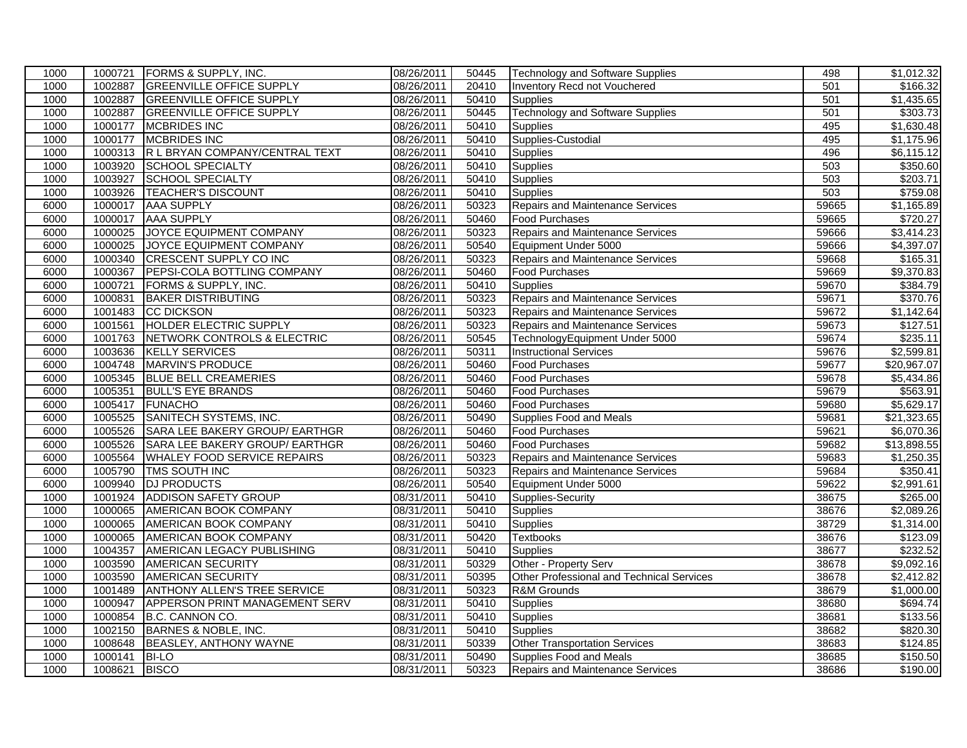| <b>GREENVILLE OFFICE SUPPLY</b><br>08/26/2011<br>1000<br>1002887<br>20410<br>501<br>Inventory Recd not Vouchered<br>1002887<br><b>GREENVILLE OFFICE SUPPLY</b><br>08/26/2011<br>1000<br>50410<br>501<br><b>Supplies</b><br>1002887<br><b>GREENVILLE OFFICE SUPPLY</b><br>08/26/2011<br><b>Technology and Software Supplies</b><br>501<br>1000<br>50445<br><b>MCBRIDES INC</b><br>495<br>1000<br>1000177<br>08/26/2011<br>50410<br><b>Supplies</b><br>1000177<br><b>MCBRIDES INC</b><br>08/26/2011<br>495<br>1000<br>50410<br>Supplies-Custodial<br>R L BRYAN COMPANY/CENTRAL TEXT<br>1000<br>1000313<br>08/26/2011<br>50410<br>496<br><b>Supplies</b><br>1003920<br>08/26/2011<br>503<br>1000<br>SCHOOL SPECIALTY<br>50410<br><b>Supplies</b><br>503<br>1003927<br><b>SCHOOL SPECIALTY</b><br>08/26/2011<br>50410<br>1000<br><b>Supplies</b><br>1003926<br><b>TEACHER'S DISCOUNT</b><br>08/26/2011<br>503<br>1000<br>50410<br><b>Supplies</b><br>1000017<br>08/26/2011<br>50323<br>59665<br>6000<br><b>AAA SUPPLY</b><br>Repairs and Maintenance Services<br>6000<br>1000017<br><b>AAA SUPPLY</b><br>08/26/2011<br>50460<br>59665<br><b>Food Purchases</b><br>Repairs and Maintenance Services<br>1000025<br>JOYCE EQUIPMENT COMPANY<br>08/26/2011<br>59666<br>6000<br>50323<br>1000025<br>JOYCE EQUIPMENT COMPANY<br>08/26/2011<br>50540<br>59666<br>6000<br>Equipment Under 5000<br>6000<br>1000340<br><b>CRESCENT SUPPLY CO INC</b><br>08/26/2011<br>50323<br>59668<br>Repairs and Maintenance Services<br>6000<br>1000367<br>PEPSI-COLA BOTTLING COMPANY<br>08/26/2011<br>59669<br>50460<br><b>Food Purchases</b><br>1000721<br>FORMS & SUPPLY, INC.<br>08/26/2011<br>50410<br>59670<br>6000<br><b>Supplies</b><br>1000831<br><b>BAKER DISTRIBUTING</b><br>08/26/2011<br>50323<br>59671<br>6000<br>Repairs and Maintenance Services<br>1001483<br><b>CC DICKSON</b><br>08/26/2011<br>50323<br>6000<br>Repairs and Maintenance Services<br>59672<br><b>HOLDER ELECTRIC SUPPLY</b><br>08/26/2011<br>6000<br>1001561<br>50323<br>59673<br>Repairs and Maintenance Services<br>1001763<br>NETWORK CONTROLS & ELECTRIC<br>08/26/2011<br>59674<br>6000<br>50545<br>TechnologyEquipment Under 5000<br>1003636<br><b>KELLY SERVICES</b><br>08/26/2011<br>50311<br>59676<br>6000<br><b>Instructional Services</b><br><b>MARVIN'S PRODUCE</b><br>6000<br>1004748<br>08/26/2011<br>50460<br><b>Food Purchases</b><br>59677<br>6000<br>1005345<br><b>BLUE BELL CREAMERIES</b><br>08/26/2011<br>50460<br><b>Food Purchases</b><br>59678<br>1005351<br><b>BULL'S EYE BRANDS</b><br>08/26/2011<br>50460<br>59679<br>6000<br><b>Food Purchases</b><br>1005417<br><b>FUNACHO</b><br>08/26/2011<br>50460<br>59680<br>6000<br><b>Food Purchases</b><br>SANITECH SYSTEMS, INC.<br>1005525<br>08/26/2011<br>6000<br>50490<br>Supplies Food and Meals<br>59681<br>1005526<br>SARA LEE BAKERY GROUP/ EARTHGR<br>08/26/2011<br>59621<br>6000<br>50460<br><b>Food Purchases</b><br>1005526<br>SARA LEE BAKERY GROUP/ EARTHGR<br>08/26/2011<br>59682<br>6000<br>50460<br><b>Food Purchases</b><br><b>WHALEY FOOD SERVICE REPAIRS</b><br>59683<br>6000<br>1005564<br>08/26/2011<br>50323<br>Repairs and Maintenance Services<br>6000<br>1005790<br>TMS SOUTH INC<br>08/26/2011<br>50323<br>Repairs and Maintenance Services<br>59684<br>1009940<br><b>DJ PRODUCTS</b><br>08/26/2011<br>59622<br>6000<br>50540<br>Equipment Under 5000<br><b>ADDISON SAFETY GROUP</b><br>1001924<br>08/31/2011<br>50410<br>Supplies-Security<br>38675<br>1000<br>08/31/2011<br>$\frac{1}{50410}$<br>38676<br>1000<br>1000065<br>AMERICAN BOOK COMPANY<br><b>Supplies</b><br>38729<br>1000<br>1000065<br>AMERICAN BOOK COMPANY<br>08/31/2011<br>50410<br><b>Supplies</b><br>1000<br>1000065<br>08/31/2011<br>50420<br>38676<br>AMERICAN BOOK COMPANY<br><b>Textbooks</b><br>08/31/2011<br>38677<br>1000<br>1004357<br>AMERICAN LEGACY PUBLISHING<br>50410<br>Supplies<br>1003590<br><b>AMERICAN SECURITY</b><br>08/31/2011<br>50329<br>Other - Property Serv<br>38678<br>1000<br>1003590<br><b>AMERICAN SECURITY</b><br>38678<br>1000<br>08/31/2011<br>50395<br>Other Professional and Technical Services<br>1001489<br>08/31/2011<br>50323<br><b>R&amp;M Grounds</b><br>38679<br>1000<br>ANTHONY ALLEN'S TREE SERVICE<br>1000<br>1000947<br>APPERSON PRINT MANAGEMENT SERV<br>08/31/2011<br>38680<br>50410<br>Supplies<br>38681<br>1000<br>1000854<br>B.C. CANNON CO.<br>08/31/2011<br>50410<br>Supplies<br>1002150<br>BARNES & NOBLE, INC.<br>38682<br>1000<br>08/31/2011<br>50410<br>Supplies<br>1000<br>1008648<br>BEASLEY, ANTHONY WAYNE<br>08/31/2011<br>50339<br>38683<br><b>Other Transportation Services</b><br>1000<br>38685<br>1000141<br><b>BI-LO</b><br>08/31/2011<br>50490<br>Supplies Food and Meals | 1000 | 1000721 | <b>FORMS &amp; SUPPLY, INC.</b> | 08/26/2011 | 50445 | <b>Technology and Software Supplies</b> | 498 | \$1,012.32 |
|----------------------------------------------------------------------------------------------------------------------------------------------------------------------------------------------------------------------------------------------------------------------------------------------------------------------------------------------------------------------------------------------------------------------------------------------------------------------------------------------------------------------------------------------------------------------------------------------------------------------------------------------------------------------------------------------------------------------------------------------------------------------------------------------------------------------------------------------------------------------------------------------------------------------------------------------------------------------------------------------------------------------------------------------------------------------------------------------------------------------------------------------------------------------------------------------------------------------------------------------------------------------------------------------------------------------------------------------------------------------------------------------------------------------------------------------------------------------------------------------------------------------------------------------------------------------------------------------------------------------------------------------------------------------------------------------------------------------------------------------------------------------------------------------------------------------------------------------------------------------------------------------------------------------------------------------------------------------------------------------------------------------------------------------------------------------------------------------------------------------------------------------------------------------------------------------------------------------------------------------------------------------------------------------------------------------------------------------------------------------------------------------------------------------------------------------------------------------------------------------------------------------------------------------------------------------------------------------------------------------------------------------------------------------------------------------------------------------------------------------------------------------------------------------------------------------------------------------------------------------------------------------------------------------------------------------------------------------------------------------------------------------------------------------------------------------------------------------------------------------------------------------------------------------------------------------------------------------------------------------------------------------------------------------------------------------------------------------------------------------------------------------------------------------------------------------------------------------------------------------------------------------------------------------------------------------------------------------------------------------------------------------------------------------------------------------------------------------------------------------------------------------------------------------------------------------------------------------------------------------------------------------------------------------------------------------------------------------------------------------------------------------------------------------------------------------------------------------------------------------------------------------------------------------------------------------------------------------------------------------------------------------------------------------------------------------------------------------------------------------------------------------------------------------------------------------------------------------------------------------------------------------------------------------------------------------------------------------------------------------------------------------------------------------------------------------------------------------------------------------------------------------------|------|---------|---------------------------------|------------|-------|-----------------------------------------|-----|------------|
| \$1,435.65<br>\$303.73<br>\$1,630.48<br>\$1,175.96<br>$\overline{$6,115.12}$<br>\$350.60<br>\$203.71<br>\$759.08<br>\$1,165.89<br>\$720.27<br>\$3,414.23<br>\$4,397.07<br>\$165.31<br>\$9,370.83<br>\$384.79<br>\$370.76<br>$\overline{1,142.64}$<br>\$127.51<br>\$235.11<br>\$2,599.81<br>\$20,967.07<br>\$5,434.86<br>\$563.91<br>\$5,629.17<br>$\overline{$21,323.65}$<br>\$6,070.36<br>$\overline{$13,898.55}$<br>\$1,250.35<br>$\overline{$}350.41$<br>\$2,991.61<br>\$265.00<br>\$2,089.26<br>\$1,314.00<br>\$123.09<br>\$232.52<br>\$9,092.16<br>\$2,412.82<br>\$1,000.00<br>\$694.74<br>\$133.56<br>\$820.30<br>\$124.85<br>\$150.50                                                                                                                                                                                                                                                                                                                                                                                                                                                                                                                                                                                                                                                                                                                                                                                                                                                                                                                                                                                                                                                                                                                                                                                                                                                                                                                                                                                                                                                                                                                                                                                                                                                                                                                                                                                                                                                                                                                                                                                                                                                                                                                                                                                                                                                                                                                                                                                                                                                                                                                                                                                                                                                                                                                                                                                                                                                                                                                                                                                                                                                                                                                                                                                                                                                                                                                                                                                                                                                                                                                                                                                                                                                                                                                                                                                                                                                                                                                                                                                                                                                                                                                               |      |         |                                 |            |       |                                         |     | \$166.32   |
|                                                                                                                                                                                                                                                                                                                                                                                                                                                                                                                                                                                                                                                                                                                                                                                                                                                                                                                                                                                                                                                                                                                                                                                                                                                                                                                                                                                                                                                                                                                                                                                                                                                                                                                                                                                                                                                                                                                                                                                                                                                                                                                                                                                                                                                                                                                                                                                                                                                                                                                                                                                                                                                                                                                                                                                                                                                                                                                                                                                                                                                                                                                                                                                                                                                                                                                                                                                                                                                                                                                                                                                                                                                                                                                                                                                                                                                                                                                                                                                                                                                                                                                                                                                                                                                                                                                                                                                                                                                                                                                                                                                                                                                                                                                                                                            |      |         |                                 |            |       |                                         |     |            |
|                                                                                                                                                                                                                                                                                                                                                                                                                                                                                                                                                                                                                                                                                                                                                                                                                                                                                                                                                                                                                                                                                                                                                                                                                                                                                                                                                                                                                                                                                                                                                                                                                                                                                                                                                                                                                                                                                                                                                                                                                                                                                                                                                                                                                                                                                                                                                                                                                                                                                                                                                                                                                                                                                                                                                                                                                                                                                                                                                                                                                                                                                                                                                                                                                                                                                                                                                                                                                                                                                                                                                                                                                                                                                                                                                                                                                                                                                                                                                                                                                                                                                                                                                                                                                                                                                                                                                                                                                                                                                                                                                                                                                                                                                                                                                                            |      |         |                                 |            |       |                                         |     |            |
|                                                                                                                                                                                                                                                                                                                                                                                                                                                                                                                                                                                                                                                                                                                                                                                                                                                                                                                                                                                                                                                                                                                                                                                                                                                                                                                                                                                                                                                                                                                                                                                                                                                                                                                                                                                                                                                                                                                                                                                                                                                                                                                                                                                                                                                                                                                                                                                                                                                                                                                                                                                                                                                                                                                                                                                                                                                                                                                                                                                                                                                                                                                                                                                                                                                                                                                                                                                                                                                                                                                                                                                                                                                                                                                                                                                                                                                                                                                                                                                                                                                                                                                                                                                                                                                                                                                                                                                                                                                                                                                                                                                                                                                                                                                                                                            |      |         |                                 |            |       |                                         |     |            |
|                                                                                                                                                                                                                                                                                                                                                                                                                                                                                                                                                                                                                                                                                                                                                                                                                                                                                                                                                                                                                                                                                                                                                                                                                                                                                                                                                                                                                                                                                                                                                                                                                                                                                                                                                                                                                                                                                                                                                                                                                                                                                                                                                                                                                                                                                                                                                                                                                                                                                                                                                                                                                                                                                                                                                                                                                                                                                                                                                                                                                                                                                                                                                                                                                                                                                                                                                                                                                                                                                                                                                                                                                                                                                                                                                                                                                                                                                                                                                                                                                                                                                                                                                                                                                                                                                                                                                                                                                                                                                                                                                                                                                                                                                                                                                                            |      |         |                                 |            |       |                                         |     |            |
|                                                                                                                                                                                                                                                                                                                                                                                                                                                                                                                                                                                                                                                                                                                                                                                                                                                                                                                                                                                                                                                                                                                                                                                                                                                                                                                                                                                                                                                                                                                                                                                                                                                                                                                                                                                                                                                                                                                                                                                                                                                                                                                                                                                                                                                                                                                                                                                                                                                                                                                                                                                                                                                                                                                                                                                                                                                                                                                                                                                                                                                                                                                                                                                                                                                                                                                                                                                                                                                                                                                                                                                                                                                                                                                                                                                                                                                                                                                                                                                                                                                                                                                                                                                                                                                                                                                                                                                                                                                                                                                                                                                                                                                                                                                                                                            |      |         |                                 |            |       |                                         |     |            |
|                                                                                                                                                                                                                                                                                                                                                                                                                                                                                                                                                                                                                                                                                                                                                                                                                                                                                                                                                                                                                                                                                                                                                                                                                                                                                                                                                                                                                                                                                                                                                                                                                                                                                                                                                                                                                                                                                                                                                                                                                                                                                                                                                                                                                                                                                                                                                                                                                                                                                                                                                                                                                                                                                                                                                                                                                                                                                                                                                                                                                                                                                                                                                                                                                                                                                                                                                                                                                                                                                                                                                                                                                                                                                                                                                                                                                                                                                                                                                                                                                                                                                                                                                                                                                                                                                                                                                                                                                                                                                                                                                                                                                                                                                                                                                                            |      |         |                                 |            |       |                                         |     |            |
|                                                                                                                                                                                                                                                                                                                                                                                                                                                                                                                                                                                                                                                                                                                                                                                                                                                                                                                                                                                                                                                                                                                                                                                                                                                                                                                                                                                                                                                                                                                                                                                                                                                                                                                                                                                                                                                                                                                                                                                                                                                                                                                                                                                                                                                                                                                                                                                                                                                                                                                                                                                                                                                                                                                                                                                                                                                                                                                                                                                                                                                                                                                                                                                                                                                                                                                                                                                                                                                                                                                                                                                                                                                                                                                                                                                                                                                                                                                                                                                                                                                                                                                                                                                                                                                                                                                                                                                                                                                                                                                                                                                                                                                                                                                                                                            |      |         |                                 |            |       |                                         |     |            |
|                                                                                                                                                                                                                                                                                                                                                                                                                                                                                                                                                                                                                                                                                                                                                                                                                                                                                                                                                                                                                                                                                                                                                                                                                                                                                                                                                                                                                                                                                                                                                                                                                                                                                                                                                                                                                                                                                                                                                                                                                                                                                                                                                                                                                                                                                                                                                                                                                                                                                                                                                                                                                                                                                                                                                                                                                                                                                                                                                                                                                                                                                                                                                                                                                                                                                                                                                                                                                                                                                                                                                                                                                                                                                                                                                                                                                                                                                                                                                                                                                                                                                                                                                                                                                                                                                                                                                                                                                                                                                                                                                                                                                                                                                                                                                                            |      |         |                                 |            |       |                                         |     |            |
|                                                                                                                                                                                                                                                                                                                                                                                                                                                                                                                                                                                                                                                                                                                                                                                                                                                                                                                                                                                                                                                                                                                                                                                                                                                                                                                                                                                                                                                                                                                                                                                                                                                                                                                                                                                                                                                                                                                                                                                                                                                                                                                                                                                                                                                                                                                                                                                                                                                                                                                                                                                                                                                                                                                                                                                                                                                                                                                                                                                                                                                                                                                                                                                                                                                                                                                                                                                                                                                                                                                                                                                                                                                                                                                                                                                                                                                                                                                                                                                                                                                                                                                                                                                                                                                                                                                                                                                                                                                                                                                                                                                                                                                                                                                                                                            |      |         |                                 |            |       |                                         |     |            |
|                                                                                                                                                                                                                                                                                                                                                                                                                                                                                                                                                                                                                                                                                                                                                                                                                                                                                                                                                                                                                                                                                                                                                                                                                                                                                                                                                                                                                                                                                                                                                                                                                                                                                                                                                                                                                                                                                                                                                                                                                                                                                                                                                                                                                                                                                                                                                                                                                                                                                                                                                                                                                                                                                                                                                                                                                                                                                                                                                                                                                                                                                                                                                                                                                                                                                                                                                                                                                                                                                                                                                                                                                                                                                                                                                                                                                                                                                                                                                                                                                                                                                                                                                                                                                                                                                                                                                                                                                                                                                                                                                                                                                                                                                                                                                                            |      |         |                                 |            |       |                                         |     |            |
|                                                                                                                                                                                                                                                                                                                                                                                                                                                                                                                                                                                                                                                                                                                                                                                                                                                                                                                                                                                                                                                                                                                                                                                                                                                                                                                                                                                                                                                                                                                                                                                                                                                                                                                                                                                                                                                                                                                                                                                                                                                                                                                                                                                                                                                                                                                                                                                                                                                                                                                                                                                                                                                                                                                                                                                                                                                                                                                                                                                                                                                                                                                                                                                                                                                                                                                                                                                                                                                                                                                                                                                                                                                                                                                                                                                                                                                                                                                                                                                                                                                                                                                                                                                                                                                                                                                                                                                                                                                                                                                                                                                                                                                                                                                                                                            |      |         |                                 |            |       |                                         |     |            |
|                                                                                                                                                                                                                                                                                                                                                                                                                                                                                                                                                                                                                                                                                                                                                                                                                                                                                                                                                                                                                                                                                                                                                                                                                                                                                                                                                                                                                                                                                                                                                                                                                                                                                                                                                                                                                                                                                                                                                                                                                                                                                                                                                                                                                                                                                                                                                                                                                                                                                                                                                                                                                                                                                                                                                                                                                                                                                                                                                                                                                                                                                                                                                                                                                                                                                                                                                                                                                                                                                                                                                                                                                                                                                                                                                                                                                                                                                                                                                                                                                                                                                                                                                                                                                                                                                                                                                                                                                                                                                                                                                                                                                                                                                                                                                                            |      |         |                                 |            |       |                                         |     |            |
|                                                                                                                                                                                                                                                                                                                                                                                                                                                                                                                                                                                                                                                                                                                                                                                                                                                                                                                                                                                                                                                                                                                                                                                                                                                                                                                                                                                                                                                                                                                                                                                                                                                                                                                                                                                                                                                                                                                                                                                                                                                                                                                                                                                                                                                                                                                                                                                                                                                                                                                                                                                                                                                                                                                                                                                                                                                                                                                                                                                                                                                                                                                                                                                                                                                                                                                                                                                                                                                                                                                                                                                                                                                                                                                                                                                                                                                                                                                                                                                                                                                                                                                                                                                                                                                                                                                                                                                                                                                                                                                                                                                                                                                                                                                                                                            |      |         |                                 |            |       |                                         |     |            |
|                                                                                                                                                                                                                                                                                                                                                                                                                                                                                                                                                                                                                                                                                                                                                                                                                                                                                                                                                                                                                                                                                                                                                                                                                                                                                                                                                                                                                                                                                                                                                                                                                                                                                                                                                                                                                                                                                                                                                                                                                                                                                                                                                                                                                                                                                                                                                                                                                                                                                                                                                                                                                                                                                                                                                                                                                                                                                                                                                                                                                                                                                                                                                                                                                                                                                                                                                                                                                                                                                                                                                                                                                                                                                                                                                                                                                                                                                                                                                                                                                                                                                                                                                                                                                                                                                                                                                                                                                                                                                                                                                                                                                                                                                                                                                                            |      |         |                                 |            |       |                                         |     |            |
|                                                                                                                                                                                                                                                                                                                                                                                                                                                                                                                                                                                                                                                                                                                                                                                                                                                                                                                                                                                                                                                                                                                                                                                                                                                                                                                                                                                                                                                                                                                                                                                                                                                                                                                                                                                                                                                                                                                                                                                                                                                                                                                                                                                                                                                                                                                                                                                                                                                                                                                                                                                                                                                                                                                                                                                                                                                                                                                                                                                                                                                                                                                                                                                                                                                                                                                                                                                                                                                                                                                                                                                                                                                                                                                                                                                                                                                                                                                                                                                                                                                                                                                                                                                                                                                                                                                                                                                                                                                                                                                                                                                                                                                                                                                                                                            |      |         |                                 |            |       |                                         |     |            |
|                                                                                                                                                                                                                                                                                                                                                                                                                                                                                                                                                                                                                                                                                                                                                                                                                                                                                                                                                                                                                                                                                                                                                                                                                                                                                                                                                                                                                                                                                                                                                                                                                                                                                                                                                                                                                                                                                                                                                                                                                                                                                                                                                                                                                                                                                                                                                                                                                                                                                                                                                                                                                                                                                                                                                                                                                                                                                                                                                                                                                                                                                                                                                                                                                                                                                                                                                                                                                                                                                                                                                                                                                                                                                                                                                                                                                                                                                                                                                                                                                                                                                                                                                                                                                                                                                                                                                                                                                                                                                                                                                                                                                                                                                                                                                                            |      |         |                                 |            |       |                                         |     |            |
|                                                                                                                                                                                                                                                                                                                                                                                                                                                                                                                                                                                                                                                                                                                                                                                                                                                                                                                                                                                                                                                                                                                                                                                                                                                                                                                                                                                                                                                                                                                                                                                                                                                                                                                                                                                                                                                                                                                                                                                                                                                                                                                                                                                                                                                                                                                                                                                                                                                                                                                                                                                                                                                                                                                                                                                                                                                                                                                                                                                                                                                                                                                                                                                                                                                                                                                                                                                                                                                                                                                                                                                                                                                                                                                                                                                                                                                                                                                                                                                                                                                                                                                                                                                                                                                                                                                                                                                                                                                                                                                                                                                                                                                                                                                                                                            |      |         |                                 |            |       |                                         |     |            |
|                                                                                                                                                                                                                                                                                                                                                                                                                                                                                                                                                                                                                                                                                                                                                                                                                                                                                                                                                                                                                                                                                                                                                                                                                                                                                                                                                                                                                                                                                                                                                                                                                                                                                                                                                                                                                                                                                                                                                                                                                                                                                                                                                                                                                                                                                                                                                                                                                                                                                                                                                                                                                                                                                                                                                                                                                                                                                                                                                                                                                                                                                                                                                                                                                                                                                                                                                                                                                                                                                                                                                                                                                                                                                                                                                                                                                                                                                                                                                                                                                                                                                                                                                                                                                                                                                                                                                                                                                                                                                                                                                                                                                                                                                                                                                                            |      |         |                                 |            |       |                                         |     |            |
|                                                                                                                                                                                                                                                                                                                                                                                                                                                                                                                                                                                                                                                                                                                                                                                                                                                                                                                                                                                                                                                                                                                                                                                                                                                                                                                                                                                                                                                                                                                                                                                                                                                                                                                                                                                                                                                                                                                                                                                                                                                                                                                                                                                                                                                                                                                                                                                                                                                                                                                                                                                                                                                                                                                                                                                                                                                                                                                                                                                                                                                                                                                                                                                                                                                                                                                                                                                                                                                                                                                                                                                                                                                                                                                                                                                                                                                                                                                                                                                                                                                                                                                                                                                                                                                                                                                                                                                                                                                                                                                                                                                                                                                                                                                                                                            |      |         |                                 |            |       |                                         |     |            |
|                                                                                                                                                                                                                                                                                                                                                                                                                                                                                                                                                                                                                                                                                                                                                                                                                                                                                                                                                                                                                                                                                                                                                                                                                                                                                                                                                                                                                                                                                                                                                                                                                                                                                                                                                                                                                                                                                                                                                                                                                                                                                                                                                                                                                                                                                                                                                                                                                                                                                                                                                                                                                                                                                                                                                                                                                                                                                                                                                                                                                                                                                                                                                                                                                                                                                                                                                                                                                                                                                                                                                                                                                                                                                                                                                                                                                                                                                                                                                                                                                                                                                                                                                                                                                                                                                                                                                                                                                                                                                                                                                                                                                                                                                                                                                                            |      |         |                                 |            |       |                                         |     |            |
|                                                                                                                                                                                                                                                                                                                                                                                                                                                                                                                                                                                                                                                                                                                                                                                                                                                                                                                                                                                                                                                                                                                                                                                                                                                                                                                                                                                                                                                                                                                                                                                                                                                                                                                                                                                                                                                                                                                                                                                                                                                                                                                                                                                                                                                                                                                                                                                                                                                                                                                                                                                                                                                                                                                                                                                                                                                                                                                                                                                                                                                                                                                                                                                                                                                                                                                                                                                                                                                                                                                                                                                                                                                                                                                                                                                                                                                                                                                                                                                                                                                                                                                                                                                                                                                                                                                                                                                                                                                                                                                                                                                                                                                                                                                                                                            |      |         |                                 |            |       |                                         |     |            |
|                                                                                                                                                                                                                                                                                                                                                                                                                                                                                                                                                                                                                                                                                                                                                                                                                                                                                                                                                                                                                                                                                                                                                                                                                                                                                                                                                                                                                                                                                                                                                                                                                                                                                                                                                                                                                                                                                                                                                                                                                                                                                                                                                                                                                                                                                                                                                                                                                                                                                                                                                                                                                                                                                                                                                                                                                                                                                                                                                                                                                                                                                                                                                                                                                                                                                                                                                                                                                                                                                                                                                                                                                                                                                                                                                                                                                                                                                                                                                                                                                                                                                                                                                                                                                                                                                                                                                                                                                                                                                                                                                                                                                                                                                                                                                                            |      |         |                                 |            |       |                                         |     |            |
|                                                                                                                                                                                                                                                                                                                                                                                                                                                                                                                                                                                                                                                                                                                                                                                                                                                                                                                                                                                                                                                                                                                                                                                                                                                                                                                                                                                                                                                                                                                                                                                                                                                                                                                                                                                                                                                                                                                                                                                                                                                                                                                                                                                                                                                                                                                                                                                                                                                                                                                                                                                                                                                                                                                                                                                                                                                                                                                                                                                                                                                                                                                                                                                                                                                                                                                                                                                                                                                                                                                                                                                                                                                                                                                                                                                                                                                                                                                                                                                                                                                                                                                                                                                                                                                                                                                                                                                                                                                                                                                                                                                                                                                                                                                                                                            |      |         |                                 |            |       |                                         |     |            |
|                                                                                                                                                                                                                                                                                                                                                                                                                                                                                                                                                                                                                                                                                                                                                                                                                                                                                                                                                                                                                                                                                                                                                                                                                                                                                                                                                                                                                                                                                                                                                                                                                                                                                                                                                                                                                                                                                                                                                                                                                                                                                                                                                                                                                                                                                                                                                                                                                                                                                                                                                                                                                                                                                                                                                                                                                                                                                                                                                                                                                                                                                                                                                                                                                                                                                                                                                                                                                                                                                                                                                                                                                                                                                                                                                                                                                                                                                                                                                                                                                                                                                                                                                                                                                                                                                                                                                                                                                                                                                                                                                                                                                                                                                                                                                                            |      |         |                                 |            |       |                                         |     |            |
|                                                                                                                                                                                                                                                                                                                                                                                                                                                                                                                                                                                                                                                                                                                                                                                                                                                                                                                                                                                                                                                                                                                                                                                                                                                                                                                                                                                                                                                                                                                                                                                                                                                                                                                                                                                                                                                                                                                                                                                                                                                                                                                                                                                                                                                                                                                                                                                                                                                                                                                                                                                                                                                                                                                                                                                                                                                                                                                                                                                                                                                                                                                                                                                                                                                                                                                                                                                                                                                                                                                                                                                                                                                                                                                                                                                                                                                                                                                                                                                                                                                                                                                                                                                                                                                                                                                                                                                                                                                                                                                                                                                                                                                                                                                                                                            |      |         |                                 |            |       |                                         |     |            |
|                                                                                                                                                                                                                                                                                                                                                                                                                                                                                                                                                                                                                                                                                                                                                                                                                                                                                                                                                                                                                                                                                                                                                                                                                                                                                                                                                                                                                                                                                                                                                                                                                                                                                                                                                                                                                                                                                                                                                                                                                                                                                                                                                                                                                                                                                                                                                                                                                                                                                                                                                                                                                                                                                                                                                                                                                                                                                                                                                                                                                                                                                                                                                                                                                                                                                                                                                                                                                                                                                                                                                                                                                                                                                                                                                                                                                                                                                                                                                                                                                                                                                                                                                                                                                                                                                                                                                                                                                                                                                                                                                                                                                                                                                                                                                                            |      |         |                                 |            |       |                                         |     |            |
|                                                                                                                                                                                                                                                                                                                                                                                                                                                                                                                                                                                                                                                                                                                                                                                                                                                                                                                                                                                                                                                                                                                                                                                                                                                                                                                                                                                                                                                                                                                                                                                                                                                                                                                                                                                                                                                                                                                                                                                                                                                                                                                                                                                                                                                                                                                                                                                                                                                                                                                                                                                                                                                                                                                                                                                                                                                                                                                                                                                                                                                                                                                                                                                                                                                                                                                                                                                                                                                                                                                                                                                                                                                                                                                                                                                                                                                                                                                                                                                                                                                                                                                                                                                                                                                                                                                                                                                                                                                                                                                                                                                                                                                                                                                                                                            |      |         |                                 |            |       |                                         |     |            |
|                                                                                                                                                                                                                                                                                                                                                                                                                                                                                                                                                                                                                                                                                                                                                                                                                                                                                                                                                                                                                                                                                                                                                                                                                                                                                                                                                                                                                                                                                                                                                                                                                                                                                                                                                                                                                                                                                                                                                                                                                                                                                                                                                                                                                                                                                                                                                                                                                                                                                                                                                                                                                                                                                                                                                                                                                                                                                                                                                                                                                                                                                                                                                                                                                                                                                                                                                                                                                                                                                                                                                                                                                                                                                                                                                                                                                                                                                                                                                                                                                                                                                                                                                                                                                                                                                                                                                                                                                                                                                                                                                                                                                                                                                                                                                                            |      |         |                                 |            |       |                                         |     |            |
|                                                                                                                                                                                                                                                                                                                                                                                                                                                                                                                                                                                                                                                                                                                                                                                                                                                                                                                                                                                                                                                                                                                                                                                                                                                                                                                                                                                                                                                                                                                                                                                                                                                                                                                                                                                                                                                                                                                                                                                                                                                                                                                                                                                                                                                                                                                                                                                                                                                                                                                                                                                                                                                                                                                                                                                                                                                                                                                                                                                                                                                                                                                                                                                                                                                                                                                                                                                                                                                                                                                                                                                                                                                                                                                                                                                                                                                                                                                                                                                                                                                                                                                                                                                                                                                                                                                                                                                                                                                                                                                                                                                                                                                                                                                                                                            |      |         |                                 |            |       |                                         |     |            |
|                                                                                                                                                                                                                                                                                                                                                                                                                                                                                                                                                                                                                                                                                                                                                                                                                                                                                                                                                                                                                                                                                                                                                                                                                                                                                                                                                                                                                                                                                                                                                                                                                                                                                                                                                                                                                                                                                                                                                                                                                                                                                                                                                                                                                                                                                                                                                                                                                                                                                                                                                                                                                                                                                                                                                                                                                                                                                                                                                                                                                                                                                                                                                                                                                                                                                                                                                                                                                                                                                                                                                                                                                                                                                                                                                                                                                                                                                                                                                                                                                                                                                                                                                                                                                                                                                                                                                                                                                                                                                                                                                                                                                                                                                                                                                                            |      |         |                                 |            |       |                                         |     |            |
|                                                                                                                                                                                                                                                                                                                                                                                                                                                                                                                                                                                                                                                                                                                                                                                                                                                                                                                                                                                                                                                                                                                                                                                                                                                                                                                                                                                                                                                                                                                                                                                                                                                                                                                                                                                                                                                                                                                                                                                                                                                                                                                                                                                                                                                                                                                                                                                                                                                                                                                                                                                                                                                                                                                                                                                                                                                                                                                                                                                                                                                                                                                                                                                                                                                                                                                                                                                                                                                                                                                                                                                                                                                                                                                                                                                                                                                                                                                                                                                                                                                                                                                                                                                                                                                                                                                                                                                                                                                                                                                                                                                                                                                                                                                                                                            |      |         |                                 |            |       |                                         |     |            |
|                                                                                                                                                                                                                                                                                                                                                                                                                                                                                                                                                                                                                                                                                                                                                                                                                                                                                                                                                                                                                                                                                                                                                                                                                                                                                                                                                                                                                                                                                                                                                                                                                                                                                                                                                                                                                                                                                                                                                                                                                                                                                                                                                                                                                                                                                                                                                                                                                                                                                                                                                                                                                                                                                                                                                                                                                                                                                                                                                                                                                                                                                                                                                                                                                                                                                                                                                                                                                                                                                                                                                                                                                                                                                                                                                                                                                                                                                                                                                                                                                                                                                                                                                                                                                                                                                                                                                                                                                                                                                                                                                                                                                                                                                                                                                                            |      |         |                                 |            |       |                                         |     |            |
|                                                                                                                                                                                                                                                                                                                                                                                                                                                                                                                                                                                                                                                                                                                                                                                                                                                                                                                                                                                                                                                                                                                                                                                                                                                                                                                                                                                                                                                                                                                                                                                                                                                                                                                                                                                                                                                                                                                                                                                                                                                                                                                                                                                                                                                                                                                                                                                                                                                                                                                                                                                                                                                                                                                                                                                                                                                                                                                                                                                                                                                                                                                                                                                                                                                                                                                                                                                                                                                                                                                                                                                                                                                                                                                                                                                                                                                                                                                                                                                                                                                                                                                                                                                                                                                                                                                                                                                                                                                                                                                                                                                                                                                                                                                                                                            |      |         |                                 |            |       |                                         |     |            |
|                                                                                                                                                                                                                                                                                                                                                                                                                                                                                                                                                                                                                                                                                                                                                                                                                                                                                                                                                                                                                                                                                                                                                                                                                                                                                                                                                                                                                                                                                                                                                                                                                                                                                                                                                                                                                                                                                                                                                                                                                                                                                                                                                                                                                                                                                                                                                                                                                                                                                                                                                                                                                                                                                                                                                                                                                                                                                                                                                                                                                                                                                                                                                                                                                                                                                                                                                                                                                                                                                                                                                                                                                                                                                                                                                                                                                                                                                                                                                                                                                                                                                                                                                                                                                                                                                                                                                                                                                                                                                                                                                                                                                                                                                                                                                                            |      |         |                                 |            |       |                                         |     |            |
|                                                                                                                                                                                                                                                                                                                                                                                                                                                                                                                                                                                                                                                                                                                                                                                                                                                                                                                                                                                                                                                                                                                                                                                                                                                                                                                                                                                                                                                                                                                                                                                                                                                                                                                                                                                                                                                                                                                                                                                                                                                                                                                                                                                                                                                                                                                                                                                                                                                                                                                                                                                                                                                                                                                                                                                                                                                                                                                                                                                                                                                                                                                                                                                                                                                                                                                                                                                                                                                                                                                                                                                                                                                                                                                                                                                                                                                                                                                                                                                                                                                                                                                                                                                                                                                                                                                                                                                                                                                                                                                                                                                                                                                                                                                                                                            |      |         |                                 |            |       |                                         |     |            |
|                                                                                                                                                                                                                                                                                                                                                                                                                                                                                                                                                                                                                                                                                                                                                                                                                                                                                                                                                                                                                                                                                                                                                                                                                                                                                                                                                                                                                                                                                                                                                                                                                                                                                                                                                                                                                                                                                                                                                                                                                                                                                                                                                                                                                                                                                                                                                                                                                                                                                                                                                                                                                                                                                                                                                                                                                                                                                                                                                                                                                                                                                                                                                                                                                                                                                                                                                                                                                                                                                                                                                                                                                                                                                                                                                                                                                                                                                                                                                                                                                                                                                                                                                                                                                                                                                                                                                                                                                                                                                                                                                                                                                                                                                                                                                                            |      |         |                                 |            |       |                                         |     |            |
|                                                                                                                                                                                                                                                                                                                                                                                                                                                                                                                                                                                                                                                                                                                                                                                                                                                                                                                                                                                                                                                                                                                                                                                                                                                                                                                                                                                                                                                                                                                                                                                                                                                                                                                                                                                                                                                                                                                                                                                                                                                                                                                                                                                                                                                                                                                                                                                                                                                                                                                                                                                                                                                                                                                                                                                                                                                                                                                                                                                                                                                                                                                                                                                                                                                                                                                                                                                                                                                                                                                                                                                                                                                                                                                                                                                                                                                                                                                                                                                                                                                                                                                                                                                                                                                                                                                                                                                                                                                                                                                                                                                                                                                                                                                                                                            |      |         |                                 |            |       |                                         |     |            |
|                                                                                                                                                                                                                                                                                                                                                                                                                                                                                                                                                                                                                                                                                                                                                                                                                                                                                                                                                                                                                                                                                                                                                                                                                                                                                                                                                                                                                                                                                                                                                                                                                                                                                                                                                                                                                                                                                                                                                                                                                                                                                                                                                                                                                                                                                                                                                                                                                                                                                                                                                                                                                                                                                                                                                                                                                                                                                                                                                                                                                                                                                                                                                                                                                                                                                                                                                                                                                                                                                                                                                                                                                                                                                                                                                                                                                                                                                                                                                                                                                                                                                                                                                                                                                                                                                                                                                                                                                                                                                                                                                                                                                                                                                                                                                                            |      |         |                                 |            |       |                                         |     |            |
|                                                                                                                                                                                                                                                                                                                                                                                                                                                                                                                                                                                                                                                                                                                                                                                                                                                                                                                                                                                                                                                                                                                                                                                                                                                                                                                                                                                                                                                                                                                                                                                                                                                                                                                                                                                                                                                                                                                                                                                                                                                                                                                                                                                                                                                                                                                                                                                                                                                                                                                                                                                                                                                                                                                                                                                                                                                                                                                                                                                                                                                                                                                                                                                                                                                                                                                                                                                                                                                                                                                                                                                                                                                                                                                                                                                                                                                                                                                                                                                                                                                                                                                                                                                                                                                                                                                                                                                                                                                                                                                                                                                                                                                                                                                                                                            |      |         |                                 |            |       |                                         |     |            |
|                                                                                                                                                                                                                                                                                                                                                                                                                                                                                                                                                                                                                                                                                                                                                                                                                                                                                                                                                                                                                                                                                                                                                                                                                                                                                                                                                                                                                                                                                                                                                                                                                                                                                                                                                                                                                                                                                                                                                                                                                                                                                                                                                                                                                                                                                                                                                                                                                                                                                                                                                                                                                                                                                                                                                                                                                                                                                                                                                                                                                                                                                                                                                                                                                                                                                                                                                                                                                                                                                                                                                                                                                                                                                                                                                                                                                                                                                                                                                                                                                                                                                                                                                                                                                                                                                                                                                                                                                                                                                                                                                                                                                                                                                                                                                                            |      |         |                                 |            |       |                                         |     |            |
|                                                                                                                                                                                                                                                                                                                                                                                                                                                                                                                                                                                                                                                                                                                                                                                                                                                                                                                                                                                                                                                                                                                                                                                                                                                                                                                                                                                                                                                                                                                                                                                                                                                                                                                                                                                                                                                                                                                                                                                                                                                                                                                                                                                                                                                                                                                                                                                                                                                                                                                                                                                                                                                                                                                                                                                                                                                                                                                                                                                                                                                                                                                                                                                                                                                                                                                                                                                                                                                                                                                                                                                                                                                                                                                                                                                                                                                                                                                                                                                                                                                                                                                                                                                                                                                                                                                                                                                                                                                                                                                                                                                                                                                                                                                                                                            |      |         |                                 |            |       |                                         |     |            |
|                                                                                                                                                                                                                                                                                                                                                                                                                                                                                                                                                                                                                                                                                                                                                                                                                                                                                                                                                                                                                                                                                                                                                                                                                                                                                                                                                                                                                                                                                                                                                                                                                                                                                                                                                                                                                                                                                                                                                                                                                                                                                                                                                                                                                                                                                                                                                                                                                                                                                                                                                                                                                                                                                                                                                                                                                                                                                                                                                                                                                                                                                                                                                                                                                                                                                                                                                                                                                                                                                                                                                                                                                                                                                                                                                                                                                                                                                                                                                                                                                                                                                                                                                                                                                                                                                                                                                                                                                                                                                                                                                                                                                                                                                                                                                                            |      |         |                                 |            |       |                                         |     |            |
|                                                                                                                                                                                                                                                                                                                                                                                                                                                                                                                                                                                                                                                                                                                                                                                                                                                                                                                                                                                                                                                                                                                                                                                                                                                                                                                                                                                                                                                                                                                                                                                                                                                                                                                                                                                                                                                                                                                                                                                                                                                                                                                                                                                                                                                                                                                                                                                                                                                                                                                                                                                                                                                                                                                                                                                                                                                                                                                                                                                                                                                                                                                                                                                                                                                                                                                                                                                                                                                                                                                                                                                                                                                                                                                                                                                                                                                                                                                                                                                                                                                                                                                                                                                                                                                                                                                                                                                                                                                                                                                                                                                                                                                                                                                                                                            |      |         |                                 |            |       |                                         |     |            |
| 1008621<br><b>BISCO</b><br>38686<br>1000<br>08/31/2011<br>50323<br><b>Repairs and Maintenance Services</b><br>\$190.00                                                                                                                                                                                                                                                                                                                                                                                                                                                                                                                                                                                                                                                                                                                                                                                                                                                                                                                                                                                                                                                                                                                                                                                                                                                                                                                                                                                                                                                                                                                                                                                                                                                                                                                                                                                                                                                                                                                                                                                                                                                                                                                                                                                                                                                                                                                                                                                                                                                                                                                                                                                                                                                                                                                                                                                                                                                                                                                                                                                                                                                                                                                                                                                                                                                                                                                                                                                                                                                                                                                                                                                                                                                                                                                                                                                                                                                                                                                                                                                                                                                                                                                                                                                                                                                                                                                                                                                                                                                                                                                                                                                                                                                     |      |         |                                 |            |       |                                         |     |            |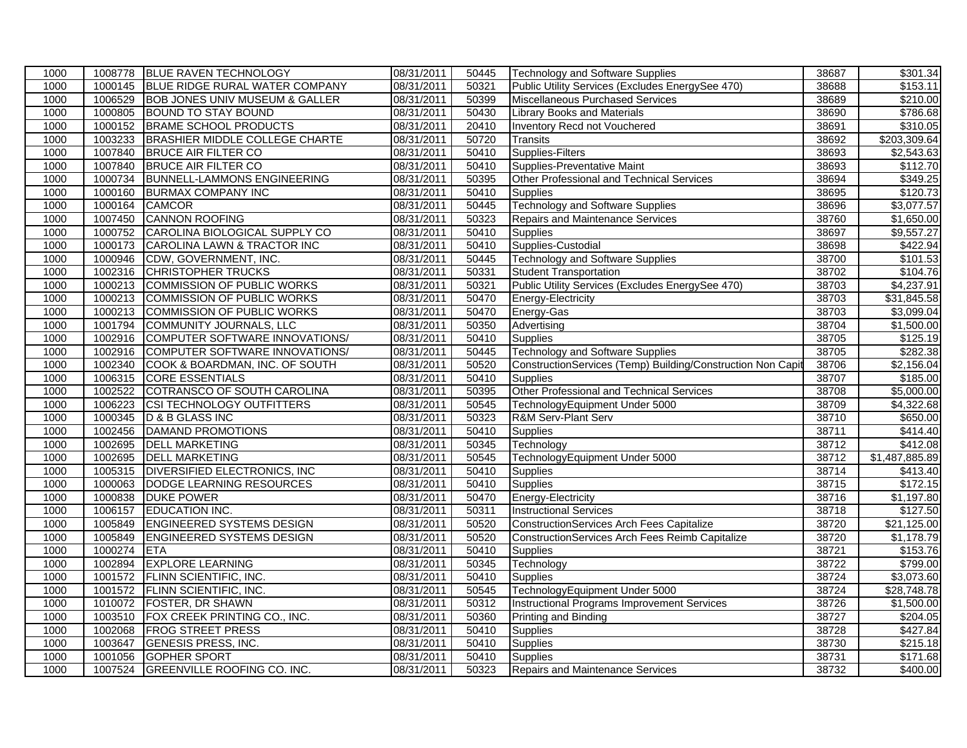| 1000<br>1000145<br>BLUE RIDGE RURAL WATER COMPANY<br>08/31/2011<br>50321<br>Public Utility Services (Excludes EnergySee 470)<br>38688<br>1006529<br>1000<br><b>BOB JONES UNIV MUSEUM &amp; GALLER</b><br>08/31/2011<br>50399<br><b>Miscellaneous Purchased Services</b><br>38689<br>1000805<br><b>BOUND TO STAY BOUND</b><br>08/31/2011<br>1000<br>50430<br><b>Library Books and Materials</b><br>38690<br>1000152<br><b>BRAME SCHOOL PRODUCTS</b><br>08/31/2011<br>Inventory Recd not Vouchered<br>1000<br>20410<br>38691<br>1003233<br>BRASHIER MIDDLE COLLEGE CHARTE<br>08/31/2011<br>50720<br>1000<br>Transits<br>38692<br><b>Supplies-Filters</b><br>1000<br>1007840<br><b>BRUCE AIR FILTER CO</b><br>08/31/2011<br>50410<br>38693<br>1007840<br><b>BRUCE AIR FILTER CO</b><br>08/31/2011<br><b>Supplies-Preventative Maint</b><br>1000<br>50410<br>38693<br>1000734<br><b>BUNNELL-LAMMONS ENGINEERING</b><br>08/31/2011<br>50395<br>Other Professional and Technical Services<br>38694<br>1000<br>08/31/2011<br>50410<br>38695<br>1000<br>1000160<br><b>BURMAX COMPANY INC</b><br><b>Supplies</b><br>1000<br>1000164<br><b>CAMCOR</b><br>08/31/2011<br>50445<br><b>Technology and Software Supplies</b><br>38696<br><b>CANNON ROOFING</b><br>1007450<br>08/31/2011<br>50323<br><b>Repairs and Maintenance Services</b><br>1000<br>38760<br>1000752<br>CAROLINA BIOLOGICAL SUPPLY CO<br>08/31/2011<br>38697<br>1000<br>50410<br>Supplies<br>1000173<br>CAROLINA LAWN & TRACTOR INC<br>08/31/2011<br>50410<br>Supplies-Custodial<br>38698<br>1000<br><b>Technology and Software Supplies</b><br>1000<br>1000946<br>CDW, GOVERNMENT, INC.<br>08/31/2011<br>50445<br>38700<br>1000<br>1002316<br><b>CHRISTOPHER TRUCKS</b><br>08/31/2011<br>50331<br>38702<br><b>Student Transportation</b><br>1000213<br><b>COMMISSION OF PUBLIC WORKS</b><br>08/31/2011<br>Public Utility Services (Excludes EnergySee 470)<br>38703<br>1000<br>50321<br><b>COMMISSION OF PUBLIC WORKS</b><br>08/31/2011<br>38703<br>1000<br>1000213<br>50470<br>Energy-Electricity<br>1000213<br><b>COMMISSION OF PUBLIC WORKS</b><br>08/31/2011<br>50470<br>38703<br>1000<br>Energy-Gas<br>1000<br>1001794<br><b>COMMUNITY JOURNALS, LLC</b><br>08/31/2011<br>50350<br>38704<br>Advertising<br>1002916<br>COMPUTER SOFTWARE INNOVATIONS/<br>08/31/2011<br>38705<br>1000<br>50410<br>Supplies<br>1002916<br>COMPUTER SOFTWARE INNOVATIONS/<br>08/31/2011<br>50445<br><b>Technology and Software Supplies</b><br>38705<br>1000<br>1000<br>1002340<br>COOK & BOARDMAN, INC. OF SOUTH<br>08/31/2011<br>50520<br>ConstructionServices (Temp) Building/Construction Non Capit<br>38706<br>\$2,156.04<br>1000<br>1006315<br><b>CORE ESSENTIALS</b><br>08/31/2011<br>50410<br>38707<br>Supplies<br>\$185.00<br>COTRANSCO OF SOUTH CAROLINA<br>Other Professional and Technical Services<br>1002522<br>08/31/2011<br>50395<br>38708<br>1000<br><b>CSI TECHNOLOGY OUTFITTERS</b><br>08/31/2011<br>38709<br>1000<br>1006223<br>50545<br>TechnologyEquipment Under 5000<br>1000345<br>D & B GLASS INC<br>08/31/2011<br>50323<br><b>R&amp;M Serv-Plant Serv</b><br>38710<br>\$650.00<br>1000<br>1000<br>1002456<br><b>DAMAND PROMOTIONS</b><br>08/31/2011<br>50410<br>38711<br><b>Supplies</b><br>1002695<br><b>DELL MARKETING</b><br>08/31/2011<br>Technology<br>38712<br>1000<br>50345<br>1002695<br><b>DELL MARKETING</b><br>08/31/2011<br>50545<br>TechnologyEquipment Under 5000<br>38712<br>1000<br>1000<br>DIVERSIFIED ELECTRONICS, INC<br>50410<br>38714<br>1005315<br>08/31/2011<br><b>Supplies</b><br>1000<br>1000063<br>DODGE LEARNING RESOURCES<br>08/31/2011<br>50410<br>38715<br>Supplies<br><b>Energy-Electricity</b><br>1000838<br><b>DUKE POWER</b><br>08/31/2011<br>50470<br>1000<br>38716<br>1006157<br><b>EDUCATION INC.</b><br>08/31/2011<br><b>Instructional Services</b><br>38718<br>1000<br>50311<br><b>ENGINEERED SYSTEMS DESIGN</b><br>50520<br>1000<br>1005849<br>08/31/2011<br><b>ConstructionServices Arch Fees Capitalize</b><br>38720<br>1000<br>1005849<br><b>ENGINEERED SYSTEMS DESIGN</b><br>08/31/2011<br>50520<br>38720<br>ConstructionServices Arch Fees Reimb Capitalize<br>1000274<br>08/31/2011<br>38721<br>1000<br><b>ETA</b><br>50410<br>Supplies<br><b>EXPLORE LEARNING</b><br>1002894<br>50345<br>38722<br>1000<br>08/31/2011<br>Technology<br>1000<br>1001572<br><b>FLINN SCIENTIFIC, INC.</b><br>08/31/2011<br>50410<br>38724<br><b>Supplies</b><br>TechnologyEquipment Under 5000<br>1000<br>1001572<br><b>FLINN SCIENTIFIC, INC.</b><br>08/31/2011<br>50545<br>38724<br><b>FOSTER, DR SHAWN</b><br>08/31/2011<br><b>Instructional Programs Improvement Services</b><br>1000<br>1010072<br>50312<br>38726<br>1003510<br>FOX CREEK PRINTING CO., INC.<br>38727<br>1000<br>08/31/2011<br>50360<br><b>Printing and Binding</b><br>1002068<br>08/31/2011<br>50410<br>38728<br>\$427.84<br>1000<br><b>FROG STREET PRESS</b><br>Supplies<br>1000<br>1003647<br><b>GENESIS PRESS, INC.</b><br>08/31/2011<br>50410<br>38730<br>Supplies<br>1000<br><b>GOPHER SPORT</b><br>1001056<br>08/31/2011<br>50410<br>Supplies<br>38731<br>1000<br>1007524<br><b>GREENVILLE ROOFING CO. INC.</b><br>38732<br>08/31/2011<br>50323<br>Repairs and Maintenance Services | 1000 | 1008778 | <b>BLUE RAVEN TECHNOLOGY</b> | 08/31/2011 | 50445 | <b>Technology and Software Supplies</b> | 38687 | \$301.34                |
|------------------------------------------------------------------------------------------------------------------------------------------------------------------------------------------------------------------------------------------------------------------------------------------------------------------------------------------------------------------------------------------------------------------------------------------------------------------------------------------------------------------------------------------------------------------------------------------------------------------------------------------------------------------------------------------------------------------------------------------------------------------------------------------------------------------------------------------------------------------------------------------------------------------------------------------------------------------------------------------------------------------------------------------------------------------------------------------------------------------------------------------------------------------------------------------------------------------------------------------------------------------------------------------------------------------------------------------------------------------------------------------------------------------------------------------------------------------------------------------------------------------------------------------------------------------------------------------------------------------------------------------------------------------------------------------------------------------------------------------------------------------------------------------------------------------------------------------------------------------------------------------------------------------------------------------------------------------------------------------------------------------------------------------------------------------------------------------------------------------------------------------------------------------------------------------------------------------------------------------------------------------------------------------------------------------------------------------------------------------------------------------------------------------------------------------------------------------------------------------------------------------------------------------------------------------------------------------------------------------------------------------------------------------------------------------------------------------------------------------------------------------------------------------------------------------------------------------------------------------------------------------------------------------------------------------------------------------------------------------------------------------------------------------------------------------------------------------------------------------------------------------------------------------------------------------------------------------------------------------------------------------------------------------------------------------------------------------------------------------------------------------------------------------------------------------------------------------------------------------------------------------------------------------------------------------------------------------------------------------------------------------------------------------------------------------------------------------------------------------------------------------------------------------------------------------------------------------------------------------------------------------------------------------------------------------------------------------------------------------------------------------------------------------------------------------------------------------------------------------------------------------------------------------------------------------------------------------------------------------------------------------------------------------------------------------------------------------------------------------------------------------------------------------------------------------------------------------------------------------------------------------------------------------------------------------------------------------------------------------------------------------------------------------------------------------------------------------------------------------------------------------------------------------------------------------------------------------------------------------------------------------------------------------------------------------------------------------------------------------------------------------------------------------------------------------------------------------------------------------------------------------------------------------------------------------------------------------------------------------------------------|------|---------|------------------------------|------------|-------|-----------------------------------------|-------|-------------------------|
|                                                                                                                                                                                                                                                                                                                                                                                                                                                                                                                                                                                                                                                                                                                                                                                                                                                                                                                                                                                                                                                                                                                                                                                                                                                                                                                                                                                                                                                                                                                                                                                                                                                                                                                                                                                                                                                                                                                                                                                                                                                                                                                                                                                                                                                                                                                                                                                                                                                                                                                                                                                                                                                                                                                                                                                                                                                                                                                                                                                                                                                                                                                                                                                                                                                                                                                                                                                                                                                                                                                                                                                                                                                                                                                                                                                                                                                                                                                                                                                                                                                                                                                                                                                                                                                                                                                                                                                                                                                                                                                                                                                                                                                                                                                                                                                                                                                                                                                                                                                                                                                                                                                                                                                                                                                            |      |         |                              |            |       |                                         |       | \$153.11                |
|                                                                                                                                                                                                                                                                                                                                                                                                                                                                                                                                                                                                                                                                                                                                                                                                                                                                                                                                                                                                                                                                                                                                                                                                                                                                                                                                                                                                                                                                                                                                                                                                                                                                                                                                                                                                                                                                                                                                                                                                                                                                                                                                                                                                                                                                                                                                                                                                                                                                                                                                                                                                                                                                                                                                                                                                                                                                                                                                                                                                                                                                                                                                                                                                                                                                                                                                                                                                                                                                                                                                                                                                                                                                                                                                                                                                                                                                                                                                                                                                                                                                                                                                                                                                                                                                                                                                                                                                                                                                                                                                                                                                                                                                                                                                                                                                                                                                                                                                                                                                                                                                                                                                                                                                                                                            |      |         |                              |            |       |                                         |       | \$210.00                |
|                                                                                                                                                                                                                                                                                                                                                                                                                                                                                                                                                                                                                                                                                                                                                                                                                                                                                                                                                                                                                                                                                                                                                                                                                                                                                                                                                                                                                                                                                                                                                                                                                                                                                                                                                                                                                                                                                                                                                                                                                                                                                                                                                                                                                                                                                                                                                                                                                                                                                                                                                                                                                                                                                                                                                                                                                                                                                                                                                                                                                                                                                                                                                                                                                                                                                                                                                                                                                                                                                                                                                                                                                                                                                                                                                                                                                                                                                                                                                                                                                                                                                                                                                                                                                                                                                                                                                                                                                                                                                                                                                                                                                                                                                                                                                                                                                                                                                                                                                                                                                                                                                                                                                                                                                                                            |      |         |                              |            |       |                                         |       | \$786.68                |
|                                                                                                                                                                                                                                                                                                                                                                                                                                                                                                                                                                                                                                                                                                                                                                                                                                                                                                                                                                                                                                                                                                                                                                                                                                                                                                                                                                                                                                                                                                                                                                                                                                                                                                                                                                                                                                                                                                                                                                                                                                                                                                                                                                                                                                                                                                                                                                                                                                                                                                                                                                                                                                                                                                                                                                                                                                                                                                                                                                                                                                                                                                                                                                                                                                                                                                                                                                                                                                                                                                                                                                                                                                                                                                                                                                                                                                                                                                                                                                                                                                                                                                                                                                                                                                                                                                                                                                                                                                                                                                                                                                                                                                                                                                                                                                                                                                                                                                                                                                                                                                                                                                                                                                                                                                                            |      |         |                              |            |       |                                         |       | \$310.05                |
|                                                                                                                                                                                                                                                                                                                                                                                                                                                                                                                                                                                                                                                                                                                                                                                                                                                                                                                                                                                                                                                                                                                                                                                                                                                                                                                                                                                                                                                                                                                                                                                                                                                                                                                                                                                                                                                                                                                                                                                                                                                                                                                                                                                                                                                                                                                                                                                                                                                                                                                                                                                                                                                                                                                                                                                                                                                                                                                                                                                                                                                                                                                                                                                                                                                                                                                                                                                                                                                                                                                                                                                                                                                                                                                                                                                                                                                                                                                                                                                                                                                                                                                                                                                                                                                                                                                                                                                                                                                                                                                                                                                                                                                                                                                                                                                                                                                                                                                                                                                                                                                                                                                                                                                                                                                            |      |         |                              |            |       |                                         |       | \$203,309.64            |
|                                                                                                                                                                                                                                                                                                                                                                                                                                                                                                                                                                                                                                                                                                                                                                                                                                                                                                                                                                                                                                                                                                                                                                                                                                                                                                                                                                                                                                                                                                                                                                                                                                                                                                                                                                                                                                                                                                                                                                                                                                                                                                                                                                                                                                                                                                                                                                                                                                                                                                                                                                                                                                                                                                                                                                                                                                                                                                                                                                                                                                                                                                                                                                                                                                                                                                                                                                                                                                                                                                                                                                                                                                                                                                                                                                                                                                                                                                                                                                                                                                                                                                                                                                                                                                                                                                                                                                                                                                                                                                                                                                                                                                                                                                                                                                                                                                                                                                                                                                                                                                                                                                                                                                                                                                                            |      |         |                              |            |       |                                         |       | \$2,543.63              |
|                                                                                                                                                                                                                                                                                                                                                                                                                                                                                                                                                                                                                                                                                                                                                                                                                                                                                                                                                                                                                                                                                                                                                                                                                                                                                                                                                                                                                                                                                                                                                                                                                                                                                                                                                                                                                                                                                                                                                                                                                                                                                                                                                                                                                                                                                                                                                                                                                                                                                                                                                                                                                                                                                                                                                                                                                                                                                                                                                                                                                                                                                                                                                                                                                                                                                                                                                                                                                                                                                                                                                                                                                                                                                                                                                                                                                                                                                                                                                                                                                                                                                                                                                                                                                                                                                                                                                                                                                                                                                                                                                                                                                                                                                                                                                                                                                                                                                                                                                                                                                                                                                                                                                                                                                                                            |      |         |                              |            |       |                                         |       | \$112.70                |
|                                                                                                                                                                                                                                                                                                                                                                                                                                                                                                                                                                                                                                                                                                                                                                                                                                                                                                                                                                                                                                                                                                                                                                                                                                                                                                                                                                                                                                                                                                                                                                                                                                                                                                                                                                                                                                                                                                                                                                                                                                                                                                                                                                                                                                                                                                                                                                                                                                                                                                                                                                                                                                                                                                                                                                                                                                                                                                                                                                                                                                                                                                                                                                                                                                                                                                                                                                                                                                                                                                                                                                                                                                                                                                                                                                                                                                                                                                                                                                                                                                                                                                                                                                                                                                                                                                                                                                                                                                                                                                                                                                                                                                                                                                                                                                                                                                                                                                                                                                                                                                                                                                                                                                                                                                                            |      |         |                              |            |       |                                         |       | \$349.25                |
|                                                                                                                                                                                                                                                                                                                                                                                                                                                                                                                                                                                                                                                                                                                                                                                                                                                                                                                                                                                                                                                                                                                                                                                                                                                                                                                                                                                                                                                                                                                                                                                                                                                                                                                                                                                                                                                                                                                                                                                                                                                                                                                                                                                                                                                                                                                                                                                                                                                                                                                                                                                                                                                                                                                                                                                                                                                                                                                                                                                                                                                                                                                                                                                                                                                                                                                                                                                                                                                                                                                                                                                                                                                                                                                                                                                                                                                                                                                                                                                                                                                                                                                                                                                                                                                                                                                                                                                                                                                                                                                                                                                                                                                                                                                                                                                                                                                                                                                                                                                                                                                                                                                                                                                                                                                            |      |         |                              |            |       |                                         |       | \$120.73                |
|                                                                                                                                                                                                                                                                                                                                                                                                                                                                                                                                                                                                                                                                                                                                                                                                                                                                                                                                                                                                                                                                                                                                                                                                                                                                                                                                                                                                                                                                                                                                                                                                                                                                                                                                                                                                                                                                                                                                                                                                                                                                                                                                                                                                                                                                                                                                                                                                                                                                                                                                                                                                                                                                                                                                                                                                                                                                                                                                                                                                                                                                                                                                                                                                                                                                                                                                                                                                                                                                                                                                                                                                                                                                                                                                                                                                                                                                                                                                                                                                                                                                                                                                                                                                                                                                                                                                                                                                                                                                                                                                                                                                                                                                                                                                                                                                                                                                                                                                                                                                                                                                                                                                                                                                                                                            |      |         |                              |            |       |                                         |       | \$3,077.57              |
|                                                                                                                                                                                                                                                                                                                                                                                                                                                                                                                                                                                                                                                                                                                                                                                                                                                                                                                                                                                                                                                                                                                                                                                                                                                                                                                                                                                                                                                                                                                                                                                                                                                                                                                                                                                                                                                                                                                                                                                                                                                                                                                                                                                                                                                                                                                                                                                                                                                                                                                                                                                                                                                                                                                                                                                                                                                                                                                                                                                                                                                                                                                                                                                                                                                                                                                                                                                                                                                                                                                                                                                                                                                                                                                                                                                                                                                                                                                                                                                                                                                                                                                                                                                                                                                                                                                                                                                                                                                                                                                                                                                                                                                                                                                                                                                                                                                                                                                                                                                                                                                                                                                                                                                                                                                            |      |         |                              |            |       |                                         |       | \$1,650.00              |
|                                                                                                                                                                                                                                                                                                                                                                                                                                                                                                                                                                                                                                                                                                                                                                                                                                                                                                                                                                                                                                                                                                                                                                                                                                                                                                                                                                                                                                                                                                                                                                                                                                                                                                                                                                                                                                                                                                                                                                                                                                                                                                                                                                                                                                                                                                                                                                                                                                                                                                                                                                                                                                                                                                                                                                                                                                                                                                                                                                                                                                                                                                                                                                                                                                                                                                                                                                                                                                                                                                                                                                                                                                                                                                                                                                                                                                                                                                                                                                                                                                                                                                                                                                                                                                                                                                                                                                                                                                                                                                                                                                                                                                                                                                                                                                                                                                                                                                                                                                                                                                                                                                                                                                                                                                                            |      |         |                              |            |       |                                         |       | \$9,557.27              |
|                                                                                                                                                                                                                                                                                                                                                                                                                                                                                                                                                                                                                                                                                                                                                                                                                                                                                                                                                                                                                                                                                                                                                                                                                                                                                                                                                                                                                                                                                                                                                                                                                                                                                                                                                                                                                                                                                                                                                                                                                                                                                                                                                                                                                                                                                                                                                                                                                                                                                                                                                                                                                                                                                                                                                                                                                                                                                                                                                                                                                                                                                                                                                                                                                                                                                                                                                                                                                                                                                                                                                                                                                                                                                                                                                                                                                                                                                                                                                                                                                                                                                                                                                                                                                                                                                                                                                                                                                                                                                                                                                                                                                                                                                                                                                                                                                                                                                                                                                                                                                                                                                                                                                                                                                                                            |      |         |                              |            |       |                                         |       | \$422.94                |
|                                                                                                                                                                                                                                                                                                                                                                                                                                                                                                                                                                                                                                                                                                                                                                                                                                                                                                                                                                                                                                                                                                                                                                                                                                                                                                                                                                                                                                                                                                                                                                                                                                                                                                                                                                                                                                                                                                                                                                                                                                                                                                                                                                                                                                                                                                                                                                                                                                                                                                                                                                                                                                                                                                                                                                                                                                                                                                                                                                                                                                                                                                                                                                                                                                                                                                                                                                                                                                                                                                                                                                                                                                                                                                                                                                                                                                                                                                                                                                                                                                                                                                                                                                                                                                                                                                                                                                                                                                                                                                                                                                                                                                                                                                                                                                                                                                                                                                                                                                                                                                                                                                                                                                                                                                                            |      |         |                              |            |       |                                         |       | \$101.53                |
|                                                                                                                                                                                                                                                                                                                                                                                                                                                                                                                                                                                                                                                                                                                                                                                                                                                                                                                                                                                                                                                                                                                                                                                                                                                                                                                                                                                                                                                                                                                                                                                                                                                                                                                                                                                                                                                                                                                                                                                                                                                                                                                                                                                                                                                                                                                                                                                                                                                                                                                                                                                                                                                                                                                                                                                                                                                                                                                                                                                                                                                                                                                                                                                                                                                                                                                                                                                                                                                                                                                                                                                                                                                                                                                                                                                                                                                                                                                                                                                                                                                                                                                                                                                                                                                                                                                                                                                                                                                                                                                                                                                                                                                                                                                                                                                                                                                                                                                                                                                                                                                                                                                                                                                                                                                            |      |         |                              |            |       |                                         |       | \$104.76                |
|                                                                                                                                                                                                                                                                                                                                                                                                                                                                                                                                                                                                                                                                                                                                                                                                                                                                                                                                                                                                                                                                                                                                                                                                                                                                                                                                                                                                                                                                                                                                                                                                                                                                                                                                                                                                                                                                                                                                                                                                                                                                                                                                                                                                                                                                                                                                                                                                                                                                                                                                                                                                                                                                                                                                                                                                                                                                                                                                                                                                                                                                                                                                                                                                                                                                                                                                                                                                                                                                                                                                                                                                                                                                                                                                                                                                                                                                                                                                                                                                                                                                                                                                                                                                                                                                                                                                                                                                                                                                                                                                                                                                                                                                                                                                                                                                                                                                                                                                                                                                                                                                                                                                                                                                                                                            |      |         |                              |            |       |                                         |       | \$4,237.91              |
|                                                                                                                                                                                                                                                                                                                                                                                                                                                                                                                                                                                                                                                                                                                                                                                                                                                                                                                                                                                                                                                                                                                                                                                                                                                                                                                                                                                                                                                                                                                                                                                                                                                                                                                                                                                                                                                                                                                                                                                                                                                                                                                                                                                                                                                                                                                                                                                                                                                                                                                                                                                                                                                                                                                                                                                                                                                                                                                                                                                                                                                                                                                                                                                                                                                                                                                                                                                                                                                                                                                                                                                                                                                                                                                                                                                                                                                                                                                                                                                                                                                                                                                                                                                                                                                                                                                                                                                                                                                                                                                                                                                                                                                                                                                                                                                                                                                                                                                                                                                                                                                                                                                                                                                                                                                            |      |         |                              |            |       |                                         |       | \$31,845.58             |
|                                                                                                                                                                                                                                                                                                                                                                                                                                                                                                                                                                                                                                                                                                                                                                                                                                                                                                                                                                                                                                                                                                                                                                                                                                                                                                                                                                                                                                                                                                                                                                                                                                                                                                                                                                                                                                                                                                                                                                                                                                                                                                                                                                                                                                                                                                                                                                                                                                                                                                                                                                                                                                                                                                                                                                                                                                                                                                                                                                                                                                                                                                                                                                                                                                                                                                                                                                                                                                                                                                                                                                                                                                                                                                                                                                                                                                                                                                                                                                                                                                                                                                                                                                                                                                                                                                                                                                                                                                                                                                                                                                                                                                                                                                                                                                                                                                                                                                                                                                                                                                                                                                                                                                                                                                                            |      |         |                              |            |       |                                         |       | \$3,099.04              |
|                                                                                                                                                                                                                                                                                                                                                                                                                                                                                                                                                                                                                                                                                                                                                                                                                                                                                                                                                                                                                                                                                                                                                                                                                                                                                                                                                                                                                                                                                                                                                                                                                                                                                                                                                                                                                                                                                                                                                                                                                                                                                                                                                                                                                                                                                                                                                                                                                                                                                                                                                                                                                                                                                                                                                                                                                                                                                                                                                                                                                                                                                                                                                                                                                                                                                                                                                                                                                                                                                                                                                                                                                                                                                                                                                                                                                                                                                                                                                                                                                                                                                                                                                                                                                                                                                                                                                                                                                                                                                                                                                                                                                                                                                                                                                                                                                                                                                                                                                                                                                                                                                                                                                                                                                                                            |      |         |                              |            |       |                                         |       | \$1,500.00              |
|                                                                                                                                                                                                                                                                                                                                                                                                                                                                                                                                                                                                                                                                                                                                                                                                                                                                                                                                                                                                                                                                                                                                                                                                                                                                                                                                                                                                                                                                                                                                                                                                                                                                                                                                                                                                                                                                                                                                                                                                                                                                                                                                                                                                                                                                                                                                                                                                                                                                                                                                                                                                                                                                                                                                                                                                                                                                                                                                                                                                                                                                                                                                                                                                                                                                                                                                                                                                                                                                                                                                                                                                                                                                                                                                                                                                                                                                                                                                                                                                                                                                                                                                                                                                                                                                                                                                                                                                                                                                                                                                                                                                                                                                                                                                                                                                                                                                                                                                                                                                                                                                                                                                                                                                                                                            |      |         |                              |            |       |                                         |       | \$125.19                |
|                                                                                                                                                                                                                                                                                                                                                                                                                                                                                                                                                                                                                                                                                                                                                                                                                                                                                                                                                                                                                                                                                                                                                                                                                                                                                                                                                                                                                                                                                                                                                                                                                                                                                                                                                                                                                                                                                                                                                                                                                                                                                                                                                                                                                                                                                                                                                                                                                                                                                                                                                                                                                                                                                                                                                                                                                                                                                                                                                                                                                                                                                                                                                                                                                                                                                                                                                                                                                                                                                                                                                                                                                                                                                                                                                                                                                                                                                                                                                                                                                                                                                                                                                                                                                                                                                                                                                                                                                                                                                                                                                                                                                                                                                                                                                                                                                                                                                                                                                                                                                                                                                                                                                                                                                                                            |      |         |                              |            |       |                                         |       | \$282.38                |
|                                                                                                                                                                                                                                                                                                                                                                                                                                                                                                                                                                                                                                                                                                                                                                                                                                                                                                                                                                                                                                                                                                                                                                                                                                                                                                                                                                                                                                                                                                                                                                                                                                                                                                                                                                                                                                                                                                                                                                                                                                                                                                                                                                                                                                                                                                                                                                                                                                                                                                                                                                                                                                                                                                                                                                                                                                                                                                                                                                                                                                                                                                                                                                                                                                                                                                                                                                                                                                                                                                                                                                                                                                                                                                                                                                                                                                                                                                                                                                                                                                                                                                                                                                                                                                                                                                                                                                                                                                                                                                                                                                                                                                                                                                                                                                                                                                                                                                                                                                                                                                                                                                                                                                                                                                                            |      |         |                              |            |       |                                         |       |                         |
|                                                                                                                                                                                                                                                                                                                                                                                                                                                                                                                                                                                                                                                                                                                                                                                                                                                                                                                                                                                                                                                                                                                                                                                                                                                                                                                                                                                                                                                                                                                                                                                                                                                                                                                                                                                                                                                                                                                                                                                                                                                                                                                                                                                                                                                                                                                                                                                                                                                                                                                                                                                                                                                                                                                                                                                                                                                                                                                                                                                                                                                                                                                                                                                                                                                                                                                                                                                                                                                                                                                                                                                                                                                                                                                                                                                                                                                                                                                                                                                                                                                                                                                                                                                                                                                                                                                                                                                                                                                                                                                                                                                                                                                                                                                                                                                                                                                                                                                                                                                                                                                                                                                                                                                                                                                            |      |         |                              |            |       |                                         |       |                         |
|                                                                                                                                                                                                                                                                                                                                                                                                                                                                                                                                                                                                                                                                                                                                                                                                                                                                                                                                                                                                                                                                                                                                                                                                                                                                                                                                                                                                                                                                                                                                                                                                                                                                                                                                                                                                                                                                                                                                                                                                                                                                                                                                                                                                                                                                                                                                                                                                                                                                                                                                                                                                                                                                                                                                                                                                                                                                                                                                                                                                                                                                                                                                                                                                                                                                                                                                                                                                                                                                                                                                                                                                                                                                                                                                                                                                                                                                                                                                                                                                                                                                                                                                                                                                                                                                                                                                                                                                                                                                                                                                                                                                                                                                                                                                                                                                                                                                                                                                                                                                                                                                                                                                                                                                                                                            |      |         |                              |            |       |                                         |       | \$5,000.00              |
|                                                                                                                                                                                                                                                                                                                                                                                                                                                                                                                                                                                                                                                                                                                                                                                                                                                                                                                                                                                                                                                                                                                                                                                                                                                                                                                                                                                                                                                                                                                                                                                                                                                                                                                                                                                                                                                                                                                                                                                                                                                                                                                                                                                                                                                                                                                                                                                                                                                                                                                                                                                                                                                                                                                                                                                                                                                                                                                                                                                                                                                                                                                                                                                                                                                                                                                                                                                                                                                                                                                                                                                                                                                                                                                                                                                                                                                                                                                                                                                                                                                                                                                                                                                                                                                                                                                                                                                                                                                                                                                                                                                                                                                                                                                                                                                                                                                                                                                                                                                                                                                                                                                                                                                                                                                            |      |         |                              |            |       |                                         |       | \$4,322.68              |
|                                                                                                                                                                                                                                                                                                                                                                                                                                                                                                                                                                                                                                                                                                                                                                                                                                                                                                                                                                                                                                                                                                                                                                                                                                                                                                                                                                                                                                                                                                                                                                                                                                                                                                                                                                                                                                                                                                                                                                                                                                                                                                                                                                                                                                                                                                                                                                                                                                                                                                                                                                                                                                                                                                                                                                                                                                                                                                                                                                                                                                                                                                                                                                                                                                                                                                                                                                                                                                                                                                                                                                                                                                                                                                                                                                                                                                                                                                                                                                                                                                                                                                                                                                                                                                                                                                                                                                                                                                                                                                                                                                                                                                                                                                                                                                                                                                                                                                                                                                                                                                                                                                                                                                                                                                                            |      |         |                              |            |       |                                         |       |                         |
|                                                                                                                                                                                                                                                                                                                                                                                                                                                                                                                                                                                                                                                                                                                                                                                                                                                                                                                                                                                                                                                                                                                                                                                                                                                                                                                                                                                                                                                                                                                                                                                                                                                                                                                                                                                                                                                                                                                                                                                                                                                                                                                                                                                                                                                                                                                                                                                                                                                                                                                                                                                                                                                                                                                                                                                                                                                                                                                                                                                                                                                                                                                                                                                                                                                                                                                                                                                                                                                                                                                                                                                                                                                                                                                                                                                                                                                                                                                                                                                                                                                                                                                                                                                                                                                                                                                                                                                                                                                                                                                                                                                                                                                                                                                                                                                                                                                                                                                                                                                                                                                                                                                                                                                                                                                            |      |         |                              |            |       |                                         |       | \$414.40                |
|                                                                                                                                                                                                                                                                                                                                                                                                                                                                                                                                                                                                                                                                                                                                                                                                                                                                                                                                                                                                                                                                                                                                                                                                                                                                                                                                                                                                                                                                                                                                                                                                                                                                                                                                                                                                                                                                                                                                                                                                                                                                                                                                                                                                                                                                                                                                                                                                                                                                                                                                                                                                                                                                                                                                                                                                                                                                                                                                                                                                                                                                                                                                                                                                                                                                                                                                                                                                                                                                                                                                                                                                                                                                                                                                                                                                                                                                                                                                                                                                                                                                                                                                                                                                                                                                                                                                                                                                                                                                                                                                                                                                                                                                                                                                                                                                                                                                                                                                                                                                                                                                                                                                                                                                                                                            |      |         |                              |            |       |                                         |       | \$412.08                |
|                                                                                                                                                                                                                                                                                                                                                                                                                                                                                                                                                                                                                                                                                                                                                                                                                                                                                                                                                                                                                                                                                                                                                                                                                                                                                                                                                                                                                                                                                                                                                                                                                                                                                                                                                                                                                                                                                                                                                                                                                                                                                                                                                                                                                                                                                                                                                                                                                                                                                                                                                                                                                                                                                                                                                                                                                                                                                                                                                                                                                                                                                                                                                                                                                                                                                                                                                                                                                                                                                                                                                                                                                                                                                                                                                                                                                                                                                                                                                                                                                                                                                                                                                                                                                                                                                                                                                                                                                                                                                                                                                                                                                                                                                                                                                                                                                                                                                                                                                                                                                                                                                                                                                                                                                                                            |      |         |                              |            |       |                                         |       | \$1,487,885.89          |
|                                                                                                                                                                                                                                                                                                                                                                                                                                                                                                                                                                                                                                                                                                                                                                                                                                                                                                                                                                                                                                                                                                                                                                                                                                                                                                                                                                                                                                                                                                                                                                                                                                                                                                                                                                                                                                                                                                                                                                                                                                                                                                                                                                                                                                                                                                                                                                                                                                                                                                                                                                                                                                                                                                                                                                                                                                                                                                                                                                                                                                                                                                                                                                                                                                                                                                                                                                                                                                                                                                                                                                                                                                                                                                                                                                                                                                                                                                                                                                                                                                                                                                                                                                                                                                                                                                                                                                                                                                                                                                                                                                                                                                                                                                                                                                                                                                                                                                                                                                                                                                                                                                                                                                                                                                                            |      |         |                              |            |       |                                         |       | \$413.40                |
|                                                                                                                                                                                                                                                                                                                                                                                                                                                                                                                                                                                                                                                                                                                                                                                                                                                                                                                                                                                                                                                                                                                                                                                                                                                                                                                                                                                                                                                                                                                                                                                                                                                                                                                                                                                                                                                                                                                                                                                                                                                                                                                                                                                                                                                                                                                                                                                                                                                                                                                                                                                                                                                                                                                                                                                                                                                                                                                                                                                                                                                                                                                                                                                                                                                                                                                                                                                                                                                                                                                                                                                                                                                                                                                                                                                                                                                                                                                                                                                                                                                                                                                                                                                                                                                                                                                                                                                                                                                                                                                                                                                                                                                                                                                                                                                                                                                                                                                                                                                                                                                                                                                                                                                                                                                            |      |         |                              |            |       |                                         |       | \$172.15                |
|                                                                                                                                                                                                                                                                                                                                                                                                                                                                                                                                                                                                                                                                                                                                                                                                                                                                                                                                                                                                                                                                                                                                                                                                                                                                                                                                                                                                                                                                                                                                                                                                                                                                                                                                                                                                                                                                                                                                                                                                                                                                                                                                                                                                                                                                                                                                                                                                                                                                                                                                                                                                                                                                                                                                                                                                                                                                                                                                                                                                                                                                                                                                                                                                                                                                                                                                                                                                                                                                                                                                                                                                                                                                                                                                                                                                                                                                                                                                                                                                                                                                                                                                                                                                                                                                                                                                                                                                                                                                                                                                                                                                                                                                                                                                                                                                                                                                                                                                                                                                                                                                                                                                                                                                                                                            |      |         |                              |            |       |                                         |       | \$1,197.80              |
|                                                                                                                                                                                                                                                                                                                                                                                                                                                                                                                                                                                                                                                                                                                                                                                                                                                                                                                                                                                                                                                                                                                                                                                                                                                                                                                                                                                                                                                                                                                                                                                                                                                                                                                                                                                                                                                                                                                                                                                                                                                                                                                                                                                                                                                                                                                                                                                                                                                                                                                                                                                                                                                                                                                                                                                                                                                                                                                                                                                                                                                                                                                                                                                                                                                                                                                                                                                                                                                                                                                                                                                                                                                                                                                                                                                                                                                                                                                                                                                                                                                                                                                                                                                                                                                                                                                                                                                                                                                                                                                                                                                                                                                                                                                                                                                                                                                                                                                                                                                                                                                                                                                                                                                                                                                            |      |         |                              |            |       |                                         |       | \$127.50                |
|                                                                                                                                                                                                                                                                                                                                                                                                                                                                                                                                                                                                                                                                                                                                                                                                                                                                                                                                                                                                                                                                                                                                                                                                                                                                                                                                                                                                                                                                                                                                                                                                                                                                                                                                                                                                                                                                                                                                                                                                                                                                                                                                                                                                                                                                                                                                                                                                                                                                                                                                                                                                                                                                                                                                                                                                                                                                                                                                                                                                                                                                                                                                                                                                                                                                                                                                                                                                                                                                                                                                                                                                                                                                                                                                                                                                                                                                                                                                                                                                                                                                                                                                                                                                                                                                                                                                                                                                                                                                                                                                                                                                                                                                                                                                                                                                                                                                                                                                                                                                                                                                                                                                                                                                                                                            |      |         |                              |            |       |                                         |       | $\overline{$21,125.00}$ |
|                                                                                                                                                                                                                                                                                                                                                                                                                                                                                                                                                                                                                                                                                                                                                                                                                                                                                                                                                                                                                                                                                                                                                                                                                                                                                                                                                                                                                                                                                                                                                                                                                                                                                                                                                                                                                                                                                                                                                                                                                                                                                                                                                                                                                                                                                                                                                                                                                                                                                                                                                                                                                                                                                                                                                                                                                                                                                                                                                                                                                                                                                                                                                                                                                                                                                                                                                                                                                                                                                                                                                                                                                                                                                                                                                                                                                                                                                                                                                                                                                                                                                                                                                                                                                                                                                                                                                                                                                                                                                                                                                                                                                                                                                                                                                                                                                                                                                                                                                                                                                                                                                                                                                                                                                                                            |      |         |                              |            |       |                                         |       | \$1,178.79              |
|                                                                                                                                                                                                                                                                                                                                                                                                                                                                                                                                                                                                                                                                                                                                                                                                                                                                                                                                                                                                                                                                                                                                                                                                                                                                                                                                                                                                                                                                                                                                                                                                                                                                                                                                                                                                                                                                                                                                                                                                                                                                                                                                                                                                                                                                                                                                                                                                                                                                                                                                                                                                                                                                                                                                                                                                                                                                                                                                                                                                                                                                                                                                                                                                                                                                                                                                                                                                                                                                                                                                                                                                                                                                                                                                                                                                                                                                                                                                                                                                                                                                                                                                                                                                                                                                                                                                                                                                                                                                                                                                                                                                                                                                                                                                                                                                                                                                                                                                                                                                                                                                                                                                                                                                                                                            |      |         |                              |            |       |                                         |       | \$153.76                |
|                                                                                                                                                                                                                                                                                                                                                                                                                                                                                                                                                                                                                                                                                                                                                                                                                                                                                                                                                                                                                                                                                                                                                                                                                                                                                                                                                                                                                                                                                                                                                                                                                                                                                                                                                                                                                                                                                                                                                                                                                                                                                                                                                                                                                                                                                                                                                                                                                                                                                                                                                                                                                                                                                                                                                                                                                                                                                                                                                                                                                                                                                                                                                                                                                                                                                                                                                                                                                                                                                                                                                                                                                                                                                                                                                                                                                                                                                                                                                                                                                                                                                                                                                                                                                                                                                                                                                                                                                                                                                                                                                                                                                                                                                                                                                                                                                                                                                                                                                                                                                                                                                                                                                                                                                                                            |      |         |                              |            |       |                                         |       | \$799.00                |
|                                                                                                                                                                                                                                                                                                                                                                                                                                                                                                                                                                                                                                                                                                                                                                                                                                                                                                                                                                                                                                                                                                                                                                                                                                                                                                                                                                                                                                                                                                                                                                                                                                                                                                                                                                                                                                                                                                                                                                                                                                                                                                                                                                                                                                                                                                                                                                                                                                                                                                                                                                                                                                                                                                                                                                                                                                                                                                                                                                                                                                                                                                                                                                                                                                                                                                                                                                                                                                                                                                                                                                                                                                                                                                                                                                                                                                                                                                                                                                                                                                                                                                                                                                                                                                                                                                                                                                                                                                                                                                                                                                                                                                                                                                                                                                                                                                                                                                                                                                                                                                                                                                                                                                                                                                                            |      |         |                              |            |       |                                         |       | \$3,073.60              |
|                                                                                                                                                                                                                                                                                                                                                                                                                                                                                                                                                                                                                                                                                                                                                                                                                                                                                                                                                                                                                                                                                                                                                                                                                                                                                                                                                                                                                                                                                                                                                                                                                                                                                                                                                                                                                                                                                                                                                                                                                                                                                                                                                                                                                                                                                                                                                                                                                                                                                                                                                                                                                                                                                                                                                                                                                                                                                                                                                                                                                                                                                                                                                                                                                                                                                                                                                                                                                                                                                                                                                                                                                                                                                                                                                                                                                                                                                                                                                                                                                                                                                                                                                                                                                                                                                                                                                                                                                                                                                                                                                                                                                                                                                                                                                                                                                                                                                                                                                                                                                                                                                                                                                                                                                                                            |      |         |                              |            |       |                                         |       | \$28,748.78             |
|                                                                                                                                                                                                                                                                                                                                                                                                                                                                                                                                                                                                                                                                                                                                                                                                                                                                                                                                                                                                                                                                                                                                                                                                                                                                                                                                                                                                                                                                                                                                                                                                                                                                                                                                                                                                                                                                                                                                                                                                                                                                                                                                                                                                                                                                                                                                                                                                                                                                                                                                                                                                                                                                                                                                                                                                                                                                                                                                                                                                                                                                                                                                                                                                                                                                                                                                                                                                                                                                                                                                                                                                                                                                                                                                                                                                                                                                                                                                                                                                                                                                                                                                                                                                                                                                                                                                                                                                                                                                                                                                                                                                                                                                                                                                                                                                                                                                                                                                                                                                                                                                                                                                                                                                                                                            |      |         |                              |            |       |                                         |       | \$1,500.00              |
|                                                                                                                                                                                                                                                                                                                                                                                                                                                                                                                                                                                                                                                                                                                                                                                                                                                                                                                                                                                                                                                                                                                                                                                                                                                                                                                                                                                                                                                                                                                                                                                                                                                                                                                                                                                                                                                                                                                                                                                                                                                                                                                                                                                                                                                                                                                                                                                                                                                                                                                                                                                                                                                                                                                                                                                                                                                                                                                                                                                                                                                                                                                                                                                                                                                                                                                                                                                                                                                                                                                                                                                                                                                                                                                                                                                                                                                                                                                                                                                                                                                                                                                                                                                                                                                                                                                                                                                                                                                                                                                                                                                                                                                                                                                                                                                                                                                                                                                                                                                                                                                                                                                                                                                                                                                            |      |         |                              |            |       |                                         |       | \$204.05                |
|                                                                                                                                                                                                                                                                                                                                                                                                                                                                                                                                                                                                                                                                                                                                                                                                                                                                                                                                                                                                                                                                                                                                                                                                                                                                                                                                                                                                                                                                                                                                                                                                                                                                                                                                                                                                                                                                                                                                                                                                                                                                                                                                                                                                                                                                                                                                                                                                                                                                                                                                                                                                                                                                                                                                                                                                                                                                                                                                                                                                                                                                                                                                                                                                                                                                                                                                                                                                                                                                                                                                                                                                                                                                                                                                                                                                                                                                                                                                                                                                                                                                                                                                                                                                                                                                                                                                                                                                                                                                                                                                                                                                                                                                                                                                                                                                                                                                                                                                                                                                                                                                                                                                                                                                                                                            |      |         |                              |            |       |                                         |       |                         |
|                                                                                                                                                                                                                                                                                                                                                                                                                                                                                                                                                                                                                                                                                                                                                                                                                                                                                                                                                                                                                                                                                                                                                                                                                                                                                                                                                                                                                                                                                                                                                                                                                                                                                                                                                                                                                                                                                                                                                                                                                                                                                                                                                                                                                                                                                                                                                                                                                                                                                                                                                                                                                                                                                                                                                                                                                                                                                                                                                                                                                                                                                                                                                                                                                                                                                                                                                                                                                                                                                                                                                                                                                                                                                                                                                                                                                                                                                                                                                                                                                                                                                                                                                                                                                                                                                                                                                                                                                                                                                                                                                                                                                                                                                                                                                                                                                                                                                                                                                                                                                                                                                                                                                                                                                                                            |      |         |                              |            |       |                                         |       | \$215.18                |
|                                                                                                                                                                                                                                                                                                                                                                                                                                                                                                                                                                                                                                                                                                                                                                                                                                                                                                                                                                                                                                                                                                                                                                                                                                                                                                                                                                                                                                                                                                                                                                                                                                                                                                                                                                                                                                                                                                                                                                                                                                                                                                                                                                                                                                                                                                                                                                                                                                                                                                                                                                                                                                                                                                                                                                                                                                                                                                                                                                                                                                                                                                                                                                                                                                                                                                                                                                                                                                                                                                                                                                                                                                                                                                                                                                                                                                                                                                                                                                                                                                                                                                                                                                                                                                                                                                                                                                                                                                                                                                                                                                                                                                                                                                                                                                                                                                                                                                                                                                                                                                                                                                                                                                                                                                                            |      |         |                              |            |       |                                         |       | \$171.68                |
|                                                                                                                                                                                                                                                                                                                                                                                                                                                                                                                                                                                                                                                                                                                                                                                                                                                                                                                                                                                                                                                                                                                                                                                                                                                                                                                                                                                                                                                                                                                                                                                                                                                                                                                                                                                                                                                                                                                                                                                                                                                                                                                                                                                                                                                                                                                                                                                                                                                                                                                                                                                                                                                                                                                                                                                                                                                                                                                                                                                                                                                                                                                                                                                                                                                                                                                                                                                                                                                                                                                                                                                                                                                                                                                                                                                                                                                                                                                                                                                                                                                                                                                                                                                                                                                                                                                                                                                                                                                                                                                                                                                                                                                                                                                                                                                                                                                                                                                                                                                                                                                                                                                                                                                                                                                            |      |         |                              |            |       |                                         |       | \$400.00                |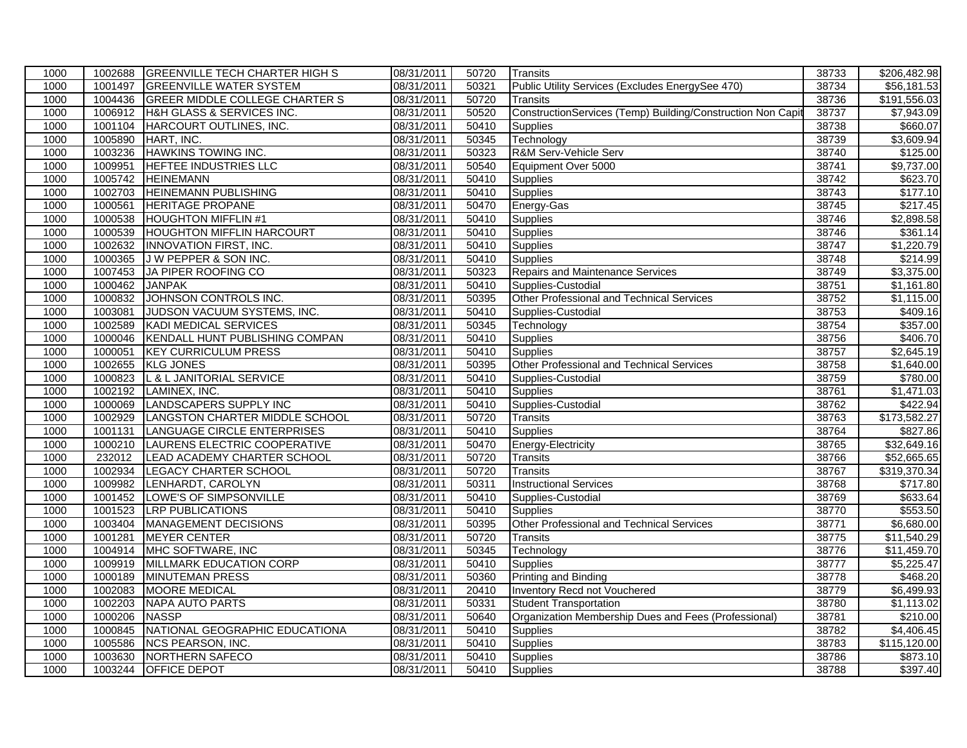| 1000 | 1002688 | <b>GREENVILLE TECH CHARTER HIGH S</b> | 08/31/2011 | 50720             | <b>Transits</b>                                             | 38733 | \$206,482.98           |
|------|---------|---------------------------------------|------------|-------------------|-------------------------------------------------------------|-------|------------------------|
| 1000 | 1001497 | <b>GREENVILLE WATER SYSTEM</b>        | 08/31/2011 | 50321             | Public Utility Services (Excludes EnergySee 470)            | 38734 | \$56,181.53            |
| 1000 | 1004436 | <b>GREER MIDDLE COLLEGE CHARTER S</b> | 08/31/2011 | 50720             | <b>Transits</b>                                             | 38736 | \$191,556.03           |
| 1000 | 1006912 | H&H GLASS & SERVICES INC.             | 08/31/2011 | 50520             | ConstructionServices (Temp) Building/Construction Non Capit | 38737 | \$7,943.09             |
| 1000 | 1001104 | HARCOURT OUTLINES, INC.               | 08/31/2011 | 50410             | <b>Supplies</b>                                             | 38738 | \$660.07               |
| 1000 | 1005890 | HART, INC.                            | 08/31/2011 | 50345             | Technology                                                  | 38739 | \$3,609.94             |
| 1000 | 1003236 | <b>HAWKINS TOWING INC.</b>            | 08/31/2011 | 50323             | R&M Serv-Vehicle Serv                                       | 38740 | \$125.00               |
| 1000 | 1009951 | HEFTEE INDUSTRIES LLC                 | 08/31/2011 | 50540             | Equipment Over 5000                                         | 38741 | $\overline{89,737.00}$ |
| 1000 | 1005742 | <b>HEINEMANN</b>                      | 08/31/2011 | 50410             | <b>Supplies</b>                                             | 38742 | \$623.70               |
| 1000 | 1002703 | <b>HEINEMANN PUBLISHING</b>           | 08/31/2011 | $\frac{1}{50410}$ | Supplies                                                    | 38743 | \$177.10               |
| 1000 | 1000561 | <b>HERITAGE PROPANE</b>               | 08/31/2011 | 50470             | Energy-Gas                                                  | 38745 | \$217.45               |
| 1000 | 1000538 | <b>HOUGHTON MIFFLIN #1</b>            | 08/31/2011 | 50410             | Supplies                                                    | 38746 | \$2,898.58             |
| 1000 | 1000539 | <b>HOUGHTON MIFFLIN HARCOURT</b>      | 08/31/2011 | 50410             | Supplies                                                    | 38746 | \$361.14               |
| 1000 | 1002632 | <b>INNOVATION FIRST, INC.</b>         | 08/31/2011 | 50410             | Supplies                                                    | 38747 | \$1,220.79             |
| 1000 | 1000365 | J W PEPPER & SON INC.                 | 08/31/2011 | 50410             | <b>Supplies</b>                                             | 38748 | \$214.99               |
| 1000 | 1007453 | JA PIPER ROOFING CO                   | 08/31/2011 | 50323             | Repairs and Maintenance Services                            | 38749 | \$3,375.00             |
| 1000 | 1000462 | <b>JANPAK</b>                         | 08/31/2011 | 50410             | Supplies-Custodial                                          | 38751 | \$1,161.80             |
| 1000 | 1000832 | JOHNSON CONTROLS INC.                 | 08/31/2011 | 50395             | Other Professional and Technical Services                   | 38752 | \$1,115.00             |
| 1000 | 1003081 | JUDSON VACUUM SYSTEMS, INC.           | 08/31/2011 | 50410             | Supplies-Custodial                                          | 38753 | \$409.16               |
| 1000 | 1002589 | <b>KADI MEDICAL SERVICES</b>          | 08/31/2011 | 50345             | Technology                                                  | 38754 | \$357.00               |
| 1000 | 1000046 | KENDALL HUNT PUBLISHING COMPAN        | 08/31/2011 | 50410             | <b>Supplies</b>                                             | 38756 | \$406.70               |
| 1000 | 1000051 | <b>KEY CURRICULUM PRESS</b>           | 08/31/2011 | 50410             | <b>Supplies</b>                                             | 38757 | $\overline{$2,645.19}$ |
| 1000 | 1002655 | <b>KLG JONES</b>                      | 08/31/2011 | 50395             | Other Professional and Technical Services                   | 38758 | \$1,640.00             |
| 1000 | 1000823 | L & L JANITORIAL SERVICE              | 08/31/2011 | 50410             | Supplies-Custodial                                          | 38759 | \$780.00               |
| 1000 | 1002192 | LAMINEX, INC.                         | 08/31/2011 | 50410             | <b>Supplies</b>                                             | 38761 | $\sqrt{$1,471.03}$     |
| 1000 | 1000069 | LANDSCAPERS SUPPLY INC                | 08/31/2011 | 50410             | Supplies-Custodial                                          | 38762 | \$422.94               |
| 1000 | 1002929 | LANGSTON CHARTER MIDDLE SCHOOL        | 08/31/2011 | 50720             | <b>Transits</b>                                             | 38763 | \$173,582.27           |
| 1000 | 1001131 | LANGUAGE CIRCLE ENTERPRISES           | 08/31/2011 | 50410             | <b>Supplies</b>                                             | 38764 | \$827.86               |
| 1000 | 1000210 | LAURENS ELECTRIC COOPERATIVE          | 08/31/2011 | 50470             | Energy-Electricity                                          | 38765 | \$32,649.16            |
| 1000 | 232012  | <b>LEAD ACADEMY CHARTER SCHOOL</b>    | 08/31/2011 | 50720             | <b>Transits</b>                                             | 38766 | \$52,665.65            |
| 1000 | 1002934 | <b>LEGACY CHARTER SCHOOL</b>          | 08/31/2011 | 50720             | Transits                                                    | 38767 | \$319,370.34           |
| 1000 | 1009982 | LENHARDT, CAROLYN                     | 08/31/2011 | 50311             | <b>Instructional Services</b>                               | 38768 | \$717.80               |
| 1000 | 1001452 | LOWE'S OF SIMPSONVILLE                | 08/31/2011 | 50410             | Supplies-Custodial                                          | 38769 | 3633.64                |
| 1000 | 1001523 | <b>LRP PUBLICATIONS</b>               | 08/31/2011 | 50410             | Supplies                                                    | 38770 | \$553.50               |
| 1000 | 1003404 | MANAGEMENT DECISIONS                  | 08/31/2011 | 50395             | Other Professional and Technical Services                   | 38771 | \$6,680.00             |
| 1000 | 1001281 | <b>MEYER CENTER</b>                   | 08/31/2011 | 50720             | Transits                                                    | 38775 | \$11,540.29            |
| 1000 | 1004914 | MHC SOFTWARE, INC                     | 08/31/2011 | 50345             | Technology                                                  | 38776 | \$11,459.70            |
| 1000 | 1009919 | MILLMARK EDUCATION CORP               | 08/31/2011 | 50410             | <b>Supplies</b>                                             | 38777 | \$5,225.47             |
| 1000 | 1000189 | <b>MINUTEMAN PRESS</b>                | 08/31/2011 | 50360             | <b>Printing and Binding</b>                                 | 38778 | \$468.20               |
| 1000 | 1002083 | <b>MOORE MEDICAL</b>                  | 08/31/2011 | 20410             | Inventory Recd not Vouchered                                | 38779 | \$6,499.93             |
| 1000 | 1002203 | <b>NAPA AUTO PARTS</b>                | 08/31/2011 | 50331             | <b>Student Transportation</b>                               | 38780 | \$1,113.02             |
| 1000 | 1000206 | <b>NASSP</b>                          | 08/31/2011 | 50640             | Organization Membership Dues and Fees (Professional)        | 38781 | $\overline{$210.00}$   |
| 1000 | 1000845 | NATIONAL GEOGRAPHIC EDUCATIONA        | 08/31/2011 | 50410             | Supplies                                                    | 38782 | \$4,406.45             |
| 1000 | 1005586 | <b>NCS PEARSON, INC.</b>              | 08/31/2011 | 50410             | Supplies                                                    | 38783 | \$115,120.00           |
| 1000 | 1003630 | NORTHERN SAFECO                       | 08/31/2011 | 50410             | <b>Supplies</b>                                             | 38786 | \$873.10               |
| 1000 | 1003244 | <b>OFFICE DEPOT</b>                   | 08/31/2011 | 50410             | Supplies                                                    | 38788 | \$397.40               |
|      |         |                                       |            |                   |                                                             |       |                        |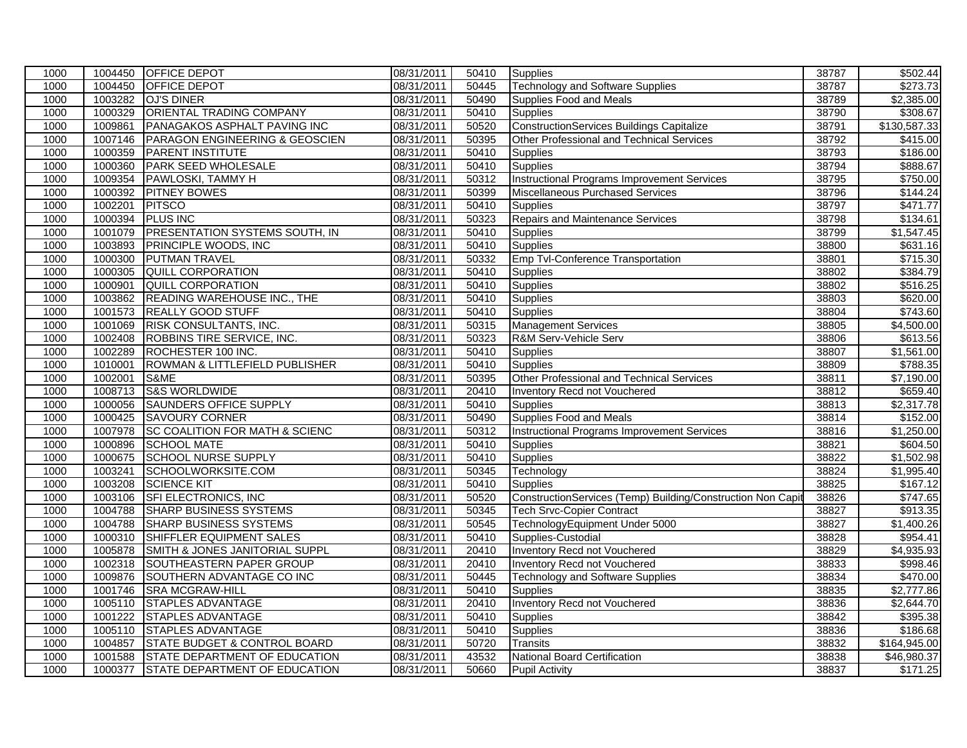| 1000 |         | 1004450 OFFICE DEPOT                      | 08/31/2011 | 50410             | <b>Supplies</b>                                             | 38787 | \$502.44               |
|------|---------|-------------------------------------------|------------|-------------------|-------------------------------------------------------------|-------|------------------------|
| 1000 | 1004450 | <b>OFFICE DEPOT</b>                       | 08/31/2011 | 50445             | <b>Technology and Software Supplies</b>                     | 38787 | \$273.73               |
| 1000 | 1003282 | <b>OJ'S DINER</b>                         | 08/31/2011 | 50490             | Supplies Food and Meals                                     | 38789 | \$2,385.00             |
| 1000 | 1000329 | <b>ORIENTAL TRADING COMPANY</b>           | 08/31/2011 | 50410             | <b>Supplies</b>                                             | 38790 | \$308.67               |
| 1000 | 1009861 | PANAGAKOS ASPHALT PAVING INC              | 08/31/2011 | 50520             | <b>ConstructionServices Buildings Capitalize</b>            | 38791 | \$130,587.33           |
| 1000 | 1007146 | PARAGON ENGINEERING & GEOSCIEN            | 08/31/2011 | 50395             | Other Professional and Technical Services                   | 38792 | \$415.00               |
| 1000 | 1000359 | <b>PARENT INSTITUTE</b>                   | 08/31/2011 | 50410             | <b>Supplies</b>                                             | 38793 | \$186.00               |
| 1000 | 1000360 | PARK SEED WHOLESALE                       | 08/31/2011 | 50410             | <b>Supplies</b>                                             | 38794 | \$888.67               |
| 1000 | 1009354 | PAWLOSKI, TAMMY H                         | 08/31/2011 | 50312             | <b>Instructional Programs Improvement Services</b>          | 38795 | \$750.00               |
| 1000 | 1000392 | <b>PITNEY BOWES</b>                       | 08/31/2011 | 50399             | Miscellaneous Purchased Services                            | 38796 | \$144.24               |
| 1000 | 1002201 | <b>PITSCO</b>                             | 08/31/2011 | 50410             | <b>Supplies</b>                                             | 38797 | \$471.77               |
| 1000 | 1000394 | <b>PLUS INC</b>                           | 08/31/2011 | 50323             | Repairs and Maintenance Services                            | 38798 | \$134.61               |
| 1000 | 1001079 | <b>PRESENTATION SYSTEMS SOUTH, IN</b>     | 08/31/2011 | 50410             | Supplies                                                    | 38799 | \$1,547.45             |
| 1000 | 1003893 | <b>PRINCIPLE WOODS, INC.</b>              | 08/31/2011 | 50410             | Supplies                                                    | 38800 | \$631.16               |
| 1000 | 1000300 | <b>PUTMAN TRAVEL</b>                      | 08/31/2011 | 50332             | Emp Tvl-Conference Transportation                           | 38801 | \$715.30               |
| 1000 | 1000305 | <b>QUILL CORPORATION</b>                  | 08/31/2011 | 50410             | <b>Supplies</b>                                             | 38802 | \$384.79               |
| 1000 | 1000901 | <b>QUILL CORPORATION</b>                  | 08/31/2011 | 50410             | Supplies                                                    | 38802 | \$516.25               |
| 1000 | 1003862 | <b>READING WAREHOUSE INC., THE</b>        | 08/31/2011 | 50410             | Supplies                                                    | 38803 | \$620.00               |
| 1000 | 1001573 | <b>REALLY GOOD STUFF</b>                  | 08/31/2011 | 50410             | Supplies                                                    | 38804 | \$743.60               |
| 1000 | 1001069 | <b>RISK CONSULTANTS, INC.</b>             | 08/31/2011 | 50315             | <b>Management Services</b>                                  | 38805 | \$4,500.00             |
| 1000 | 1002408 | ROBBINS TIRE SERVICE, INC.                | 08/31/2011 | 50323             | R&M Serv-Vehicle Serv                                       | 38806 | \$613.56               |
| 1000 | 1002289 | ROCHESTER 100 INC.                        | 08/31/2011 | 50410             | Supplies                                                    | 38807 | \$1,561.00             |
| 1000 | 1010001 | ROWMAN & LITTLEFIELD PUBLISHER            | 08/31/2011 | 50410             | <b>Supplies</b>                                             | 38809 | \$788.35               |
| 1000 | 1002001 | S&ME                                      | 08/31/2011 | 50395             | Other Professional and Technical Services                   | 38811 | \$7,190.00             |
| 1000 | 1008713 | <b>S&amp;S WORLDWIDE</b>                  | 08/31/2011 | 20410             | <b>Inventory Recd not Vouchered</b>                         | 38812 | \$659.40               |
| 1000 | 1000056 | <b>SAUNDERS OFFICE SUPPLY</b>             | 08/31/2011 | 50410             | <b>Supplies</b>                                             | 38813 | \$2,317.78             |
| 1000 | 1000425 | <b>SAVOURY CORNER</b>                     | 08/31/2011 | 50490             | Supplies Food and Meals                                     | 38814 | \$152.00               |
| 1000 | 1007978 | <b>SC COALITION FOR MATH &amp; SCIENC</b> | 08/31/2011 | 50312             | <b>Instructional Programs Improvement Services</b>          | 38816 | \$1,250.00             |
| 1000 | 1000896 | <b>SCHOOL MATE</b>                        | 08/31/2011 | 50410             | <b>Supplies</b>                                             | 38821 | \$604.50               |
| 1000 | 1000675 | <b>SCHOOL NURSE SUPPLY</b>                | 08/31/2011 | 50410             | Supplies                                                    | 38822 | \$1,502.98             |
| 1000 | 1003241 | SCHOOLWORKSITE.COM                        | 08/31/2011 | 50345             | Technology                                                  | 38824 | \$1,995.40             |
| 1000 | 1003208 | <b>SCIENCE KIT</b>                        | 08/31/2011 | 50410             | Supplies                                                    | 38825 | \$167.12               |
| 1000 | 1003106 | SFI ELECTRONICS, INC                      | 08/31/2011 | 50520             | ConstructionServices (Temp) Building/Construction Non Capit | 38826 | $\overline{$}747.65$   |
| 1000 | 1004788 | <b>SHARP BUSINESS SYSTEMS</b>             | 08/31/2011 | 50345             | <b>Tech Srvc-Copier Contract</b>                            | 38827 | \$913.35               |
| 1000 | 1004788 | <b>SHARP BUSINESS SYSTEMS</b>             | 08/31/2011 | 50545             | TechnologyEquipment Under 5000                              | 38827 | \$1,400.26             |
| 1000 | 1000310 | SHIFFLER EQUIPMENT SALES                  | 08/31/2011 | 50410             | Supplies-Custodial                                          | 38828 | \$954.41               |
| 1000 | 1005878 | SMITH & JONES JANITORIAL SUPPL            | 08/31/2011 | 20410             | <b>Inventory Recd not Vouchered</b>                         | 38829 | $\overline{$4,935.93}$ |
| 1000 | 1002318 | <b>SOUTHEASTERN PAPER GROUP</b>           | 08/31/2011 | 20410             | <b>Inventory Recd not Vouchered</b>                         | 38833 | \$998.46               |
| 1000 | 1009876 | SOUTHERN ADVANTAGE CO INC                 | 08/31/2011 | 50445             | <b>Technology and Software Supplies</b>                     | 38834 | \$470.00               |
| 1000 | 1001746 | <b>SRA MCGRAW-HILL</b>                    | 08/31/2011 | 50410             | <b>Supplies</b>                                             | 38835 | \$2,777.86             |
| 1000 | 1005110 | <b>STAPLES ADVANTAGE</b>                  | 08/31/2011 | 20410             | Inventory Recd not Vouchered                                | 38836 | \$2,644.70             |
| 1000 | 1001222 | <b>STAPLES ADVANTAGE</b>                  | 08/31/2011 | $\frac{1}{50410}$ | Supplies                                                    | 38842 | \$395.38               |
| 1000 | 1005110 | <b>STAPLES ADVANTAGE</b>                  | 08/31/2011 | 50410             | Supplies                                                    | 38836 | \$186.68               |
| 1000 | 1004857 | <b>STATE BUDGET &amp; CONTROL BOARD</b>   | 08/31/2011 | 50720             | <b>Transits</b>                                             | 38832 | \$164,945.00           |
| 1000 | 1001588 | STATE DEPARTMENT OF EDUCATION             | 08/31/2011 | 43532             | <b>National Board Certification</b>                         | 38838 | \$46,980.37            |
| 1000 |         | 1000377 STATE DEPARTMENT OF EDUCATION     | 08/31/2011 | 50660             | <b>Pupil Activity</b>                                       | 38837 | \$171.25               |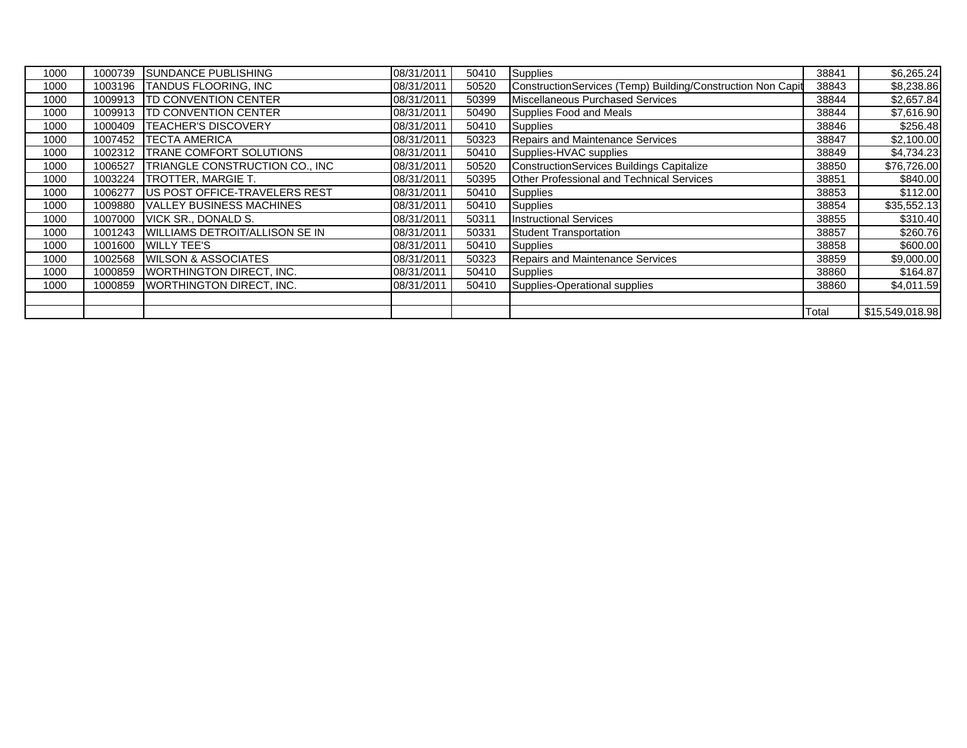| 1000 | 1000739 | <b>SUNDANCE PUBLISHING</b>            | 08/31/2011 | 50410 | <b>Supplies</b>                                             | 38841 | \$6,265.24      |
|------|---------|---------------------------------------|------------|-------|-------------------------------------------------------------|-------|-----------------|
| 1000 | 1003196 | <b>TANDUS FLOORING. INC</b>           | 08/31/2011 | 50520 | ConstructionServices (Temp) Building/Construction Non Capit | 38843 | \$8,238.86      |
| 1000 | 1009913 | <b>ITD CONVENTION CENTER</b>          | 08/31/2011 | 50399 | Miscellaneous Purchased Services                            | 38844 | \$2,657.84      |
| 1000 | 1009913 | <b>ITD CONVENTION CENTER</b>          | 08/31/2011 | 50490 | Supplies Food and Meals                                     | 38844 | \$7,616.90      |
| 1000 | 1000409 | <b>ITEACHER'S DISCOVERY</b>           | 08/31/2011 | 50410 | <b>Supplies</b>                                             | 38846 | \$256.48        |
| 1000 | 1007452 | <b>ITECTA AMERICA</b>                 | 08/31/2011 | 50323 | <b>Repairs and Maintenance Services</b>                     | 38847 | \$2,100.00      |
| 1000 | 1002312 | <b>TRANE COMFORT SOLUTIONS</b>        | 08/31/2011 | 50410 | Supplies-HVAC supplies                                      | 38849 | \$4,734.23      |
| 1000 | 1006527 | TRIANGLE CONSTRUCTION CO., INC        | 08/31/2011 | 50520 | ConstructionServices Buildings Capitalize                   | 38850 | \$76,726.00     |
| 1000 |         | 1003224   TROTTER, MARGIE T.          | 08/31/2011 | 50395 | Other Professional and Technical Services                   | 38851 | \$840.00        |
| 1000 | 1006277 | US POST OFFICE-TRAVELERS REST         | 08/31/2011 | 50410 | <b>Supplies</b>                                             | 38853 | \$112.00        |
| 1000 | 1009880 | <b>VALLEY BUSINESS MACHINES</b>       | 08/31/2011 | 50410 | <b>Supplies</b>                                             | 38854 | \$35,552.13     |
| 1000 | 1007000 | <b>VICK SR., DONALD S.</b>            | 08/31/2011 | 50311 | <b>Instructional Services</b>                               | 38855 | \$310.40        |
| 1000 | 1001243 | <b>WILLIAMS DETROIT/ALLISON SE IN</b> | 08/31/2011 | 50331 | <b>Student Transportation</b>                               | 38857 | \$260.76        |
| 1000 | 1001600 | <b>WILLY TEE'S</b>                    | 08/31/2011 | 50410 | Supplies                                                    | 38858 | \$600.00        |
| 1000 | 1002568 | <b>WILSON &amp; ASSOCIATES</b>        | 08/31/2011 | 50323 | <b>Repairs and Maintenance Services</b>                     | 38859 | \$9,000.00      |
| 1000 | 1000859 | <b>IWORTHINGTON DIRECT. INC.</b>      | 08/31/2011 | 50410 | Supplies                                                    | 38860 | \$164.87        |
| 1000 | 1000859 | <b>WORTHINGTON DIRECT, INC.</b>       | 08/31/2011 | 50410 | Supplies-Operational supplies                               | 38860 | \$4,011.59      |
|      |         |                                       |            |       |                                                             |       |                 |
|      |         |                                       |            |       |                                                             | Total | \$15,549,018.98 |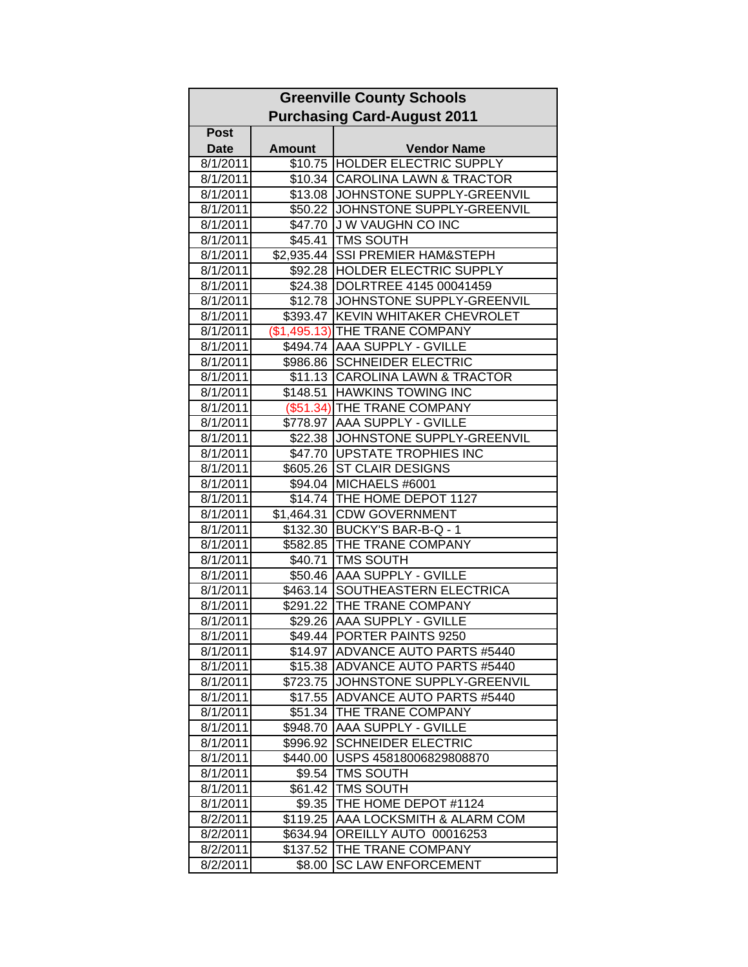|                      | <b>Greenville County Schools</b>   |                                                       |  |  |  |  |
|----------------------|------------------------------------|-------------------------------------------------------|--|--|--|--|
|                      | <b>Purchasing Card-August 2011</b> |                                                       |  |  |  |  |
| <b>Post</b>          |                                    |                                                       |  |  |  |  |
| <b>Date</b>          | <b>Amount</b>                      | <b>Vendor Name</b>                                    |  |  |  |  |
| 8/1/2011             |                                    | \$10.75 HOLDER ELECTRIC SUPPLY                        |  |  |  |  |
| 8/1/2011             |                                    | \$10.34 CAROLINA LAWN & TRACTOR                       |  |  |  |  |
| 8/1/2011             | $\overline{$}13.08$                | JOHNSTONE SUPPLY-GREENVIL                             |  |  |  |  |
| 8/1/2011             |                                    | \$50.22 JOHNSTONE SUPPLY-GREENVIL                     |  |  |  |  |
| 8/1/2011             |                                    | \$47.70 J W VAUGHN CO INC                             |  |  |  |  |
| 8/1/2011             |                                    | \$45.41 TMS SOUTH                                     |  |  |  |  |
| 8/1/2011             |                                    | \$2,935.44 SSI PREMIER HAM&STEPH                      |  |  |  |  |
| 8/1/2011             |                                    | \$92.28  HOLDER ELECTRIC SUPPLY                       |  |  |  |  |
| 8/1/2011             |                                    | \$24.38  DOLRTREE 4145 00041459                       |  |  |  |  |
| 8/1/2011             |                                    | \$12.78 JOHNSTONE SUPPLY-GREENVIL                     |  |  |  |  |
| 8/1/2011             |                                    | \$393.47 KEVIN WHITAKER CHEVROLET                     |  |  |  |  |
| 8/1/2011             |                                    | (\$1,495.13) THE TRANE COMPANY                        |  |  |  |  |
| 8/1/2011             |                                    | \$494.74 AAA SUPPLY - GVILLE                          |  |  |  |  |
| 8/1/2011             |                                    | \$986.86 SCHNEIDER ELECTRIC                           |  |  |  |  |
| 8/1/2011             |                                    | \$11.13 CAROLINA LAWN & TRACTOR                       |  |  |  |  |
| 8/1/2011             |                                    | \$148.51 HAWKINS TOWING INC                           |  |  |  |  |
| 8/1/2011             |                                    | (\$51.34) THE TRANE COMPANY                           |  |  |  |  |
| 8/1/2011             |                                    | \$778.97 AAA SUPPLY - GVILLE                          |  |  |  |  |
| 8/1/2011             |                                    | \$22.38 JJOHNSTONE SUPPLY-GREENVIL                    |  |  |  |  |
| 8/1/2011             |                                    | \$47.70   UPSTATE TROPHIES INC                        |  |  |  |  |
| 8/1/2011             |                                    | \$605.26 ST CLAIR DESIGNS                             |  |  |  |  |
| 8/1/2011             |                                    | \$94.04 MICHAELS #6001                                |  |  |  |  |
| 8/1/2011             |                                    | \$14.74 THE HOME DEPOT 1127                           |  |  |  |  |
| 8/1/2011             | \$1,464.31                         | <b>CDW GOVERNMENT</b><br>\$132.30 BUCKY'S BAR-B-Q - 1 |  |  |  |  |
| 8/1/2011<br>8/1/2011 |                                    | \$582.85 THE TRANE COMPANY                            |  |  |  |  |
| 8/1/2011             |                                    | \$40.71 TMS SOUTH                                     |  |  |  |  |
| 8/1/2011             |                                    | \$50.46 AAA SUPPLY - GVILLE                           |  |  |  |  |
| 8/1/2011             |                                    | \$463.14 SOUTHEASTERN ELECTRICA                       |  |  |  |  |
| 8/1/2011             | \$291.22                           | THE TRANE COMPANY                                     |  |  |  |  |
| 8/1/2011             |                                    | \$29.26 AAA SUPPLY - GVILLE                           |  |  |  |  |
| 8/1/2011             |                                    | \$49.44 PORTER PAINTS 9250                            |  |  |  |  |
| 8/1/2011             |                                    | \$14.97 ADVANCE AUTO PARTS #5440                      |  |  |  |  |
| 8/1/2011             | \$15.38                            | ADVANCE AUTO PARTS #5440                              |  |  |  |  |
| 8/1/2011             | \$723.75                           | JOHNSTONE SUPPLY-GREENVIL                             |  |  |  |  |
| 8/1/2011             | \$17.55                            | <b>ADVANCE AUTO PARTS #5440</b>                       |  |  |  |  |
| 8/1/2011             | \$51.34                            | THE TRANE COMPANY                                     |  |  |  |  |
| 8/1/2011             | \$948.70                           | AAA SUPPLY - GVILLE                                   |  |  |  |  |
| 8/1/2011             | \$996.92                           | <b>SCHNEIDER ELECTRIC</b>                             |  |  |  |  |
| 8/1/2011             | \$440.00                           | USPS 45818006829808870                                |  |  |  |  |
| 8/1/2011             | \$9.54                             | <b>TMS SOUTH</b>                                      |  |  |  |  |
| 8/1/2011             | \$61.42                            | <b>TMS SOUTH</b>                                      |  |  |  |  |
| 8/1/2011             | \$9.35                             | THE HOME DEPOT #1124                                  |  |  |  |  |
| 8/2/2011             | \$119.25                           | AAA LOCKSMITH & ALARM COM                             |  |  |  |  |
| 8/2/2011             | \$634.94                           | OREILLY AUTO 00016253                                 |  |  |  |  |
| 8/2/2011             | \$137.52                           | THE TRANE COMPANY                                     |  |  |  |  |
| 8/2/2011             | \$8.00                             | <b>SC LAW ENFORCEMENT</b>                             |  |  |  |  |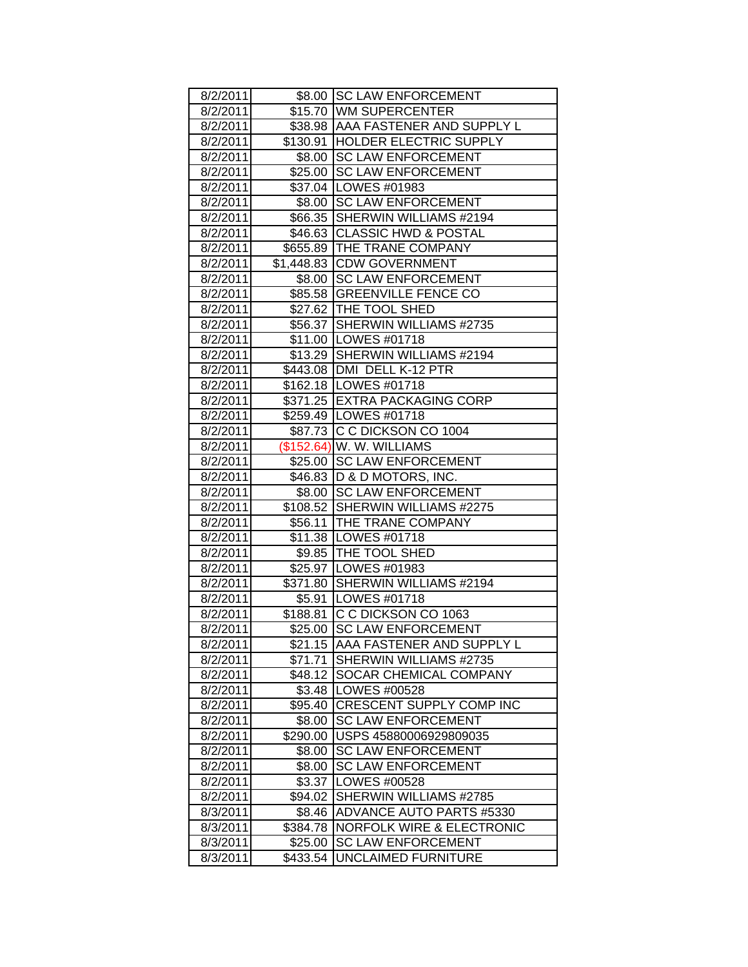| 8/2/2011 |          | \$8.00 SC LAW ENFORCEMENT            |
|----------|----------|--------------------------------------|
| 8/2/2011 |          | \$15.70 WM SUPERCENTER               |
| 8/2/2011 |          | \$38.98 AAA FASTENER AND SUPPLY L    |
| 8/2/2011 |          | \$130.91 HOLDER ELECTRIC SUPPLY      |
| 8/2/2011 |          | \$8.00 SC LAW ENFORCEMENT            |
| 8/2/2011 |          | \$25.00 SC LAW ENFORCEMENT           |
| 8/2/2011 |          | \$37.04   LOWES #01983               |
| 8/2/2011 |          | \$8.00 SC LAW ENFORCEMENT            |
| 8/2/2011 |          | \$66.35 SHERWIN WILLIAMS #2194       |
| 8/2/2011 |          | \$46.63 CLASSIC HWD & POSTAL         |
| 8/2/2011 |          | \$655.89 THE TRANE COMPANY           |
| 8/2/2011 |          | \$1,448.83 CDW GOVERNMENT            |
| 8/2/2011 |          | \$8.00 SC LAW ENFORCEMENT            |
| 8/2/2011 |          | \$85.58 GREENVILLE FENCE CO          |
| 8/2/2011 |          | \$27.62 THE TOOL SHED                |
| 8/2/2011 |          | \$56.37 SHERWIN WILLIAMS #2735       |
| 8/2/2011 |          | \$11.00   LOWES #01718               |
| 8/2/2011 |          | \$13.29 SHERWIN WILLIAMS #2194       |
| 8/2/2011 |          | \$443.08   DMI DELL K-12 PTR         |
| 8/2/2011 |          | \$162.18   LOWES #01718              |
| 8/2/2011 |          | \$371.25 EXTRA PACKAGING CORP        |
| 8/2/2011 |          | \$259.49   LOWES #01718              |
| 8/2/2011 |          | \$87.73 C C DICKSON CO 1004          |
| 8/2/2011 |          | (\$152.64) W. W. WILLIAMS            |
| 8/2/2011 |          | \$25.00 SC LAW ENFORCEMENT           |
| 8/2/2011 |          | \$46.83   D & D MOTORS, INC.         |
| 8/2/2011 |          | \$8.00 SC LAW ENFORCEMENT            |
| 8/2/2011 |          | \$108.52 SHERWIN WILLIAMS #2275      |
| 8/2/2011 |          | \$56.11   THE TRANE COMPANY          |
| 8/2/2011 |          | \$11.38   LOWES #01718               |
| 8/2/2011 |          | \$9.85   THE TOOL SHED               |
| 8/2/2011 |          | \$25.97   LOWES #01983               |
| 8/2/2011 |          | \$371.80 SHERWIN WILLIAMS #2194      |
| 8/2/2011 |          | \$5.91   LOWES #01718                |
| 8/2/2011 |          | \$188.81 C C DICKSON CO 1063         |
| 8/2/2011 | \$25.00∣ | <b>SC LAW ENFORCEMENT</b>            |
| 8/2/2011 | \$21.15  | AAA FASTENER AND SUPPLY L            |
| 8/2/2011 | \$71.71  | SHERWIN WILLIAMS #2735               |
| 8/2/2011 | \$48.12  | SOCAR CHEMICAL COMPANY               |
| 8/2/2011 | \$3.48   | LOWES #00528                         |
| 8/2/2011 | \$95.40  | CRESCENT SUPPLY COMP INC             |
| 8/2/2011 | \$8.00   | <b>SC LAW ENFORCEMENT</b>            |
| 8/2/2011 | \$290.00 | USPS 45880006929809035               |
| 8/2/2011 | \$8.00   | <b>SC LAW ENFORCEMENT</b>            |
| 8/2/2011 | \$8.00   | <b>SC LAW ENFORCEMENT</b>            |
| 8/2/2011 | \$3.37   | LOWES #00528                         |
| 8/2/2011 | \$94.02  | SHERWIN WILLIAMS #2785               |
| 8/3/2011 | \$8.46   | ADVANCE AUTO PARTS #5330             |
| 8/3/2011 | \$384.78 | <b>NORFOLK WIRE &amp; ELECTRONIC</b> |
| 8/3/2011 | \$25.00  | <b>SC LAW ENFORCEMENT</b>            |
| 8/3/2011 | \$433.54 | UNCLAIMED FURNITURE                  |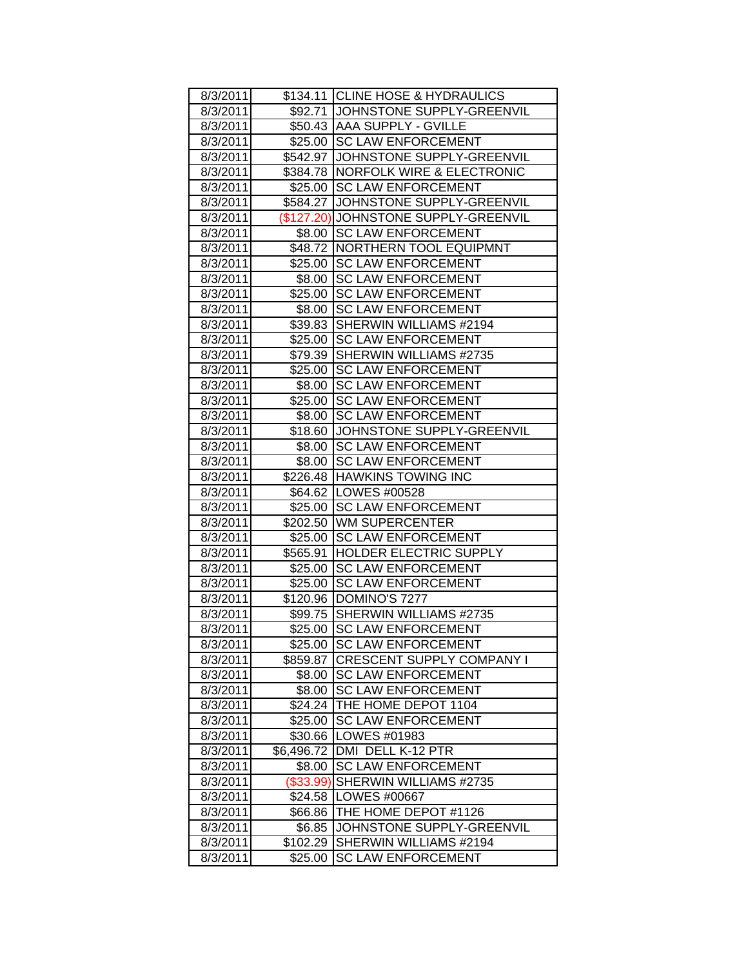| 8/3/2011 |            | \$134.11 CLINE HOSE & HYDRAULICS     |
|----------|------------|--------------------------------------|
| 8/3/2011 |            | \$92.71 JOHNSTONE SUPPLY-GREENVIL    |
| 8/3/2011 |            | \$50.43 AAA SUPPLY - GVILLE          |
| 8/3/2011 |            | \$25.00 SC LAW ENFORCEMENT           |
| 8/3/2011 |            | \$542.97 JOHNSTONE SUPPLY-GREENVIL   |
| 8/3/2011 |            | \$384.78   NORFOLK WIRE & ELECTRONIC |
| 8/3/2011 | \$25.00    | <b>SC LAW ENFORCEMENT</b>            |
| 8/3/2011 |            | \$584.27 JJOHNSTONE SUPPLY-GREENVIL  |
| 8/3/2011 |            | (\$127.20) JOHNSTONE SUPPLY-GREENVIL |
| 8/3/2011 | \$8.00     | <b>SC LAW ENFORCEMENT</b>            |
| 8/3/2011 |            | \$48.72 NORTHERN TOOL EQUIPMNT       |
| 8/3/2011 | \$25.00    | <b>SC LAW ENFORCEMENT</b>            |
| 8/3/2011 | \$8.00     | <b>SC LAW ENFORCEMENT</b>            |
| 8/3/2011 |            | \$25.00 SC LAW ENFORCEMENT           |
| 8/3/2011 | \$8.00     | <b>SC LAW ENFORCEMENT</b>            |
| 8/3/2011 | \$39.83    | SHERWIN WILLIAMS #2194               |
| 8/3/2011 | \$25.00    | <b>SC LAW ENFORCEMENT</b>            |
| 8/3/2011 | \$79.39    | SHERWIN WILLIAMS #2735               |
| 8/3/2011 | \$25.00    | <b>SC LAW ENFORCEMENT</b>            |
| 8/3/2011 | \$8.00     | <b>SC LAW ENFORCEMENT</b>            |
| 8/3/2011 | \$25.00    | <b>SC LAW ENFORCEMENT</b>            |
| 8/3/2011 | \$8.00     | <b>SC LAW ENFORCEMENT</b>            |
| 8/3/2011 | \$18.60    | JOHNSTONE SUPPLY-GREENVIL            |
| 8/3/2011 | \$8.00     | <b>SC LAW ENFORCEMENT</b>            |
| 8/3/2011 |            | \$8.00 SC LAW ENFORCEMENT            |
| 8/3/2011 |            | \$226.48 HAWKINS TOWING INC          |
| 8/3/2011 |            | \$64.62   LOWES #00528               |
| 8/3/2011 |            | \$25.00 SC LAW ENFORCEMENT           |
| 8/3/2011 |            | \$202.50 WM SUPERCENTER              |
| 8/3/2011 | \$25.00    | <b>SC LAW ENFORCEMENT</b>            |
| 8/3/2011 |            | \$565.91  HOLDER ELECTRIC SUPPLY     |
| 8/3/2011 | \$25.00    | <b>SC LAW ENFORCEMENT</b>            |
| 8/3/2011 | \$25.00    | <b>SC LAW ENFORCEMENT</b>            |
| 8/3/2011 |            | \$120.96   DOMINO'S 7277             |
| 8/3/2011 | \$99.75    | SHERWIN WILLIAMS #2735               |
| 8/3/2011 | \$25.00    | <b>SC LAW ENFORCEMENT</b>            |
| 8/3/2011 | \$25.00    | <b>SC LAW ENFORCEMENT</b>            |
| 8/3/2011 | \$859.87   | <b>CRESCENT SUPPLY COMPANY I</b>     |
| 8/3/2011 | \$8.00     | <b>SC LAW ENFORCEMENT</b>            |
| 8/3/2011 | \$8.00     | <b>SC LAW ENFORCEMENT</b>            |
| 8/3/2011 | \$24.24    | THE HOME DEPOT 1104                  |
| 8/3/2011 | \$25.00    | <b>SC LAW ENFORCEMENT</b>            |
| 8/3/2011 | \$30.66    | LOWES #01983                         |
| 8/3/2011 | \$6,496.72 | DMI DELL K-12 PTR                    |
| 8/3/2011 | \$8.00     | <b>SC LAW ENFORCEMENT</b>            |
| 8/3/2011 | (\$33.99)  | SHERWIN WILLIAMS #2735               |
| 8/3/2011 | \$24.58    | LOWES #00667                         |
| 8/3/2011 | \$66.86    | THE HOME DEPOT #1126                 |
| 8/3/2011 | \$6.85     | JOHNSTONE SUPPLY-GREENVIL            |
| 8/3/2011 | \$102.29   | SHERWIN WILLIAMS #2194               |
| 8/3/2011 | \$25.00    | <b>SC LAW ENFORCEMENT</b>            |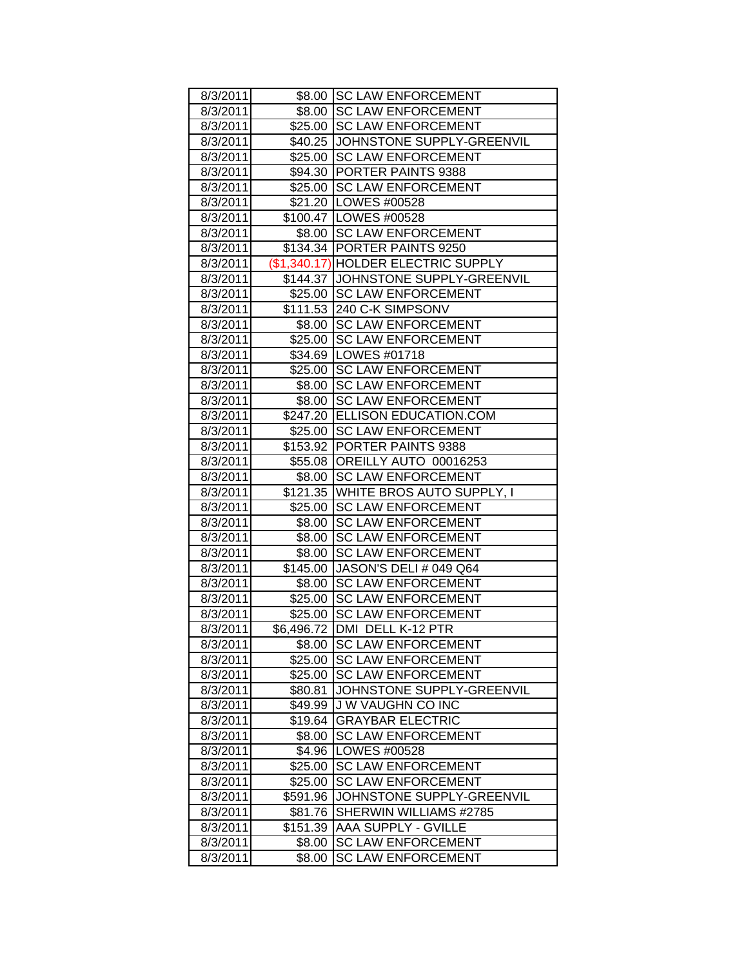| 8/3/2011 |          | \$8.00 SC LAW ENFORCEMENT           |
|----------|----------|-------------------------------------|
| 8/3/2011 |          | \$8.00 SC LAW ENFORCEMENT           |
| 8/3/2011 |          | \$25.00 SC LAW ENFORCEMENT          |
| 8/3/2011 |          | \$40.25 JJOHNSTONE SUPPLY-GREENVIL  |
| 8/3/2011 | \$25.00  | <b>SC LAW ENFORCEMENT</b>           |
| 8/3/2011 |          | \$94.30 PORTER PAINTS 9388          |
| 8/3/2011 |          | \$25.00 SC LAW ENFORCEMENT          |
| 8/3/2011 |          | \$21.20   LOWES #00528              |
| 8/3/2011 |          | \$100.47   LOWES #00528             |
| 8/3/2011 |          | \$8.00 SC LAW ENFORCEMENT           |
| 8/3/2011 |          | \$134.34   PORTER PAINTS 9250       |
| 8/3/2011 |          | (\$1,340.17) HOLDER ELECTRIC SUPPLY |
| 8/3/2011 |          | \$144.37 JJOHNSTONE SUPPLY-GREENVIL |
| 8/3/2011 |          | \$25.00 SC LAW ENFORCEMENT          |
| 8/3/2011 |          | \$111.53 240 C-K SIMPSONV           |
| 8/3/2011 | \$8.00   | <b>SC LAW ENFORCEMENT</b>           |
| 8/3/2011 | \$25.00  | <b>SC LAW ENFORCEMENT</b>           |
| 8/3/2011 |          | \$34.69   LOWES #01718              |
| 8/3/2011 | \$25.00  | <b>SC LAW ENFORCEMENT</b>           |
| 8/3/2011 | \$8.00   | <b>SC LAW ENFORCEMENT</b>           |
| 8/3/2011 | \$8.00   | <b>SC LAW ENFORCEMENT</b>           |
| 8/3/2011 |          | \$247.20 ELLISON EDUCATION.COM      |
| 8/3/2011 | \$25.00  | <b>SC LAW ENFORCEMENT</b>           |
| 8/3/2011 |          | \$153.92 PORTER PAINTS 9388         |
| 8/3/2011 |          | \$55.08 OREILLY AUTO 00016253       |
| 8/3/2011 |          | \$8.00 SC LAW ENFORCEMENT           |
| 8/3/2011 |          | \$121.35 WHITE BROS AUTO SUPPLY, I  |
| 8/3/2011 | \$25.00  | <b>SC LAW ENFORCEMENT</b>           |
| 8/3/2011 | \$8.00   | <b>SC LAW ENFORCEMENT</b>           |
| 8/3/2011 | \$8.00   | <b>SC LAW ENFORCEMENT</b>           |
| 8/3/2011 | \$8.00   | <b>SC LAW ENFORCEMENT</b>           |
| 8/3/2011 |          | \$145.00 JASON'S DELI # 049 Q64     |
| 8/3/2011 | \$8.00   | <b>SC LAW ENFORCEMENT</b>           |
| 8/3/2011 |          | \$25.00 SC LAW ENFORCEMENT          |
| 8/3/2011 | \$25.00  | <b>SC LAW ENFORCEMENT</b>           |
| 8/3/2011 |          | \$6,496.72 DMI DELL K-12 PTR        |
| 8/3/2011 | \$8.00   | <b>SC LAW ENFORCEMENT</b>           |
| 8/3/2011 | \$25.00  | <b>SC LAW ENFORCEMENT</b>           |
| 8/3/2011 | \$25.00  | <b>SC LAW ENFORCEMENT</b>           |
| 8/3/2011 | \$80.81  | JOHNSTONE SUPPLY-GREENVIL           |
| 8/3/2011 | \$49.99  | J W VAUGHN CO INC                   |
| 8/3/2011 | \$19.64  | <b>GRAYBAR ELECTRIC</b>             |
| 8/3/2011 | \$8.00   | <b>SC LAW ENFORCEMENT</b>           |
| 8/3/2011 | \$4.96   | LOWES #00528                        |
| 8/3/2011 | \$25.00  | <b>SC LAW ENFORCEMENT</b>           |
| 8/3/2011 | \$25.00  | <b>SC LAW ENFORCEMENT</b>           |
| 8/3/2011 | \$591.96 | JOHNSTONE SUPPLY-GREENVIL           |
| 8/3/2011 | \$81.76  | SHERWIN WILLIAMS #2785              |
| 8/3/2011 | \$151.39 | <b>AAA SUPPLY - GVILLE</b>          |
| 8/3/2011 | \$8.00   | <b>SC LAW ENFORCEMENT</b>           |
| 8/3/2011 | \$8.00   | <b>SC LAW ENFORCEMENT</b>           |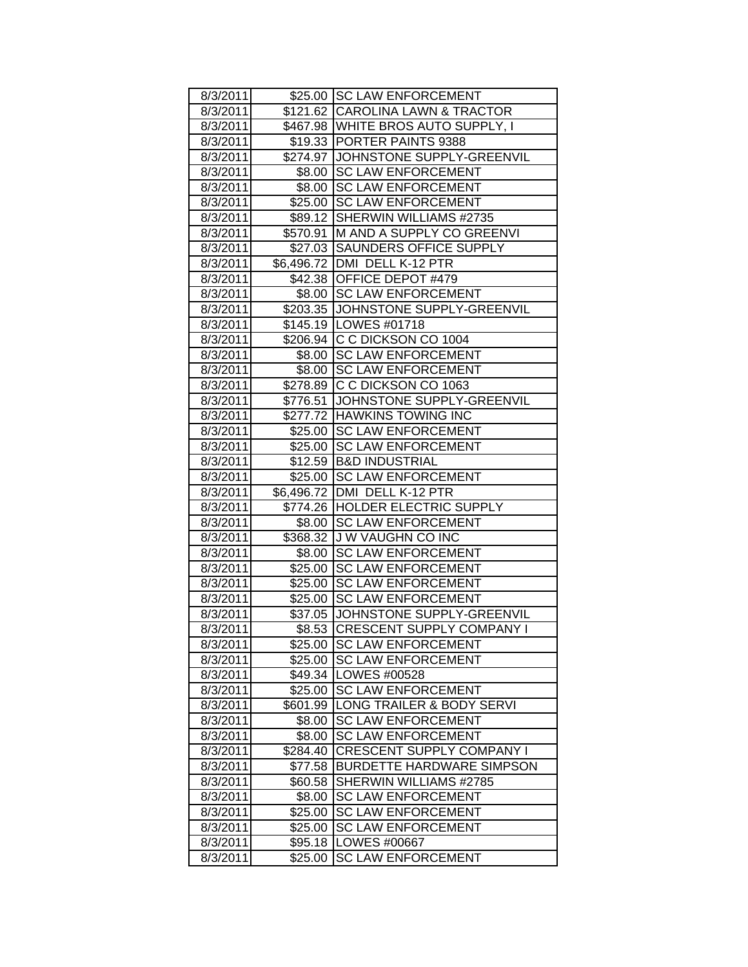| 8/3/2011 |          | \$25.00 SC LAW ENFORCEMENT          |
|----------|----------|-------------------------------------|
| 8/3/2011 |          | \$121.62 CAROLINA LAWN & TRACTOR    |
| 8/3/2011 |          | \$467.98 WHITE BROS AUTO SUPPLY, I  |
| 8/3/2011 |          | \$19.33 PORTER PAINTS 9388          |
| 8/3/2011 |          | \$274.97 JOHNSTONE SUPPLY-GREENVIL  |
| 8/3/2011 | \$8.00   | <b>SC LAW ENFORCEMENT</b>           |
| 8/3/2011 |          | \$8.00 SC LAW ENFORCEMENT           |
| 8/3/2011 |          | \$25.00 SC LAW ENFORCEMENT          |
| 8/3/2011 |          | \$89.12 SHERWIN WILLIAMS #2735      |
| 8/3/2011 |          | \$570.91 M AND A SUPPLY CO GREENVI  |
| 8/3/2011 |          | \$27.03 SAUNDERS OFFICE SUPPLY      |
| 8/3/2011 |          | \$6,496.72 DMI DELL K-12 PTR        |
| 8/3/2011 |          | \$42.38 OFFICE DEPOT #479           |
| 8/3/2011 |          | \$8.00 SC LAW ENFORCEMENT           |
| 8/3/2011 |          | \$203.35 JJOHNSTONE SUPPLY-GREENVIL |
| 8/3/2011 |          | \$145.19 LOWES #01718               |
| 8/3/2011 |          | \$206.94 C C DICKSON CO 1004        |
| 8/3/2011 |          | \$8.00 SC LAW ENFORCEMENT           |
| 8/3/2011 |          | \$8.00 SC LAW ENFORCEMENT           |
| 8/3/2011 |          | \$278.89 C C DICKSON CO 1063        |
| 8/3/2011 |          | \$776.51 JJOHNSTONE SUPPLY-GREENVIL |
| 8/3/2011 |          | \$277.72 HAWKINS TOWING INC         |
| 8/3/2011 |          | \$25.00 SC LAW ENFORCEMENT          |
| 8/3/2011 |          | \$25.00 SC LAW ENFORCEMENT          |
| 8/3/2011 |          | \$12.59 B&D INDUSTRIAL              |
| 8/3/2011 |          | \$25.00 SC LAW ENFORCEMENT          |
| 8/3/2011 |          | \$6,496.72   DMI DELL K-12 PTR      |
| 8/3/2011 |          | \$774.26 HOLDER ELECTRIC SUPPLY     |
| 8/3/2011 |          | \$8.00 SC LAW ENFORCEMENT           |
| 8/3/2011 |          | \$368.32 JJ W VAUGHN CO INC         |
| 8/3/2011 | \$8.00   | <b>SC LAW ENFORCEMENT</b>           |
| 8/3/2011 |          | \$25.00 SC LAW ENFORCEMENT          |
| 8/3/2011 |          | \$25.00 SC LAW ENFORCEMENT          |
| 8/3/2011 |          | \$25.00 SC LAW ENFORCEMENT          |
| 8/3/2011 |          | \$37.05 JJOHNSTONE SUPPLY-GREENVIL  |
| 8/3/2011 |          | \$8.53 CRESCENT SUPPLY COMPANY I    |
| 8/3/2011 |          | \$25.00 SC LAW ENFORCEMENT          |
| 8/3/2011 | \$25.00  | <b>SC LAW ENFORCEMENT</b>           |
| 8/3/2011 | \$49.34  | LOWES #00528                        |
| 8/3/2011 | \$25.00  | <b>SC LAW ENFORCEMENT</b>           |
| 8/3/2011 | \$601.99 | LONG TRAILER & BODY SERVI           |
| 8/3/2011 | \$8.00   | <b>SC LAW ENFORCEMENT</b>           |
| 8/3/2011 | \$8.00   | <b>SC LAW ENFORCEMENT</b>           |
| 8/3/2011 | \$284.40 | CRESCENT SUPPLY COMPANY I           |
| 8/3/2011 | \$77.58  | <b>BURDETTE HARDWARE SIMPSON</b>    |
| 8/3/2011 | \$60.58  | SHERWIN WILLIAMS #2785              |
| 8/3/2011 | \$8.00   | <b>SC LAW ENFORCEMENT</b>           |
| 8/3/2011 | \$25.00  | <b>SC LAW ENFORCEMENT</b>           |
| 8/3/2011 | \$25.00  | <b>SC LAW ENFORCEMENT</b>           |
| 8/3/2011 | \$95.18  | LOWES #00667                        |
| 8/3/2011 | \$25.00  | <b>SC LAW ENFORCEMENT</b>           |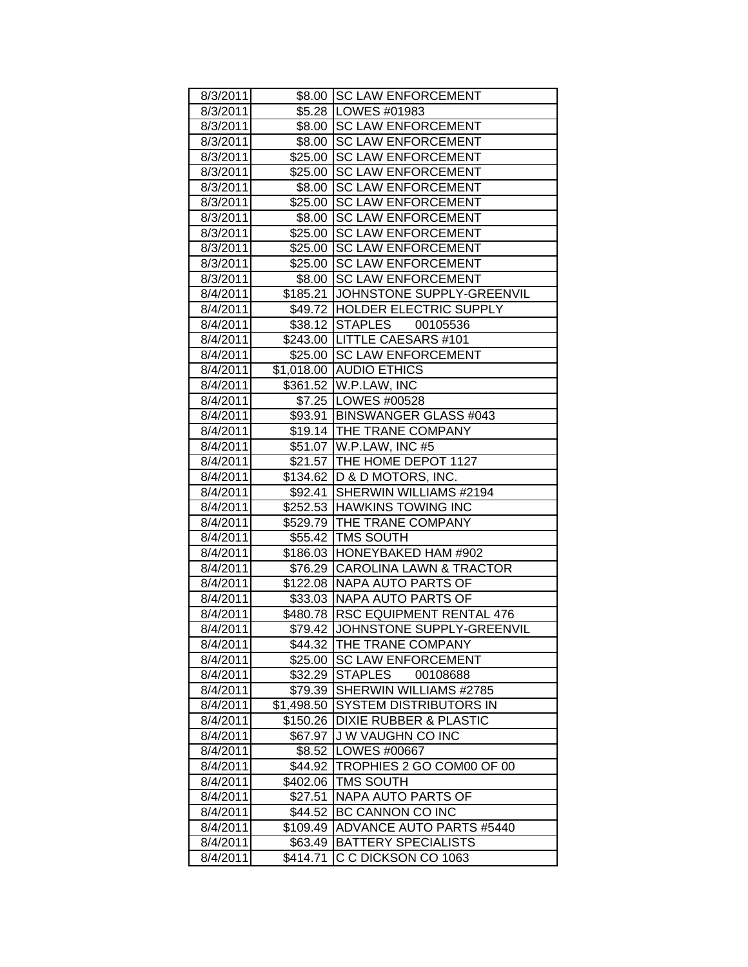| 8/3/2011 |            | \$8.00 SC LAW ENFORCEMENT          |
|----------|------------|------------------------------------|
| 8/3/2011 |            | \$5.28   LOWES #01983              |
| 8/3/2011 |            | \$8.00 SC LAW ENFORCEMENT          |
| 8/3/2011 |            | \$8.00 SC LAW ENFORCEMENT          |
| 8/3/2011 | \$25.00    | <b>SC LAW ENFORCEMENT</b>          |
| 8/3/2011 |            | \$25.00 SC LAW ENFORCEMENT         |
| 8/3/2011 |            | \$8.00 SC LAW ENFORCEMENT          |
| 8/3/2011 |            | \$25.00 SC LAW ENFORCEMENT         |
| 8/3/2011 |            | \$8.00 SC LAW ENFORCEMENT          |
| 8/3/2011 |            | \$25.00 SC LAW ENFORCEMENT         |
| 8/3/2011 |            | \$25.00 SC LAW ENFORCEMENT         |
| 8/3/2011 |            | \$25.00 SC LAW ENFORCEMENT         |
| 8/3/2011 |            | \$8.00   SC LAW ENFORCEMENT        |
| 8/4/2011 |            | \$185.21 JOHNSTONE SUPPLY-GREENVIL |
| 8/4/2011 |            | \$49.72  HOLDER ELECTRIC SUPPLY    |
| 8/4/2011 |            | \$38.12 STAPLES 00105536           |
| 8/4/2011 |            | \$243.00 LITTLE CAESARS #101       |
| 8/4/2011 |            | \$25.00 SC LAW ENFORCEMENT         |
| 8/4/2011 |            | \$1,018.00 AUDIO ETHICS            |
| 8/4/2011 |            | \$361.52 W.P.LAW, INC              |
| 8/4/2011 |            | \$7.25   LOWES #00528              |
| 8/4/2011 |            | \$93.91 BINSWANGER GLASS #043      |
| 8/4/2011 |            | \$19.14 THE TRANE COMPANY          |
| 8/4/2011 |            | \$51.07   W.P.LAW, INC #5          |
| 8/4/2011 |            | \$21.57   THE HOME DEPOT 1127      |
| 8/4/2011 |            | \$134.62   D & D MOTORS, INC.      |
| 8/4/2011 |            | \$92.41 SHERWIN WILLIAMS #2194     |
| 8/4/2011 |            | \$252.53 HAWKINS TOWING INC        |
| 8/4/2011 |            | \$529.79   THE TRANE COMPANY       |
| 8/4/2011 |            | \$55.42 TMS SOUTH                  |
| 8/4/2011 |            | \$186.03 HONEYBAKED HAM #902       |
| 8/4/2011 |            | \$76.29 CAROLINA LAWN & TRACTOR    |
| 8/4/2011 |            | \$122.08 NAPA AUTO PARTS OF        |
| 8/4/2011 |            | \$33.03   NAPA AUTO PARTS OF       |
| 8/4/2011 |            | \$480.78 RSC EQUIPMENT RENTAL 476  |
| 8/4/2011 |            | \$79.42 JJOHNSTONE SUPPLY-GREENVIL |
| 8/4/2011 | \$44.32    | <b>THE TRANE COMPANY</b>           |
| 8/4/2011 | \$25.00    | <b>SC LAW ENFORCEMENT</b>          |
| 8/4/2011 | \$32.29    | <b>STAPLES</b><br>00108688         |
| 8/4/2011 | \$79.39    | SHERWIN WILLIAMS #2785             |
| 8/4/2011 | \$1,498.50 | SYSTEM DISTRIBUTORS IN             |
| 8/4/2011 | \$150.26   | <b>DIXIE RUBBER &amp; PLASTIC</b>  |
| 8/4/2011 | \$67.97    | <b>JW VAUGHN CO INC</b>            |
| 8/4/2011 | \$8.52     | LOWES #00667                       |
| 8/4/2011 | \$44.92    | TROPHIES 2 GO COM00 OF 00          |
| 8/4/2011 | \$402.06   | TMS SOUTH                          |
| 8/4/2011 | \$27.51    | NAPA AUTO PARTS OF                 |
| 8/4/2011 | \$44.52    | BC CANNON CO INC                   |
| 8/4/2011 | \$109.49   | <b>ADVANCE AUTO PARTS #5440</b>    |
| 8/4/2011 | \$63.49    | <b>BATTERY SPECIALISTS</b>         |
| 8/4/2011 | \$414.71   | C C DICKSON CO 1063                |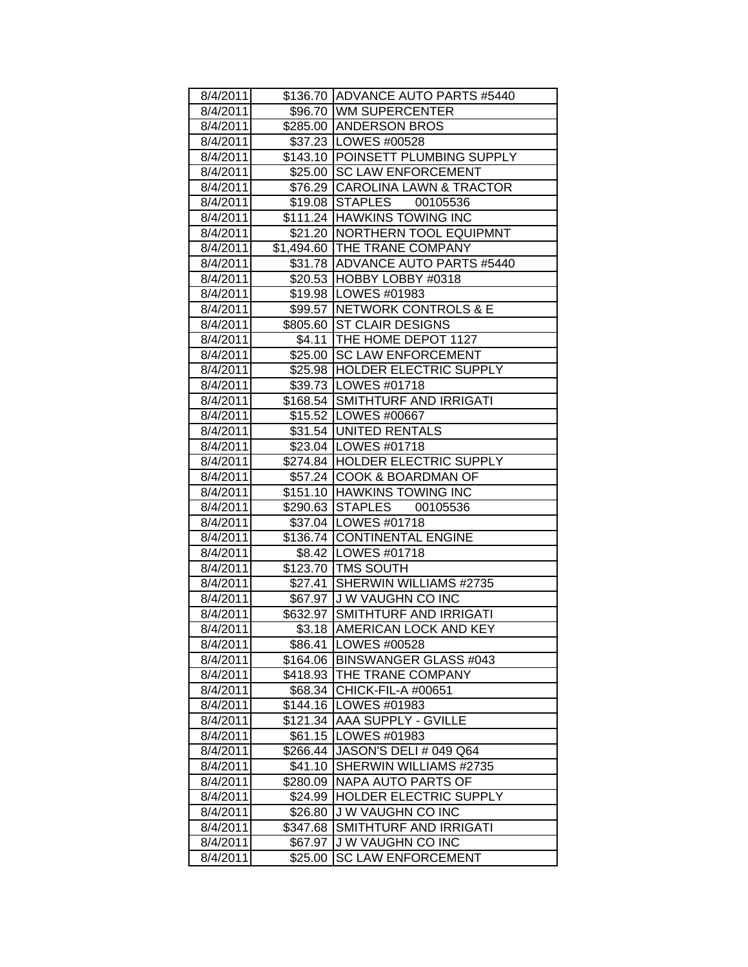| 8/4/2011 |          | \$136.70 ADVANCE AUTO PARTS #5440 |
|----------|----------|-----------------------------------|
| 8/4/2011 |          | \$96.70 WM SUPERCENTER            |
| 8/4/2011 |          | \$285.00 ANDERSON BROS            |
| 8/4/2011 |          | \$37.23 LOWES #00528              |
| 8/4/2011 |          | \$143.10 POINSETT PLUMBING SUPPLY |
| 8/4/2011 |          | \$25.00 SC LAW ENFORCEMENT        |
| 8/4/2011 |          | \$76.29 CAROLINA LAWN & TRACTOR   |
| 8/4/2011 |          | \$19.08 STAPLES 00105536          |
| 8/4/2011 |          | \$111.24 HAWKINS TOWING INC       |
| 8/4/2011 |          | \$21.20   NORTHERN TOOL EQUIPMNT  |
| 8/4/2011 |          | \$1,494.60 THE TRANE COMPANY      |
| 8/4/2011 |          | \$31.78 ADVANCE AUTO PARTS #5440  |
| 8/4/2011 |          | \$20.53  HOBBY LOBBY #0318        |
| 8/4/2011 |          | \$19.98   LOWES #01983            |
| 8/4/2011 |          | \$99.57 NETWORK CONTROLS & E      |
| 8/4/2011 |          | \$805.60 ST CLAIR DESIGNS         |
| 8/4/2011 |          | \$4.11 THE HOME DEPOT 1127        |
| 8/4/2011 |          | \$25.00 SC LAW ENFORCEMENT        |
| 8/4/2011 |          | \$25.98 HOLDER ELECTRIC SUPPLY    |
| 8/4/2011 |          | \$39.73   LOWES #01718            |
| 8/4/2011 |          | \$168.54 SMITHTURF AND IRRIGATI   |
| 8/4/2011 |          | \$15.52   LOWES #00667            |
| 8/4/2011 |          | \$31.54 UNITED RENTALS            |
| 8/4/2011 |          | \$23.04   LOWES #01718            |
| 8/4/2011 |          | \$274.84 HOLDER ELECTRIC SUPPLY   |
| 8/4/2011 |          | \$57.24  COOK & BOARDMAN OF       |
| 8/4/2011 |          | \$151.10 HAWKINS TOWING INC       |
| 8/4/2011 |          | \$290.63 STAPLES 00105536         |
| 8/4/2011 |          | \$37.04 LOWES #01718              |
| 8/4/2011 |          | \$136.74 CONTINENTAL ENGINE       |
| 8/4/2011 |          | \$8.42   LOWES #01718             |
| 8/4/2011 |          | \$123.70   TMS SOUTH              |
| 8/4/2011 |          | \$27.41 SHERWIN WILLIAMS #2735    |
| 8/4/2011 |          | \$67.97 J W VAUGHN CO INC         |
| 8/4/2011 |          | \$632.97 SMITHTURF AND IRRIGATI   |
| 8/4/2011 |          | \$3.18 AMERICAN LOCK AND KEY      |
| 8/4/2011 | \$86.41  | LOWES #00528                      |
| 8/4/2011 | \$164.06 | <b>BINSWANGER GLASS #043</b>      |
| 8/4/2011 | \$418.93 | THE TRANE COMPANY                 |
| 8/4/2011 | \$68.34  | CHICK-FIL-A #00651                |
| 8/4/2011 | \$144.16 | LOWES #01983                      |
| 8/4/2011 | \$121.34 | <b>AAA SUPPLY - GVILLE</b>        |
| 8/4/2011 | \$61.15  | <b>LOWES #01983</b>               |
| 8/4/2011 | \$266.44 | <b>JASON'S DELI # 049 Q64</b>     |
| 8/4/2011 | \$41.10  | SHERWIN WILLIAMS #2735            |
| 8/4/2011 | \$280.09 | <b>NAPA AUTO PARTS OF</b>         |
| 8/4/2011 | \$24.99  | HOLDER ELECTRIC SUPPLY            |
| 8/4/2011 | \$26.80  | J W VAUGHN CO INC                 |
| 8/4/2011 | \$347.68 | SMITHTURF AND IRRIGATI            |
| 8/4/2011 | \$67.97  | J W VAUGHN CO INC                 |
| 8/4/2011 | \$25.00  | <b>SC LAW ENFORCEMENT</b>         |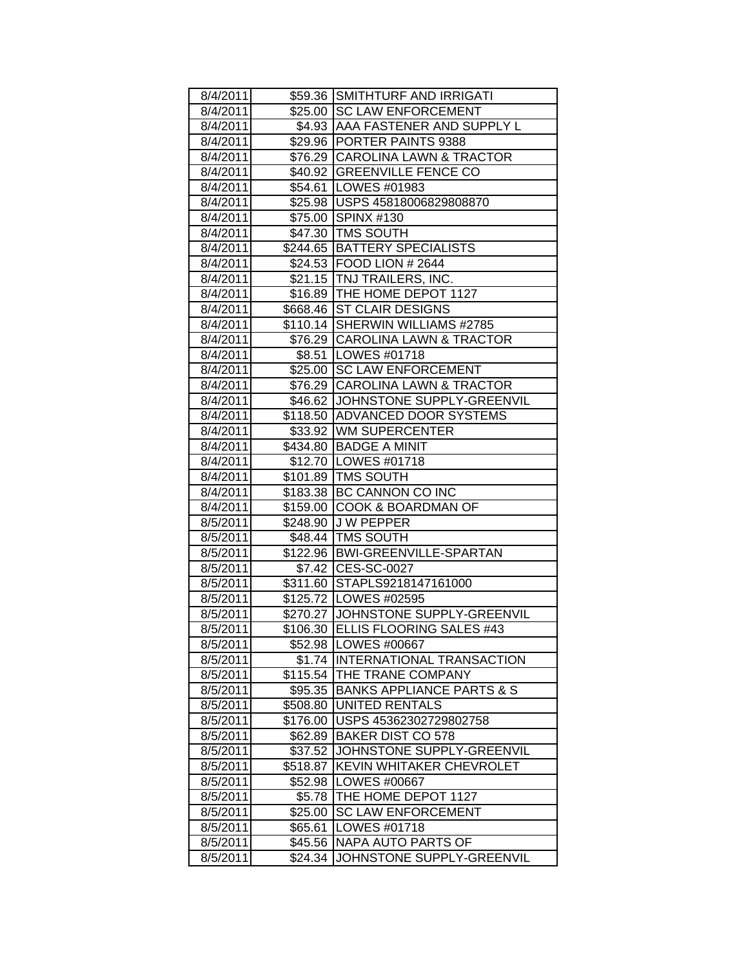| 8/4/2011 |                     | \$59.36 SMITHTURF AND IRRIGATI       |
|----------|---------------------|--------------------------------------|
| 8/4/2011 |                     | \$25.00 SC LAW ENFORCEMENT           |
| 8/4/2011 |                     | \$4.93 AAA FASTENER AND SUPPLY L     |
| 8/4/2011 |                     | \$29.96 PORTER PAINTS 9388           |
| 8/4/2011 |                     | \$76.29 CAROLINA LAWN & TRACTOR      |
| 8/4/2011 |                     | \$40.92 GREENVILLE FENCE CO          |
| 8/4/2011 |                     | \$54.61   LOWES #01983               |
| 8/4/2011 |                     | \$25.98 USPS 45818006829808870       |
| 8/4/2011 |                     | \$75.00 SPINX #130                   |
| 8/4/2011 |                     | \$47.30 TMS SOUTH                    |
| 8/4/2011 |                     | \$244.65 BATTERY SPECIALISTS         |
| 8/4/2011 |                     | \$24.53 FOOD LION # 2644             |
| 8/4/2011 |                     | \$21.15   TNJ TRAILERS, INC.         |
| 8/4/2011 |                     | \$16.89   THE HOME DEPOT 1127        |
| 8/4/2011 |                     | \$668.46 ST CLAIR DESIGNS            |
| 8/4/2011 |                     | \$110.14 SHERWIN WILLIAMS #2785      |
| 8/4/2011 |                     | \$76.29 CAROLINA LAWN & TRACTOR      |
| 8/4/2011 |                     | \$8.51   LOWES #01718                |
| 8/4/2011 | \$25.00             | <b>SC LAW ENFORCEMENT</b>            |
| 8/4/2011 |                     | \$76.29 CAROLINA LAWN & TRACTOR      |
| 8/4/2011 |                     | \$46.62 JJOHNSTONE SUPPLY-GREENVIL   |
| 8/4/2011 |                     | \$118.50 ADVANCED DOOR SYSTEMS       |
| 8/4/2011 |                     | \$33.92 WM SUPERCENTER               |
| 8/4/2011 |                     | \$434.80 BADGE A MINIT               |
| 8/4/2011 |                     | \$12.70   LOWES #01718               |
| 8/4/2011 |                     | \$101.89   TMS SOUTH                 |
| 8/4/2011 |                     | \$183.38 BC CANNON CO INC            |
| 8/4/2011 |                     | \$159.00 COOK & BOARDMAN OF          |
| 8/5/2011 |                     | \$248.90 J W PEPPER                  |
| 8/5/2011 |                     | \$48.44 TMS SOUTH                    |
| 8/5/2011 |                     | \$122.96   BWI-GREENVILLE-SPARTAN    |
| 8/5/2011 |                     | \$7.42 CES-SC-0027                   |
| 8/5/2011 |                     | \$311.60 STAPLS9218147161000         |
| 8/5/2011 |                     | \$125.72 LOWES #02595                |
| 8/5/2011 |                     | \$270.27 JJOHNSTONE SUPPLY-GREENVIL  |
| 8/5/2011 |                     | \$106.30 ELLIS FLOORING SALES #43    |
| 8/5/2011 |                     | \$52.98   LOWES #00667               |
| 8/5/2011 | \$1.74              | <b>INTERNATIONAL TRANSACTION</b>     |
| 8/5/2011 | \$115.54            | THE TRANE COMPANY                    |
| 8/5/2011 | $\overline{$}95.35$ | <b>BANKS APPLIANCE PARTS &amp; S</b> |
| 8/5/2011 | \$508.80            | <b>UNITED RENTALS</b>                |
| 8/5/2011 | \$176.00            | USPS 45362302729802758               |
| 8/5/2011 | \$62.89             | <b>BAKER DIST CO 578</b>             |
| 8/5/2011 | \$37.52             | JOHNSTONE SUPPLY-GREENVIL            |
| 8/5/2011 | \$518.87            | KEVIN WHITAKER CHEVROLET             |
| 8/5/2011 | \$52.98             | LOWES #00667                         |
| 8/5/2011 | \$5.78              | THE HOME DEPOT 1127                  |
| 8/5/2011 | \$25.00             | <b>SC LAW ENFORCEMENT</b>            |
| 8/5/2011 | \$65.61             | LOWES #01718                         |
| 8/5/2011 | \$45.56             | NAPA AUTO PARTS OF                   |
| 8/5/2011 | \$24.34             | JOHNSTONE SUPPLY-GREENVIL            |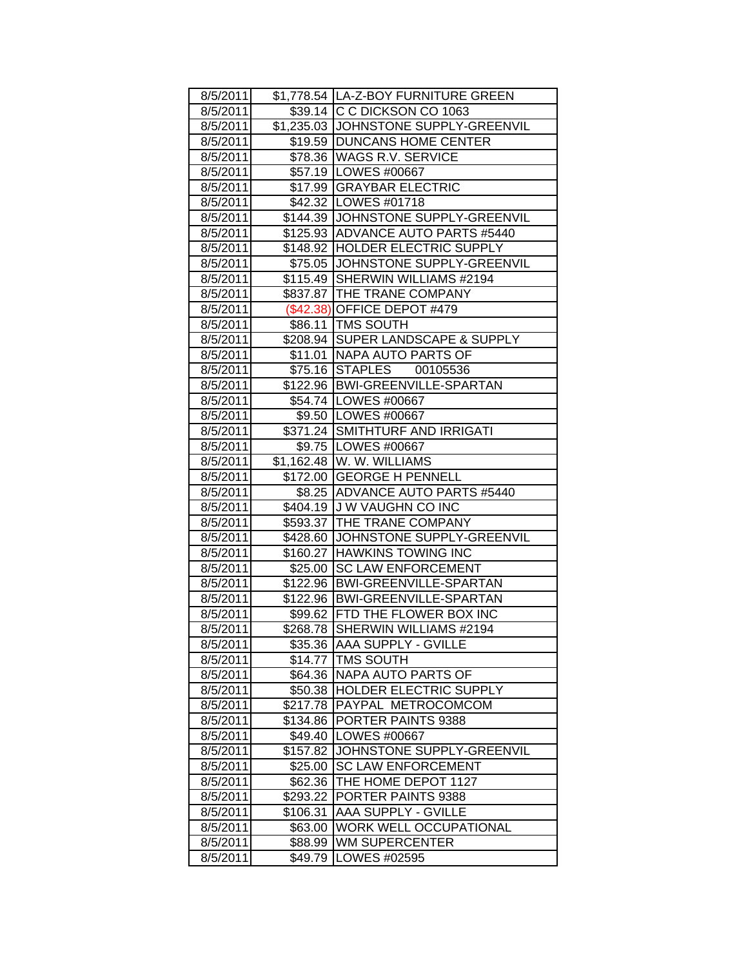| 8/5/2011 |          | \$1,778.54  LA-Z-BOY FURNITURE GREEN                                  |
|----------|----------|-----------------------------------------------------------------------|
| 8/5/2011 |          | \$39.14 C C DICKSON CO 1063                                           |
| 8/5/2011 |          | \$1,235.03 JJOHNSTONE SUPPLY-GREENVIL                                 |
| 8/5/2011 |          | \$19.59   DUNCANS HOME CENTER                                         |
| 8/5/2011 |          | \$78.36 WAGS R.V. SERVICE                                             |
| 8/5/2011 |          | \$57.19   LOWES #00667                                                |
| 8/5/2011 |          | \$17.99 GRAYBAR ELECTRIC                                              |
|          |          | \$42.32   LOWES #01718                                                |
| 8/5/2011 |          | \$144.39 JOHNSTONE SUPPLY-GREENVIL                                    |
| 8/5/2011 |          | \$125.93 ADVANCE AUTO PARTS #5440                                     |
| 8/5/2011 |          |                                                                       |
| 8/5/2011 |          | \$148.92 HOLDER ELECTRIC SUPPLY<br>\$75.05 JJOHNSTONE SUPPLY-GREENVIL |
| 8/5/2011 |          |                                                                       |
| 8/5/2011 |          | \$115.49 SHERWIN WILLIAMS #2194                                       |
| 8/5/2011 |          | \$837.87 THE TRANE COMPANY                                            |
| 8/5/2011 |          | (\$42.38) OFFICE DEPOT #479                                           |
| 8/5/2011 |          | \$86.11   TMS SOUTH                                                   |
| 8/5/2011 |          | \$208.94 SUPER LANDSCAPE & SUPPLY                                     |
| 8/5/2011 |          | \$11.01 NAPA AUTO PARTS OF                                            |
| 8/5/2011 | \$75.16  | STAPLES 00105536                                                      |
| 8/5/2011 |          | \$122.96 BWI-GREENVILLE-SPARTAN                                       |
| 8/5/2011 |          | \$54.74   LOWES #00667                                                |
| 8/5/2011 |          | \$9.50  LOWES #00667                                                  |
| 8/5/2011 |          | \$371.24 SMITHTURF AND IRRIGATI                                       |
| 8/5/2011 |          | \$9.75   LOWES #00667                                                 |
| 8/5/2011 |          | \$1,162.48  W. W. WILLIAMS                                            |
| 8/5/2011 |          | \$172.00 GEORGE H PENNELL                                             |
| 8/5/2011 |          | \$8.25   ADVANCE AUTO PARTS #5440                                     |
| 8/5/2011 |          | \$404.19 J W VAUGHN CO INC                                            |
| 8/5/2011 |          | \$593.37 THE TRANE COMPANY                                            |
| 8/5/2011 |          | \$428.60 JJOHNSTONE SUPPLY-GREENVIL                                   |
| 8/5/2011 |          | \$160.27 HAWKINS TOWING INC                                           |
| 8/5/2011 | \$25.00  | <b>SC LAW ENFORCEMENT</b>                                             |
| 8/5/2011 |          | \$122.96 BWI-GREENVILLE-SPARTAN                                       |
| 8/5/2011 |          | \$122.96 BWI-GREENVILLE-SPARTAN                                       |
| 8/5/2011 |          | \$99.62 FTD THE FLOWER BOX INC                                        |
| 8/5/2011 |          | \$268.78 SHERWIN WILLIAMS #2194                                       |
| 8/5/2011 | \$35.36  | <b>AAA SUPPLY - GVILLE</b>                                            |
| 8/5/2011 | \$14.77  | <b>TMS SOUTH</b>                                                      |
| 8/5/2011 | \$64.36  | NAPA AUTO PARTS OF                                                    |
| 8/5/2011 | \$50.38  | HOLDER ELECTRIC SUPPLY                                                |
| 8/5/2011 | \$217.78 | PAYPAL METROCOMCOM                                                    |
| 8/5/2011 | \$134.86 | PORTER PAINTS 9388                                                    |
| 8/5/2011 | \$49.40  | LOWES #00667                                                          |
| 8/5/2011 | \$157.82 | JOHNSTONE SUPPLY-GREENVIL                                             |
| 8/5/2011 | \$25.00  | <b>SC LAW ENFORCEMENT</b>                                             |
| 8/5/2011 | \$62.36  | THE HOME DEPOT 1127                                                   |
| 8/5/2011 | \$293.22 | PORTER PAINTS 9388                                                    |
| 8/5/2011 | \$106.31 | <b>AAA SUPPLY - GVILLE</b>                                            |
| 8/5/2011 | \$63.00  | <b>WORK WELL OCCUPATIONAL</b>                                         |
| 8/5/2011 | \$88.99  | <b>WM SUPERCENTER</b>                                                 |
| 8/5/2011 | \$49.79  | LOWES #02595                                                          |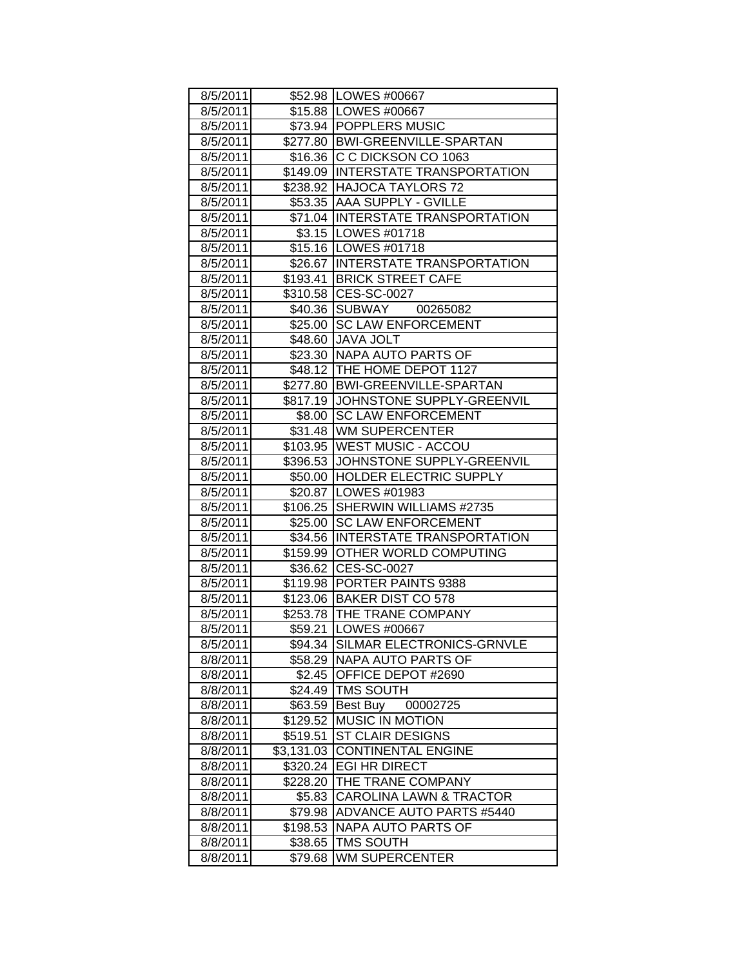| 8/5/2011 |            | \$52.98   LOWES #00667              |
|----------|------------|-------------------------------------|
| 8/5/2011 |            | \$15.88   LOWES #00667              |
| 8/5/2011 |            | \$73.94   POPPLERS MUSIC            |
| 8/5/2011 |            | \$277.80 BWI-GREENVILLE-SPARTAN     |
| 8/5/2011 |            | \$16.36 C C DICKSON CO 1063         |
| 8/5/2011 |            | \$149.09 INTERSTATE TRANSPORTATION  |
| 8/5/2011 |            | \$238.92 HAJOCA TAYLORS 72          |
| 8/5/2011 | \$53.35    | <b>AAA SUPPLY - GVILLE</b>          |
| 8/5/2011 |            | \$71.04 INTERSTATE TRANSPORTATION   |
| 8/5/2011 |            | \$3.15   LOWES #01718               |
| 8/5/2011 |            | \$15.16   LOWES #01718              |
| 8/5/2011 |            | \$26.67 INTERSTATE TRANSPORTATION   |
| 8/5/2011 |            | \$193.41 BRICK STREET CAFE          |
| 8/5/2011 |            | \$310.58 CES-SC-0027                |
| 8/5/2011 |            | \$40.36 SUBWAY<br>00265082          |
| 8/5/2011 |            | \$25.00 SC LAW ENFORCEMENT          |
| 8/5/2011 |            | \$48.60 JAVA JOLT                   |
| 8/5/2011 |            | \$23.30 NAPA AUTO PARTS OF          |
| 8/5/2011 |            | \$48.12   THE HOME DEPOT 1127       |
| 8/5/2011 | \$277.80   | <b>BWI-GREENVILLE-SPARTAN</b>       |
| 8/5/2011 | \$817.19   | JOHNSTONE SUPPLY-GREENVIL           |
| 8/5/2011 | \$8.00     | <b>SC LAW ENFORCEMENT</b>           |
| 8/5/2011 | \$31.48    | <b>WM SUPERCENTER</b>               |
| 8/5/2011 | \$103.95   | <b>WEST MUSIC - ACCOU</b>           |
| 8/5/2011 |            | \$396.53 JJOHNSTONE SUPPLY-GREENVIL |
| 8/5/2011 |            | \$50.00 HOLDER ELECTRIC SUPPLY      |
| 8/5/2011 |            | \$20.87   LOWES #01983              |
| 8/5/2011 |            | \$106.25 SHERWIN WILLIAMS #2735     |
| 8/5/2011 |            | \$25.00 SC LAW ENFORCEMENT          |
| 8/5/2011 |            | \$34.56 INTERSTATE TRANSPORTATION   |
| 8/5/2011 | \$159.99   | <b>OTHER WORLD COMPUTING</b>        |
| 8/5/2011 | \$36.62    | <b>CES-SC-0027</b>                  |
| 8/5/2011 | \$119.98   | PORTER PAINTS 9388                  |
| 8/5/2011 |            | \$123.06 BAKER DIST CO 578          |
| 8/5/2011 |            | \$253.78 THE TRANE COMPANY          |
| 8/5/2011 |            | \$59.21   LOWES #00667              |
| 8/5/2011 | \$94.34    | SILMAR ELECTRONICS-GRNVLE           |
| 8/8/2011 | \$58.29    | NAPA AUTO PARTS OF                  |
| 8/8/2011 | \$2.45     | OFFICE DEPOT #2690                  |
| 8/8/2011 | \$24.49    | <b>TMS SOUTH</b>                    |
| 8/8/2011 | \$63.59    | Best Buy 00002725                   |
| 8/8/2011 | \$129.52   | <b>MUSIC IN MOTION</b>              |
| 8/8/2011 | \$519.51   | <b>ST CLAIR DESIGNS</b>             |
| 8/8/2011 | \$3,131.03 | <b>CONTINENTAL ENGINE</b>           |
| 8/8/2011 | \$320.24   | <b>EGI HR DIRECT</b>                |
| 8/8/2011 | \$228.20   | THE TRANE COMPANY                   |
| 8/8/2011 | \$5.83     | <b>CAROLINA LAWN &amp; TRACTOR</b>  |
| 8/8/2011 | \$79.98    | <b>ADVANCE AUTO PARTS #5440</b>     |
| 8/8/2011 | \$198.53   | NAPA AUTO PARTS OF                  |
| 8/8/2011 | \$38.65    | <b>TMS SOUTH</b>                    |
| 8/8/2011 | \$79.68    | <b>WM SUPERCENTER</b>               |
|          |            |                                     |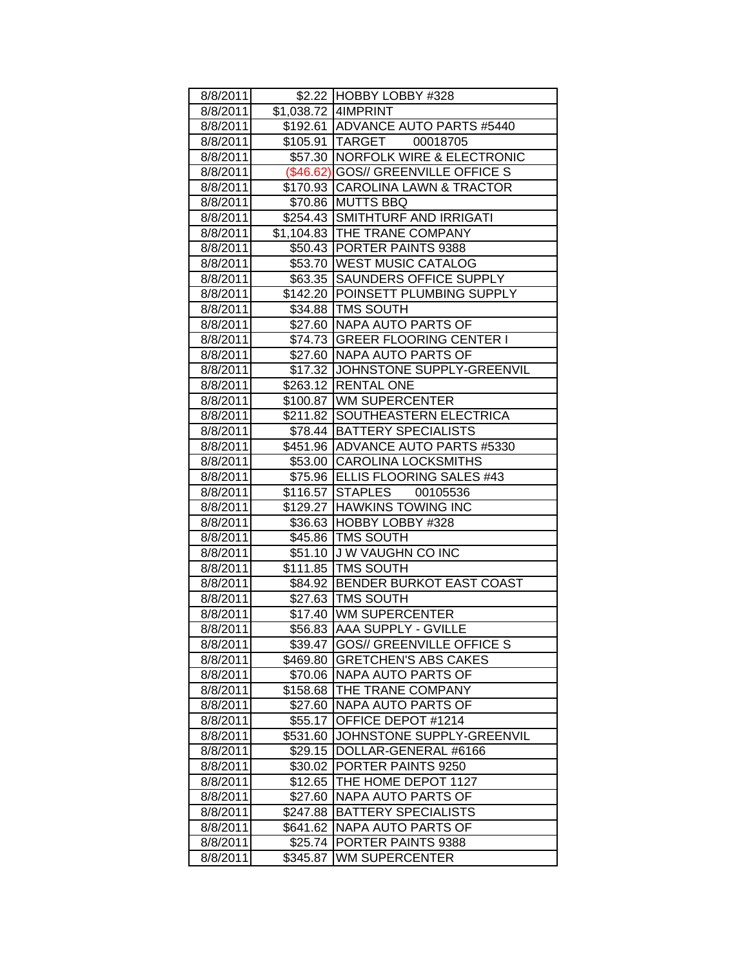| 8/8/2011 |          | \$2.22 HOBBY LOBBY #328             |
|----------|----------|-------------------------------------|
| 8/8/2011 |          | \$1,038.72   4IMPRINT               |
| 8/8/2011 |          | \$192.61 ADVANCE AUTO PARTS #5440   |
| 8/8/2011 |          | \$105.91  TARGET 00018705           |
| 8/8/2011 |          | \$57.30   NORFOLK WIRE & ELECTRONIC |
| 8/8/2011 |          | (\$46.62) GOS// GREENVILLE OFFICE S |
| 8/8/2011 |          | \$170.93 CAROLINA LAWN & TRACTOR    |
| 8/8/2011 |          | \$70.86 MUTTS BBQ                   |
| 8/8/2011 |          | \$254.43 SMITHTURF AND IRRIGATI     |
| 8/8/2011 |          | \$1,104.83 THE TRANE COMPANY        |
| 8/8/2011 |          | \$50.43 PORTER PAINTS 9388          |
| 8/8/2011 |          | \$53.70 WEST MUSIC CATALOG          |
|          |          | \$63.35 SAUNDERS OFFICE SUPPLY      |
| 8/8/2011 |          |                                     |
| 8/8/2011 |          | \$142.20 POINSETT PLUMBING SUPPLY   |
| 8/8/2011 |          | \$34.88   TMS SOUTH                 |
| 8/8/2011 |          | \$27.60 NAPA AUTO PARTS OF          |
| 8/8/2011 |          | \$74.73 GREER FLOORING CENTER I     |
| 8/8/2011 |          | \$27.60 NAPA AUTO PARTS OF          |
| 8/8/2011 |          | \$17.32 JOHNSTONE SUPPLY-GREENVIL   |
| 8/8/2011 |          | \$263.12 RENTAL ONE                 |
| 8/8/2011 |          | \$100.87 WM SUPERCENTER             |
| 8/8/2011 |          | \$211.82 SOUTHEASTERN ELECTRICA     |
| 8/8/2011 |          | \$78.44 BATTERY SPECIALISTS         |
| 8/8/2011 |          | \$451.96 ADVANCE AUTO PARTS #5330   |
| 8/8/2011 |          | \$53.00 CAROLINA LOCKSMITHS         |
| 8/8/2011 |          | \$75.96 ELLIS FLOORING SALES #43    |
| 8/8/2011 |          | \$116.57 STAPLES 00105536           |
| 8/8/2011 |          | \$129.27 HAWKINS TOWING INC         |
| 8/8/2011 |          | \$36.63 HOBBY LOBBY #328            |
| 8/8/2011 |          | \$45.86   TMS SOUTH                 |
| 8/8/2011 |          | \$51.10 J W VAUGHN CO INC           |
| 8/8/2011 |          | \$111.85   TMS SOUTH                |
| 8/8/2011 |          | \$84.92 BENDER BURKOT EAST COAST    |
| 8/8/2011 |          | \$27.63 TMS SOUTH                   |
| 8/8/2011 |          | \$17.40 WM SUPERCENTER              |
| 8/8/2011 |          | \$56.83 AAA SUPPLY - GVILLE         |
| 8/8/2011 | \$39.47  | <b>GOS// GREENVILLE OFFICE S</b>    |
| 8/8/2011 | \$469.80 | <b>GRETCHEN'S ABS CAKES</b>         |
| 8/8/2011 | \$70.06  | <b>NAPA AUTO PARTS OF</b>           |
| 8/8/2011 | \$158.68 | THE TRANE COMPANY                   |
| 8/8/2011 | \$27.60  | NAPA AUTO PARTS OF                  |
| 8/8/2011 | \$55.17  | OFFICE DEPOT #1214                  |
| 8/8/2011 | \$531.60 | JOHNSTONE SUPPLY-GREENVIL           |
| 8/8/2011 | \$29.15  | DOLLAR-GENERAL #6166                |
| 8/8/2011 | \$30.02  | PORTER PAINTS 9250                  |
| 8/8/2011 | \$12.65  | THE HOME DEPOT 1127                 |
| 8/8/2011 | \$27.60  | NAPA AUTO PARTS OF                  |
| 8/8/2011 | \$247.88 | <b>BATTERY SPECIALISTS</b>          |
| 8/8/2011 | \$641.62 | NAPA AUTO PARTS OF                  |
| 8/8/2011 | \$25.74  | PORTER PAINTS 9388                  |
| 8/8/2011 | \$345.87 | <b>WM SUPERCENTER</b>               |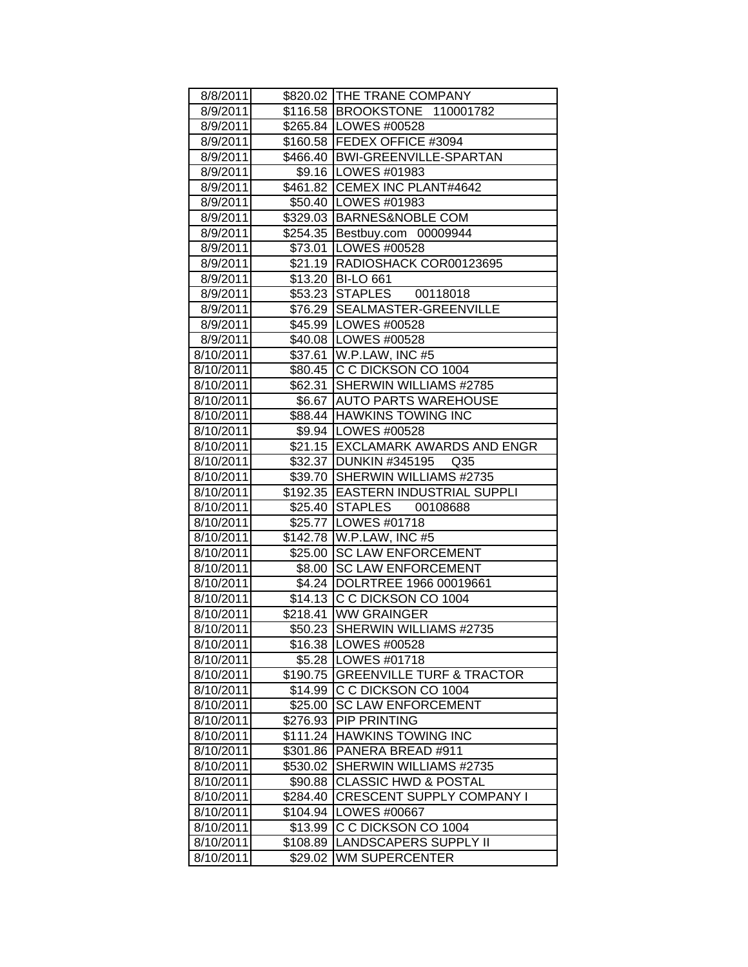| 8/8/2011  |          | \$820.02 THE TRANE COMPANY         |
|-----------|----------|------------------------------------|
| 8/9/2011  |          | \$116.58 BROOKSTONE 110001782      |
| 8/9/2011  |          | \$265.84   LOWES #00528            |
| 8/9/2011  |          | \$160.58 FEDEX OFFICE #3094        |
| 8/9/2011  |          | \$466.40 BWI-GREENVILLE-SPARTAN    |
| 8/9/2011  |          | \$9.16   LOWES #01983              |
| 8/9/2011  |          | \$461.82 CEMEX INC PLANT#4642      |
| 8/9/2011  |          | \$50.40   LOWES #01983             |
| 8/9/2011  |          | \$329.03 BARNES&NOBLE COM          |
| 8/9/2011  |          | \$254.35 Bestbuy.com 00009944      |
| 8/9/2011  |          | \$73.01   LOWES #00528             |
| 8/9/2011  |          | \$21.19   RADIOSHACK COR00123695   |
| 8/9/2011  |          | \$13.20 BI-LO 661                  |
| 8/9/2011  |          | \$53.23 STAPLES 00118018           |
| 8/9/2011  |          | \$76.29 SEALMASTER-GREENVILLE      |
| 8/9/2011  |          | \$45.99 LOWES #00528               |
| 8/9/2011  |          | \$40.08 LOWES #00528               |
| 8/10/2011 |          | \$37.61 W.P.LAW, INC #5            |
| 8/10/2011 |          | \$80.45 C C DICKSON CO 1004        |
| 8/10/2011 |          | \$62.31 SHERWIN WILLIAMS #2785     |
| 8/10/2011 |          | \$6.67   AUTO PARTS WAREHOUSE      |
| 8/10/2011 |          | \$88.44 HAWKINS TOWING INC         |
| 8/10/2011 |          | \$9.94   LOWES #00528              |
| 8/10/2011 |          | \$21.15 EXCLAMARK AWARDS AND ENGR  |
| 8/10/2011 |          | \$32.37 DUNKIN #345195 Q35         |
| 8/10/2011 |          | \$39.70 SHERWIN WILLIAMS #2735     |
| 8/10/2011 |          | \$192.35 EASTERN INDUSTRIAL SUPPLI |
| 8/10/2011 |          | \$25.40 STAPLES 00108688           |
| 8/10/2011 |          | \$25.77 LOWES #01718               |
| 8/10/2011 |          | \$142.78 W.P.LAW, INC #5           |
| 8/10/2011 |          | \$25.00 SC LAW ENFORCEMENT         |
| 8/10/2011 |          | \$8.00 SC LAW ENFORCEMENT          |
| 8/10/2011 |          | \$4.24 DOLRTREE 1966 00019661      |
| 8/10/2011 |          | \$14.13 C C DICKSON CO 1004        |
| 8/10/2011 |          | \$218.41 WW GRAINGER               |
| 8/10/2011 |          | \$50.23 SHERWIN WILLIAMS #2735     |
| 8/10/2011 |          | \$16.38   LOWES #00528             |
| 8/10/2011 |          | \$5.28   LOWES #01718              |
| 8/10/2011 |          | \$190.75 GREENVILLE TURF & TRACTOR |
| 8/10/2011 | \$14.99  | C C DICKSON CO 1004                |
| 8/10/2011 | \$25.00  | <b>SC LAW ENFORCEMENT</b>          |
| 8/10/2011 | \$276.93 | <b>PIP PRINTING</b>                |
| 8/10/2011 | \$111.24 | <b>HAWKINS TOWING INC</b>          |
| 8/10/2011 | \$301.86 | PANERA BREAD #911                  |
| 8/10/2011 | \$530.02 | SHERWIN WILLIAMS #2735             |
| 8/10/2011 | \$90.88  | <b>CLASSIC HWD &amp; POSTAL</b>    |
| 8/10/2011 | \$284.40 | <b>CRESCENT SUPPLY COMPANY I</b>   |
| 8/10/2011 | \$104.94 | LOWES #00667                       |
| 8/10/2011 | \$13.99  | C C DICKSON CO 1004                |
| 8/10/2011 | \$108.89 | LANDSCAPERS SUPPLY II              |
| 8/10/2011 | \$29.02  | <b>WM SUPERCENTER</b>              |
|           |          |                                    |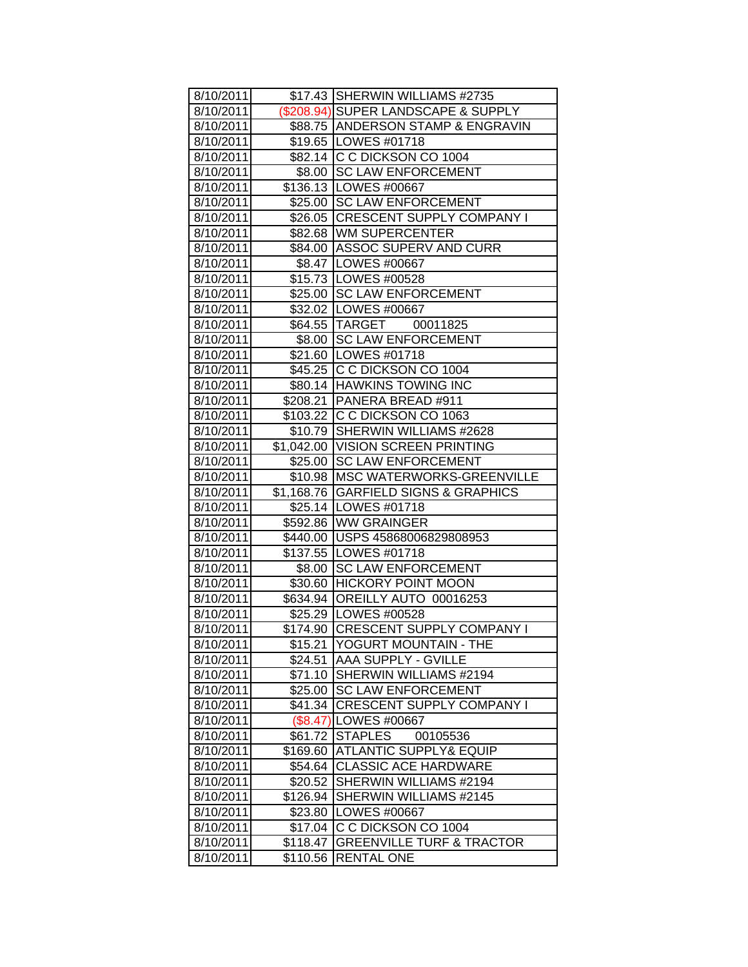| 8/10/2011 |          | \$17.43 SHERWIN WILLIAMS #2735       |
|-----------|----------|--------------------------------------|
| 8/10/2011 |          | (\$208.94) SUPER LANDSCAPE & SUPPLY  |
| 8/10/2011 |          | \$88.75   ANDERSON STAMP & ENGRAVIN  |
| 8/10/2011 |          | \$19.65 LOWES #01718                 |
| 8/10/2011 |          | \$82.14 C C DICKSON CO 1004          |
| 8/10/2011 |          | \$8.00 SC LAW ENFORCEMENT            |
| 8/10/2011 |          | \$136.13   LOWES #00667              |
| 8/10/2011 |          | \$25.00 SC LAW ENFORCEMENT           |
| 8/10/2011 |          | \$26.05 CRESCENT SUPPLY COMPANY I    |
| 8/10/2011 |          | \$82.68 WM SUPERCENTER               |
| 8/10/2011 |          | \$84.00 ASSOC SUPERV AND CURR        |
| 8/10/2011 |          | \$8.47   LOWES #00667                |
| 8/10/2011 |          | \$15.73   LOWES #00528               |
| 8/10/2011 |          | \$25.00 SC LAW ENFORCEMENT           |
| 8/10/2011 |          | \$32.02 LOWES #00667                 |
| 8/10/2011 |          | \$64.55 TARGET 00011825              |
| 8/10/2011 |          | \$8.00 SC LAW ENFORCEMENT            |
| 8/10/2011 |          | \$21.60 LOWES #01718                 |
| 8/10/2011 | \$45.25  | C C DICKSON CO 1004                  |
| 8/10/2011 |          | \$80.14 HAWKINS TOWING INC           |
| 8/10/2011 |          | \$208.21 PANERA BREAD #911           |
| 8/10/2011 |          | \$103.22 C C DICKSON CO 1063         |
| 8/10/2011 | \$10.79  | SHERWIN WILLIAMS #2628               |
| 8/10/2011 |          | \$1,042.00 VISION SCREEN PRINTING    |
| 8/10/2011 |          | \$25.00 SC LAW ENFORCEMENT           |
| 8/10/2011 |          | \$10.98   MSC WATERWORKS-GREENVILLE  |
| 8/10/2011 |          | \$1,168.76 GARFIELD SIGNS & GRAPHICS |
| 8/10/2011 |          | \$25.14   LOWES #01718               |
| 8/10/2011 |          | \$592.86 WW GRAINGER                 |
| 8/10/2011 |          | \$440.00 USPS 45868006829808953      |
| 8/10/2011 |          | \$137.55   LOWES #01718              |
| 8/10/2011 | \$8.00   | <b>SC LAW ENFORCEMENT</b>            |
| 8/10/2011 |          | \$30.60 HICKORY POINT MOON           |
| 8/10/2011 |          | \$634.94 OREILLY AUTO 00016253       |
| 8/10/2011 |          | \$25.29 LOWES #00528                 |
| 8/10/2011 |          | \$174.90 CRESCENT SUPPLY COMPANY I   |
| 8/10/2011 | \$15.21  | YOGURT MOUNTAIN - THE                |
| 8/10/2011 | \$24.51  | AAA SUPPLY - GVILLE                  |
| 8/10/2011 | \$71.10  | SHERWIN WILLIAMS #2194               |
| 8/10/2011 | \$25.00  | <b>SC LAW ENFORCEMENT</b>            |
| 8/10/2011 | \$41.34  | <b>CRESCENT SUPPLY COMPANY I</b>     |
| 8/10/2011 | (\$8.47) | LOWES #00667                         |
| 8/10/2011 | \$61.72  | <b>STAPLES</b><br>00105536           |
| 8/10/2011 | \$169.60 | <b>ATLANTIC SUPPLY&amp; EQUIP</b>    |
| 8/10/2011 | \$54.64  | <b>CLASSIC ACE HARDWARE</b>          |
| 8/10/2011 | \$20.52  | SHERWIN WILLIAMS #2194               |
| 8/10/2011 | \$126.94 | SHERWIN WILLIAMS #2145               |
| 8/10/2011 | \$23.80  | LOWES #00667                         |
| 8/10/2011 | \$17.04  | C C DICKSON CO 1004                  |
| 8/10/2011 | \$118.47 | <b>GREENVILLE TURF &amp; TRACTOR</b> |
| 8/10/2011 | \$110.56 | <b>RENTAL ONE</b>                    |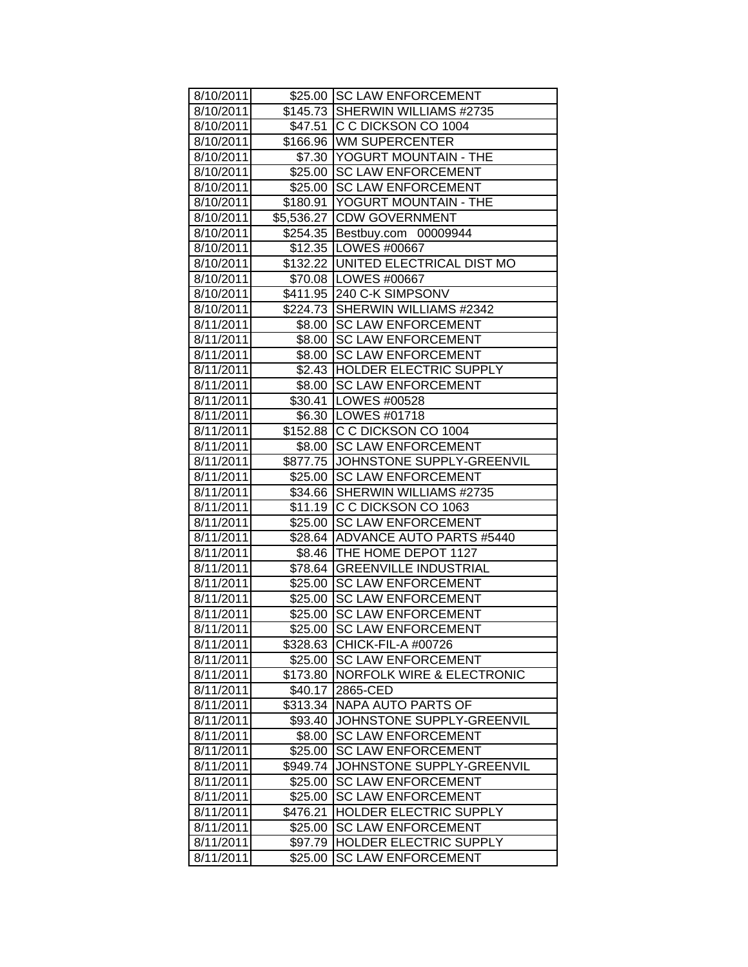| 8/10/2011 |          | \$25.00 SC LAW ENFORCEMENT           |
|-----------|----------|--------------------------------------|
| 8/10/2011 |          | \$145.73 SHERWIN WILLIAMS #2735      |
| 8/10/2011 |          | \$47.51 C C DICKSON CO 1004          |
| 8/10/2011 |          | \$166.96 WM SUPERCENTER              |
| 8/10/2011 |          | \$7.30 YOGURT MOUNTAIN - THE         |
| 8/10/2011 |          | \$25.00 SC LAW ENFORCEMENT           |
| 8/10/2011 |          | \$25.00 SC LAW ENFORCEMENT           |
| 8/10/2011 |          | \$180.91 YOGURT MOUNTAIN - THE       |
| 8/10/2011 |          | \$5,536.27 CDW GOVERNMENT            |
| 8/10/2011 |          | \$254.35 Bestbuy.com 00009944        |
| 8/10/2011 |          | \$12.35   LOWES #00667               |
| 8/10/2011 |          | \$132.22   UNITED ELECTRICAL DIST MO |
| 8/10/2011 |          | \$70.08   LOWES #00667               |
| 8/10/2011 |          | \$411.95 240 C-K SIMPSONV            |
| 8/10/2011 |          | \$224.73 SHERWIN WILLIAMS #2342      |
| 8/11/2011 |          | \$8.00 SC LAW ENFORCEMENT            |
| 8/11/2011 |          | \$8.00 SC LAW ENFORCEMENT            |
| 8/11/2011 |          | \$8.00 SC LAW ENFORCEMENT            |
| 8/11/2011 |          | \$2.43 HOLDER ELECTRIC SUPPLY        |
| 8/11/2011 |          | \$8.00 SC LAW ENFORCEMENT            |
| 8/11/2011 |          | \$30.41   LOWES #00528               |
| 8/11/2011 |          | \$6.30   LOWES #01718                |
| 8/11/2011 |          | \$152.88 C C DICKSON CO 1004         |
| 8/11/2011 |          | \$8.00 SC LAW ENFORCEMENT            |
| 8/11/2011 |          | \$877.75 JJOHNSTONE SUPPLY-GREENVIL  |
| 8/11/2011 |          | \$25.00 SC LAW ENFORCEMENT           |
| 8/11/2011 |          | \$34.66 SHERWIN WILLIAMS #2735       |
| 8/11/2011 |          | \$11.19 C C DICKSON CO 1063          |
| 8/11/2011 |          | \$25.00 SC LAW ENFORCEMENT           |
| 8/11/2011 |          | \$28.64 ADVANCE AUTO PARTS #5440     |
| 8/11/2011 |          | \$8.46 THE HOME DEPOT 1127           |
| 8/11/2011 |          | \$78.64 GREENVILLE INDUSTRIAL        |
| 8/11/2011 |          | \$25.00 SC LAW ENFORCEMENT           |
| 8/11/2011 |          | \$25.00 SC LAW ENFORCEMENT           |
| 8/11/2011 |          | \$25.00 SC LAW ENFORCEMENT           |
| 8/11/2011 | \$25.00  | <b>SC LAW ENFORCEMENT</b>            |
| 8/11/2011 |          | \$328.63 CHICK-FIL-A #00726          |
| 8/11/2011 | \$25.00  | <b>SC LAW ENFORCEMENT</b>            |
| 8/11/2011 | \$173.80 | NORFOLK WIRE & ELECTRONIC            |
| 8/11/2011 | \$40.17  | 2865-CED                             |
| 8/11/2011 | \$313.34 | NAPA AUTO PARTS OF                   |
| 8/11/2011 | \$93.40  | JOHNSTONE SUPPLY-GREENVIL            |
| 8/11/2011 | \$8.00   | <b>SC LAW ENFORCEMENT</b>            |
| 8/11/2011 | \$25.00  | <b>SC LAW ENFORCEMENT</b>            |
| 8/11/2011 | \$949.74 | JOHNSTONE SUPPLY-GREENVIL            |
| 8/11/2011 | \$25.00  | <b>SC LAW ENFORCEMENT</b>            |
| 8/11/2011 | \$25.00  | <b>SC LAW ENFORCEMENT</b>            |
| 8/11/2011 | \$476.21 | HOLDER ELECTRIC SUPPLY               |
| 8/11/2011 | \$25.00  | <b>SC LAW ENFORCEMENT</b>            |
| 8/11/2011 | \$97.79  | HOLDER ELECTRIC SUPPLY               |
| 8/11/2011 | \$25.00  | <b>SC LAW ENFORCEMENT</b>            |
|           |          |                                      |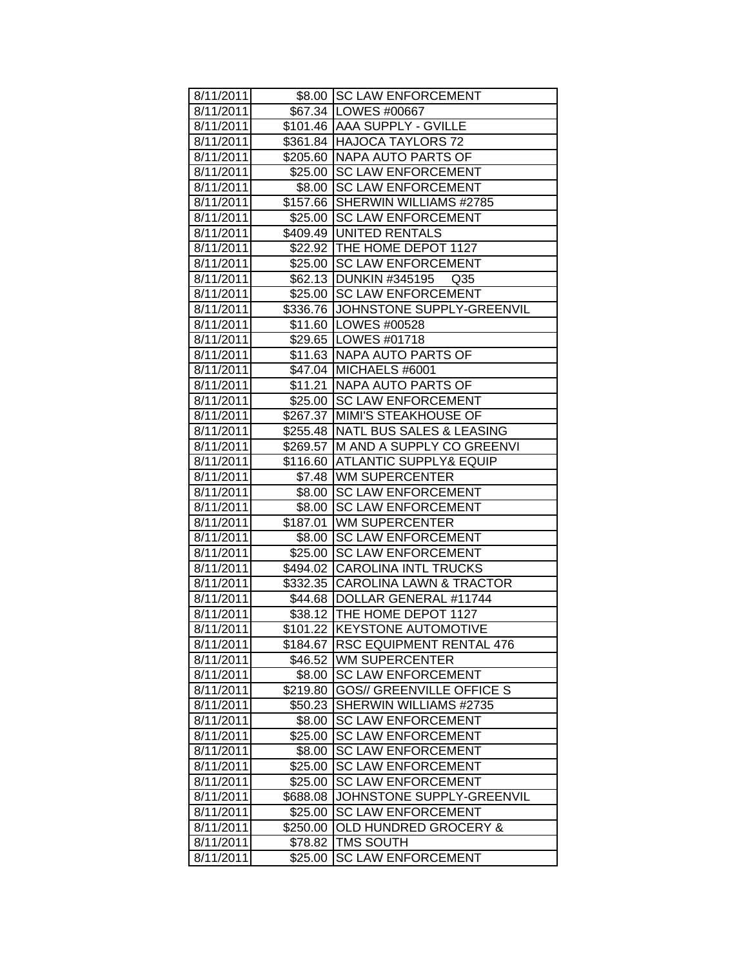| 8/11/2011 |          | \$8.00 SC LAW ENFORCEMENT           |
|-----------|----------|-------------------------------------|
| 8/11/2011 |          | \$67.34   LOWES #00667              |
| 8/11/2011 |          | \$101.46 AAA SUPPLY - GVILLE        |
| 8/11/2011 |          | \$361.84 HAJOCA TAYLORS 72          |
| 8/11/2011 |          | \$205.60 NAPA AUTO PARTS OF         |
| 8/11/2011 |          | \$25.00 SC LAW ENFORCEMENT          |
| 8/11/2011 |          | \$8.00 SC LAW ENFORCEMENT           |
| 8/11/2011 |          | \$157.66 SHERWIN WILLIAMS #2785     |
| 8/11/2011 |          | \$25.00 SC LAW ENFORCEMENT          |
| 8/11/2011 |          | \$409.49 UNITED RENTALS             |
| 8/11/2011 |          | \$22.92 THE HOME DEPOT 1127         |
| 8/11/2011 |          | \$25.00 SC LAW ENFORCEMENT          |
| 8/11/2011 |          | \$62.13 DUNKIN #345195<br>Q35       |
| 8/11/2011 |          | \$25.00 SC LAW ENFORCEMENT          |
| 8/11/2011 |          | \$336.76 JJOHNSTONE SUPPLY-GREENVIL |
| 8/11/2011 |          | \$11.60   LOWES #00528              |
| 8/11/2011 |          | \$29.65   LOWES #01718              |
| 8/11/2011 |          | \$11.63 NAPA AUTO PARTS OF          |
| 8/11/2011 |          | \$47.04 MICHAELS #6001              |
| 8/11/2011 |          | \$11.21 NAPA AUTO PARTS OF          |
| 8/11/2011 |          | \$25.00 SC LAW ENFORCEMENT          |
| 8/11/2011 |          | \$267.37 MIMI'S STEAKHOUSE OF       |
| 8/11/2011 |          | \$255.48 NATL BUS SALES & LEASING   |
| 8/11/2011 |          | \$269.57 M AND A SUPPLY CO GREENVI  |
| 8/11/2011 |          | \$116.60  ATLANTIC SUPPLY& EQUIP    |
| 8/11/2011 |          | \$7.48   WM SUPERCENTER             |
| 8/11/2011 |          | \$8.00 SC LAW ENFORCEMENT           |
| 8/11/2011 |          | \$8.00 SC LAW ENFORCEMENT           |
| 8/11/2011 |          | \$187.01 WM SUPERCENTER             |
| 8/11/2011 |          | \$8.00 SC LAW ENFORCEMENT           |
| 8/11/2011 |          | \$25.00 SC LAW ENFORCEMENT          |
| 8/11/2011 |          | \$494.02 CAROLINA INTL TRUCKS       |
| 8/11/2011 |          | \$332.35 CAROLINA LAWN & TRACTOR    |
| 8/11/2011 |          | \$44.68   DOLLAR GENERAL #11744     |
| 8/11/2011 |          | \$38.12 THE HOME DEPOT 1127         |
| 8/11/2011 |          | \$101.22 KEYSTONE AUTOMOTIVE        |
| 8/11/2011 |          | \$184.67 RSC EQUIPMENT RENTAL 476   |
| 8/11/2011 | \$46.52  | WM SUPERCENTER                      |
| 8/11/2011 | \$8.00   | <b>SC LAW ENFORCEMENT</b>           |
| 8/11/2011 | \$219.80 | <b>GOS// GREENVILLE OFFICE S</b>    |
| 8/11/2011 | \$50.23  | SHERWIN WILLIAMS #2735              |
| 8/11/2011 | \$8.00   | <b>SC LAW ENFORCEMENT</b>           |
| 8/11/2011 | \$25.00  | <b>SC LAW ENFORCEMENT</b>           |
| 8/11/2011 | \$8.00   | <b>SC LAW ENFORCEMENT</b>           |
| 8/11/2011 | \$25.00  | <b>SC LAW ENFORCEMENT</b>           |
| 8/11/2011 | \$25.00  | <b>SC LAW ENFORCEMENT</b>           |
| 8/11/2011 | \$688.08 | JOHNSTONE SUPPLY-GREENVIL           |
| 8/11/2011 | \$25.00  | <b>SC LAW ENFORCEMENT</b>           |
| 8/11/2011 | \$250.00 | <b>OLD HUNDRED GROCERY &amp;</b>    |
| 8/11/2011 | \$78.82  | <b>TMS SOUTH</b>                    |
| 8/11/2011 | \$25.00  | <b>SC LAW ENFORCEMENT</b>           |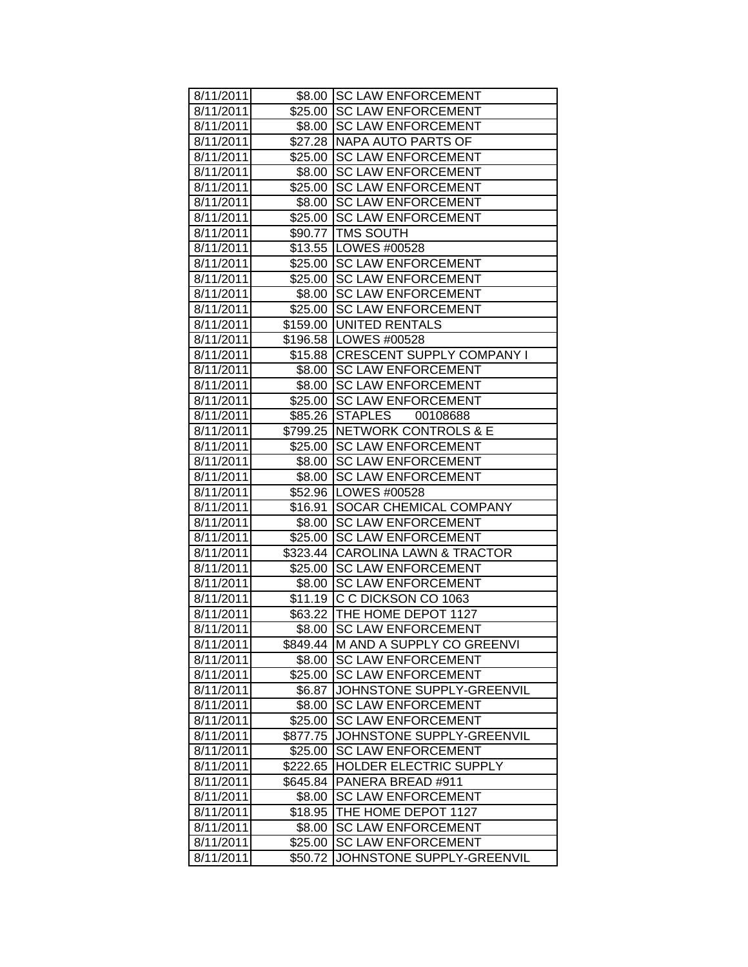| 8/11/2011 |          | \$8.00 SC LAW ENFORCEMENT         |
|-----------|----------|-----------------------------------|
| 8/11/2011 |          | \$25.00 SC LAW ENFORCEMENT        |
| 8/11/2011 |          | \$8.00 SC LAW ENFORCEMENT         |
| 8/11/2011 |          | \$27.28   NAPA AUTO PARTS OF      |
| 8/11/2011 | \$25.00  | <b>SC LAW ENFORCEMENT</b>         |
| 8/11/2011 | \$8.00   | <b>SC LAW ENFORCEMENT</b>         |
| 8/11/2011 | \$25.00  | <b>SC LAW ENFORCEMENT</b>         |
| 8/11/2011 | \$8.00   | <b>SC LAW ENFORCEMENT</b>         |
| 8/11/2011 |          | \$25.00 SC LAW ENFORCEMENT        |
| 8/11/2011 |          | \$90.77   TMS SOUTH               |
| 8/11/2011 |          | \$13.55   LOWES #00528            |
| 8/11/2011 |          | \$25.00 SC LAW ENFORCEMENT        |
| 8/11/2011 |          | \$25.00 SC LAW ENFORCEMENT        |
| 8/11/2011 |          | \$8.00 SC LAW ENFORCEMENT         |
| 8/11/2011 |          | \$25.00 SC LAW ENFORCEMENT        |
| 8/11/2011 |          | \$159.00 UNITED RENTALS           |
| 8/11/2011 |          | \$196.58   LOWES #00528           |
| 8/11/2011 |          | \$15.88 CRESCENT SUPPLY COMPANY I |
| 8/11/2011 | \$8.00   | <b>SC LAW ENFORCEMENT</b>         |
| 8/11/2011 | \$8.00   | <b>SC LAW ENFORCEMENT</b>         |
| 8/11/2011 | \$25.00  | <b>SC LAW ENFORCEMENT</b>         |
| 8/11/2011 | \$85.26  | STAPLES 00108688                  |
| 8/11/2011 |          | \$799.25 NETWORK CONTROLS & E     |
| 8/11/2011 |          | \$25.00 SC LAW ENFORCEMENT        |
| 8/11/2011 |          | \$8.00 SC LAW ENFORCEMENT         |
| 8/11/2011 |          | \$8.00 SC LAW ENFORCEMENT         |
| 8/11/2011 |          | \$52.96   LOWES #00528            |
| 8/11/2011 | \$16.91  | <b>SOCAR CHEMICAL COMPANY</b>     |
| 8/11/2011 | \$8.00   | <b>SC LAW ENFORCEMENT</b>         |
| 8/11/2011 | \$25.00  | <b>SC LAW ENFORCEMENT</b>         |
| 8/11/2011 |          | \$323.44 CAROLINA LAWN & TRACTOR  |
| 8/11/2011 | \$25.00  | <b>SC LAW ENFORCEMENT</b>         |
| 8/11/2011 | \$8.00   | <b>SC LAW ENFORCEMENT</b>         |
| 8/11/2011 |          | \$11.19 C C DICKSON CO 1063       |
| 8/11/2011 |          | \$63.22 THE HOME DEPOT 1127       |
| 8/11/2011 |          | \$8.00 SC LAW ENFORCEMENT         |
| 8/11/2011 | \$849.44 | <b>M AND A SUPPLY CO GREENVI</b>  |
| 8/11/2011 | \$8.00   | <b>SC LAW ENFORCEMENT</b>         |
| 8/11/2011 | \$25.00  | <b>SC LAW ENFORCEMENT</b>         |
| 8/11/2011 | \$6.87   | JOHNSTONE SUPPLY-GREENVIL         |
| 8/11/2011 | \$8.00   | <b>SC LAW ENFORCEMENT</b>         |
| 8/11/2011 | \$25.00  | <b>SC LAW ENFORCEMENT</b>         |
| 8/11/2011 | \$877.75 | JOHNSTONE SUPPLY-GREENVIL         |
| 8/11/2011 | \$25.00  | <b>SC LAW ENFORCEMENT</b>         |
| 8/11/2011 | \$222.65 | <b>HOLDER ELECTRIC SUPPLY</b>     |
| 8/11/2011 | \$645.84 | PANERA BREAD #911                 |
| 8/11/2011 | \$8.00   | <b>SC LAW ENFORCEMENT</b>         |
| 8/11/2011 | \$18.95  | THE HOME DEPOT 1127               |
| 8/11/2011 | \$8.00   | <b>SC LAW ENFORCEMENT</b>         |
| 8/11/2011 | \$25.00  | <b>SC LAW ENFORCEMENT</b>         |
| 8/11/2011 | \$50.72  | JOHNSTONE SUPPLY-GREENVIL         |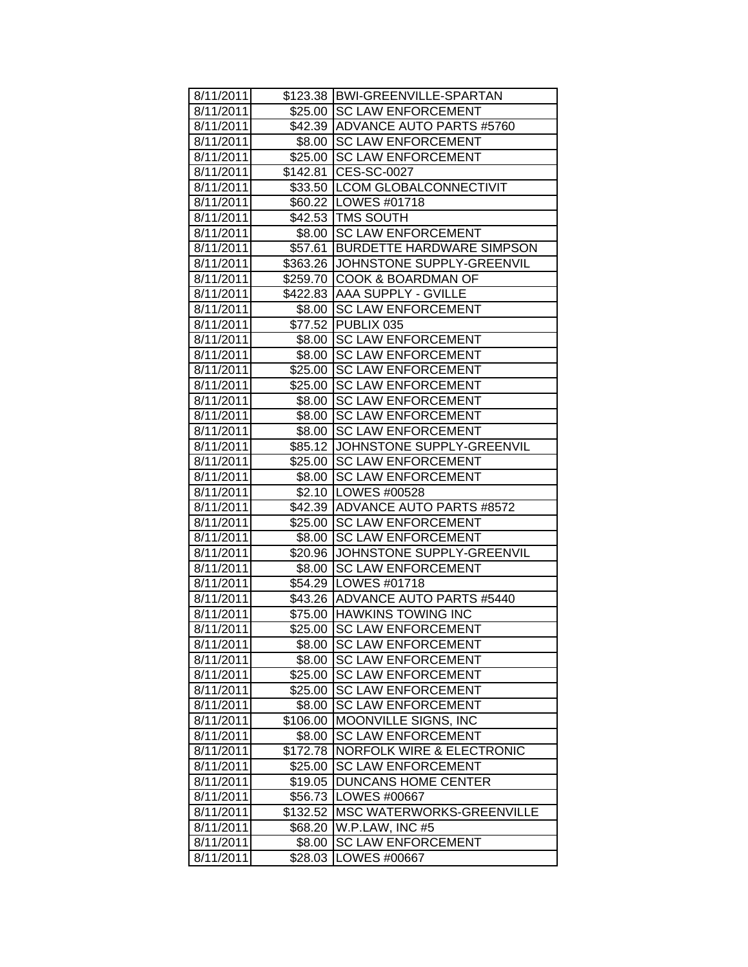| 8/11/2011 |          | \$123.38 BWI-GREENVILLE-SPARTAN      |
|-----------|----------|--------------------------------------|
| 8/11/2011 |          | \$25.00 SC LAW ENFORCEMENT           |
| 8/11/2011 |          | \$42.39 ADVANCE AUTO PARTS #5760     |
| 8/11/2011 |          | \$8.00 SC LAW ENFORCEMENT            |
| 8/11/2011 |          | \$25.00 SC LAW ENFORCEMENT           |
| 8/11/2011 |          | \$142.81 CES-SC-0027                 |
| 8/11/2011 |          | \$33.50 LCOM GLOBALCONNECTIVIT       |
| 8/11/2011 |          | \$60.22   LOWES #01718               |
| 8/11/2011 |          | \$42.53 TMS SOUTH                    |
| 8/11/2011 |          | \$8.00 SC LAW ENFORCEMENT            |
| 8/11/2011 | \$57.61  | <b>BURDETTE HARDWARE SIMPSON</b>     |
| 8/11/2011 | \$363.26 | JOHNSTONE SUPPLY-GREENVIL            |
| 8/11/2011 | \$259.70 | COOK & BOARDMAN OF                   |
| 8/11/2011 |          | \$422.83 AAA SUPPLY - GVILLE         |
| 8/11/2011 | \$8.00   | <b>SC LAW ENFORCEMENT</b>            |
| 8/11/2011 |          | \$77.52 PUBLIX 035                   |
| 8/11/2011 |          | \$8.00 SC LAW ENFORCEMENT            |
| 8/11/2011 | \$8.00   | <b>SC LAW ENFORCEMENT</b>            |
| 8/11/2011 | \$25.00  | <b>SC LAW ENFORCEMENT</b>            |
| 8/11/2011 | \$25.00  | <b>SC LAW ENFORCEMENT</b>            |
| 8/11/2011 | \$8.00   | <b>SC LAW ENFORCEMENT</b>            |
| 8/11/2011 |          | \$8.00 SC LAW ENFORCEMENT            |
| 8/11/2011 | \$8.00   | <b>SC LAW ENFORCEMENT</b>            |
| 8/11/2011 | $$85.12$ | JOHNSTONE SUPPLY-GREENVIL            |
| 8/11/2011 | \$25.00  | <b>SC LAW ENFORCEMENT</b>            |
| 8/11/2011 | \$8.00   | <b>SC LAW ENFORCEMENT</b>            |
| 8/11/2011 |          | \$2.10   LOWES #00528                |
| 8/11/2011 |          | \$42.39   ADVANCE AUTO PARTS #8572   |
| 8/11/2011 |          | \$25.00 SC LAW ENFORCEMENT           |
| 8/11/2011 | \$8.00   | <b>SC LAW ENFORCEMENT</b>            |
| 8/11/2011 |          | \$20.96 JJOHNSTONE SUPPLY-GREENVIL   |
| 8/11/2011 | \$8.00   | <b>SC LAW ENFORCEMENT</b>            |
| 8/11/2011 |          | \$54.29   LOWES #01718               |
| 8/11/2011 |          | \$43.26 ADVANCE AUTO PARTS #5440     |
| 8/11/2011 |          | \$75.00 HAWKINS TOWING INC           |
| 8/11/2011 |          | \$25.00 SC LAW ENFORCEMENT           |
| 8/11/2011 | \$8.00   | <b>SC LAW ENFORCEMENT</b>            |
| 8/11/2011 | \$8.00   | <b>SC LAW ENFORCEMENT</b>            |
| 8/11/2011 | \$25.00  | <b>SC LAW ENFORCEMENT</b>            |
| 8/11/2011 | \$25.00  | <b>SC LAW ENFORCEMENT</b>            |
| 8/11/2011 | \$8.00   | <b>SC LAW ENFORCEMENT</b>            |
| 8/11/2011 | \$106.00 | MOONVILLE SIGNS, INC                 |
| 8/11/2011 | \$8.00   | <b>SC LAW ENFORCEMENT</b>            |
| 8/11/2011 | \$172.78 | <b>NORFOLK WIRE &amp; ELECTRONIC</b> |
| 8/11/2011 | \$25.00  | <b>SC LAW ENFORCEMENT</b>            |
| 8/11/2011 | \$19.05  | <b>DUNCANS HOME CENTER</b>           |
| 8/11/2011 | \$56.73  | LOWES #00667                         |
| 8/11/2011 | \$132.52 | MSC WATERWORKS-GREENVILLE            |
| 8/11/2011 | \$68.20  | W.P.LAW, INC #5                      |
| 8/11/2011 | \$8.00   | <b>SC LAW ENFORCEMENT</b>            |
| 8/11/2011 | \$28.03  | LOWES #00667                         |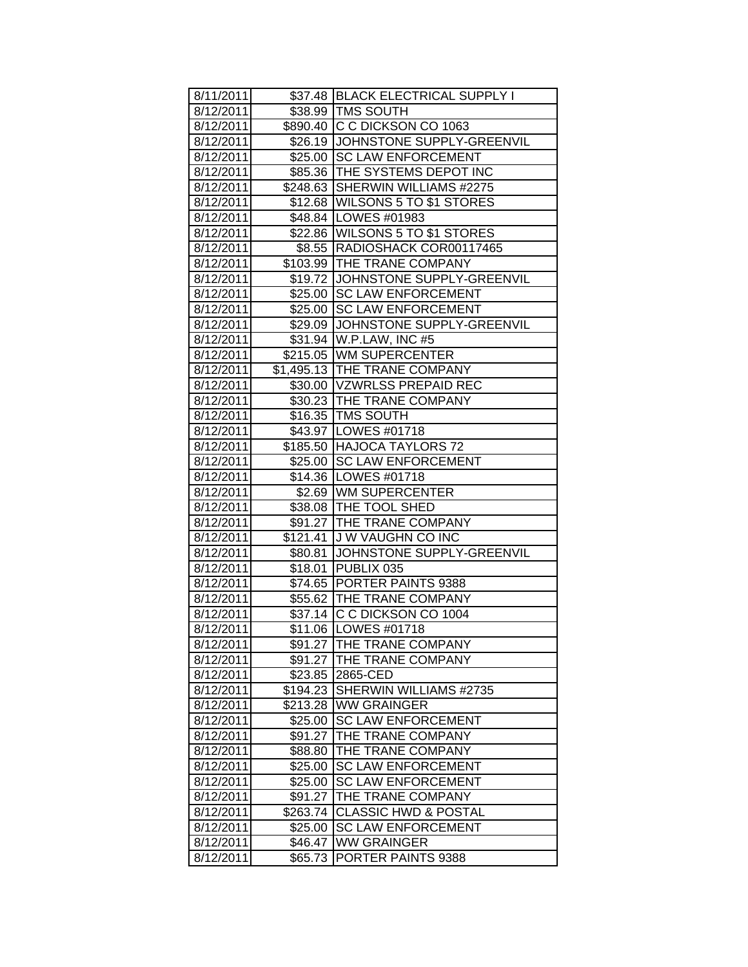| 8/11/2011 |          | \$37.48 BLACK ELECTRICAL SUPPLY I  |
|-----------|----------|------------------------------------|
| 8/12/2011 |          | \$38.99   TMS SOUTH                |
| 8/12/2011 |          | \$890.40 C C DICKSON CO 1063       |
| 8/12/2011 |          | \$26.19 JOHNSTONE SUPPLY-GREENVIL  |
| 8/12/2011 |          | \$25.00 SC LAW ENFORCEMENT         |
| 8/12/2011 |          | \$85.36   THE SYSTEMS DEPOT INC    |
| 8/12/2011 |          | \$248.63 SHERWIN WILLIAMS #2275    |
| 8/12/2011 |          | \$12.68 WILSONS 5 TO \$1 STORES    |
| 8/12/2011 |          | \$48.84 LOWES #01983               |
| 8/12/2011 |          | \$22.86   WILSONS 5 TO \$1 STORES  |
| 8/12/2011 |          | \$8.55 RADIOSHACK COR00117465      |
| 8/12/2011 |          | \$103.99 THE TRANE COMPANY         |
| 8/12/2011 |          | \$19.72 JOHNSTONE SUPPLY-GREENVIL  |
| 8/12/2011 |          | \$25.00 SC LAW ENFORCEMENT         |
| 8/12/2011 |          | \$25.00 SC LAW ENFORCEMENT         |
| 8/12/2011 |          | \$29.09 JJOHNSTONE SUPPLY-GREENVIL |
| 8/12/2011 |          | \$31.94 W.P.LAW, INC #5            |
| 8/12/2011 |          | \$215.05 WM SUPERCENTER            |
| 8/12/2011 |          | \$1,495.13 THE TRANE COMPANY       |
| 8/12/2011 |          | \$30.00 VZWRLSS PREPAID REC        |
| 8/12/2011 |          | \$30.23 THE TRANE COMPANY          |
| 8/12/2011 |          | \$16.35   TMS SOUTH                |
| 8/12/2011 |          | \$43.97   LOWES #01718             |
| 8/12/2011 |          | \$185.50 HAJOCA TAYLORS 72         |
| 8/12/2011 |          | \$25.00 ISC LAW ENFORCEMENT        |
| 8/12/2011 |          | \$14.36   LOWES #01718             |
| 8/12/2011 |          | \$2.69 WM SUPERCENTER              |
| 8/12/2011 |          | \$38.08 THE TOOL SHED              |
| 8/12/2011 |          | \$91.27 THE TRANE COMPANY          |
| 8/12/2011 |          | \$121.41 J W VAUGHN CO INC         |
| 8/12/2011 |          | \$80.81 JOHNSTONE SUPPLY-GREENVIL  |
| 8/12/2011 |          | \$18.01 PUBLIX 035                 |
| 8/12/2011 |          | \$74.65 PORTER PAINTS 9388         |
| 8/12/2011 |          | \$55.62   THE TRANE COMPANY        |
| 8/12/2011 |          | \$37.14 C C DICKSON CO 1004        |
| 8/12/2011 |          | \$11.06 LOWES #01718               |
| 8/12/2011 |          | \$91.27   THE TRANE COMPANY        |
| 8/12/2011 | \$91.27  | THE TRANE COMPANY                  |
| 8/12/2011 | \$23.85  | 2865-CED                           |
| 8/12/2011 | \$194.23 | SHERWIN WILLIAMS #2735             |
| 8/12/2011 | \$213.28 | <b>WW GRAINGER</b>                 |
| 8/12/2011 | \$25.00  | <b>SC LAW ENFORCEMENT</b>          |
| 8/12/2011 | \$91.27  | THE TRANE COMPANY                  |
| 8/12/2011 | \$88.80  | THE TRANE COMPANY                  |
| 8/12/2011 | \$25.00  | <b>SC LAW ENFORCEMENT</b>          |
| 8/12/2011 | \$25.00  | <b>SC LAW ENFORCEMENT</b>          |
| 8/12/2011 | \$91.27  | THE TRANE COMPANY                  |
| 8/12/2011 | \$263.74 | <b>CLASSIC HWD &amp; POSTAL</b>    |
| 8/12/2011 | \$25.00  | <b>SC LAW ENFORCEMENT</b>          |
| 8/12/2011 | \$46.47  | <b>WW GRAINGER</b>                 |
| 8/12/2011 | \$65.73  | PORTER PAINTS 9388                 |
|           |          |                                    |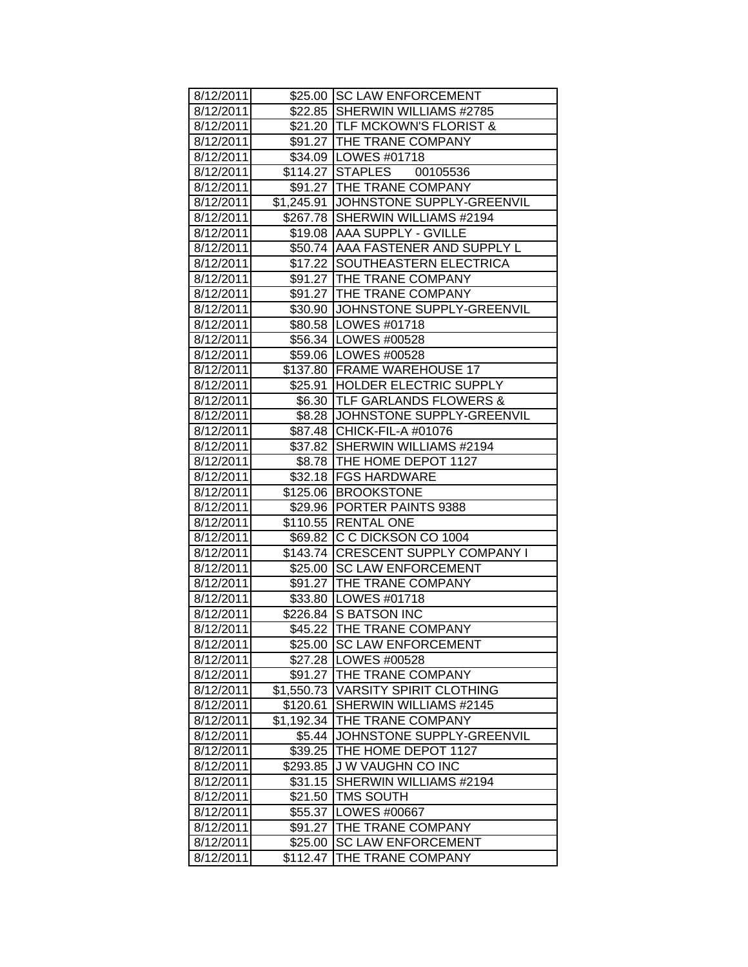| 8/12/2011 |            | \$25.00 SC LAW ENFORCEMENT            |
|-----------|------------|---------------------------------------|
| 8/12/2011 |            | \$22.85 SHERWIN WILLIAMS #2785        |
| 8/12/2011 |            | \$21.20   TLF MCKOWN'S FLORIST &      |
| 8/12/2011 |            | \$91.27 THE TRANE COMPANY             |
| 8/12/2011 |            | \$34.09 LOWES #01718                  |
| 8/12/2011 |            | \$114.27 STAPLES 00105536             |
| 8/12/2011 |            | \$91.27 THE TRANE COMPANY             |
| 8/12/2011 |            | \$1,245.91 JJOHNSTONE SUPPLY-GREENVIL |
| 8/12/2011 |            | \$267.78 SHERWIN WILLIAMS #2194       |
| 8/12/2011 |            | \$19.08 AAA SUPPLY - GVILLE           |
| 8/12/2011 |            | \$50.74 AAA FASTENER AND SUPPLY L     |
| 8/12/2011 |            | \$17.22 SOUTHEASTERN ELECTRICA        |
| 8/12/2011 |            | \$91.27   THE TRANE COMPANY           |
| 8/12/2011 |            | \$91.27   THE TRANE COMPANY           |
| 8/12/2011 |            | \$30.90 JJOHNSTONE SUPPLY-GREENVIL    |
| 8/12/2011 |            | \$80.58   LOWES #01718                |
| 8/12/2011 |            | \$56.34   LOWES #00528                |
| 8/12/2011 |            | \$59.06   LOWES #00528                |
| 8/12/2011 |            | \$137.80 FRAME WAREHOUSE 17           |
| 8/12/2011 |            | \$25.91  HOLDER ELECTRIC SUPPLY       |
| 8/12/2011 |            | \$6.30   TLF GARLANDS FLOWERS &       |
| 8/12/2011 |            | \$8.28 JOHNSTONE SUPPLY-GREENVIL      |
| 8/12/2011 |            | \$87.48 CHICK-FIL-A #01076            |
| 8/12/2011 |            | \$37.82 SHERWIN WILLIAMS #2194        |
| 8/12/2011 |            | \$8.78   THE HOME DEPOT 1127          |
| 8/12/2011 |            | \$32.18   FGS HARDWARE                |
| 8/12/2011 |            | \$125.06 BROOKSTONE                   |
| 8/12/2011 |            | \$29.96 PORTER PAINTS 9388            |
| 8/12/2011 |            | \$110.55 RENTAL ONE                   |
| 8/12/2011 |            | \$69.82 C C DICKSON CO 1004           |
| 8/12/2011 |            | \$143.74 CRESCENT SUPPLY COMPANY I    |
| 8/12/2011 |            | \$25.00 SC LAW ENFORCEMENT            |
| 8/12/2011 |            | \$91.27 THE TRANE COMPANY             |
| 8/12/2011 |            | \$33.80 LOWES #01718                  |
| 8/12/2011 |            | \$226.84 S BATSON INC                 |
| 8/12/2011 |            | \$45.22 THE TRANE COMPANY             |
| 8/12/2011 |            | \$25.00 SC LAW ENFORCEMENT            |
| 8/12/2011 |            | \$27.28   LOWES #00528                |
| 8/12/2011 | \$91.27    | THE TRANE COMPANY                     |
| 8/12/2011 | \$1,550.73 | <b>VARSITY SPIRIT CLOTHING</b>        |
| 8/12/2011 | \$120.61   | SHERWIN WILLIAMS #2145                |
| 8/12/2011 | \$1,192.34 | THE TRANE COMPANY                     |
| 8/12/2011 | \$5.44     | JOHNSTONE SUPPLY-GREENVIL             |
| 8/12/2011 | \$39.25    | THE HOME DEPOT 1127                   |
| 8/12/2011 | \$293.85   | <b>JW VAUGHN CO INC</b>               |
| 8/12/2011 | \$31.15    | SHERWIN WILLIAMS #2194                |
| 8/12/2011 | \$21.50    | <b>TMS SOUTH</b>                      |
| 8/12/2011 | \$55.37    | LOWES #00667                          |
| 8/12/2011 | \$91.27    | THE TRANE COMPANY                     |
| 8/12/2011 | \$25.00    | <b>SC LAW ENFORCEMENT</b>             |
| 8/12/2011 | \$112.47   | THE TRANE COMPANY                     |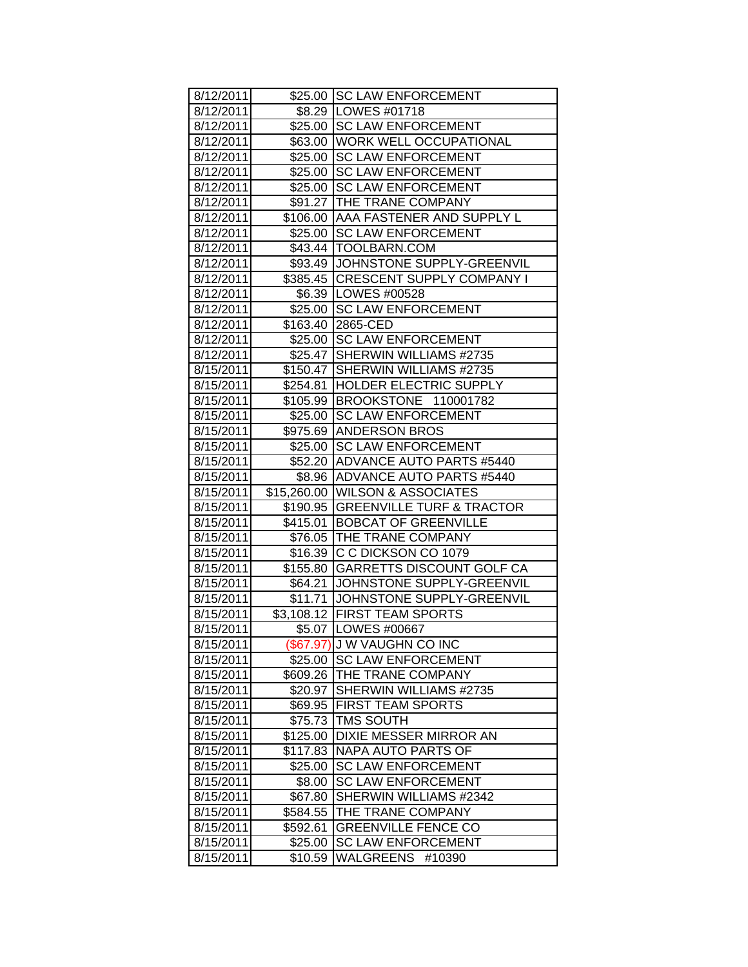|                        |                     | \$25.00 SC LAW ENFORCEMENT                              |
|------------------------|---------------------|---------------------------------------------------------|
| 8/12/2011              |                     |                                                         |
| 8/12/2011              |                     | \$8.29   LOWES #01718                                   |
| 8/12/2011              |                     | \$25.00 SC LAW ENFORCEMENT                              |
| 8/12/2011              |                     | \$63.00 WORK WELL OCCUPATIONAL                          |
| 8/12/2011              |                     | \$25.00 SC LAW ENFORCEMENT                              |
| 8/12/2011              |                     | \$25.00 SC LAW ENFORCEMENT                              |
| 8/12/2011              |                     | \$25.00 SC LAW ENFORCEMENT                              |
| 8/12/2011              |                     | \$91.27 THE TRANE COMPANY                               |
| 8/12/2011              |                     | \$106.00 AAA FASTENER AND SUPPLY L                      |
| 8/12/2011              |                     | \$25.00 SC LAW ENFORCEMENT                              |
| 8/12/2011              |                     | \$43.44   TOOLBARN.COM                                  |
| 8/12/2011              |                     | \$93.49 JOHNSTONE SUPPLY-GREENVIL                       |
| 8/12/2011              |                     | \$385.45 CRESCENT SUPPLY COMPANY I                      |
| 8/12/2011              |                     | \$6.39   LOWES #00528                                   |
| 8/12/2011              |                     | \$25.00 SC LAW ENFORCEMENT                              |
| 8/12/2011              |                     | \$163.40 2865-CED                                       |
| 8/12/2011              |                     | \$25.00 SC LAW ENFORCEMENT                              |
| 8/12/2011              |                     | \$25.47 SHERWIN WILLIAMS #2735                          |
| 8/15/2011              | \$150.47            | SHERWIN WILLIAMS #2735                                  |
| 8/15/2011              |                     | \$254.81 HOLDER ELECTRIC SUPPLY                         |
| 8/15/2011              |                     | \$105.99 BROOKSTONE 110001782                           |
| 8/15/2011              |                     | \$25.00 SC LAW ENFORCEMENT                              |
| 8/15/2011              |                     | \$975.69 ANDERSON BROS                                  |
| 8/15/2011              |                     | \$25.00 SC LAW ENFORCEMENT                              |
| 8/15/2011              |                     | \$52.20 ADVANCE AUTO PARTS #5440                        |
| 8/15/2011              |                     | \$8.96 ADVANCE AUTO PARTS #5440                         |
| 8/15/2011              |                     | \$15,260.00 WILSON & ASSOCIATES                         |
| 8/15/2011              |                     | \$190.95 GREENVILLE TURF & TRACTOR                      |
| 8/15/2011              |                     | \$415.01 BOBCAT OF GREENVILLE                           |
| 8/15/2011              |                     | \$76.05 THE TRANE COMPANY                               |
| 8/15/2011              |                     | \$16.39 C C DICKSON CO 1079                             |
| 8/15/2011              |                     | \$155.80 GARRETTS DISCOUNT GOLF CA                      |
| 8/15/2011              |                     | \$64.21 JJOHNSTONE SUPPLY-GREENVIL                      |
| 8/15/2011              |                     | \$11.71 JOHNSTONE SUPPLY-GREENVIL                       |
| 8/15/2011              |                     | \$3,108.12 FIRST TEAM SPORTS                            |
| 8/15/2011              |                     | \$5.07   LOWES #00667                                   |
| 8/15/2011              |                     | (\$67.97) J W VAUGHN CO INC                             |
| 8/15/2011              |                     | \$25.00 SC LAW ENFORCEMENT                              |
| 8/15/2011              | \$609.26            | THE TRANE COMPANY                                       |
| 8/15/2011              | \$20.97             | SHERWIN WILLIAMS #2735                                  |
| 8/15/2011              |                     | \$69.95 FIRST TEAM SPORTS                               |
| 8/15/2011              | \$75.73             | <b>TMS SOUTH</b>                                        |
| 8/15/2011              | \$125.00            | <b>DIXIE MESSER MIRROR AN</b>                           |
| 8/15/2011              |                     | NAPA AUTO PARTS OF                                      |
|                        | \$117.83<br>\$25.00 | <b>SC LAW ENFORCEMENT</b>                               |
| 8/15/2011              |                     |                                                         |
|                        |                     |                                                         |
| 8/15/2011              | \$8.00              | <b>SC LAW ENFORCEMENT</b>                               |
| 8/15/2011              | \$67.80             | SHERWIN WILLIAMS #2342                                  |
| 8/15/2011              | \$584.55            | THE TRANE COMPANY                                       |
| 8/15/2011              | \$592.61            | <b>GREENVILLE FENCE CO</b>                              |
| 8/15/2011<br>8/15/2011 | \$25.00<br>\$10.59  | <b>SC LAW ENFORCEMENT</b><br><b>WALGREENS</b><br>#10390 |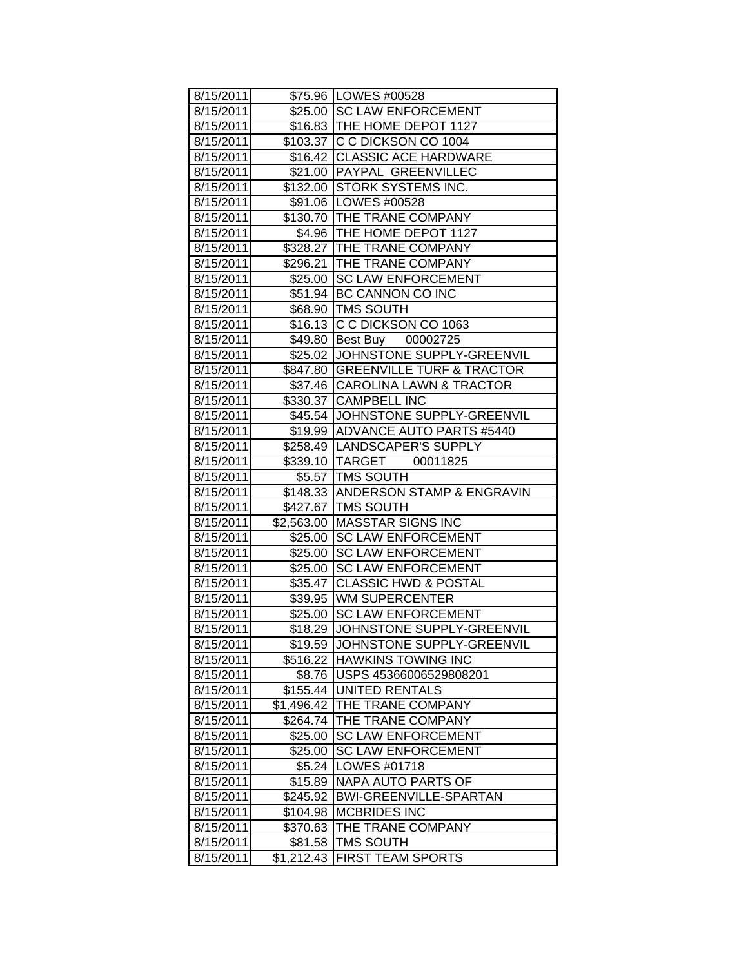| 8/15/2011 |            | \$75.96   LOWES #00528             |
|-----------|------------|------------------------------------|
| 8/15/2011 |            | \$25.00 SC LAW ENFORCEMENT         |
| 8/15/2011 |            | \$16.83 THE HOME DEPOT 1127        |
| 8/15/2011 |            | \$103.37 C C DICKSON CO 1004       |
| 8/15/2011 |            | \$16.42 CLASSIC ACE HARDWARE       |
| 8/15/2011 |            | \$21.00 PAYPAL GREENVILLEC         |
| 8/15/2011 |            | \$132.00 STORK SYSTEMS INC.        |
| 8/15/2011 |            | \$91.06   LOWES #00528             |
| 8/15/2011 |            | \$130.70 THE TRANE COMPANY         |
| 8/15/2011 |            | \$4.96   THE HOME DEPOT 1127       |
| 8/15/2011 |            | \$328.27 THE TRANE COMPANY         |
| 8/15/2011 |            | \$296.21 THE TRANE COMPANY         |
| 8/15/2011 |            | \$25.00 SC LAW ENFORCEMENT         |
| 8/15/2011 |            | \$51.94 BC CANNON CO INC           |
| 8/15/2011 |            | \$68.90   TMS SOUTH                |
| 8/15/2011 |            | \$16.13 C C DICKSON CO 1063        |
| 8/15/2011 |            | \$49.80 Best Buy 00002725          |
| 8/15/2011 |            | \$25.02 JOHNSTONE SUPPLY-GREENVIL  |
| 8/15/2011 |            | \$847.80 GREENVILLE TURF & TRACTOR |
| 8/15/2011 |            | \$37.46 CAROLINA LAWN & TRACTOR    |
| 8/15/2011 |            | \$330.37 CAMPBELL INC              |
| 8/15/2011 |            | \$45.54 JOHNSTONE SUPPLY-GREENVIL  |
| 8/15/2011 |            | \$19.99 ADVANCE AUTO PARTS #5440   |
| 8/15/2011 |            | \$258.49  LANDSCAPER'S SUPPLY      |
| 8/15/2011 |            | \$339.10  TARGET<br>00011825       |
| 8/15/2011 |            | \$5.57 TMS SOUTH                   |
| 8/15/2011 |            | \$148.33 ANDERSON STAMP & ENGRAVIN |
| 8/15/2011 |            | \$427.67   TMS SOUTH               |
| 8/15/2011 |            | \$2,563.00 MASSTAR SIGNS INC       |
| 8/15/2011 |            | \$25.00 SC LAW ENFORCEMENT         |
| 8/15/2011 |            | \$25.00 SC LAW ENFORCEMENT         |
| 8/15/2011 | \$25.00    | <b>SC LAW ENFORCEMENT</b>          |
| 8/15/2011 |            | \$35.47 CLASSIC HWD & POSTAL       |
| 8/15/2011 |            | \$39.95 WM SUPERCENTER             |
| 8/15/2011 |            | \$25.00 SC LAW ENFORCEMENT         |
| 8/15/2011 |            | \$18.29 JOHNSTONE SUPPLY-GREENVIL  |
| 8/15/2011 |            | \$19.59 JOHNSTONE SUPPLY-GREENVIL  |
| 8/15/2011 | \$516.22   | HAWKINS TOWING INC                 |
| 8/15/2011 | \$8.76     | USPS 45366006529808201             |
| 8/15/2011 |            | \$155.44 UNITED RENTALS            |
| 8/15/2011 | \$1,496.42 | THE TRANE COMPANY                  |
| 8/15/2011 | \$264.74   | THE TRANE COMPANY                  |
| 8/15/2011 | \$25.00    | <b>SC LAW ENFORCEMENT</b>          |
| 8/15/2011 | \$25.00    | <b>SC LAW ENFORCEMENT</b>          |
| 8/15/2011 | \$5.24     | LOWES #01718                       |
| 8/15/2011 | \$15.89    | NAPA AUTO PARTS OF                 |
| 8/15/2011 | \$245.92   | <b>BWI-GREENVILLE-SPARTAN</b>      |
| 8/15/2011 | \$104.98   | <b>MCBRIDES INC</b>                |
| 8/15/2011 | \$370.63   | THE TRANE COMPANY                  |
| 8/15/2011 |            | TMS SOUTH                          |
|           | \$81.58    |                                    |
| 8/15/2011 | \$1,212.43 | <b>FIRST TEAM SPORTS</b>           |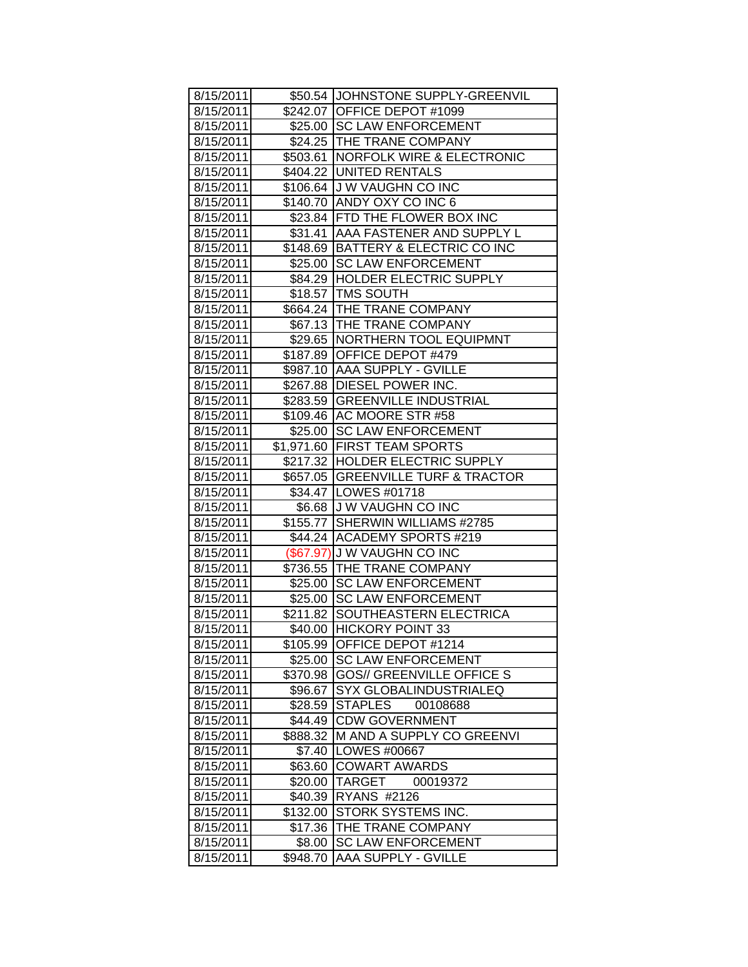| 8/15/2011 |                     | \$50.54 JOHNSTONE SUPPLY-GREENVIL  |
|-----------|---------------------|------------------------------------|
| 8/15/2011 |                     | \$242.07 OFFICE DEPOT #1099        |
| 8/15/2011 |                     | \$25.00 SC LAW ENFORCEMENT         |
| 8/15/2011 |                     | \$24.25   THE TRANE COMPANY        |
| 8/15/2011 |                     | \$503.61 NORFOLK WIRE & ELECTRONIC |
| 8/15/2011 |                     | \$404.22 UNITED RENTALS            |
| 8/15/2011 |                     | \$106.64 J W VAUGHN CO INC         |
| 8/15/2011 |                     | \$140.70 ANDY OXY CO INC 6         |
| 8/15/2011 |                     | \$23.84 FTD THE FLOWER BOX INC     |
| 8/15/2011 |                     | \$31.41 AAA FASTENER AND SUPPLY L  |
| 8/15/2011 |                     | \$148.69 BATTERY & ELECTRIC CO INC |
| 8/15/2011 |                     | \$25.00 SC LAW ENFORCEMENT         |
| 8/15/2011 |                     | \$84.29  HOLDER ELECTRIC SUPPLY    |
| 8/15/2011 |                     | \$18.57   TMS SOUTH                |
| 8/15/2011 |                     | \$664.24 THE TRANE COMPANY         |
| 8/15/2011 |                     | \$67.13   THE TRANE COMPANY        |
| 8/15/2011 |                     | \$29.65 NORTHERN TOOL EQUIPMNT     |
| 8/15/2011 |                     | \$187.89 OFFICE DEPOT #479         |
| 8/15/2011 |                     | \$987.10 AAA SUPPLY - GVILLE       |
| 8/15/2011 |                     | \$267.88 DIESEL POWER INC.         |
| 8/15/2011 |                     | \$283.59 GREENVILLE INDUSTRIAL     |
| 8/15/2011 |                     | \$109.46 AC MOORE STR #58          |
| 8/15/2011 |                     | \$25.00 SC LAW ENFORCEMENT         |
| 8/15/2011 |                     | \$1,971.60 FIRST TEAM SPORTS       |
| 8/15/2011 |                     | \$217.32 HOLDER ELECTRIC SUPPLY    |
| 8/15/2011 |                     | \$657.05 GREENVILLE TURF & TRACTOR |
| 8/15/2011 |                     | \$34.47   LOWES #01718             |
| 8/15/2011 |                     | \$6.68 J W VAUGHN CO INC           |
| 8/15/2011 |                     | \$155.77 SHERWIN WILLIAMS #2785    |
| 8/15/2011 |                     | \$44.24 ACADEMY SPORTS #219        |
| 8/15/2011 |                     | (\$67.97) J W VAUGHN CO INC        |
| 8/15/2011 |                     | \$736.55 THE TRANE COMPANY         |
| 8/15/2011 |                     | \$25.00 SC LAW ENFORCEMENT         |
| 8/15/2011 |                     | \$25.00 SC LAW ENFORCEMENT         |
| 8/15/2011 |                     | \$211.82 SOUTHEASTERN ELECTRICA    |
| 8/15/2011 |                     | \$40.00 HICKORY POINT 33           |
| 8/15/2011 | \$105.99            | <b>OFFICE DEPOT #1214</b>          |
| 8/15/2011 | \$25.00             | <b>SC LAW ENFORCEMENT</b>          |
| 8/15/2011 | \$370.98            | <b>GOS// GREENVILLE OFFICE S</b>   |
| 8/15/2011 | \$96.67             | SYX GLOBALINDUSTRIALEQ             |
| 8/15/2011 | \$28.59             | <b>STAPLES</b><br>00108688         |
| 8/15/2011 | \$44.49             | <b>CDW GOVERNMENT</b>              |
| 8/15/2011 | \$888.32            | M AND A SUPPLY CO GREENVI          |
| 8/15/2011 | \$7.40              | <b>LOWES #00667</b>                |
| 8/15/2011 | \$63.60             | <b>COWART AWARDS</b>               |
| 8/15/2011 | \$20.00             | TARGET<br>00019372                 |
| 8/15/2011 | \$40.39             | RYANS #2126                        |
| 8/15/2011 |                     | STORK SYSTEMS INC.                 |
| 8/15/2011 | \$132.00<br>\$17.36 | THE TRANE COMPANY                  |
|           |                     |                                    |
| 8/15/2011 | \$8.00              | <b>SC LAW ENFORCEMENT</b>          |
| 8/15/2011 | \$948.70            | <b>AAA SUPPLY - GVILLE</b>         |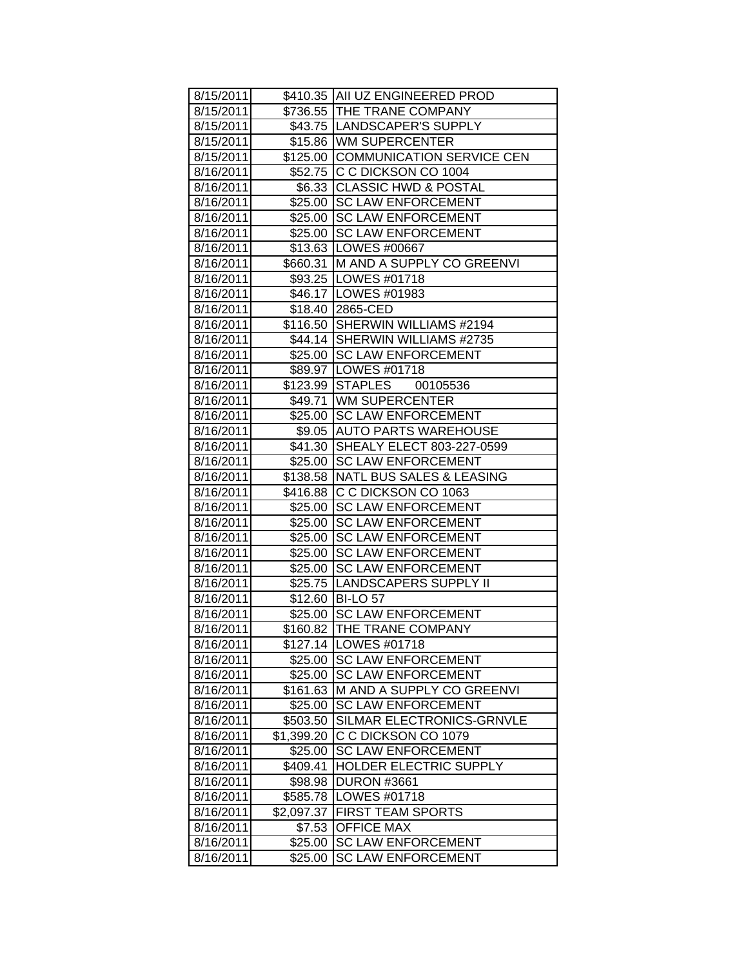| 8/15/2011 |            | \$410.35 AII UZ ENGINEERED PROD     |
|-----------|------------|-------------------------------------|
| 8/15/2011 |            | \$736.55 THE TRANE COMPANY          |
| 8/15/2011 |            | \$43.75  LANDSCAPER'S SUPPLY        |
| 8/15/2011 |            | \$15.86 WM SUPERCENTER              |
| 8/15/2011 |            | \$125.00 COMMUNICATION SERVICE CEN  |
| 8/16/2011 |            | \$52.75 C C DICKSON CO 1004         |
| 8/16/2011 |            | \$6.33 CLASSIC HWD & POSTAL         |
| 8/16/2011 |            | \$25.00 SC LAW ENFORCEMENT          |
| 8/16/2011 |            | \$25.00 SC LAW ENFORCEMENT          |
| 8/16/2011 |            | \$25.00 SC LAW ENFORCEMENT          |
| 8/16/2011 |            | \$13.63   LOWES #00667              |
| 8/16/2011 |            | \$660.31 M AND A SUPPLY CO GREENVI  |
| 8/16/2011 |            | \$93.25   LOWES #01718              |
| 8/16/2011 |            | \$46.17   LOWES #01983              |
| 8/16/2011 |            | \$18.40 2865-CED                    |
| 8/16/2011 |            | \$116.50 SHERWIN WILLIAMS #2194     |
| 8/16/2011 |            | \$44.14 SHERWIN WILLIAMS #2735      |
| 8/16/2011 |            | \$25.00 SC LAW ENFORCEMENT          |
| 8/16/2011 |            | \$89.97   LOWES #01718              |
| 8/16/2011 |            | \$123.99 STAPLES 00105536           |
| 8/16/2011 |            | \$49.71 WM SUPERCENTER              |
| 8/16/2011 |            | \$25.00 SC LAW ENFORCEMENT          |
| 8/16/2011 |            | \$9.05 AUTO PARTS WAREHOUSE         |
| 8/16/2011 |            | \$41.30 SHEALY ELECT 803-227-0599   |
| 8/16/2011 |            | \$25.00 SC LAW ENFORCEMENT          |
| 8/16/2011 |            | \$138.58   NATL BUS SALES & LEASING |
| 8/16/2011 |            | \$416.88 C C DICKSON CO 1063        |
| 8/16/2011 |            | \$25.00 SC LAW ENFORCEMENT          |
| 8/16/2011 |            | \$25.00 SC LAW ENFORCEMENT          |
| 8/16/2011 |            | \$25.00 SC LAW ENFORCEMENT          |
| 8/16/2011 | \$25.00    | <b>SC LAW ENFORCEMENT</b>           |
| 8/16/2011 |            | \$25.00 SC LAW ENFORCEMENT          |
| 8/16/2011 |            | \$25.75 LANDSCAPERS SUPPLY II       |
| 8/16/2011 |            | \$12.60 BI-LO 57                    |
| 8/16/2011 |            | \$25.00 SC LAW ENFORCEMENT          |
| 8/16/2011 |            | \$160.82 THE TRANE COMPANY          |
| 8/16/2011 |            | \$127.14   LOWES #01718             |
| 8/16/2011 | \$25.00    | <b>SC LAW ENFORCEMENT</b>           |
| 8/16/2011 | \$25.00    | <b>SC LAW ENFORCEMENT</b>           |
| 8/16/2011 | \$161.63   | M AND A SUPPLY CO GREENVI           |
| 8/16/2011 | \$25.00    | <b>SC LAW ENFORCEMENT</b>           |
| 8/16/2011 | \$503.50   | SILMAR ELECTRONICS-GRNVLE           |
| 8/16/2011 | \$1,399.20 | C C DICKSON CO 1079                 |
| 8/16/2011 | \$25.00    | <b>SC LAW ENFORCEMENT</b>           |
| 8/16/2011 | \$409.41   | HOLDER ELECTRIC SUPPLY              |
| 8/16/2011 | \$98.98    | <b>DURON #3661</b>                  |
| 8/16/2011 | \$585.78   | LOWES #01718                        |
| 8/16/2011 | \$2,097.37 | <b>FIRST TEAM SPORTS</b>            |
| 8/16/2011 | \$7.53     | <b>OFFICE MAX</b>                   |
| 8/16/2011 | \$25.00    | <b>SC LAW ENFORCEMENT</b>           |
| 8/16/2011 | \$25.00    | <b>SC LAW ENFORCEMENT</b>           |
|           |            |                                     |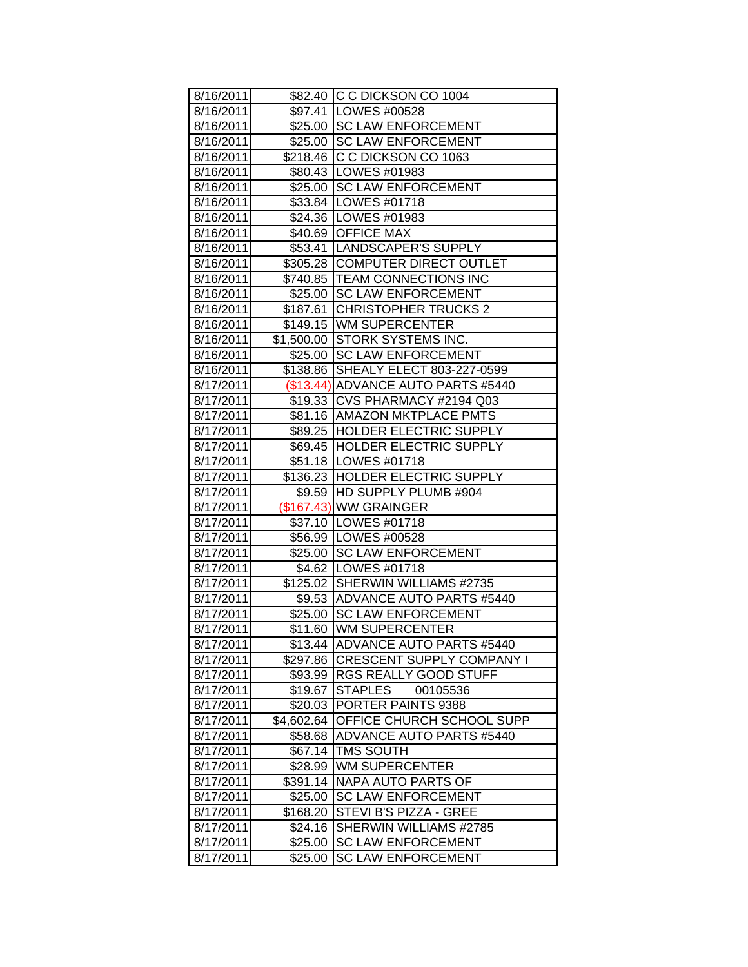| 8/16/2011 |            | \$82.40 C C DICKSON CO 1004        |
|-----------|------------|------------------------------------|
| 8/16/2011 |            | \$97.41   LOWES #00528             |
| 8/16/2011 |            | \$25.00 SC LAW ENFORCEMENT         |
| 8/16/2011 |            | \$25.00 SC LAW ENFORCEMENT         |
| 8/16/2011 |            | \$218.46 C C DICKSON CO 1063       |
| 8/16/2011 |            | \$80.43   LOWES #01983             |
| 8/16/2011 |            | \$25.00 SC LAW ENFORCEMENT         |
| 8/16/2011 |            | \$33.84 LOWES #01718               |
| 8/16/2011 |            | \$24.36   LOWES #01983             |
| 8/16/2011 |            | \$40.69 OFFICE MAX                 |
| 8/16/2011 |            | \$53.41 LANDSCAPER'S SUPPLY        |
| 8/16/2011 |            | \$305.28 COMPUTER DIRECT OUTLET    |
| 8/16/2011 |            | \$740.85 TEAM CONNECTIONS INC      |
| 8/16/2011 |            | \$25.00 SC LAW ENFORCEMENT         |
| 8/16/2011 |            | \$187.61 CHRISTOPHER TRUCKS 2      |
| 8/16/2011 |            | \$149.15 WM SUPERCENTER            |
| 8/16/2011 |            | \$1,500.00 STORK SYSTEMS INC.      |
| 8/16/2011 |            | \$25.00 SC LAW ENFORCEMENT         |
| 8/16/2011 | \$138.86   | SHEALY ELECT 803-227-0599          |
| 8/17/2011 |            | (\$13.44) ADVANCE AUTO PARTS #5440 |
| 8/17/2011 |            | \$19.33 CVS PHARMACY #2194 Q03     |
| 8/17/2011 |            | \$81.16   AMAZON MKTPLACE PMTS     |
| 8/17/2011 |            | \$89.25 HOLDER ELECTRIC SUPPLY     |
| 8/17/2011 |            | \$69.45 HOLDER ELECTRIC SUPPLY     |
| 8/17/2011 |            | \$51.18   LOWES #01718             |
| 8/17/2011 |            | \$136.23 HOLDER ELECTRIC SUPPLY    |
| 8/17/2011 |            | \$9.59 HD SUPPLY PLUMB #904        |
| 8/17/2011 |            | (\$167.43) WW GRAINGER             |
| 8/17/2011 |            | \$37.10 LOWES #01718               |
| 8/17/2011 |            | \$56.99 LOWES #00528               |
| 8/17/2011 |            | \$25.00 SC LAW ENFORCEMENT         |
| 8/17/2011 |            | \$4.62   LOWES #01718              |
| 8/17/2011 |            | \$125.02 SHERWIN WILLIAMS #2735    |
| 8/17/2011 |            | \$9.53 ADVANCE AUTO PARTS #5440    |
| 8/17/2011 |            | \$25.00 SC LAW ENFORCEMENT         |
| 8/17/2011 |            | \$11.60 WM SUPERCENTER             |
| 8/17/2011 | \$13.44    | ADVANCE AUTO PARTS #5440           |
| 8/17/2011 | \$297.86   | <b>CRESCENT SUPPLY COMPANY I</b>   |
| 8/17/2011 | \$93.99    | <b>RGS REALLY GOOD STUFF</b>       |
| 8/17/2011 | \$19.67    | <b>STAPLES</b><br>00105536         |
| 8/17/2011 | \$20.03    | PORTER PAINTS 9388                 |
| 8/17/2011 | \$4,602.64 | OFFICE CHURCH SCHOOL SUPP          |
| 8/17/2011 | \$58.68    | <b>ADVANCE AUTO PARTS #5440</b>    |
| 8/17/2011 | \$67.14    | <b>TMS SOUTH</b>                   |
| 8/17/2011 | \$28.99    | <b>WM SUPERCENTER</b>              |
| 8/17/2011 | \$391.14   | NAPA AUTO PARTS OF                 |
| 8/17/2011 | \$25.00    | <b>SC LAW ENFORCEMENT</b>          |
| 8/17/2011 | \$168.20   | STEVI B'S PIZZA - GREE             |
| 8/17/2011 | \$24.16    | SHERWIN WILLIAMS #2785             |
| 8/17/2011 | \$25.00    | <b>SC LAW ENFORCEMENT</b>          |
| 8/17/2011 | \$25.00    | <b>SC LAW ENFORCEMENT</b>          |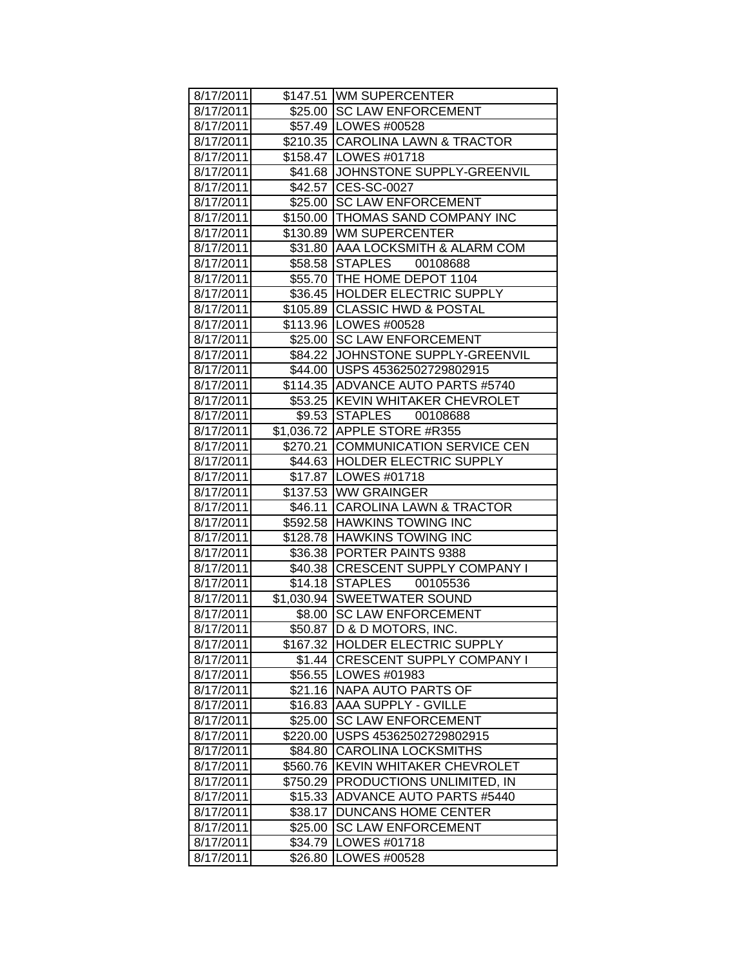| 8/17/2011 |          | \$147.51 WM SUPERCENTER            |
|-----------|----------|------------------------------------|
| 8/17/2011 |          | \$25.00 ISC LAW ENFORCEMENT        |
| 8/17/2011 |          | \$57.49   LOWES #00528             |
| 8/17/2011 |          | \$210.35 CAROLINA LAWN & TRACTOR   |
| 8/17/2011 |          | \$158.47 LOWES #01718              |
| 8/17/2011 |          | \$41.68 JJOHNSTONE SUPPLY-GREENVIL |
| 8/17/2011 |          | \$42.57 CES-SC-0027                |
| 8/17/2011 |          | \$25.00 SC LAW ENFORCEMENT         |
| 8/17/2011 |          | \$150.00 THOMAS SAND COMPANY INC   |
| 8/17/2011 |          | \$130.89 WM SUPERCENTER            |
| 8/17/2011 |          | \$31.80 AAA LOCKSMITH & ALARM COM  |
| 8/17/2011 |          | \$58.58 STAPLES<br>00108688        |
| 8/17/2011 |          | \$55.70 THE HOME DEPOT 1104        |
| 8/17/2011 |          | \$36.45  HOLDER ELECTRIC SUPPLY    |
| 8/17/2011 |          | \$105.89 CLASSIC HWD & POSTAL      |
| 8/17/2011 |          | \$113.96 LOWES #00528              |
| 8/17/2011 |          | \$25.00 SC LAW ENFORCEMENT         |
| 8/17/2011 |          | \$84.22 JOHNSTONE SUPPLY-GREENVIL  |
| 8/17/2011 |          | \$44.00 USPS 45362502729802915     |
| 8/17/2011 |          | \$114.35 ADVANCE AUTO PARTS #5740  |
| 8/17/2011 |          | \$53.25 KEVIN WHITAKER CHEVROLET   |
| 8/17/2011 |          | \$9.53 STAPLES 00108688            |
| 8/17/2011 |          | \$1,036.72 APPLE STORE #R355       |
| 8/17/2011 |          | \$270.21 COMMUNICATION SERVICE CEN |
| 8/17/2011 |          | \$44.63 HOLDER ELECTRIC SUPPLY     |
| 8/17/2011 |          | \$17.87   LOWES #01718             |
| 8/17/2011 |          | \$137.53 WW GRAINGER               |
| 8/17/2011 |          | \$46.11 CAROLINA LAWN & TRACTOR    |
| 8/17/2011 |          | \$592.58 HAWKINS TOWING INC        |
| 8/17/2011 |          | \$128.78 HAWKINS TOWING INC        |
| 8/17/2011 |          | \$36.38 PORTER PAINTS 9388         |
| 8/17/2011 |          | \$40.38 CRESCENT SUPPLY COMPANY I  |
| 8/17/2011 |          | \$14.18 STAPLES 00105536           |
| 8/17/2011 |          | \$1,030.94 SWEETWATER SOUND        |
| 8/17/2011 |          | \$8.00 SC LAW ENFORCEMENT          |
| 8/17/2011 |          | \$50.87 D & D MOTORS, INC.         |
| 8/17/2011 | \$167.32 | <b>HOLDER ELECTRIC SUPPLY</b>      |
| 8/17/2011 | \$1.44   | <b>CRESCENT SUPPLY COMPANY I</b>   |
| 8/17/2011 |          | \$56.55   LOWES #01983             |
| 8/17/2011 |          | \$21.16   NAPA AUTO PARTS OF       |
| 8/17/2011 | \$16.83  | AAA SUPPLY - GVILLE                |
| 8/17/2011 | \$25.00  | <b>SC LAW ENFORCEMENT</b>          |
| 8/17/2011 | \$220.00 | USPS 45362502729802915             |
| 8/17/2011 | \$84.80  | <b>CAROLINA LOCKSMITHS</b>         |
| 8/17/2011 | \$560.76 | KEVIN WHITAKER CHEVROLET           |
| 8/17/2011 | \$750.29 | PRODUCTIONS UNLIMITED, IN          |
| 8/17/2011 | \$15.33  | <b>ADVANCE AUTO PARTS #5440</b>    |
| 8/17/2011 | \$38.17  | <b>DUNCANS HOME CENTER</b>         |
| 8/17/2011 | \$25.00  | <b>SC LAW ENFORCEMENT</b>          |
| 8/17/2011 | \$34.79  | LOWES #01718                       |
| 8/17/2011 | \$26.80  | LOWES #00528                       |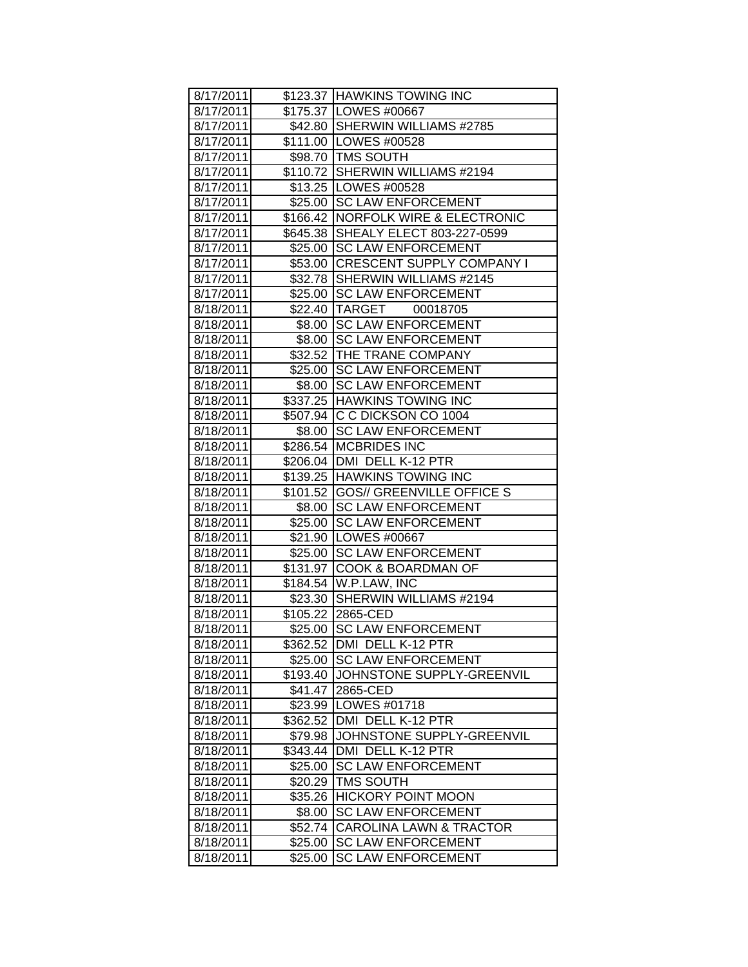| 8/17/2011<br>\$175.37 LOWES #00667<br>\$42.80 SHERWIN WILLIAMS #2785<br>8/17/2011<br>8/17/2011<br>\$111.00 LOWES #00528<br>8/17/2011<br>\$98.70 TMS SOUTH<br>\$110.72 SHERWIN WILLIAMS #2194<br>8/17/2011<br>\$13.25 LOWES #00528<br>8/17/2011<br>\$25.00 SC LAW ENFORCEMENT<br>8/17/2011<br>\$166.42   NORFOLK WIRE & ELECTRONIC<br>8/17/2011<br>\$645.38 SHEALY ELECT 803-227-0599<br>8/17/2011<br>8/17/2011<br>\$25.00 SC LAW ENFORCEMENT<br>8/17/2011<br>\$53.00 CRESCENT SUPPLY COMPANY I<br>8/17/2011<br>\$32.78 SHERWIN WILLIAMS #2145<br>\$25.00 SC LAW ENFORCEMENT<br>8/17/2011<br>\$22.40 TARGET<br>8/18/2011<br>00018705<br>\$8.00 SC LAW ENFORCEMENT<br>8/18/2011<br>\$8.00 SC LAW ENFORCEMENT<br>8/18/2011<br>\$32.52 THE TRANE COMPANY<br>8/18/2011<br><b>SC LAW ENFORCEMENT</b><br>\$25.00<br>8/18/2011<br>\$8.00 SC LAW ENFORCEMENT<br>8/18/2011<br>\$337.25 HAWKINS TOWING INC<br>8/18/2011<br>\$507.94 C C DICKSON CO 1004<br>8/18/2011<br>\$8.00 SC LAW ENFORCEMENT<br>8/18/2011<br>8/18/2011<br>\$286.54 MCBRIDES INC<br>8/18/2011<br>\$206.04   DMI DELL K-12 PTR<br>\$139.25 HAWKINS TOWING INC<br>8/18/2011<br>\$101.52   GOS// GREENVILLE OFFICE S<br>8/18/2011<br>\$8.00 SC LAW ENFORCEMENT<br>8/18/2011 |
|-----------------------------------------------------------------------------------------------------------------------------------------------------------------------------------------------------------------------------------------------------------------------------------------------------------------------------------------------------------------------------------------------------------------------------------------------------------------------------------------------------------------------------------------------------------------------------------------------------------------------------------------------------------------------------------------------------------------------------------------------------------------------------------------------------------------------------------------------------------------------------------------------------------------------------------------------------------------------------------------------------------------------------------------------------------------------------------------------------------------------------------------------------------------------------------------------------------------------------------|
|                                                                                                                                                                                                                                                                                                                                                                                                                                                                                                                                                                                                                                                                                                                                                                                                                                                                                                                                                                                                                                                                                                                                                                                                                                   |
|                                                                                                                                                                                                                                                                                                                                                                                                                                                                                                                                                                                                                                                                                                                                                                                                                                                                                                                                                                                                                                                                                                                                                                                                                                   |
|                                                                                                                                                                                                                                                                                                                                                                                                                                                                                                                                                                                                                                                                                                                                                                                                                                                                                                                                                                                                                                                                                                                                                                                                                                   |
|                                                                                                                                                                                                                                                                                                                                                                                                                                                                                                                                                                                                                                                                                                                                                                                                                                                                                                                                                                                                                                                                                                                                                                                                                                   |
|                                                                                                                                                                                                                                                                                                                                                                                                                                                                                                                                                                                                                                                                                                                                                                                                                                                                                                                                                                                                                                                                                                                                                                                                                                   |
|                                                                                                                                                                                                                                                                                                                                                                                                                                                                                                                                                                                                                                                                                                                                                                                                                                                                                                                                                                                                                                                                                                                                                                                                                                   |
|                                                                                                                                                                                                                                                                                                                                                                                                                                                                                                                                                                                                                                                                                                                                                                                                                                                                                                                                                                                                                                                                                                                                                                                                                                   |
|                                                                                                                                                                                                                                                                                                                                                                                                                                                                                                                                                                                                                                                                                                                                                                                                                                                                                                                                                                                                                                                                                                                                                                                                                                   |
|                                                                                                                                                                                                                                                                                                                                                                                                                                                                                                                                                                                                                                                                                                                                                                                                                                                                                                                                                                                                                                                                                                                                                                                                                                   |
|                                                                                                                                                                                                                                                                                                                                                                                                                                                                                                                                                                                                                                                                                                                                                                                                                                                                                                                                                                                                                                                                                                                                                                                                                                   |
|                                                                                                                                                                                                                                                                                                                                                                                                                                                                                                                                                                                                                                                                                                                                                                                                                                                                                                                                                                                                                                                                                                                                                                                                                                   |
|                                                                                                                                                                                                                                                                                                                                                                                                                                                                                                                                                                                                                                                                                                                                                                                                                                                                                                                                                                                                                                                                                                                                                                                                                                   |
|                                                                                                                                                                                                                                                                                                                                                                                                                                                                                                                                                                                                                                                                                                                                                                                                                                                                                                                                                                                                                                                                                                                                                                                                                                   |
|                                                                                                                                                                                                                                                                                                                                                                                                                                                                                                                                                                                                                                                                                                                                                                                                                                                                                                                                                                                                                                                                                                                                                                                                                                   |
|                                                                                                                                                                                                                                                                                                                                                                                                                                                                                                                                                                                                                                                                                                                                                                                                                                                                                                                                                                                                                                                                                                                                                                                                                                   |
|                                                                                                                                                                                                                                                                                                                                                                                                                                                                                                                                                                                                                                                                                                                                                                                                                                                                                                                                                                                                                                                                                                                                                                                                                                   |
|                                                                                                                                                                                                                                                                                                                                                                                                                                                                                                                                                                                                                                                                                                                                                                                                                                                                                                                                                                                                                                                                                                                                                                                                                                   |
|                                                                                                                                                                                                                                                                                                                                                                                                                                                                                                                                                                                                                                                                                                                                                                                                                                                                                                                                                                                                                                                                                                                                                                                                                                   |
|                                                                                                                                                                                                                                                                                                                                                                                                                                                                                                                                                                                                                                                                                                                                                                                                                                                                                                                                                                                                                                                                                                                                                                                                                                   |
|                                                                                                                                                                                                                                                                                                                                                                                                                                                                                                                                                                                                                                                                                                                                                                                                                                                                                                                                                                                                                                                                                                                                                                                                                                   |
|                                                                                                                                                                                                                                                                                                                                                                                                                                                                                                                                                                                                                                                                                                                                                                                                                                                                                                                                                                                                                                                                                                                                                                                                                                   |
|                                                                                                                                                                                                                                                                                                                                                                                                                                                                                                                                                                                                                                                                                                                                                                                                                                                                                                                                                                                                                                                                                                                                                                                                                                   |
|                                                                                                                                                                                                                                                                                                                                                                                                                                                                                                                                                                                                                                                                                                                                                                                                                                                                                                                                                                                                                                                                                                                                                                                                                                   |
|                                                                                                                                                                                                                                                                                                                                                                                                                                                                                                                                                                                                                                                                                                                                                                                                                                                                                                                                                                                                                                                                                                                                                                                                                                   |
|                                                                                                                                                                                                                                                                                                                                                                                                                                                                                                                                                                                                                                                                                                                                                                                                                                                                                                                                                                                                                                                                                                                                                                                                                                   |
|                                                                                                                                                                                                                                                                                                                                                                                                                                                                                                                                                                                                                                                                                                                                                                                                                                                                                                                                                                                                                                                                                                                                                                                                                                   |
|                                                                                                                                                                                                                                                                                                                                                                                                                                                                                                                                                                                                                                                                                                                                                                                                                                                                                                                                                                                                                                                                                                                                                                                                                                   |
| \$25.00 SC LAW ENFORCEMENT<br>8/18/2011                                                                                                                                                                                                                                                                                                                                                                                                                                                                                                                                                                                                                                                                                                                                                                                                                                                                                                                                                                                                                                                                                                                                                                                           |
| \$21.90 LOWES #00667<br>8/18/2011                                                                                                                                                                                                                                                                                                                                                                                                                                                                                                                                                                                                                                                                                                                                                                                                                                                                                                                                                                                                                                                                                                                                                                                                 |
| \$25.00 SC LAW ENFORCEMENT<br>8/18/2011                                                                                                                                                                                                                                                                                                                                                                                                                                                                                                                                                                                                                                                                                                                                                                                                                                                                                                                                                                                                                                                                                                                                                                                           |
| 8/18/2011<br>\$131.97 COOK & BOARDMAN OF                                                                                                                                                                                                                                                                                                                                                                                                                                                                                                                                                                                                                                                                                                                                                                                                                                                                                                                                                                                                                                                                                                                                                                                          |
| \$184.54 W.P.LAW, INC<br>8/18/2011                                                                                                                                                                                                                                                                                                                                                                                                                                                                                                                                                                                                                                                                                                                                                                                                                                                                                                                                                                                                                                                                                                                                                                                                |
| \$23.30 SHERWIN WILLIAMS #2194<br>8/18/2011                                                                                                                                                                                                                                                                                                                                                                                                                                                                                                                                                                                                                                                                                                                                                                                                                                                                                                                                                                                                                                                                                                                                                                                       |
| \$105.22 2865-CED<br>8/18/2011                                                                                                                                                                                                                                                                                                                                                                                                                                                                                                                                                                                                                                                                                                                                                                                                                                                                                                                                                                                                                                                                                                                                                                                                    |
| \$25.00 SC LAW ENFORCEMENT<br>8/18/2011                                                                                                                                                                                                                                                                                                                                                                                                                                                                                                                                                                                                                                                                                                                                                                                                                                                                                                                                                                                                                                                                                                                                                                                           |
| 8/18/2011<br>\$362.52<br>DMI DELL K-12 PTR                                                                                                                                                                                                                                                                                                                                                                                                                                                                                                                                                                                                                                                                                                                                                                                                                                                                                                                                                                                                                                                                                                                                                                                        |
| <b>SC LAW ENFORCEMENT</b><br>8/18/2011<br>\$25.00                                                                                                                                                                                                                                                                                                                                                                                                                                                                                                                                                                                                                                                                                                                                                                                                                                                                                                                                                                                                                                                                                                                                                                                 |
| 8/18/2011<br>JOHNSTONE SUPPLY-GREENVIL<br>\$193.40                                                                                                                                                                                                                                                                                                                                                                                                                                                                                                                                                                                                                                                                                                                                                                                                                                                                                                                                                                                                                                                                                                                                                                                |
| 2865-CED<br>8/18/2011<br>\$41.47                                                                                                                                                                                                                                                                                                                                                                                                                                                                                                                                                                                                                                                                                                                                                                                                                                                                                                                                                                                                                                                                                                                                                                                                  |
| LOWES #01718<br>8/18/2011<br>\$23.99<br>DMI DELL K-12 PTR                                                                                                                                                                                                                                                                                                                                                                                                                                                                                                                                                                                                                                                                                                                                                                                                                                                                                                                                                                                                                                                                                                                                                                         |
| \$362.52<br>8/18/2011<br>JOHNSTONE SUPPLY-GREENVIL                                                                                                                                                                                                                                                                                                                                                                                                                                                                                                                                                                                                                                                                                                                                                                                                                                                                                                                                                                                                                                                                                                                                                                                |
| \$79.98<br>8/18/2011<br>\$343.44<br>DMI DELL K-12 PTR                                                                                                                                                                                                                                                                                                                                                                                                                                                                                                                                                                                                                                                                                                                                                                                                                                                                                                                                                                                                                                                                                                                                                                             |
| 8/18/2011<br><b>SC LAW ENFORCEMENT</b><br>8/18/2011                                                                                                                                                                                                                                                                                                                                                                                                                                                                                                                                                                                                                                                                                                                                                                                                                                                                                                                                                                                                                                                                                                                                                                               |
| \$25.00<br>8/18/2011<br><b>TMS SOUTH</b><br>\$20.29                                                                                                                                                                                                                                                                                                                                                                                                                                                                                                                                                                                                                                                                                                                                                                                                                                                                                                                                                                                                                                                                                                                                                                               |
| <b>HICKORY POINT MOON</b><br>8/18/2011<br>\$35.26                                                                                                                                                                                                                                                                                                                                                                                                                                                                                                                                                                                                                                                                                                                                                                                                                                                                                                                                                                                                                                                                                                                                                                                 |
| 8/18/2011<br><b>SC LAW ENFORCEMENT</b><br>\$8.00                                                                                                                                                                                                                                                                                                                                                                                                                                                                                                                                                                                                                                                                                                                                                                                                                                                                                                                                                                                                                                                                                                                                                                                  |
| 8/18/2011<br><b>CAROLINA LAWN &amp; TRACTOR</b><br>\$52.74                                                                                                                                                                                                                                                                                                                                                                                                                                                                                                                                                                                                                                                                                                                                                                                                                                                                                                                                                                                                                                                                                                                                                                        |
| 8/18/2011<br><b>SC LAW ENFORCEMENT</b><br>\$25.00                                                                                                                                                                                                                                                                                                                                                                                                                                                                                                                                                                                                                                                                                                                                                                                                                                                                                                                                                                                                                                                                                                                                                                                 |
| 8/18/2011<br><b>SC LAW ENFORCEMENT</b><br>\$25.00                                                                                                                                                                                                                                                                                                                                                                                                                                                                                                                                                                                                                                                                                                                                                                                                                                                                                                                                                                                                                                                                                                                                                                                 |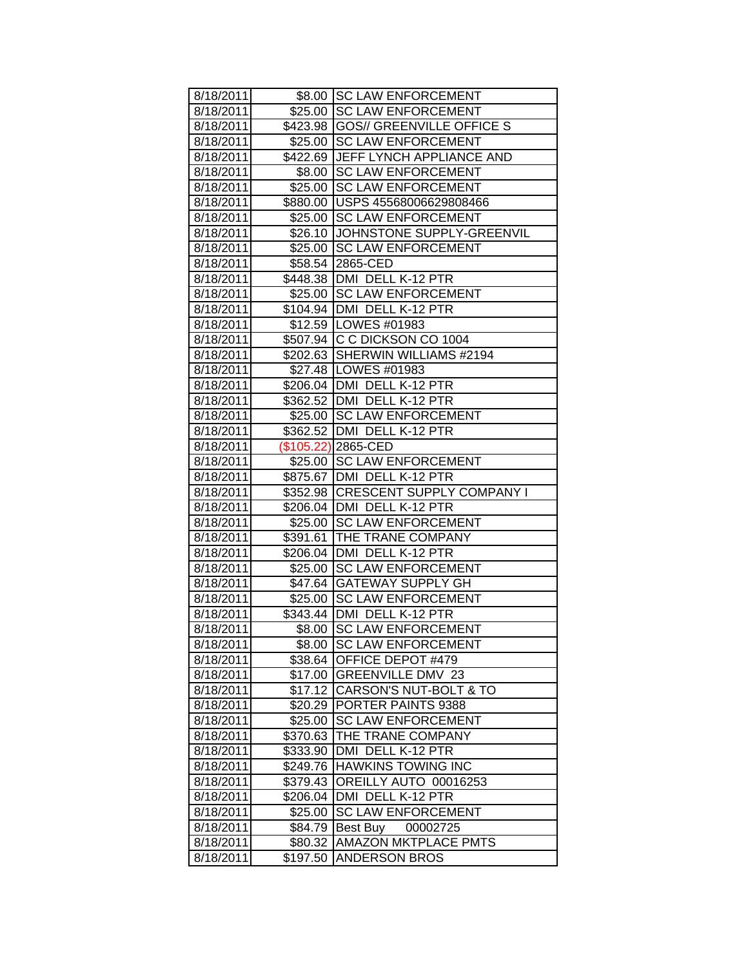| 8/18/2011 |          | \$8.00 SC LAW ENFORCEMENT          |
|-----------|----------|------------------------------------|
| 8/18/2011 |          | \$25.00 SC LAW ENFORCEMENT         |
| 8/18/2011 |          | \$423.98 GOS// GREENVILLE OFFICE S |
| 8/18/2011 |          | \$25.00 SC LAW ENFORCEMENT         |
| 8/18/2011 |          | \$422.69 JEFF LYNCH APPLIANCE AND  |
| 8/18/2011 |          | \$8.00 SC LAW ENFORCEMENT          |
| 8/18/2011 |          | \$25.00 SC LAW ENFORCEMENT         |
| 8/18/2011 |          | \$880.00   USPS 45568006629808466  |
| 8/18/2011 |          | \$25.00 SC LAW ENFORCEMENT         |
| 8/18/2011 |          | \$26.10 JOHNSTONE SUPPLY-GREENVIL  |
| 8/18/2011 |          | \$25.00 SC LAW ENFORCEMENT         |
| 8/18/2011 |          | \$58.54 2865-CED                   |
| 8/18/2011 |          | \$448.38   DMI DELL K-12 PTR       |
| 8/18/2011 |          | \$25.00 SC LAW ENFORCEMENT         |
| 8/18/2011 |          | \$104.94   DMI DELL K-12 PTR       |
| 8/18/2011 |          | \$12.59   LOWES #01983             |
| 8/18/2011 |          | \$507.94 C C DICKSON CO 1004       |
| 8/18/2011 |          | \$202.63 SHERWIN WILLIAMS #2194    |
| 8/18/2011 |          | \$27.48   LOWES #01983             |
| 8/18/2011 |          | \$206.04   DMI DELL K-12 PTR       |
| 8/18/2011 |          | \$362.52 DMI DELL K-12 PTR         |
| 8/18/2011 |          | \$25.00 SC LAW ENFORCEMENT         |
| 8/18/2011 |          | \$362.52   DMI DELL K-12 PTR       |
| 8/18/2011 |          | (\$105.22) 2865-CED                |
| 8/18/2011 |          | \$25.00 SC LAW ENFORCEMENT         |
| 8/18/2011 |          | \$875.67   DMI DELL K-12 PTR       |
| 8/18/2011 |          | \$352.98 CRESCENT SUPPLY COMPANY I |
| 8/18/2011 |          | \$206.04   DMI DELL K-12 PTR       |
| 8/18/2011 |          | \$25.00 SC LAW ENFORCEMENT         |
| 8/18/2011 |          | \$391.61 THE TRANE COMPANY         |
| 8/18/2011 |          | \$206.04 DMI DELL K-12 PTR         |
| 8/18/2011 |          | \$25.00 SC LAW ENFORCEMENT         |
| 8/18/2011 |          | \$47.64 GATEWAY SUPPLY GH          |
| 8/18/2011 |          | \$25.00 SC LAW ENFORCEMENT         |
| 8/18/2011 |          | \$343.44 DMI DELL K-12 PTR         |
| 8/18/2011 |          | \$8.00 SC LAW ENFORCEMENT          |
| 8/18/2011 |          | \$8.00 SC LAW ENFORCEMENT          |
| 8/18/2011 | \$38.64  | OFFICE DEPOT #479                  |
| 8/18/2011 |          | \$17.00 GREENVILLE DMV 23          |
| 8/18/2011 |          | \$17.12 CARSON'S NUT-BOLT & TO     |
| 8/18/2011 |          | \$20.29 PORTER PAINTS 9388         |
| 8/18/2011 | \$25.00  | <b>SC LAW ENFORCEMENT</b>          |
| 8/18/2011 | \$370.63 | THE TRANE COMPANY                  |
| 8/18/2011 | \$333.90 | DMI DELL K-12 PTR                  |
| 8/18/2011 |          | \$249.76 HAWKINS TOWING INC        |
| 8/18/2011 |          | \$379.43 OREILLY AUTO 00016253     |
| 8/18/2011 |          | \$206.04   DMI DELL K-12 PTR       |
| 8/18/2011 | \$25.00  | <b>SC LAW ENFORCEMENT</b>          |
| 8/18/2011 | \$84.79  | <b>Best Buy</b><br>00002725        |
| 8/18/2011 | \$80.32  | <b>AMAZON MKTPLACE PMTS</b>        |
| 8/18/2011 | \$197.50 | <b>ANDERSON BROS</b>               |
|           |          |                                    |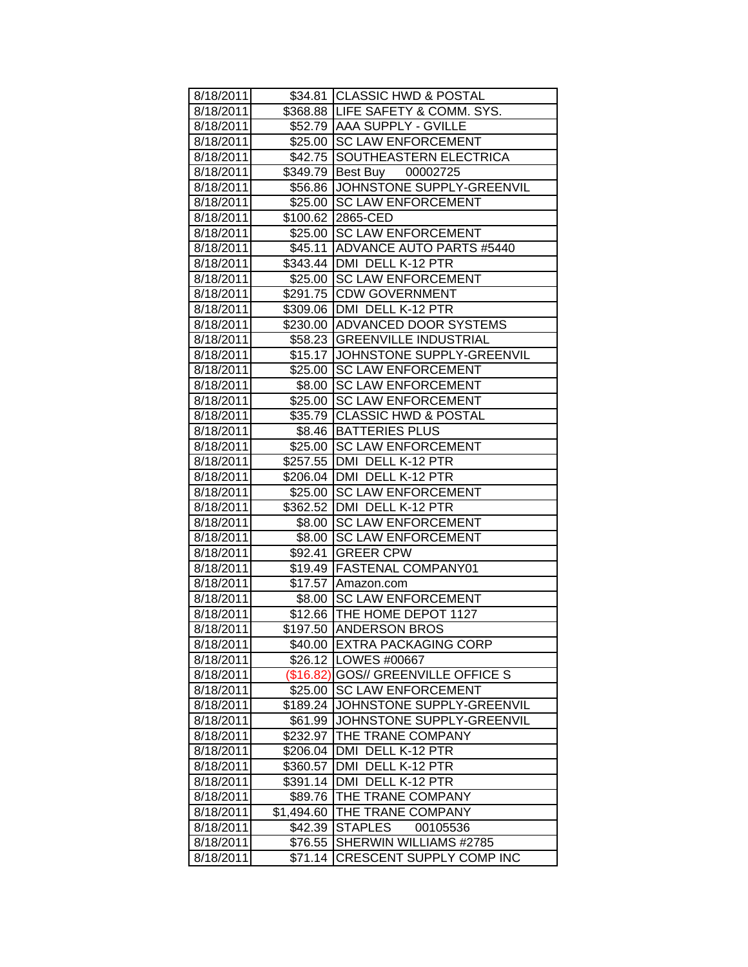| 8/18/2011 |            | \$34.81 CLASSIC HWD & POSTAL       |
|-----------|------------|------------------------------------|
| 8/18/2011 |            | \$368.88 LIFE SAFETY & COMM. SYS.  |
| 8/18/2011 |            | \$52.79   AAA SUPPLY - GVILLE      |
| 8/18/2011 |            | \$25.00 SC LAW ENFORCEMENT         |
| 8/18/2011 |            | \$42.75 SOUTHEASTERN ELECTRICA     |
| 8/18/2011 |            | \$349.79 Best Buy 00002725         |
| 8/18/2011 |            | \$56.86 JOHNSTONE SUPPLY-GREENVIL  |
| 8/18/2011 |            | \$25.00 SC LAW ENFORCEMENT         |
| 8/18/2011 |            | \$100.62 2865-CED                  |
| 8/18/2011 |            | \$25.00 SC LAW ENFORCEMENT         |
| 8/18/2011 |            | \$45.11 ADVANCE AUTO PARTS #5440   |
| 8/18/2011 |            | \$343.44   DMI DELL K-12 PTR       |
| 8/18/2011 |            | \$25.00 SC LAW ENFORCEMENT         |
| 8/18/2011 |            | \$291.75 CDW GOVERNMENT            |
| 8/18/2011 |            | \$309.06   DMI DELL K-12 PTR       |
| 8/18/2011 |            | \$230.00 ADVANCED DOOR SYSTEMS     |
| 8/18/2011 |            | \$58.23 GREENVILLE INDUSTRIAL      |
| 8/18/2011 |            | \$15.17 JOHNSTONE SUPPLY-GREENVIL  |
| 8/18/2011 | \$25.00    | <b>SC LAW ENFORCEMENT</b>          |
| 8/18/2011 | \$8.00     | <b>SC LAW ENFORCEMENT</b>          |
| 8/18/2011 |            | \$25.00 SC LAW ENFORCEMENT         |
| 8/18/2011 |            | \$35.79 CLASSIC HWD & POSTAL       |
| 8/18/2011 |            | \$8.46 BATTERIES PLUS              |
| 8/18/2011 |            | \$25.00 SC LAW ENFORCEMENT         |
| 8/18/2011 |            | \$257.55   DMI DELL K-12 PTR       |
| 8/18/2011 |            | \$206.04   DMI DELL K-12 PTR       |
| 8/18/2011 |            | \$25.00 SC LAW ENFORCEMENT         |
| 8/18/2011 |            | \$362.52 DMI DELL K-12 PTR         |
| 8/18/2011 |            | \$8.00 SC LAW ENFORCEMENT          |
| 8/18/2011 |            | \$8.00 SC LAW ENFORCEMENT          |
| 8/18/2011 |            | \$92.41 GREER CPW                  |
| 8/18/2011 |            | \$19.49 FASTENAL COMPANY01         |
| 8/18/2011 |            | \$17.57 Amazon.com                 |
| 8/18/2011 |            | \$8.00 SC LAW ENFORCEMENT          |
| 8/18/2011 |            | \$12.66 THE HOME DEPOT 1127        |
| 8/18/2011 |            | \$197.50 ANDERSON BROS             |
| 8/18/2011 |            | \$40.00 EXTRA PACKAGING CORP       |
| 8/18/2011 |            | \$26.12   LOWES #00667             |
| 8/18/2011 | (\$16.82)  | <b>GOS// GREENVILLE OFFICE S</b>   |
| 8/18/2011 | \$25.00    | <b>SC LAW ENFORCEMENT</b>          |
| 8/18/2011 |            | \$189.24 JOHNSTONE SUPPLY-GREENVIL |
| 8/18/2011 | \$61.99    | JOHNSTONE SUPPLY-GREENVIL          |
| 8/18/2011 | \$232.97   | THE TRANE COMPANY                  |
| 8/18/2011 | \$206.04   | DMI DELL K-12 PTR                  |
| 8/18/2011 | \$360.57   | DMI DELL K-12 PTR                  |
| 8/18/2011 |            | \$391.14   DMI DELL K-12 PTR       |
| 8/18/2011 | \$89.76    | THE TRANE COMPANY                  |
| 8/18/2011 | \$1,494.60 | THE TRANE COMPANY                  |
| 8/18/2011 | \$42.39    | <b>STAPLES</b><br>00105536         |
| 8/18/2011 | \$76.55    | SHERWIN WILLIAMS #2785             |
| 8/18/2011 | \$71.14    | CRESCENT SUPPLY COMP INC           |
|           |            |                                    |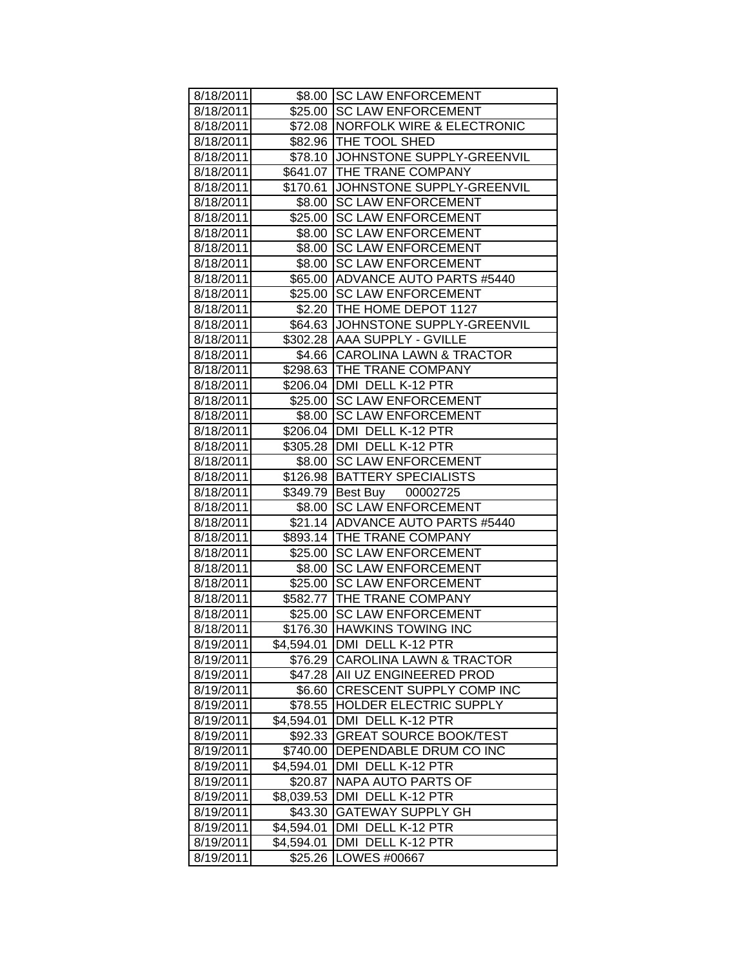| \$8.00 SC LAW ENFORCEMENT<br>\$25.00 SC LAW ENFORCEMENT<br>8/18/2011<br>\$72.08   NORFOLK WIRE & ELECTRONIC<br>8/18/2011<br>\$82.96 THE TOOL SHED<br>8/18/2011<br>\$78.10 JOHNSTONE SUPPLY-GREENVIL<br>8/18/2011<br>\$641.07 THE TRANE COMPANY<br>8/18/2011<br>\$170.61 JOHNSTONE SUPPLY-GREENVIL<br>8/18/2011<br>\$8.00 SC LAW ENFORCEMENT<br>8/18/2011<br>8/18/2011<br>\$25.00 SC LAW ENFORCEMENT<br>8/18/2011<br>\$8.00 SC LAW ENFORCEMENT<br>8/18/2011<br>\$8.00 SC LAW ENFORCEMENT<br>8/18/2011<br>\$8.00 SC LAW ENFORCEMENT<br>8/18/2011<br>\$65.00 ADVANCE AUTO PARTS #5440<br>\$25.00 SC LAW ENFORCEMENT<br>8/18/2011<br>8/18/2011<br>\$2.20 THE HOME DEPOT 1127<br>\$64.63 JJOHNSTONE SUPPLY-GREENVIL<br>8/18/2011<br>\$302.28 AAA SUPPLY - GVILLE<br>8/18/2011<br>\$4.66 CAROLINA LAWN & TRACTOR<br>8/18/2011<br>\$298.63 THE TRANE COMPANY<br>8/18/2011<br>\$206.04   DMI DELL K-12 PTR<br>8/18/2011<br>\$25.00 SC LAW ENFORCEMENT<br>8/18/2011<br>8/18/2011<br>\$8.00 SC LAW ENFORCEMENT<br>\$206.04 DMI DELL K-12 PTR<br>8/18/2011<br>8/18/2011<br>\$305.28 DMI DELL K-12 PTR<br>8/18/2011<br>\$8.00 SC LAW ENFORCEMENT<br>\$126.98   BATTERY SPECIALISTS<br>8/18/2011<br>8/18/2011<br>\$349.79 Best Buy 00002725<br>\$8.00 SC LAW ENFORCEMENT<br>8/18/2011<br>\$21.14 ADVANCE AUTO PARTS #5440<br>8/18/2011<br>\$893.14   THE TRANE COMPANY<br>8/18/2011<br>\$25.00 SC LAW ENFORCEMENT<br>8/18/2011<br>8/18/2011<br>\$8.00 SC LAW ENFORCEMENT<br>8/18/2011<br>\$25.00 SC LAW ENFORCEMENT<br>8/18/2011<br>\$582.77 THE TRANE COMPANY<br>\$25.00 SC LAW ENFORCEMENT<br>8/18/2011<br>\$176.30 HAWKINS TOWING INC<br>8/18/2011<br>8/19/2011<br>\$4,594.01<br><b>DMI DELL K-12 PTR</b><br>8/19/2011<br>\$76.29<br><b>CAROLINA LAWN &amp; TRACTOR</b><br>\$47.28 AII UZ ENGINEERED PROD<br>8/19/2011<br>CRESCENT SUPPLY COMP INC<br>8/19/2011<br>\$6.60<br>HOLDER ELECTRIC SUPPLY<br>\$78.55<br>8/19/2011<br>DMI DELL K-12 PTR<br>8/19/2011<br>\$4,594.01<br><b>GREAT SOURCE BOOK/TEST</b><br>8/19/2011<br>\$92.33 |           |  |
|----------------------------------------------------------------------------------------------------------------------------------------------------------------------------------------------------------------------------------------------------------------------------------------------------------------------------------------------------------------------------------------------------------------------------------------------------------------------------------------------------------------------------------------------------------------------------------------------------------------------------------------------------------------------------------------------------------------------------------------------------------------------------------------------------------------------------------------------------------------------------------------------------------------------------------------------------------------------------------------------------------------------------------------------------------------------------------------------------------------------------------------------------------------------------------------------------------------------------------------------------------------------------------------------------------------------------------------------------------------------------------------------------------------------------------------------------------------------------------------------------------------------------------------------------------------------------------------------------------------------------------------------------------------------------------------------------------------------------------------------------------------------------------------------------------------------------------------------------------------------------------------------------------------------------------------------------------------------------------------------------------------------------|-----------|--|
|                                                                                                                                                                                                                                                                                                                                                                                                                                                                                                                                                                                                                                                                                                                                                                                                                                                                                                                                                                                                                                                                                                                                                                                                                                                                                                                                                                                                                                                                                                                                                                                                                                                                                                                                                                                                                                                                                                                                                                                                                            | 8/18/2011 |  |
|                                                                                                                                                                                                                                                                                                                                                                                                                                                                                                                                                                                                                                                                                                                                                                                                                                                                                                                                                                                                                                                                                                                                                                                                                                                                                                                                                                                                                                                                                                                                                                                                                                                                                                                                                                                                                                                                                                                                                                                                                            |           |  |
|                                                                                                                                                                                                                                                                                                                                                                                                                                                                                                                                                                                                                                                                                                                                                                                                                                                                                                                                                                                                                                                                                                                                                                                                                                                                                                                                                                                                                                                                                                                                                                                                                                                                                                                                                                                                                                                                                                                                                                                                                            |           |  |
|                                                                                                                                                                                                                                                                                                                                                                                                                                                                                                                                                                                                                                                                                                                                                                                                                                                                                                                                                                                                                                                                                                                                                                                                                                                                                                                                                                                                                                                                                                                                                                                                                                                                                                                                                                                                                                                                                                                                                                                                                            |           |  |
|                                                                                                                                                                                                                                                                                                                                                                                                                                                                                                                                                                                                                                                                                                                                                                                                                                                                                                                                                                                                                                                                                                                                                                                                                                                                                                                                                                                                                                                                                                                                                                                                                                                                                                                                                                                                                                                                                                                                                                                                                            |           |  |
|                                                                                                                                                                                                                                                                                                                                                                                                                                                                                                                                                                                                                                                                                                                                                                                                                                                                                                                                                                                                                                                                                                                                                                                                                                                                                                                                                                                                                                                                                                                                                                                                                                                                                                                                                                                                                                                                                                                                                                                                                            |           |  |
|                                                                                                                                                                                                                                                                                                                                                                                                                                                                                                                                                                                                                                                                                                                                                                                                                                                                                                                                                                                                                                                                                                                                                                                                                                                                                                                                                                                                                                                                                                                                                                                                                                                                                                                                                                                                                                                                                                                                                                                                                            |           |  |
|                                                                                                                                                                                                                                                                                                                                                                                                                                                                                                                                                                                                                                                                                                                                                                                                                                                                                                                                                                                                                                                                                                                                                                                                                                                                                                                                                                                                                                                                                                                                                                                                                                                                                                                                                                                                                                                                                                                                                                                                                            |           |  |
|                                                                                                                                                                                                                                                                                                                                                                                                                                                                                                                                                                                                                                                                                                                                                                                                                                                                                                                                                                                                                                                                                                                                                                                                                                                                                                                                                                                                                                                                                                                                                                                                                                                                                                                                                                                                                                                                                                                                                                                                                            |           |  |
|                                                                                                                                                                                                                                                                                                                                                                                                                                                                                                                                                                                                                                                                                                                                                                                                                                                                                                                                                                                                                                                                                                                                                                                                                                                                                                                                                                                                                                                                                                                                                                                                                                                                                                                                                                                                                                                                                                                                                                                                                            |           |  |
|                                                                                                                                                                                                                                                                                                                                                                                                                                                                                                                                                                                                                                                                                                                                                                                                                                                                                                                                                                                                                                                                                                                                                                                                                                                                                                                                                                                                                                                                                                                                                                                                                                                                                                                                                                                                                                                                                                                                                                                                                            |           |  |
|                                                                                                                                                                                                                                                                                                                                                                                                                                                                                                                                                                                                                                                                                                                                                                                                                                                                                                                                                                                                                                                                                                                                                                                                                                                                                                                                                                                                                                                                                                                                                                                                                                                                                                                                                                                                                                                                                                                                                                                                                            |           |  |
|                                                                                                                                                                                                                                                                                                                                                                                                                                                                                                                                                                                                                                                                                                                                                                                                                                                                                                                                                                                                                                                                                                                                                                                                                                                                                                                                                                                                                                                                                                                                                                                                                                                                                                                                                                                                                                                                                                                                                                                                                            |           |  |
|                                                                                                                                                                                                                                                                                                                                                                                                                                                                                                                                                                                                                                                                                                                                                                                                                                                                                                                                                                                                                                                                                                                                                                                                                                                                                                                                                                                                                                                                                                                                                                                                                                                                                                                                                                                                                                                                                                                                                                                                                            |           |  |
|                                                                                                                                                                                                                                                                                                                                                                                                                                                                                                                                                                                                                                                                                                                                                                                                                                                                                                                                                                                                                                                                                                                                                                                                                                                                                                                                                                                                                                                                                                                                                                                                                                                                                                                                                                                                                                                                                                                                                                                                                            |           |  |
|                                                                                                                                                                                                                                                                                                                                                                                                                                                                                                                                                                                                                                                                                                                                                                                                                                                                                                                                                                                                                                                                                                                                                                                                                                                                                                                                                                                                                                                                                                                                                                                                                                                                                                                                                                                                                                                                                                                                                                                                                            |           |  |
|                                                                                                                                                                                                                                                                                                                                                                                                                                                                                                                                                                                                                                                                                                                                                                                                                                                                                                                                                                                                                                                                                                                                                                                                                                                                                                                                                                                                                                                                                                                                                                                                                                                                                                                                                                                                                                                                                                                                                                                                                            |           |  |
|                                                                                                                                                                                                                                                                                                                                                                                                                                                                                                                                                                                                                                                                                                                                                                                                                                                                                                                                                                                                                                                                                                                                                                                                                                                                                                                                                                                                                                                                                                                                                                                                                                                                                                                                                                                                                                                                                                                                                                                                                            |           |  |
|                                                                                                                                                                                                                                                                                                                                                                                                                                                                                                                                                                                                                                                                                                                                                                                                                                                                                                                                                                                                                                                                                                                                                                                                                                                                                                                                                                                                                                                                                                                                                                                                                                                                                                                                                                                                                                                                                                                                                                                                                            |           |  |
|                                                                                                                                                                                                                                                                                                                                                                                                                                                                                                                                                                                                                                                                                                                                                                                                                                                                                                                                                                                                                                                                                                                                                                                                                                                                                                                                                                                                                                                                                                                                                                                                                                                                                                                                                                                                                                                                                                                                                                                                                            |           |  |
|                                                                                                                                                                                                                                                                                                                                                                                                                                                                                                                                                                                                                                                                                                                                                                                                                                                                                                                                                                                                                                                                                                                                                                                                                                                                                                                                                                                                                                                                                                                                                                                                                                                                                                                                                                                                                                                                                                                                                                                                                            |           |  |
|                                                                                                                                                                                                                                                                                                                                                                                                                                                                                                                                                                                                                                                                                                                                                                                                                                                                                                                                                                                                                                                                                                                                                                                                                                                                                                                                                                                                                                                                                                                                                                                                                                                                                                                                                                                                                                                                                                                                                                                                                            |           |  |
|                                                                                                                                                                                                                                                                                                                                                                                                                                                                                                                                                                                                                                                                                                                                                                                                                                                                                                                                                                                                                                                                                                                                                                                                                                                                                                                                                                                                                                                                                                                                                                                                                                                                                                                                                                                                                                                                                                                                                                                                                            |           |  |
|                                                                                                                                                                                                                                                                                                                                                                                                                                                                                                                                                                                                                                                                                                                                                                                                                                                                                                                                                                                                                                                                                                                                                                                                                                                                                                                                                                                                                                                                                                                                                                                                                                                                                                                                                                                                                                                                                                                                                                                                                            |           |  |
|                                                                                                                                                                                                                                                                                                                                                                                                                                                                                                                                                                                                                                                                                                                                                                                                                                                                                                                                                                                                                                                                                                                                                                                                                                                                                                                                                                                                                                                                                                                                                                                                                                                                                                                                                                                                                                                                                                                                                                                                                            |           |  |
|                                                                                                                                                                                                                                                                                                                                                                                                                                                                                                                                                                                                                                                                                                                                                                                                                                                                                                                                                                                                                                                                                                                                                                                                                                                                                                                                                                                                                                                                                                                                                                                                                                                                                                                                                                                                                                                                                                                                                                                                                            |           |  |
|                                                                                                                                                                                                                                                                                                                                                                                                                                                                                                                                                                                                                                                                                                                                                                                                                                                                                                                                                                                                                                                                                                                                                                                                                                                                                                                                                                                                                                                                                                                                                                                                                                                                                                                                                                                                                                                                                                                                                                                                                            |           |  |
|                                                                                                                                                                                                                                                                                                                                                                                                                                                                                                                                                                                                                                                                                                                                                                                                                                                                                                                                                                                                                                                                                                                                                                                                                                                                                                                                                                                                                                                                                                                                                                                                                                                                                                                                                                                                                                                                                                                                                                                                                            |           |  |
|                                                                                                                                                                                                                                                                                                                                                                                                                                                                                                                                                                                                                                                                                                                                                                                                                                                                                                                                                                                                                                                                                                                                                                                                                                                                                                                                                                                                                                                                                                                                                                                                                                                                                                                                                                                                                                                                                                                                                                                                                            |           |  |
|                                                                                                                                                                                                                                                                                                                                                                                                                                                                                                                                                                                                                                                                                                                                                                                                                                                                                                                                                                                                                                                                                                                                                                                                                                                                                                                                                                                                                                                                                                                                                                                                                                                                                                                                                                                                                                                                                                                                                                                                                            |           |  |
|                                                                                                                                                                                                                                                                                                                                                                                                                                                                                                                                                                                                                                                                                                                                                                                                                                                                                                                                                                                                                                                                                                                                                                                                                                                                                                                                                                                                                                                                                                                                                                                                                                                                                                                                                                                                                                                                                                                                                                                                                            |           |  |
|                                                                                                                                                                                                                                                                                                                                                                                                                                                                                                                                                                                                                                                                                                                                                                                                                                                                                                                                                                                                                                                                                                                                                                                                                                                                                                                                                                                                                                                                                                                                                                                                                                                                                                                                                                                                                                                                                                                                                                                                                            |           |  |
|                                                                                                                                                                                                                                                                                                                                                                                                                                                                                                                                                                                                                                                                                                                                                                                                                                                                                                                                                                                                                                                                                                                                                                                                                                                                                                                                                                                                                                                                                                                                                                                                                                                                                                                                                                                                                                                                                                                                                                                                                            |           |  |
|                                                                                                                                                                                                                                                                                                                                                                                                                                                                                                                                                                                                                                                                                                                                                                                                                                                                                                                                                                                                                                                                                                                                                                                                                                                                                                                                                                                                                                                                                                                                                                                                                                                                                                                                                                                                                                                                                                                                                                                                                            |           |  |
|                                                                                                                                                                                                                                                                                                                                                                                                                                                                                                                                                                                                                                                                                                                                                                                                                                                                                                                                                                                                                                                                                                                                                                                                                                                                                                                                                                                                                                                                                                                                                                                                                                                                                                                                                                                                                                                                                                                                                                                                                            |           |  |
|                                                                                                                                                                                                                                                                                                                                                                                                                                                                                                                                                                                                                                                                                                                                                                                                                                                                                                                                                                                                                                                                                                                                                                                                                                                                                                                                                                                                                                                                                                                                                                                                                                                                                                                                                                                                                                                                                                                                                                                                                            |           |  |
|                                                                                                                                                                                                                                                                                                                                                                                                                                                                                                                                                                                                                                                                                                                                                                                                                                                                                                                                                                                                                                                                                                                                                                                                                                                                                                                                                                                                                                                                                                                                                                                                                                                                                                                                                                                                                                                                                                                                                                                                                            |           |  |
|                                                                                                                                                                                                                                                                                                                                                                                                                                                                                                                                                                                                                                                                                                                                                                                                                                                                                                                                                                                                                                                                                                                                                                                                                                                                                                                                                                                                                                                                                                                                                                                                                                                                                                                                                                                                                                                                                                                                                                                                                            |           |  |
|                                                                                                                                                                                                                                                                                                                                                                                                                                                                                                                                                                                                                                                                                                                                                                                                                                                                                                                                                                                                                                                                                                                                                                                                                                                                                                                                                                                                                                                                                                                                                                                                                                                                                                                                                                                                                                                                                                                                                                                                                            |           |  |
|                                                                                                                                                                                                                                                                                                                                                                                                                                                                                                                                                                                                                                                                                                                                                                                                                                                                                                                                                                                                                                                                                                                                                                                                                                                                                                                                                                                                                                                                                                                                                                                                                                                                                                                                                                                                                                                                                                                                                                                                                            |           |  |
|                                                                                                                                                                                                                                                                                                                                                                                                                                                                                                                                                                                                                                                                                                                                                                                                                                                                                                                                                                                                                                                                                                                                                                                                                                                                                                                                                                                                                                                                                                                                                                                                                                                                                                                                                                                                                                                                                                                                                                                                                            |           |  |
|                                                                                                                                                                                                                                                                                                                                                                                                                                                                                                                                                                                                                                                                                                                                                                                                                                                                                                                                                                                                                                                                                                                                                                                                                                                                                                                                                                                                                                                                                                                                                                                                                                                                                                                                                                                                                                                                                                                                                                                                                            |           |  |
|                                                                                                                                                                                                                                                                                                                                                                                                                                                                                                                                                                                                                                                                                                                                                                                                                                                                                                                                                                                                                                                                                                                                                                                                                                                                                                                                                                                                                                                                                                                                                                                                                                                                                                                                                                                                                                                                                                                                                                                                                            |           |  |
| DEPENDABLE DRUM CO INC<br>8/19/2011<br>\$740.00                                                                                                                                                                                                                                                                                                                                                                                                                                                                                                                                                                                                                                                                                                                                                                                                                                                                                                                                                                                                                                                                                                                                                                                                                                                                                                                                                                                                                                                                                                                                                                                                                                                                                                                                                                                                                                                                                                                                                                            |           |  |
| DMI DELL K-12 PTR<br>8/19/2011<br>\$4,594.01                                                                                                                                                                                                                                                                                                                                                                                                                                                                                                                                                                                                                                                                                                                                                                                                                                                                                                                                                                                                                                                                                                                                                                                                                                                                                                                                                                                                                                                                                                                                                                                                                                                                                                                                                                                                                                                                                                                                                                               |           |  |
| <b>NAPA AUTO PARTS OF</b><br>8/19/2011<br>\$20.87                                                                                                                                                                                                                                                                                                                                                                                                                                                                                                                                                                                                                                                                                                                                                                                                                                                                                                                                                                                                                                                                                                                                                                                                                                                                                                                                                                                                                                                                                                                                                                                                                                                                                                                                                                                                                                                                                                                                                                          |           |  |
| 8/19/2011<br>DMI DELL K-12 PTR<br>\$8,039.53                                                                                                                                                                                                                                                                                                                                                                                                                                                                                                                                                                                                                                                                                                                                                                                                                                                                                                                                                                                                                                                                                                                                                                                                                                                                                                                                                                                                                                                                                                                                                                                                                                                                                                                                                                                                                                                                                                                                                                               |           |  |
| 8/19/2011<br>\$43.30<br><b>GATEWAY SUPPLY GH</b>                                                                                                                                                                                                                                                                                                                                                                                                                                                                                                                                                                                                                                                                                                                                                                                                                                                                                                                                                                                                                                                                                                                                                                                                                                                                                                                                                                                                                                                                                                                                                                                                                                                                                                                                                                                                                                                                                                                                                                           |           |  |
| 8/19/2011<br>\$4,594.01<br>DMI<br>DELL K-12 PTR                                                                                                                                                                                                                                                                                                                                                                                                                                                                                                                                                                                                                                                                                                                                                                                                                                                                                                                                                                                                                                                                                                                                                                                                                                                                                                                                                                                                                                                                                                                                                                                                                                                                                                                                                                                                                                                                                                                                                                            |           |  |
| 8/19/2011<br>\$4,594.01<br>DMI<br>DELL K-12 PTR                                                                                                                                                                                                                                                                                                                                                                                                                                                                                                                                                                                                                                                                                                                                                                                                                                                                                                                                                                                                                                                                                                                                                                                                                                                                                                                                                                                                                                                                                                                                                                                                                                                                                                                                                                                                                                                                                                                                                                            |           |  |
| <b>LOWES #00667</b><br>8/19/2011<br>\$25.26                                                                                                                                                                                                                                                                                                                                                                                                                                                                                                                                                                                                                                                                                                                                                                                                                                                                                                                                                                                                                                                                                                                                                                                                                                                                                                                                                                                                                                                                                                                                                                                                                                                                                                                                                                                                                                                                                                                                                                                |           |  |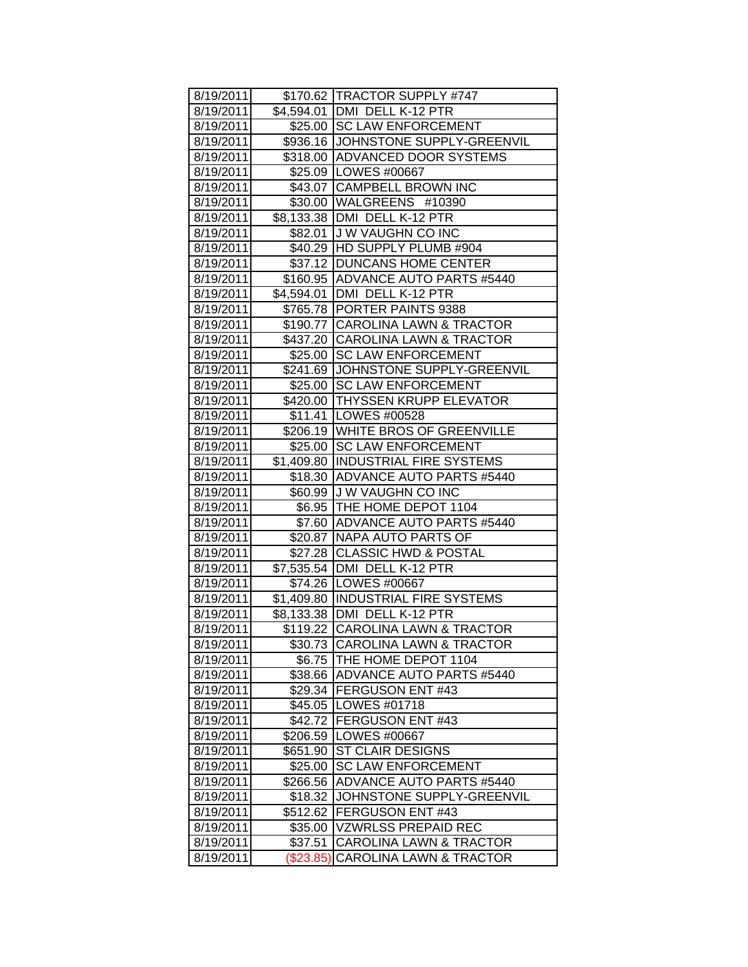| 8/19/2011 |             | \$170.62   TRACTOR SUPPLY #747      |
|-----------|-------------|-------------------------------------|
| 8/19/2011 |             | \$4,594.01   DMI DELL K-12 PTR      |
| 8/19/2011 |             | \$25.00 SC LAW ENFORCEMENT          |
| 8/19/2011 |             | \$936.16 JOHNSTONE SUPPLY-GREENVIL  |
| 8/19/2011 |             | \$318.00 ADVANCED DOOR SYSTEMS      |
| 8/19/2011 |             | \$25.09   LOWES #00667              |
| 8/19/2011 |             | \$43.07 CAMPBELL BROWN INC          |
| 8/19/2011 |             | \$30.00 WALGREENS #10390            |
| 8/19/2011 |             | \$8,133.38   DMI DELL K-12 PTR      |
| 8/19/2011 |             | \$82.01 J W VAUGHN CO INC           |
| 8/19/2011 |             | \$40.29 HD SUPPLY PLUMB #904        |
| 8/19/2011 |             | \$37.12 DUNCANS HOME CENTER         |
| 8/19/2011 |             | \$160.95   ADVANCE AUTO PARTS #5440 |
| 8/19/2011 |             | \$4,594.01 DMI DELL K-12 PTR        |
| 8/19/2011 |             | \$765.78 PORTER PAINTS 9388         |
| 8/19/2011 |             | \$190.77 CAROLINA LAWN & TRACTOR    |
| 8/19/2011 |             | \$437.20 CAROLINA LAWN & TRACTOR    |
| 8/19/2011 | \$25.00     | <b>SC LAW ENFORCEMENT</b>           |
| 8/19/2011 |             | \$241.69 JJOHNSTONE SUPPLY-GREENVIL |
| 8/19/2011 |             | \$25.00 SC LAW ENFORCEMENT          |
| 8/19/2011 |             | \$420.00 THYSSEN KRUPP ELEVATOR     |
| 8/19/2011 |             | \$11.41   LOWES #00528              |
| 8/19/2011 |             | \$206.19   WHITE BROS OF GREENVILLE |
| 8/19/2011 |             | \$25.00 SC LAW ENFORCEMENT          |
| 8/19/2011 |             | \$1,409.80 INDUSTRIAL FIRE SYSTEMS  |
| 8/19/2011 |             | \$18.30 ADVANCE AUTO PARTS #5440    |
| 8/19/2011 |             | \$60.99 J W VAUGHN CO INC           |
| 8/19/2011 |             | \$6.95   THE HOME DEPOT 1104        |
| 8/19/2011 |             | \$7.60 ADVANCE AUTO PARTS #5440     |
| 8/19/2011 |             | \$20.87 NAPA AUTO PARTS OF          |
| 8/19/2011 |             | \$27.28 CLASSIC HWD & POSTAL        |
| 8/19/2011 |             | \$7,535.54 DMI DELL K-12 PTR        |
| 8/19/2011 |             | \$74.26   LOWES #00667              |
| 8/19/2011 |             | \$1,409.80  INDUSTRIAL FIRE SYSTEMS |
| 8/19/2011 |             | \$8,133.38 DMI DELL K-12 PTR        |
| 8/19/2011 |             | \$119.22 CAROLINA LAWN & TRACTOR    |
| 8/19/2011 |             | \$30.73 CAROLINA LAWN & TRACTOR     |
| 8/19/2011 | \$6.75      | THE HOME DEPOT 1104                 |
| 8/19/2011 | \$38.66     | <b>ADVANCE AUTO PARTS #5440</b>     |
| 8/19/2011 |             | \$29.34 FERGUSON ENT #43            |
| 8/19/2011 | \$45.05     | LOWES #01718                        |
| 8/19/2011 |             | \$42.72 FERGUSON ENT #43            |
| 8/19/2011 | \$206.59    | LOWES #00667                        |
| 8/19/2011 | \$651.90    | <b>ST CLAIR DESIGNS</b>             |
| 8/19/2011 | \$25.00     | <b>SC LAW ENFORCEMENT</b>           |
| 8/19/2011 | \$266.56    | ADVANCE AUTO PARTS #5440            |
| 8/19/2011 | \$18.32     | JOHNSTONE SUPPLY-GREENVIL           |
| 8/19/2011 | \$512.62    | FERGUSON ENT #43                    |
| 8/19/2011 | \$35.00     | <b>VZWRLSS PREPAID REC</b>          |
| 8/19/2011 | \$37.51     | CAROLINA LAWN & TRACTOR             |
| 8/19/2011 | $(\$23.85)$ | <b>CAROLINA LAWN &amp; TRACTOR</b>  |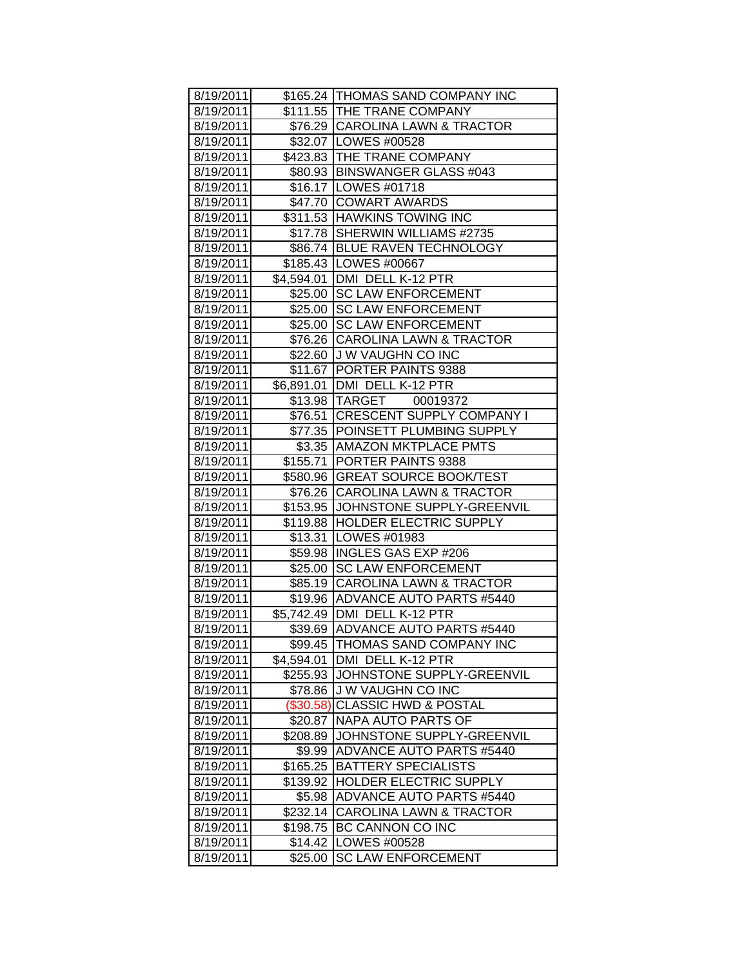| 8/19/2011 |            | \$165.24 THOMAS SAND COMPANY INC    |
|-----------|------------|-------------------------------------|
| 8/19/2011 |            | \$111.55 THE TRANE COMPANY          |
| 8/19/2011 |            | \$76.29 CAROLINA LAWN & TRACTOR     |
| 8/19/2011 |            | \$32.07 LOWES #00528                |
| 8/19/2011 |            | \$423.83 THE TRANE COMPANY          |
| 8/19/2011 |            | \$80.93 BINSWANGER GLASS #043       |
| 8/19/2011 |            | \$16.17   LOWES #01718              |
| 8/19/2011 |            | \$47.70 COWART AWARDS               |
| 8/19/2011 |            | \$311.53 HAWKINS TOWING INC         |
| 8/19/2011 |            | \$17.78 SHERWIN WILLIAMS #2735      |
| 8/19/2011 |            | \$86.74 BLUE RAVEN TECHNOLOGY       |
| 8/19/2011 |            | \$185.43   LOWES #00667             |
| 8/19/2011 |            | \$4,594.01 DMI DELL K-12 PTR        |
| 8/19/2011 |            | \$25.00 SC LAW ENFORCEMENT          |
| 8/19/2011 |            | \$25.00 SC LAW ENFORCEMENT          |
| 8/19/2011 |            | \$25.00 SC LAW ENFORCEMENT          |
| 8/19/2011 |            | \$76.26 CAROLINA LAWN & TRACTOR     |
| 8/19/2011 |            | \$22.60 J W VAUGHN CO INC           |
| 8/19/2011 |            | \$11.67 PORTER PAINTS 9388          |
| 8/19/2011 |            | \$6,891.01 DMI DELL K-12 PTR        |
| 8/19/2011 |            | \$13.98 TARGET 00019372             |
| 8/19/2011 |            | \$76.51 CRESCENT SUPPLY COMPANY I   |
| 8/19/2011 |            | \$77.35 POINSETT PLUMBING SUPPLY    |
| 8/19/2011 |            | \$3.35   AMAZON MKTPLACE PMTS       |
| 8/19/2011 |            | \$155.71   PORTER PAINTS 9388       |
| 8/19/2011 |            | \$580.96 GREAT SOURCE BOOK/TEST     |
| 8/19/2011 |            | \$76.26 CAROLINA LAWN & TRACTOR     |
| 8/19/2011 |            | \$153.95 JJOHNSTONE SUPPLY-GREENVIL |
| 8/19/2011 |            | \$119.88 HOLDER ELECTRIC SUPPLY     |
| 8/19/2011 |            | \$13.31   LOWES #01983              |
| 8/19/2011 |            | \$59.98  INGLES GAS EXP #206        |
| 8/19/2011 |            | \$25.00 SC LAW ENFORCEMENT          |
| 8/19/2011 |            | \$85.19 CAROLINA LAWN & TRACTOR     |
| 8/19/2011 |            | \$19.96 ADVANCE AUTO PARTS #5440    |
| 8/19/2011 |            | \$5,742.49 DMI DELL K-12 PTR        |
| 8/19/2011 | \$39.69    | ADVANCE AUTO PARTS #5440            |
| 8/19/2011 | \$99.45    | THOMAS SAND COMPANY INC             |
| 8/19/2011 | \$4,594.01 | DMI DELL K-12 PTR                   |
| 8/19/2011 | \$255.93   | JOHNSTONE SUPPLY-GREENVIL           |
| 8/19/2011 | \$78.86    | J W VAUGHN CO INC                   |
| 8/19/2011 | (\$30.58)  | <b>CLASSIC HWD &amp; POSTAL</b>     |
| 8/19/2011 | \$20.87    | NAPA AUTO PARTS OF                  |
| 8/19/2011 | \$208.89   | JOHNSTONE SUPPLY-GREENVIL           |
| 8/19/2011 | \$9.99     | <b>ADVANCE AUTO PARTS #5440</b>     |
| 8/19/2011 | \$165.25   | <b>BATTERY SPECIALISTS</b>          |
| 8/19/2011 | \$139.92   | <b>HOLDER ELECTRIC SUPPLY</b>       |
| 8/19/2011 | \$5.98     | <b>ADVANCE AUTO PARTS #5440</b>     |
| 8/19/2011 | \$232.14   | <b>CAROLINA LAWN &amp; TRACTOR</b>  |
| 8/19/2011 | \$198.75   | BC CANNON CO INC                    |
| 8/19/2011 | \$14.42    | LOWES #00528                        |
| 8/19/2011 | \$25.00    | <b>SC LAW ENFORCEMENT</b>           |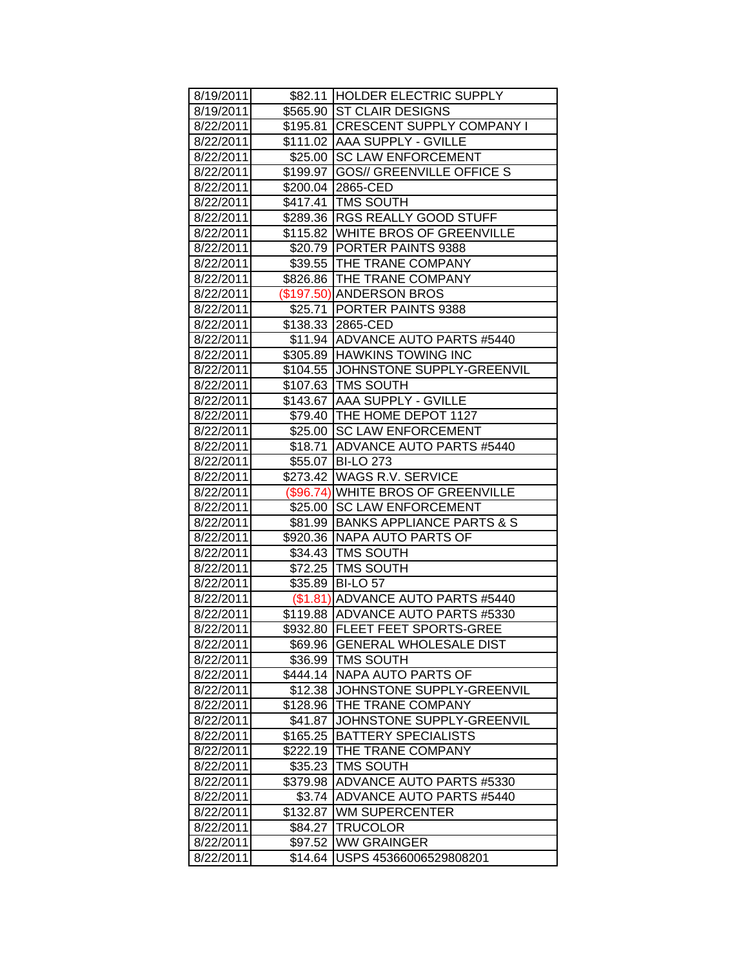| 8/19/2011 |          | \$82.11 HOLDER ELECTRIC SUPPLY      |
|-----------|----------|-------------------------------------|
| 8/19/2011 |          | \$565.90 ST CLAIR DESIGNS           |
| 8/22/2011 |          | \$195.81 CRESCENT SUPPLY COMPANY I  |
| 8/22/2011 |          | \$111.02 AAA SUPPLY - GVILLE        |
| 8/22/2011 |          | \$25.00 SC LAW ENFORCEMENT          |
| 8/22/2011 |          | \$199.97  GOS// GREENVILLE OFFICE S |
| 8/22/2011 |          | \$200.04 2865-CED                   |
| 8/22/2011 |          | \$417.41 TMS SOUTH                  |
| 8/22/2011 |          | \$289.36 RGS REALLY GOOD STUFF      |
| 8/22/2011 |          | \$115.82 WHITE BROS OF GREENVILLE   |
| 8/22/2011 |          | \$20.79 PORTER PAINTS 9388          |
| 8/22/2011 |          | \$39.55 THE TRANE COMPANY           |
| 8/22/2011 |          | \$826.86 THE TRANE COMPANY          |
| 8/22/2011 |          | (\$197.50) ANDERSON BROS            |
| 8/22/2011 |          | \$25.71   PORTER PAINTS 9388        |
| 8/22/2011 |          | \$138.33 2865-CED                   |
| 8/22/2011 |          | \$11.94 ADVANCE AUTO PARTS #5440    |
| 8/22/2011 |          | \$305.89 HAWKINS TOWING INC         |
| 8/22/2011 |          | \$104.55 JJOHNSTONE SUPPLY-GREENVIL |
| 8/22/2011 |          | \$107.63 TMS SOUTH                  |
| 8/22/2011 |          | \$143.67 AAA SUPPLY - GVILLE        |
| 8/22/2011 |          | \$79.40 THE HOME DEPOT 1127         |
| 8/22/2011 |          | \$25.00 SC LAW ENFORCEMENT          |
| 8/22/2011 |          | \$18.71 ADVANCE AUTO PARTS #5440    |
| 8/22/2011 |          | \$55.07 BI-LO 273                   |
| 8/22/2011 |          | \$273.42 WAGS R.V. SERVICE          |
| 8/22/2011 |          | (\$96.74) WHITE BROS OF GREENVILLE  |
| 8/22/2011 |          | \$25.00 SC LAW ENFORCEMENT          |
| 8/22/2011 |          | \$81.99 BANKS APPLIANCE PARTS & S   |
| 8/22/2011 |          | \$920.36 NAPA AUTO PARTS OF         |
| 8/22/2011 |          | \$34.43 TMS SOUTH                   |
| 8/22/2011 |          | \$72.25 TMS SOUTH                   |
| 8/22/2011 |          | \$35.89 BI-LO 57                    |
| 8/22/2011 |          | (\$1.81) ADVANCE AUTO PARTS #5440   |
| 8/22/2011 |          | \$119.88 ADVANCE AUTO PARTS #5330   |
| 8/22/2011 |          | \$932.80 FLEET FEET SPORTS-GREE     |
| 8/22/2011 | \$69.96  | <b>GENERAL WHOLESALE DIST</b>       |
| 8/22/2011 | \$36.99  | <b>TMS SOUTH</b>                    |
| 8/22/2011 | \$444.14 | NAPA AUTO PARTS OF                  |
| 8/22/2011 | \$12.38  | JOHNSTONE SUPPLY-GREENVIL           |
| 8/22/2011 |          | \$128.96 THE TRANE COMPANY          |
| 8/22/2011 | \$41.87  | JOHNSTONE SUPPLY-GREENVIL           |
| 8/22/2011 | \$165.25 | <b>BATTERY SPECIALISTS</b>          |
| 8/22/2011 | \$222.19 | THE TRANE COMPANY                   |
| 8/22/2011 | \$35.23  | <b>TMS SOUTH</b>                    |
| 8/22/2011 | \$379.98 | ADVANCE AUTO PARTS #5330            |
| 8/22/2011 | \$3.74   | <b>ADVANCE AUTO PARTS #5440</b>     |
| 8/22/2011 | \$132.87 | <b>WM SUPERCENTER</b>               |
| 8/22/2011 | \$84.27  | <b>TRUCOLOR</b>                     |
| 8/22/2011 |          | <b>WW GRAINGER</b>                  |
|           | \$97.52  |                                     |
| 8/22/2011 | \$14.64  | USPS 45366006529808201              |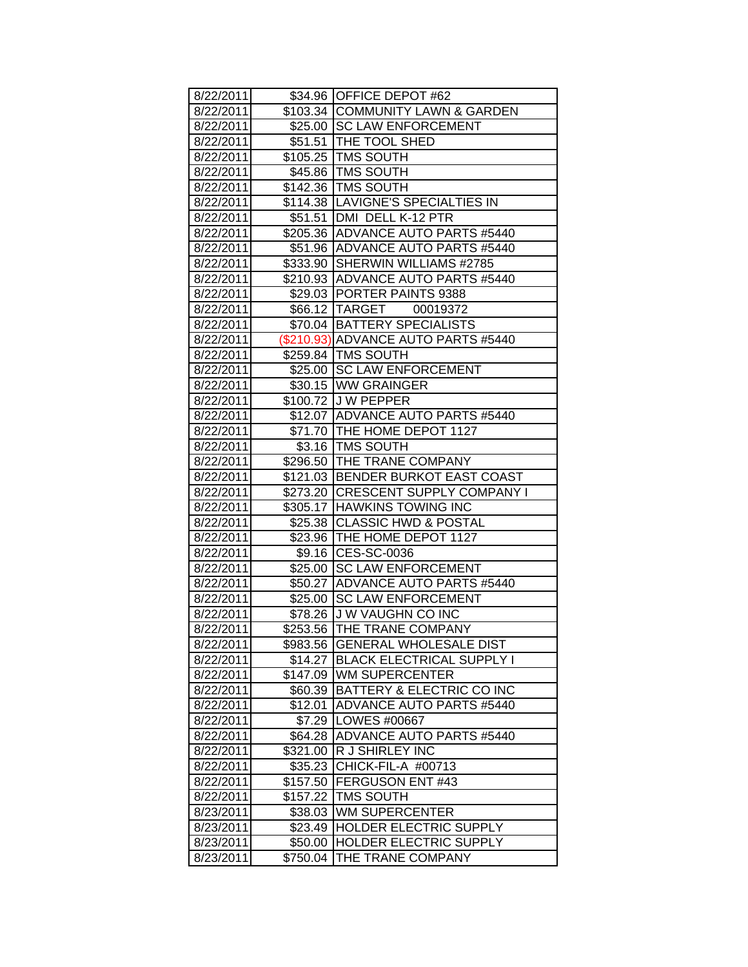| 8/22/2011 |          | \$34.96 OFFICE DEPOT #62            |
|-----------|----------|-------------------------------------|
| 8/22/2011 |          | \$103.34 COMMUNITY LAWN & GARDEN    |
| 8/22/2011 |          | \$25.00 SC LAW ENFORCEMENT          |
| 8/22/2011 |          | \$51.51 THE TOOL SHED               |
| 8/22/2011 |          | \$105.25   TMS SOUTH                |
| 8/22/2011 |          | \$45.86   TMS SOUTH                 |
| 8/22/2011 |          | \$142.36 TMS SOUTH                  |
| 8/22/2011 |          | \$114.38 LAVIGNE'S SPECIALTIES IN   |
| 8/22/2011 |          | \$51.51   DMI DELL K-12 PTR         |
| 8/22/2011 |          | \$205.36 ADVANCE AUTO PARTS #5440   |
| 8/22/2011 |          | \$51.96 ADVANCE AUTO PARTS #5440    |
| 8/22/2011 |          | \$333.90 SHERWIN WILLIAMS #2785     |
| 8/22/2011 |          | \$210.93  ADVANCE AUTO PARTS #5440  |
| 8/22/2011 |          | \$29.03 PORTER PAINTS 9388          |
| 8/22/2011 |          | \$66.12  TARGET<br>00019372         |
| 8/22/2011 |          | \$70.04 BATTERY SPECIALISTS         |
| 8/22/2011 |          | (\$210.93) ADVANCE AUTO PARTS #5440 |
| 8/22/2011 |          | \$259.84 TMS SOUTH                  |
| 8/22/2011 |          | \$25.00 SC LAW ENFORCEMENT          |
| 8/22/2011 |          | \$30.15 WW GRAINGER                 |
| 8/22/2011 |          | \$100.72 J W PEPPER                 |
| 8/22/2011 |          | \$12.07 ADVANCE AUTO PARTS #5440    |
| 8/22/2011 |          | \$71.70 THE HOME DEPOT 1127         |
| 8/22/2011 |          | \$3.16 TMS SOUTH                    |
| 8/22/2011 |          | \$296.50 THE TRANE COMPANY          |
| 8/22/2011 |          | \$121.03 BENDER BURKOT EAST COAST   |
| 8/22/2011 |          | \$273.20 CRESCENT SUPPLY COMPANY I  |
| 8/22/2011 |          | \$305.17 HAWKINS TOWING INC         |
| 8/22/2011 |          | \$25.38 CLASSIC HWD & POSTAL        |
| 8/22/2011 |          | \$23.96   THE HOME DEPOT 1127       |
| 8/22/2011 |          | \$9.16 CES-SC-0036                  |
| 8/22/2011 |          | \$25.00 SC LAW ENFORCEMENT          |
| 8/22/2011 |          | \$50.27 ADVANCE AUTO PARTS #5440    |
| 8/22/2011 |          | \$25.00 SC LAW ENFORCEMENT          |
| 8/22/2011 |          | \$78.26 J W VAUGHN CO INC           |
| 8/22/2011 |          | \$253.56 THE TRANE COMPANY          |
| 8/22/2011 | \$983.56 | <b>GENERAL WHOLESALE DIST</b>       |
| 8/22/2011 | \$14.27  | BLACK ELECTRICAL SUPPLY I           |
| 8/22/2011 | \$147.09 | WM SUPERCENTER                      |
| 8/22/2011 | \$60.39  | BATTERY & ELECTRIC CO INC           |
| 8/22/2011 | \$12.01  | <b>ADVANCE AUTO PARTS #5440</b>     |
| 8/22/2011 |          | \$7.29   LOWES #00667               |
| 8/22/2011 | \$64.28  | <b>ADVANCE AUTO PARTS #5440</b>     |
| 8/22/2011 | \$321.00 | R J SHIRLEY INC                     |
| 8/22/2011 | \$35.23  | CHICK-FIL-A #00713                  |
| 8/22/2011 | \$157.50 | FERGUSON ENT #43                    |
| 8/22/2011 | \$157.22 | <b>TMS SOUTH</b>                    |
| 8/23/2011 | \$38.03  | <b>WM SUPERCENTER</b>               |
| 8/23/2011 | \$23.49  | HOLDER ELECTRIC SUPPLY              |
| 8/23/2011 | \$50.00  | HOLDER ELECTRIC SUPPLY              |
| 8/23/2011 | \$750.04 | THE TRANE COMPANY                   |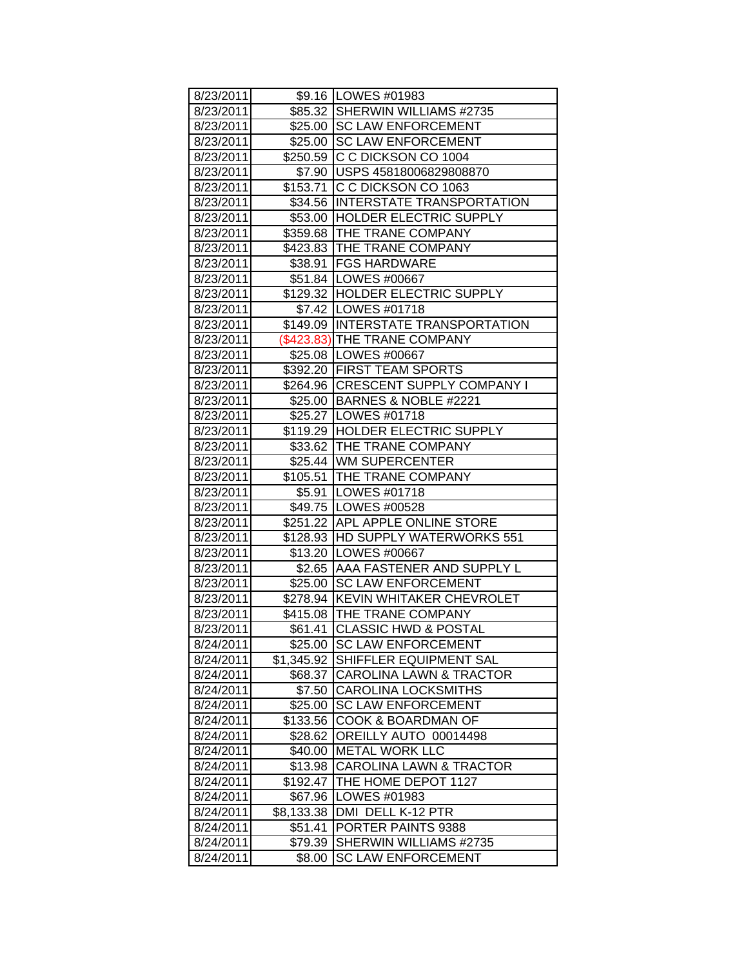| 8/23/2011              |            | \$9.16   LOWES #01983              |
|------------------------|------------|------------------------------------|
| 8/23/2011              |            | \$85.32 SHERWIN WILLIAMS #2735     |
| 8/23/2011              |            | \$25.00 SC LAW ENFORCEMENT         |
| 8/23/2011              |            | \$25.00 SC LAW ENFORCEMENT         |
| 8/23/2011              |            | \$250.59 C C DICKSON CO 1004       |
| 8/23/2011              |            | \$7.90 USPS 45818006829808870      |
|                        |            | \$153.71 C C DICKSON CO 1063       |
| 8/23/2011<br>8/23/2011 |            | \$34.56 INTERSTATE TRANSPORTATION  |
|                        |            | \$53.00 HOLDER ELECTRIC SUPPLY     |
| 8/23/2011              |            | \$359.68   THE TRANE COMPANY       |
| 8/23/2011              |            | \$423.83 THE TRANE COMPANY         |
| 8/23/2011              |            | \$38.91   FGS HARDWARE             |
| 8/23/2011              |            |                                    |
| 8/23/2011              |            | \$51.84   LOWES #00667             |
| 8/23/2011              |            | \$129.32 HOLDER ELECTRIC SUPPLY    |
| 8/23/2011              |            | \$7.42   LOWES #01718              |
| 8/23/2011              |            | \$149.09 INTERSTATE TRANSPORTATION |
| 8/23/2011              |            | (\$423.83) THE TRANE COMPANY       |
| 8/23/2011              |            | \$25.08   LOWES #00667             |
| 8/23/2011              |            | \$392.20 FIRST TEAM SPORTS         |
| 8/23/2011              |            | \$264.96 CRESCENT SUPPLY COMPANY I |
| 8/23/2011              |            | \$25.00 BARNES & NOBLE #2221       |
| 8/23/2011              |            | \$25.27   LOWES #01718             |
| 8/23/2011              |            | \$119.29 HOLDER ELECTRIC SUPPLY    |
| 8/23/2011              |            | \$33.62 THE TRANE COMPANY          |
| 8/23/2011              |            | \$25.44 WM SUPERCENTER             |
| 8/23/2011              |            | \$105.51 THE TRANE COMPANY         |
| 8/23/2011              |            | \$5.91   LOWES #01718              |
| 8/23/2011              |            | \$49.75   LOWES #00528             |
| 8/23/2011              |            | \$251.22 APL APPLE ONLINE STORE    |
| 8/23/2011              |            | \$128.93 HD SUPPLY WATERWORKS 551  |
| 8/23/2011              |            | \$13.20   LOWES #00667             |
| 8/23/2011              |            | \$2.65 AAA FASTENER AND SUPPLY L   |
| 8/23/2011              |            | \$25.00 SC LAW ENFORCEMENT         |
| 8/23/2011              |            | \$278.94 KEVIN WHITAKER CHEVROLET  |
| 8/23/2011              |            | \$415.08 THE TRANE COMPANY         |
| 8/23/2011              | \$61.41    | <b>CLASSIC HWD &amp; POSTAL</b>    |
| 8/24/2011              | \$25.00    | <b>SC LAW ENFORCEMENT</b>          |
| 8/24/2011              | \$1,345.92 | SHIFFLER EQUIPMENT SAL             |
| 8/24/2011              | \$68.37    | <b>CAROLINA LAWN &amp; TRACTOR</b> |
| 8/24/2011              | \$7.50     | <b>CAROLINA LOCKSMITHS</b>         |
| 8/24/2011              | \$25.00    | <b>SC LAW ENFORCEMENT</b>          |
| 8/24/2011              | \$133.56   | COOK & BOARDMAN OF                 |
| 8/24/2011              | \$28.62    | OREILLY AUTO 00014498              |
| 8/24/2011              | \$40.00    | <b>METAL WORK LLC</b>              |
| 8/24/2011              | \$13.98    | <b>CAROLINA LAWN &amp; TRACTOR</b> |
| 8/24/2011              | \$192.47   | THE HOME DEPOT 1127                |
| 8/24/2011              | \$67.96    | LOWES #01983                       |
| 8/24/2011              | \$8,133.38 | DMI DELL K-12 PTR                  |
| 8/24/2011              | \$51.41    | PORTER PAINTS 9388                 |
| 8/24/2011              | \$79.39    | SHERWIN WILLIAMS #2735             |
| 8/24/2011              | \$8.00     | <b>SC LAW ENFORCEMENT</b>          |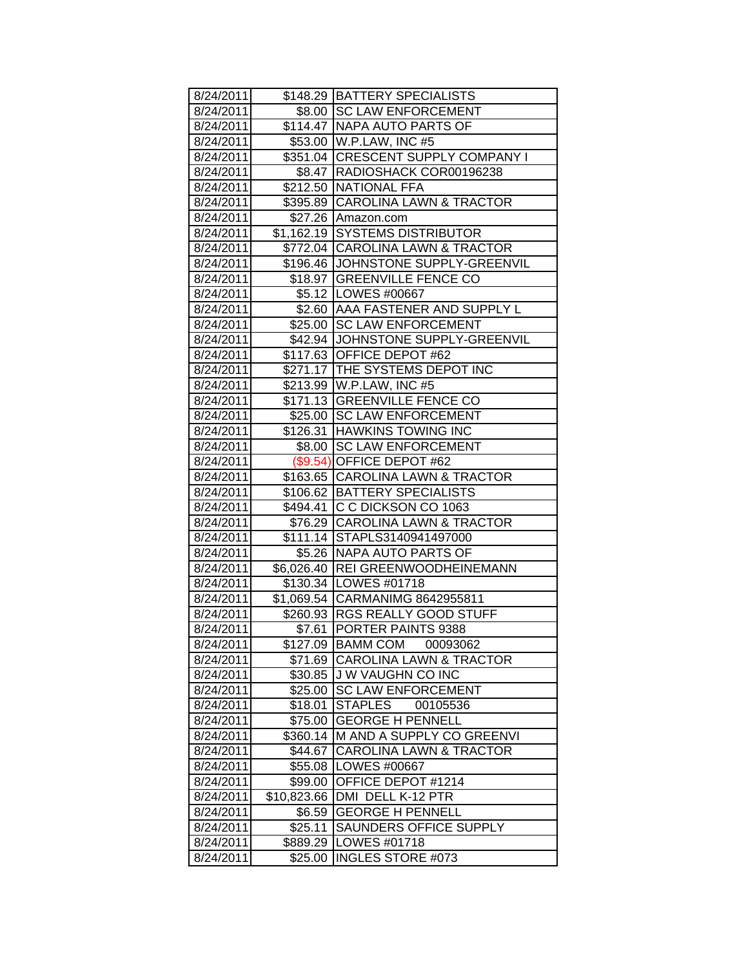| 8/24/2011 |             | \$148.29   BATTERY SPECIALISTS      |
|-----------|-------------|-------------------------------------|
| 8/24/2011 |             | \$8.00 ISC LAW ENFORCEMENT          |
| 8/24/2011 |             | \$114.47   NAPA AUTO PARTS OF       |
| 8/24/2011 |             | \$53.00 W.P.LAW, INC #5             |
| 8/24/2011 |             | \$351.04 CRESCENT SUPPLY COMPANY I  |
| 8/24/2011 |             | \$8.47 RADIOSHACK COR00196238       |
| 8/24/2011 |             | \$212.50 NATIONAL FFA               |
| 8/24/2011 |             | \$395.89 CAROLINA LAWN & TRACTOR    |
| 8/24/2011 |             | \$27.26 Amazon.com                  |
| 8/24/2011 |             | \$1,162.19 SYSTEMS DISTRIBUTOR      |
| 8/24/2011 |             | \$772.04 CAROLINA LAWN & TRACTOR    |
| 8/24/2011 |             | \$196.46 JJOHNSTONE SUPPLY-GREENVIL |
| 8/24/2011 |             | \$18.97 GREENVILLE FENCE CO         |
| 8/24/2011 |             | \$5.12   LOWES #00667               |
| 8/24/2011 |             | \$2.60 AAA FASTENER AND SUPPLY L    |
| 8/24/2011 |             | \$25.00 SC LAW ENFORCEMENT          |
| 8/24/2011 |             | \$42.94 JJOHNSTONE SUPPLY-GREENVIL  |
| 8/24/2011 |             | \$117.63 OFFICE DEPOT #62           |
| 8/24/2011 |             | \$271.17 THE SYSTEMS DEPOT INC      |
| 8/24/2011 |             | \$213.99 W.P.LAW, INC #5            |
| 8/24/2011 |             | \$171.13 GREENVILLE FENCE CO        |
| 8/24/2011 |             | \$25.00 SC LAW ENFORCEMENT          |
| 8/24/2011 |             | \$126.31 HAWKINS TOWING INC         |
| 8/24/2011 |             | \$8.00 SC LAW ENFORCEMENT           |
| 8/24/2011 |             | (\$9.54) OFFICE DEPOT #62           |
| 8/24/2011 |             | \$163.65 CAROLINA LAWN & TRACTOR    |
| 8/24/2011 |             | \$106.62 BATTERY SPECIALISTS        |
| 8/24/2011 |             | \$494.41 C C DICKSON CO 1063        |
| 8/24/2011 |             | \$76.29 CAROLINA LAWN & TRACTOR     |
| 8/24/2011 |             | \$111.14 STAPLS3140941497000        |
| 8/24/2011 |             | \$5.26 NAPA AUTO PARTS OF           |
| 8/24/2011 |             | \$6,026.40 REI GREENWOODHEINEMANN   |
| 8/24/2011 |             | \$130.34   LOWES #01718             |
| 8/24/2011 |             | \$1,069.54 CARMANIMG 8642955811     |
| 8/24/2011 |             | \$260.93 RGS REALLY GOOD STUFF      |
| 8/24/2011 |             | \$7.61 PORTER PAINTS 9388           |
| 8/24/2011 |             | \$127.09 BAMM COM<br>00093062       |
| 8/24/2011 | \$71.69     | <b>CAROLINA LAWN &amp; TRACTOR</b>  |
| 8/24/2011 | \$30.85     | <b>JW VAUGHN CO INC</b>             |
| 8/24/2011 | \$25.00     | <b>SC LAW ENFORCEMENT</b>           |
| 8/24/2011 | \$18.01     | <b>STAPLES</b><br>00105536          |
| 8/24/2011 | \$75.00     | <b>GEORGE H PENNELL</b>             |
| 8/24/2011 | \$360.14    | M AND A SUPPLY CO GREENVI           |
| 8/24/2011 | \$44.67     | <b>CAROLINA LAWN &amp; TRACTOR</b>  |
| 8/24/2011 | \$55.08     | <b>LOWES #00667</b>                 |
| 8/24/2011 | \$99.00     | OFFICE DEPOT #1214                  |
| 8/24/2011 | \$10,823.66 | DMI DELL K-12 PTR                   |
| 8/24/2011 | \$6.59      | <b>GEORGE H PENNELL</b>             |
| 8/24/2011 | \$25.11     | SAUNDERS OFFICE SUPPLY              |
| 8/24/2011 | \$889.29    | LOWES #01718                        |
| 8/24/2011 |             | <b>INGLES STORE #073</b>            |
|           | \$25.00     |                                     |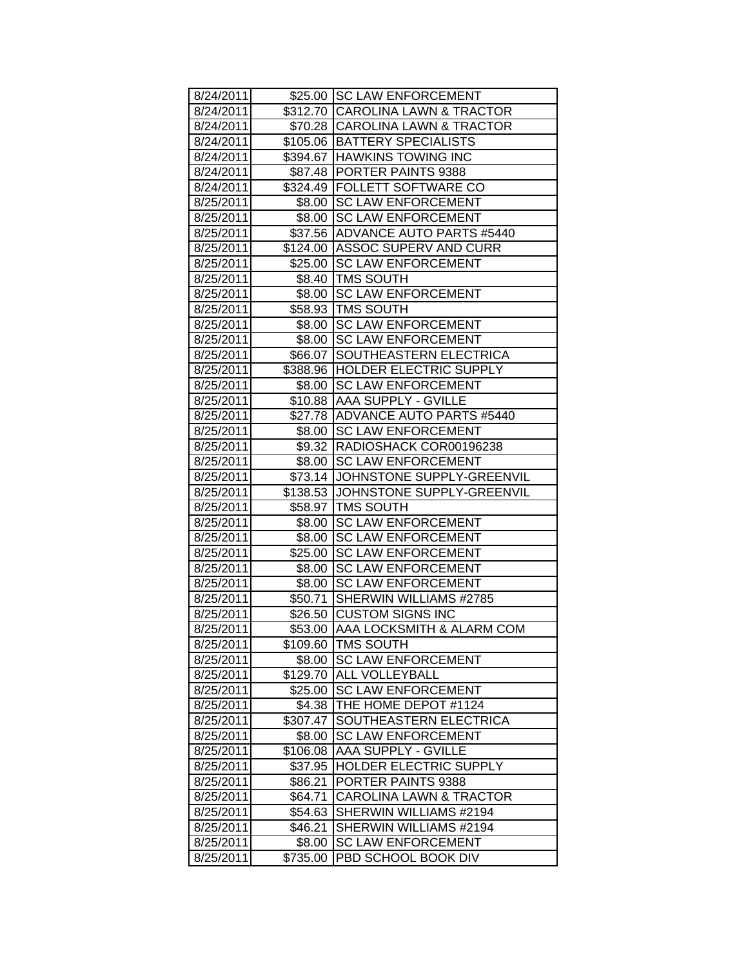| 8/24/2011 |          | \$25.00 SC LAW ENFORCEMENT          |
|-----------|----------|-------------------------------------|
| 8/24/2011 |          | \$312.70 CAROLINA LAWN & TRACTOR    |
| 8/24/2011 |          | \$70.28 CAROLINA LAWN & TRACTOR     |
| 8/24/2011 |          | \$105.06 BATTERY SPECIALISTS        |
| 8/24/2011 |          | \$394.67 HAWKINS TOWING INC         |
| 8/24/2011 |          | \$87.48 PORTER PAINTS 9388          |
| 8/24/2011 |          | \$324.49 FOLLETT SOFTWARE CO        |
| 8/25/2011 |          | \$8.00 SC LAW ENFORCEMENT           |
| 8/25/2011 |          | \$8.00 SC LAW ENFORCEMENT           |
| 8/25/2011 |          | \$37.56 ADVANCE AUTO PARTS #5440    |
| 8/25/2011 |          | \$124.00 ASSOC SUPERV AND CURR      |
| 8/25/2011 |          | \$25.00 SC LAW ENFORCEMENT          |
| 8/25/2011 |          | \$8.40   TMS SOUTH                  |
| 8/25/2011 |          | \$8.00 SC LAW ENFORCEMENT           |
| 8/25/2011 |          | \$58.93 TMS SOUTH                   |
| 8/25/2011 |          | \$8.00 SC LAW ENFORCEMENT           |
| 8/25/2011 |          | \$8.00 SC LAW ENFORCEMENT           |
| 8/25/2011 |          | \$66.07 SOUTHEASTERN ELECTRICA      |
| 8/25/2011 |          | \$388.96 HOLDER ELECTRIC SUPPLY     |
| 8/25/2011 | \$8.00   | <b>SC LAW ENFORCEMENT</b>           |
| 8/25/2011 |          | \$10.88 AAA SUPPLY - GVILLE         |
| 8/25/2011 |          | \$27.78 ADVANCE AUTO PARTS #5440    |
| 8/25/2011 | \$8.00   | <b>SC LAW ENFORCEMENT</b>           |
| 8/25/2011 |          | \$9.32 RADIOSHACK COR00196238       |
| 8/25/2011 |          | \$8.00 ISC LAW ENFORCEMENT          |
| 8/25/2011 |          | \$73.14 JOHNSTONE SUPPLY-GREENVIL   |
| 8/25/2011 |          | \$138.53 JJOHNSTONE SUPPLY-GREENVIL |
| 8/25/2011 |          | \$58.97   TMS SOUTH                 |
| 8/25/2011 |          | \$8.00 SC LAW ENFORCEMENT           |
| 8/25/2011 |          | \$8.00 SC LAW ENFORCEMENT           |
| 8/25/2011 |          | \$25.00 SC LAW ENFORCEMENT          |
| 8/25/2011 | \$8.00   | <b>SC LAW ENFORCEMENT</b>           |
| 8/25/2011 |          | \$8.00 SC LAW ENFORCEMENT           |
| 8/25/2011 |          | \$50.71 SHERWIN WILLIAMS #2785      |
| 8/25/2011 |          | \$26.50 CUSTOM SIGNS INC            |
| 8/25/2011 |          | \$53.00 AAA LOCKSMITH & ALARM COM   |
| 8/25/2011 |          | \$109.60 TMS SOUTH                  |
| 8/25/2011 | \$8.00   | <b>SC LAW ENFORCEMENT</b>           |
| 8/25/2011 | \$129.70 | ALL VOLLEYBALL                      |
| 8/25/2011 | \$25.00  | <b>SC LAW ENFORCEMENT</b>           |
| 8/25/2011 | \$4.38   | THE HOME DEPOT #1124                |
| 8/25/2011 | \$307.47 | SOUTHEASTERN ELECTRICA              |
| 8/25/2011 | \$8.00   | <b>SC LAW ENFORCEMENT</b>           |
| 8/25/2011 | \$106.08 | AAA SUPPLY - GVILLE                 |
| 8/25/2011 | \$37.95  | HOLDER ELECTRIC SUPPLY              |
| 8/25/2011 | \$86.21  | PORTER PAINTS 9388                  |
| 8/25/2011 | \$64.71  | <b>CAROLINA LAWN &amp; TRACTOR</b>  |
| 8/25/2011 | \$54.63  | SHERWIN WILLIAMS #2194              |
| 8/25/2011 | \$46.21  | SHERWIN WILLIAMS #2194              |
| 8/25/2011 | \$8.00   | <b>SC LAW ENFORCEMENT</b>           |
| 8/25/2011 | \$735.00 | PBD SCHOOL BOOK DIV                 |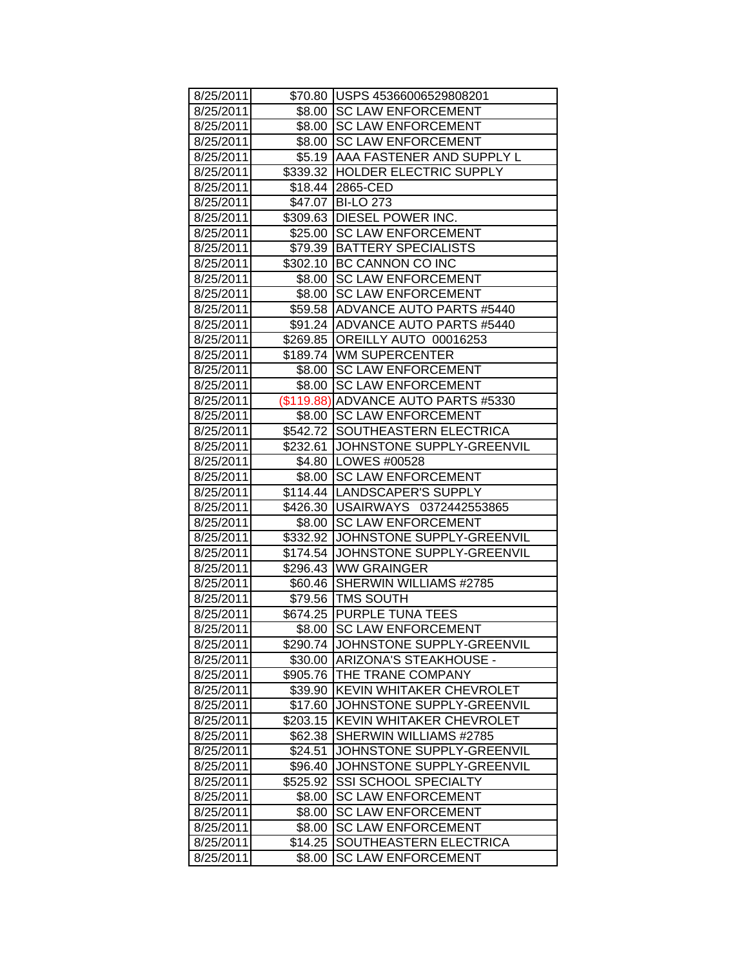| 8/25/2011 |          | \$70.80 USPS 45366006529808201      |
|-----------|----------|-------------------------------------|
| 8/25/2011 |          | \$8.00 ISC LAW ENFORCEMENT          |
| 8/25/2011 |          | \$8.00 SC LAW ENFORCEMENT           |
| 8/25/2011 |          | \$8.00 SC LAW ENFORCEMENT           |
| 8/25/2011 |          | \$5.19   AAA FASTENER AND SUPPLY L  |
| 8/25/2011 |          | \$339.32 HOLDER ELECTRIC SUPPLY     |
| 8/25/2011 |          | \$18.44 2865-CED                    |
| 8/25/2011 |          | \$47.07 BI-LO 273                   |
| 8/25/2011 |          | \$309.63 DIESEL POWER INC.          |
| 8/25/2011 |          | \$25.00 SC LAW ENFORCEMENT          |
| 8/25/2011 |          | \$79.39 BATTERY SPECIALISTS         |
| 8/25/2011 |          | \$302.10 BC CANNON CO INC           |
| 8/25/2011 |          | \$8.00 SC LAW ENFORCEMENT           |
| 8/25/2011 |          | \$8.00 ISC LAW ENFORCEMENT          |
| 8/25/2011 |          | \$59.58 ADVANCE AUTO PARTS #5440    |
| 8/25/2011 |          | \$91.24 ADVANCE AUTO PARTS #5440    |
| 8/25/2011 |          | \$269.85 OREILLY AUTO 00016253      |
| 8/25/2011 |          | \$189.74 WM SUPERCENTER             |
| 8/25/2011 | \$8.00   | <b>SC LAW ENFORCEMENT</b>           |
| 8/25/2011 | \$8.00   | <b>SC LAW ENFORCEMENT</b>           |
| 8/25/2011 |          | (\$119.88) ADVANCE AUTO PARTS #5330 |
| 8/25/2011 |          | \$8.00 SC LAW ENFORCEMENT           |
| 8/25/2011 |          | \$542.72 SOUTHEASTERN ELECTRICA     |
| 8/25/2011 |          | \$232.61 JOHNSTONE SUPPLY-GREENVIL  |
| 8/25/2011 |          | \$4.80   LOWES #00528               |
| 8/25/2011 |          | \$8.00 SC LAW ENFORCEMENT           |
| 8/25/2011 |          | \$114.44   LANDSCAPER'S SUPPLY      |
| 8/25/2011 |          | \$426.30   USAIRWAYS 0372442553865  |
| 8/25/2011 |          | \$8.00 SC LAW ENFORCEMENT           |
| 8/25/2011 |          | \$332.92 JOHNSTONE SUPPLY-GREENVIL  |
| 8/25/2011 |          | \$174.54 JOHNSTONE SUPPLY-GREENVIL  |
| 8/25/2011 |          | \$296.43 WW GRAINGER                |
| 8/25/2011 |          | \$60.46 SHERWIN WILLIAMS #2785      |
| 8/25/2011 |          | \$79.56 TMS SOUTH                   |
| 8/25/2011 |          | \$674.25 PURPLE TUNA TEES           |
| 8/25/2011 |          | \$8.00 SC LAW ENFORCEMENT           |
| 8/25/2011 |          | \$290.74 JOHNSTONE SUPPLY-GREENVIL  |
| 8/25/2011 | \$30.00  | ARIZONA'S STEAKHOUSE -              |
| 8/25/2011 | \$905.76 | THE TRANE COMPANY                   |
| 8/25/2011 | \$39.90  | <b>KEVIN WHITAKER CHEVROLET</b>     |
| 8/25/2011 | \$17.60  | JOHNSTONE SUPPLY-GREENVIL           |
| 8/25/2011 | \$203.15 | <b>KEVIN WHITAKER CHEVROLET</b>     |
| 8/25/2011 | \$62.38  | SHERWIN WILLIAMS #2785              |
| 8/25/2011 | \$24.51  | JOHNSTONE SUPPLY-GREENVIL           |
| 8/25/2011 | \$96.40  | JOHNSTONE SUPPLY-GREENVIL           |
| 8/25/2011 | \$525.92 | <b>SSI SCHOOL SPECIALTY</b>         |
| 8/25/2011 | \$8.00   | <b>SC LAW ENFORCEMENT</b>           |
| 8/25/2011 | \$8.00   | <b>SC LAW ENFORCEMENT</b>           |
| 8/25/2011 | \$8.00   | <b>SC LAW ENFORCEMENT</b>           |
| 8/25/2011 | \$14.25  | SOUTHEASTERN ELECTRICA              |
| 8/25/2011 | \$8.00   | <b>SC LAW ENFORCEMENT</b>           |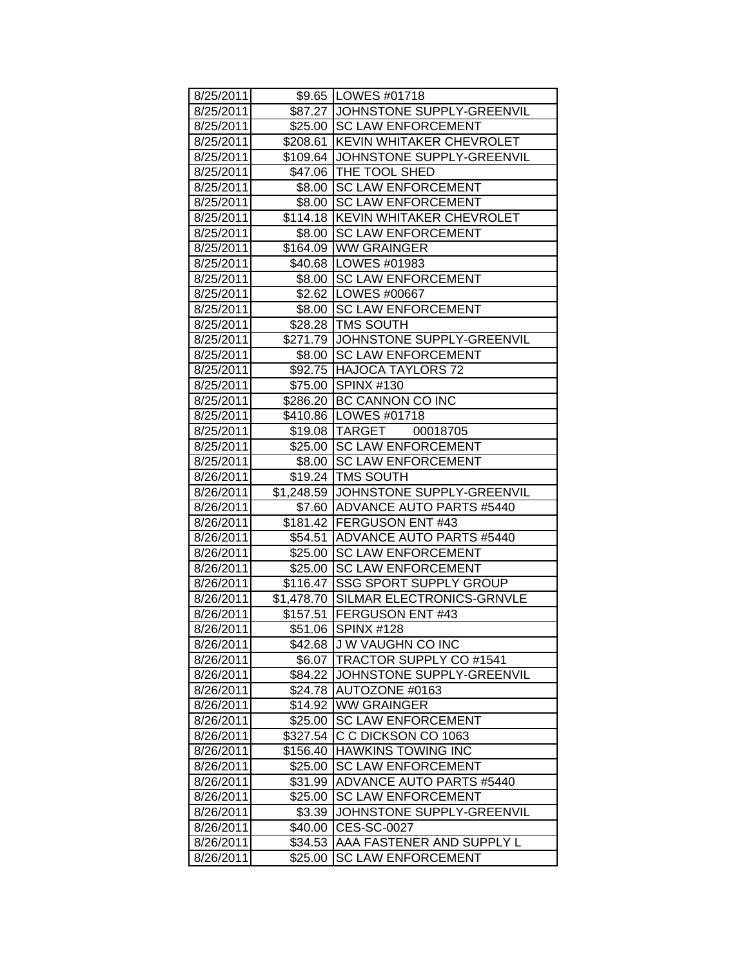| 8/25/2011 |            | \$9.65   LOWES #01718                 |
|-----------|------------|---------------------------------------|
| 8/25/2011 |            | \$87.27 JJOHNSTONE SUPPLY-GREENVIL    |
| 8/25/2011 |            | \$25.00 SC LAW ENFORCEMENT            |
| 8/25/2011 | \$208.61   | <b>KEVIN WHITAKER CHEVROLET</b>       |
| 8/25/2011 | \$109.64   | JOHNSTONE SUPPLY-GREENVIL             |
| 8/25/2011 | \$47.06    | THE TOOL SHED                         |
| 8/25/2011 | \$8.00     | <b>SC LAW ENFORCEMENT</b>             |
| 8/25/2011 | \$8.00     | <b>SC LAW ENFORCEMENT</b>             |
| 8/25/2011 | \$114.18   | <b>KEVIN WHITAKER CHEVROLET</b>       |
| 8/25/2011 | \$8.00     | <b>SC LAW ENFORCEMENT</b>             |
| 8/25/2011 | \$164.09   | <b>WW GRAINGER</b>                    |
| 8/25/2011 |            | \$40.68   LOWES #01983                |
| 8/25/2011 | \$8.00     | <b>SC LAW ENFORCEMENT</b>             |
| 8/25/2011 |            | \$2.62   LOWES #00667                 |
| 8/25/2011 | \$8.00     | <b>SC LAW ENFORCEMENT</b>             |
| 8/25/2011 | \$28.28    | <b>TMS SOUTH</b>                      |
| 8/25/2011 | \$271.79   | JOHNSTONE SUPPLY-GREENVIL             |
| 8/25/2011 | \$8.00     | <b>SC LAW ENFORCEMENT</b>             |
| 8/25/2011 | \$92.75    | <b>HAJOCA TAYLORS 72</b>              |
| 8/25/2011 | \$75.00    | <b>SPINX #130</b>                     |
| 8/25/2011 |            | \$286.20 BC CANNON CO INC             |
| 8/25/2011 | \$410.86   | LOWES #01718                          |
| 8/25/2011 | \$19.08    | TARGET<br>00018705                    |
| 8/25/2011 | \$25.00    | <b>SC LAW ENFORCEMENT</b>             |
| 8/25/2011 | \$8.00     | <b>SC LAW ENFORCEMENT</b>             |
| 8/26/2011 | \$19.24    | <b>TMS SOUTH</b>                      |
| 8/26/2011 |            | \$1,248.59 JJOHNSTONE SUPPLY-GREENVIL |
| 8/26/2011 |            | \$7.60 ADVANCE AUTO PARTS #5440       |
| 8/26/2011 | \$181.42   | <b>FERGUSON ENT #43</b>               |
| 8/26/2011 | \$54.51    | <b>ADVANCE AUTO PARTS #5440</b>       |
| 8/26/2011 | \$25.00    | <b>SC LAW ENFORCEMENT</b>             |
| 8/26/2011 | \$25.00    | <b>SC LAW ENFORCEMENT</b>             |
| 8/26/2011 | \$116.47   | <b>SSG SPORT SUPPLY GROUP</b>         |
| 8/26/2011 | \$1,478.70 | SILMAR ELECTRONICS-GRNVLE             |
| 8/26/2011 | \$157.51   | <b>FERGUSON ENT #43</b>               |
| 8/26/2011 |            | \$51.06 SPINX #128                    |
| 8/26/2011 | \$42.68    | J W VAUGHN CO INC                     |
| 8/26/2011 | \$6.07     | <b>TRACTOR SUPPLY CO #1541</b>        |
| 8/26/2011 | \$84.22    | JOHNSTONE SUPPLY-GREENVIL             |
| 8/26/2011 | \$24.78    | AUTOZONE #0163                        |
| 8/26/2011 | \$14.92    | <b>WW GRAINGER</b>                    |
| 8/26/2011 | \$25.00    | <b>SC LAW ENFORCEMENT</b>             |
| 8/26/2011 | \$327.54   | C C DICKSON CO 1063                   |
| 8/26/2011 | \$156.40   | <b>HAWKINS TOWING INC</b>             |
| 8/26/2011 | \$25.00    | <b>SC LAW ENFORCEMENT</b>             |
| 8/26/2011 | \$31.99    | <b>ADVANCE AUTO PARTS #5440</b>       |
| 8/26/2011 | \$25.00    | <b>SC LAW ENFORCEMENT</b>             |
| 8/26/2011 | \$3.39     | JOHNSTONE SUPPLY-GREENVIL             |
| 8/26/2011 | \$40.00    | CES-SC-0027                           |
| 8/26/2011 | \$34.53    | AAA FASTENER AND SUPPLY L             |
| 8/26/2011 | \$25.00    | <b>SC LAW ENFORCEMENT</b>             |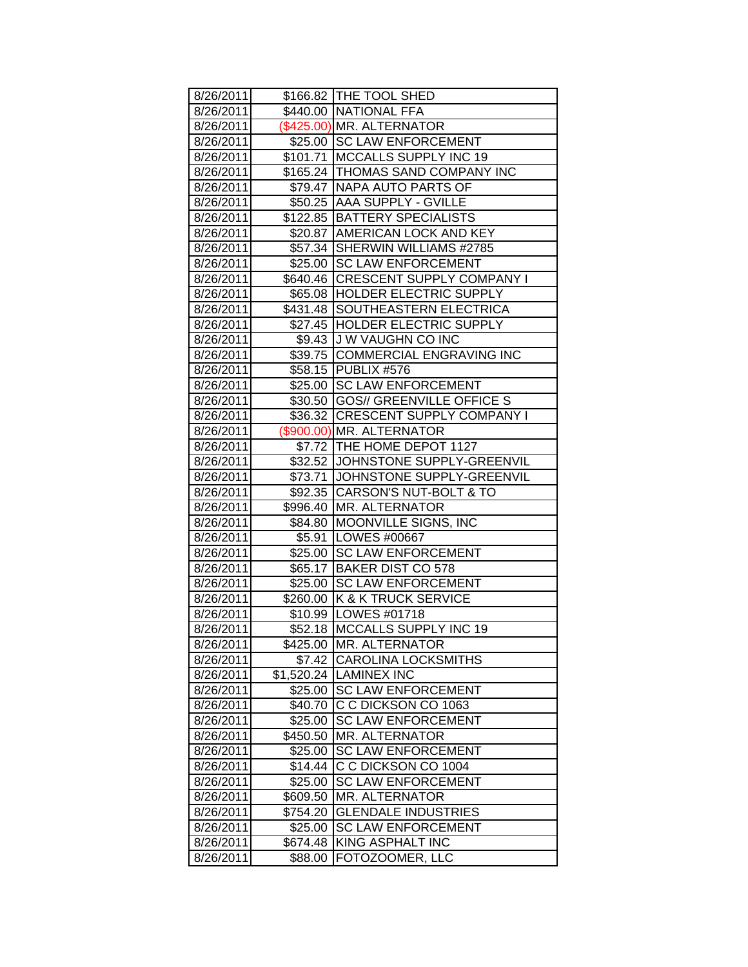| 8/26/2011 |            | \$166.82 THE TOOL SHED             |
|-----------|------------|------------------------------------|
| 8/26/2011 |            | \$440.00 NATIONAL FFA              |
| 8/26/2011 |            | (\$425.00) MR. ALTERNATOR          |
| 8/26/2011 |            | \$25.00 SC LAW ENFORCEMENT         |
| 8/26/2011 |            | \$101.71   MCCALLS SUPPLY INC 19   |
| 8/26/2011 |            | \$165.24 THOMAS SAND COMPANY INC   |
| 8/26/2011 |            | \$79.47 NAPA AUTO PARTS OF         |
| 8/26/2011 |            | \$50.25 AAA SUPPLY - GVILLE        |
| 8/26/2011 |            | \$122.85 BATTERY SPECIALISTS       |
| 8/26/2011 |            | \$20.87   AMERICAN LOCK AND KEY    |
| 8/26/2011 |            | \$57.34 SHERWIN WILLIAMS #2785     |
| 8/26/2011 |            | \$25.00 SC LAW ENFORCEMENT         |
|           |            | \$640.46 CRESCENT SUPPLY COMPANY I |
| 8/26/2011 |            |                                    |
| 8/26/2011 |            | \$65.08  HOLDER ELECTRIC SUPPLY    |
| 8/26/2011 |            | \$431.48 SOUTHEASTERN ELECTRICA    |
| 8/26/2011 |            | \$27.45  HOLDER ELECTRIC SUPPLY    |
| 8/26/2011 |            | \$9.43 J W VAUGHN CO INC           |
| 8/26/2011 |            | \$39.75 COMMERCIAL ENGRAVING INC   |
| 8/26/2011 |            | \$58.15 PUBLIX #576                |
| 8/26/2011 |            | \$25.00 SC LAW ENFORCEMENT         |
| 8/26/2011 |            | \$30.50 GOS// GREENVILLE OFFICE S  |
| 8/26/2011 |            | \$36.32 CRESCENT SUPPLY COMPANY I  |
| 8/26/2011 |            | (\$900.00) MR. ALTERNATOR          |
| 8/26/2011 |            | \$7.72 THE HOME DEPOT 1127         |
| 8/26/2011 |            | \$32.52 JJOHNSTONE SUPPLY-GREENVIL |
| 8/26/2011 |            | \$73.71 JOHNSTONE SUPPLY-GREENVIL  |
| 8/26/2011 |            | \$92.35 CARSON'S NUT-BOLT & TO     |
| 8/26/2011 |            | \$996.40   MR. ALTERNATOR          |
| 8/26/2011 |            | \$84.80 MOONVILLE SIGNS, INC       |
| 8/26/2011 |            | \$5.91 LOWES #00667                |
| 8/26/2011 |            | \$25.00 SC LAW ENFORCEMENT         |
| 8/26/2011 |            | \$65.17 BAKER DIST CO 578          |
| 8/26/2011 |            | \$25.00 SC LAW ENFORCEMENT         |
| 8/26/2011 |            | \$260.00 K & K TRUCK SERVICE       |
| 8/26/2011 |            | \$10.99 LOWES #01718               |
| 8/26/2011 |            | \$52.18 MCCALLS SUPPLY INC 19      |
| 8/26/2011 | \$425.00   | <b>MR. ALTERNATOR</b>              |
| 8/26/2011 | \$7.42     | <b>CAROLINA LOCKSMITHS</b>         |
| 8/26/2011 | \$1,520.24 | <b>LAMINEX INC</b>                 |
| 8/26/2011 | \$25.00    | <b>SC LAW ENFORCEMENT</b>          |
| 8/26/2011 | \$40.70    | C C DICKSON CO 1063                |
| 8/26/2011 | \$25.00    | <b>SC LAW ENFORCEMENT</b>          |
| 8/26/2011 | \$450.50   | <b>MR. ALTERNATOR</b>              |
| 8/26/2011 | \$25.00    | <b>SC LAW ENFORCEMENT</b>          |
| 8/26/2011 | \$14.44    | C C DICKSON CO 1004                |
| 8/26/2011 | \$25.00    | <b>SC LAW ENFORCEMENT</b>          |
| 8/26/2011 | \$609.50   | <b>MR. ALTERNATOR</b>              |
| 8/26/2011 | \$754.20   | <b>GLENDALE INDUSTRIES</b>         |
| 8/26/2011 | \$25.00    | <b>SC LAW ENFORCEMENT</b>          |
| 8/26/2011 | \$674.48   | <b>KING ASPHALT INC</b>            |
| 8/26/2011 | \$88.00    | FOTOZOOMER, LLC                    |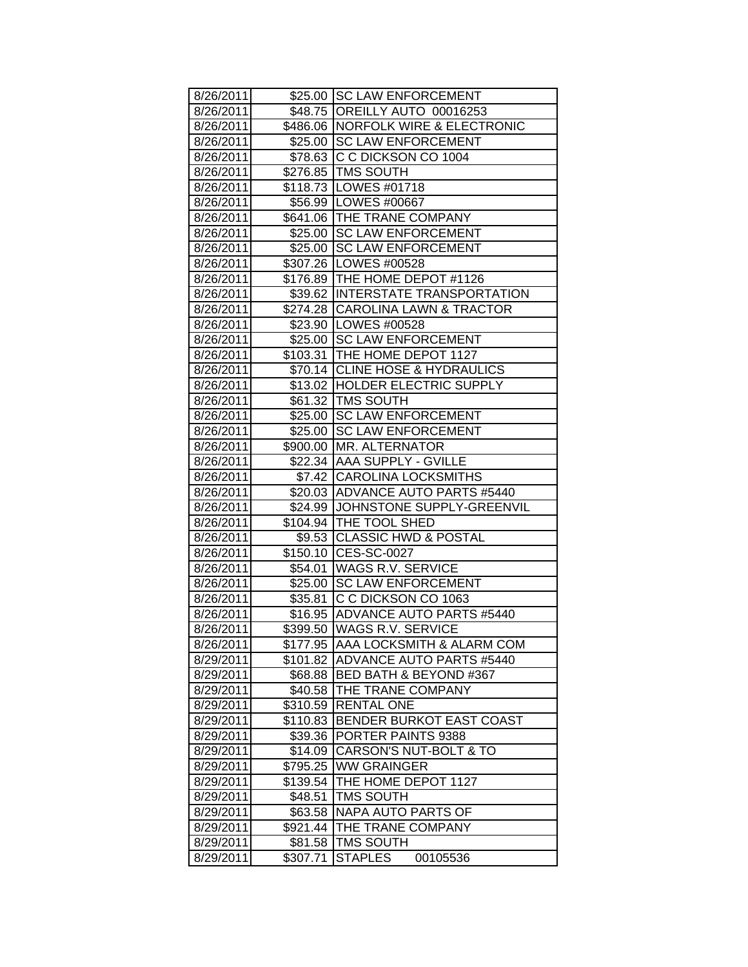| 8/26/2011 |          | \$25.00 SC LAW ENFORCEMENT                              |
|-----------|----------|---------------------------------------------------------|
| 8/26/2011 |          | \$48.75 OREILLY AUTO 00016253                           |
| 8/26/2011 |          | \$486.06 NORFOLK WIRE & ELECTRONIC                      |
| 8/26/2011 |          | \$25.00 SC LAW ENFORCEMENT                              |
| 8/26/2011 |          | \$78.63 C C DICKSON CO 1004                             |
| 8/26/2011 |          | \$276.85 TMS SOUTH                                      |
| 8/26/2011 |          | \$118.73 LOWES #01718                                   |
| 8/26/2011 |          | \$56.99 LOWES #00667                                    |
| 8/26/2011 |          | \$641.06 THE TRANE COMPANY                              |
| 8/26/2011 |          | \$25.00 SC LAW ENFORCEMENT                              |
| 8/26/2011 | \$25.00  | <b>SC LAW ENFORCEMENT</b>                               |
| 8/26/2011 |          | \$307.26   LOWES #00528                                 |
| 8/26/2011 |          | \$176.89 THE HOME DEPOT #1126                           |
| 8/26/2011 |          | \$39.62 INTERSTATE TRANSPORTATION                       |
| 8/26/2011 |          | \$274.28 CAROLINA LAWN & TRACTOR                        |
| 8/26/2011 |          | \$23.90 LOWES #00528                                    |
| 8/26/2011 |          | \$25.00 SC LAW ENFORCEMENT                              |
| 8/26/2011 |          | \$103.31 THE HOME DEPOT 1127                            |
| 8/26/2011 |          | \$70.14 CLINE HOSE & HYDRAULICS                         |
| 8/26/2011 |          | \$13.02 HOLDER ELECTRIC SUPPLY                          |
| 8/26/2011 |          | \$61.32 TMS SOUTH                                       |
| 8/26/2011 | \$25.00  | <b>SC LAW ENFORCEMENT</b>                               |
| 8/26/2011 | \$25.00  | <b>SC LAW ENFORCEMENT</b>                               |
| 8/26/2011 |          | \$900.00   MR. ALTERNATOR                               |
| 8/26/2011 |          | \$22.34 AAA SUPPLY - GVILLE                             |
| 8/26/2011 |          | \$7.42 CAROLINA LOCKSMITHS                              |
| 8/26/2011 |          | \$20.03 ADVANCE AUTO PARTS #5440                        |
| 8/26/2011 |          | \$24.99 JJOHNSTONE SUPPLY-GREENVIL                      |
| 8/26/2011 |          | \$104.94   THE TOOL SHED                                |
| 8/26/2011 | \$9.53   | <b>CLASSIC HWD &amp; POSTAL</b>                         |
| 8/26/2011 |          | \$150.10 CES-SC-0027                                    |
| 8/26/2011 |          | \$54.01 WAGS R.V. SERVICE                               |
| 8/26/2011 | \$25.00  | <b>SC LAW ENFORCEMENT</b>                               |
| 8/26/2011 | \$35.81  | C C DICKSON CO 1063                                     |
| 8/26/2011 | \$16.95  | <b>ADVANCE AUTO PARTS #5440</b>                         |
| 8/26/2011 |          | \$399.50 WAGS R.V. SERVICE                              |
| 8/26/2011 |          | \$177.95  AAA LOCKSMITH & ALARM COM                     |
| 8/29/2011 | \$101.82 | ADVANCE AUTO PARTS #5440                                |
| 8/29/2011 | \$68.88  | BED BATH & BEYOND #367                                  |
| 8/29/2011 | \$40.58  | THE TRANE COMPANY                                       |
| 8/29/2011 | \$310.59 | <b>RENTAL ONE</b>                                       |
| 8/29/2011 | \$110.83 | BENDER BURKOT EAST COAST                                |
| 8/29/2011 | \$39.36  | PORTER PAINTS 9388<br><b>CARSON'S NUT-BOLT &amp; TO</b> |
| 8/29/2011 | \$14.09  |                                                         |
| 8/29/2011 | \$795.25 | <b>WW GRAINGER</b>                                      |
| 8/29/2011 | \$139.54 | THE HOME DEPOT 1127                                     |
| 8/29/2011 | \$48.51  | <b>TMS SOUTH</b>                                        |
| 8/29/2011 | \$63.58  | NAPA AUTO PARTS OF                                      |
| 8/29/2011 | \$921.44 | THE TRANE COMPANY                                       |
| 8/29/2011 | \$81.58  | TMS SOUTH                                               |
| 8/29/2011 | \$307.71 | <b>STAPLES</b><br>00105536                              |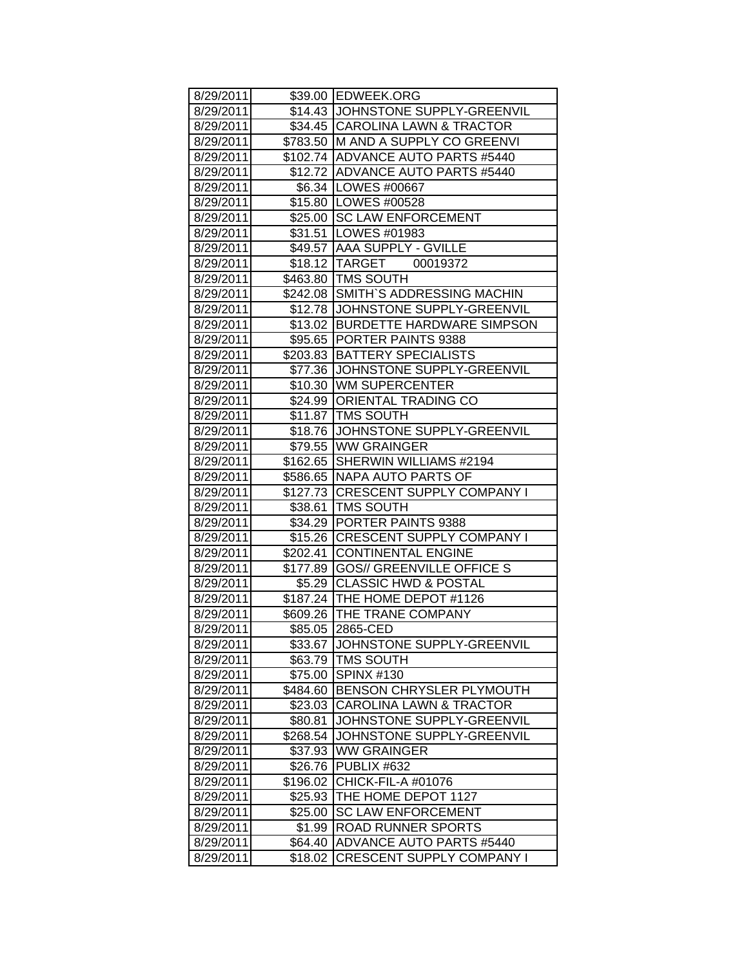| 8/29/2011 |          | \$39.00 EDWEEK.ORG                 |
|-----------|----------|------------------------------------|
| 8/29/2011 |          | \$14.43 JOHNSTONE SUPPLY-GREENVIL  |
| 8/29/2011 |          | \$34.45 CAROLINA LAWN & TRACTOR    |
| 8/29/2011 |          | \$783.50 M AND A SUPPLY CO GREENVI |
| 8/29/2011 |          | \$102.74 ADVANCE AUTO PARTS #5440  |
| 8/29/2011 |          | \$12.72 ADVANCE AUTO PARTS #5440   |
| 8/29/2011 |          | \$6.34 LOWES #00667                |
| 8/29/2011 |          | \$15.80   LOWES #00528             |
| 8/29/2011 |          | \$25.00 SC LAW ENFORCEMENT         |
| 8/29/2011 |          | \$31.51   LOWES #01983             |
| 8/29/2011 |          | \$49.57 AAA SUPPLY - GVILLE        |
| 8/29/2011 |          | \$18.12  TARGET<br>00019372        |
| 8/29/2011 |          | \$463.80 TMS SOUTH                 |
| 8/29/2011 |          | \$242.08 SMITH'S ADDRESSING MACHIN |
| 8/29/2011 |          | \$12.78 JOHNSTONE SUPPLY-GREENVIL  |
| 8/29/2011 | \$13.02  | <b>BURDETTE HARDWARE SIMPSON</b>   |
| 8/29/2011 |          | \$95.65 PORTER PAINTS 9388         |
| 8/29/2011 |          | \$203.83 BATTERY SPECIALISTS       |
| 8/29/2011 | \$77.36  | JOHNSTONE SUPPLY-GREENVIL          |
| 8/29/2011 |          | \$10.30 WM SUPERCENTER             |
| 8/29/2011 |          | \$24.99   ORIENTAL TRADING CO      |
| 8/29/2011 |          | \$11.87 TMS SOUTH                  |
| 8/29/2011 | \$18.76  | JOHNSTONE SUPPLY-GREENVIL          |
| 8/29/2011 |          | \$79.55 WW GRAINGER                |
| 8/29/2011 | \$162.65 | SHERWIN WILLIAMS #2194             |
| 8/29/2011 |          | \$586.65 NAPA AUTO PARTS OF        |
| 8/29/2011 |          | \$127.73 CRESCENT SUPPLY COMPANY I |
| 8/29/2011 |          | \$38.61   TMS SOUTH                |
| 8/29/2011 |          | \$34.29 PORTER PAINTS 9388         |
| 8/29/2011 |          | \$15.26 CRESCENT SUPPLY COMPANY I  |
| 8/29/2011 | \$202.41 | <b>CONTINENTAL ENGINE</b>          |
| 8/29/2011 | \$177.89 | <b>GOS// GREENVILLE OFFICE S</b>   |
| 8/29/2011 |          | \$5.29 CLASSIC HWD & POSTAL        |
| 8/29/2011 |          | \$187.24   THE HOME DEPOT #1126    |
| 8/29/2011 |          | \$609.26   THE TRANE COMPANY       |
| 8/29/2011 |          | \$85.05 2865-CED                   |
| 8/29/2011 |          | \$33.67 JJOHNSTONE SUPPLY-GREENVIL |
| 8/29/2011 | \$63.79  | TMS SOUTH                          |
| 8/29/2011 | \$75.00  | <b>SPINX #130</b>                  |
| 8/29/2011 | \$484.60 | BENSON CHRYSLER PLYMOUTH           |
| 8/29/2011 | \$23.03  | <b>CAROLINA LAWN &amp; TRACTOR</b> |
| 8/29/2011 | \$80.81  | JOHNSTONE SUPPLY-GREENVIL          |
| 8/29/2011 | \$268.54 | JOHNSTONE SUPPLY-GREENVIL          |
| 8/29/2011 | \$37.93  | <b>WW GRAINGER</b>                 |
| 8/29/2011 | \$26.76  | PUBLIX #632                        |
| 8/29/2011 | \$196.02 | CHICK-FIL-A #01076                 |
| 8/29/2011 | \$25.93  | THE HOME DEPOT 1127                |
| 8/29/2011 | \$25.00  | <b>SC LAW ENFORCEMENT</b>          |
| 8/29/2011 | \$1.99   | <b>ROAD RUNNER SPORTS</b>          |
| 8/29/2011 | \$64.40  | <b>ADVANCE AUTO PARTS #5440</b>    |
| 8/29/2011 | \$18.02  | <b>CRESCENT SUPPLY COMPANY I</b>   |
|           |          |                                    |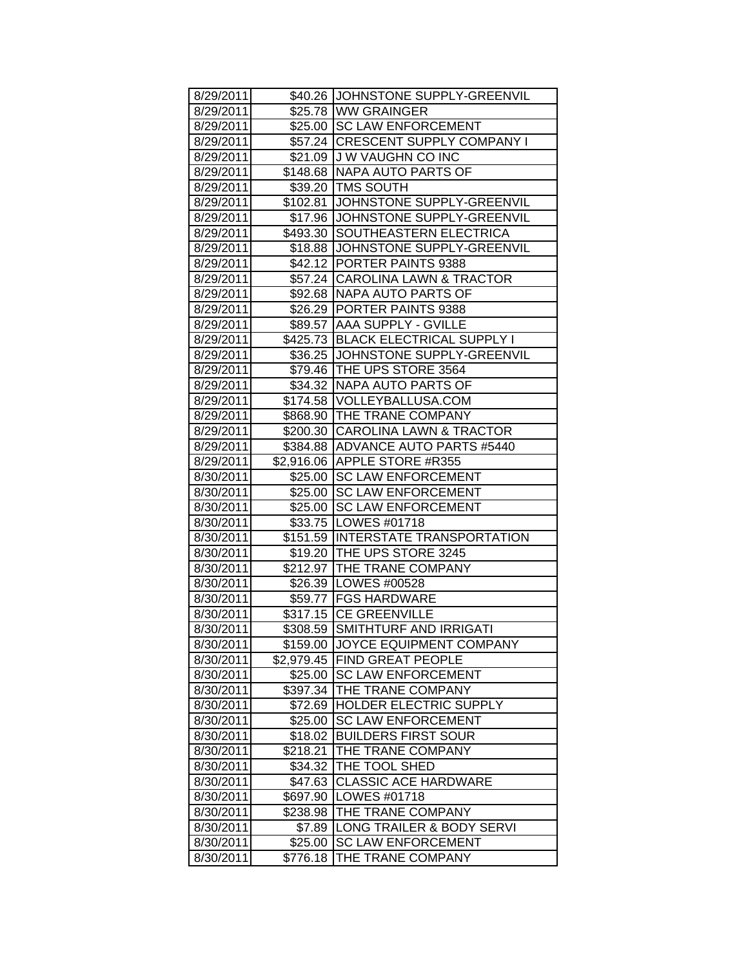| 8/29/2011 |            | \$40.26 JJOHNSTONE SUPPLY-GREENVIL |
|-----------|------------|------------------------------------|
| 8/29/2011 |            | \$25.78 WW GRAINGER                |
| 8/29/2011 |            | \$25.00 SC LAW ENFORCEMENT         |
| 8/29/2011 |            | \$57.24 CRESCENT SUPPLY COMPANY I  |
| 8/29/2011 |            | \$21.09 J W VAUGHN CO INC          |
| 8/29/2011 |            | \$148.68 NAPA AUTO PARTS OF        |
| 8/29/2011 | \$39.20    | <b>TMS SOUTH</b>                   |
| 8/29/2011 | \$102.81   | JOHNSTONE SUPPLY-GREENVIL          |
| 8/29/2011 |            | \$17.96 JJOHNSTONE SUPPLY-GREENVIL |
| 8/29/2011 | \$493.30   | SOUTHEASTERN ELECTRICA             |
| 8/29/2011 | \$18.88    | JOHNSTONE SUPPLY-GREENVIL          |
| 8/29/2011 |            | \$42.12 PORTER PAINTS 9388         |
| 8/29/2011 | \$57.24    | CAROLINA LAWN & TRACTOR            |
| 8/29/2011 | \$92.68    | NAPA AUTO PARTS OF                 |
| 8/29/2011 |            | \$26.29 PORTER PAINTS 9388         |
| 8/29/2011 | \$89.57    | <b>AAA SUPPLY - GVILLE</b>         |
| 8/29/2011 |            | \$425.73 BLACK ELECTRICAL SUPPLY I |
| 8/29/2011 | \$36.25    | JOHNSTONE SUPPLY-GREENVIL          |
| 8/29/2011 | \$79.46    | THE UPS STORE 3564                 |
| 8/29/2011 | \$34.32    | <b>NAPA AUTO PARTS OF</b>          |
| 8/29/2011 |            | \$174.58   VOLLEYBALLUSA.COM       |
| 8/29/2011 |            | \$868.90 THE TRANE COMPANY         |
| 8/29/2011 | \$200.30   | <b>CAROLINA LAWN &amp; TRACTOR</b> |
| 8/29/2011 | \$384.88   | <b>ADVANCE AUTO PARTS #5440</b>    |
| 8/29/2011 |            | \$2,916.06 APPLE STORE #R355       |
| 8/30/2011 |            | \$25.00 SC LAW ENFORCEMENT         |
| 8/30/2011 |            | \$25.00 SC LAW ENFORCEMENT         |
| 8/30/2011 |            | \$25.00 SC LAW ENFORCEMENT         |
| 8/30/2011 |            | \$33.75   LOWES #01718             |
| 8/30/2011 |            | \$151.59 INTERSTATE TRANSPORTATION |
| 8/30/2011 |            | \$19.20 THE UPS STORE 3245         |
| 8/30/2011 | \$212.97   | THE TRANE COMPANY                  |
| 8/30/2011 |            | \$26.39   LOWES #00528             |
| 8/30/2011 |            | \$59.77   FGS HARDWARE             |
| 8/30/2011 |            | \$317.15 CE GREENVILLE             |
| 8/30/2011 | \$308.59   | <b>SMITHTURF AND IRRIGATI</b>      |
| 8/30/2011 | \$159.00   | JOYCE EQUIPMENT COMPANY            |
| 8/30/2011 | \$2,979.45 | <b>FIND GREAT PEOPLE</b>           |
| 8/30/2011 | \$25.00    | <b>SC LAW ENFORCEMENT</b>          |
| 8/30/2011 | \$397.34   | THE TRANE COMPANY                  |
| 8/30/2011 | \$72.69    | HOLDER ELECTRIC SUPPLY             |
| 8/30/2011 | \$25.00    | <b>SC LAW ENFORCEMENT</b>          |
| 8/30/2011 | \$18.02    | <b>BUILDERS FIRST SOUR</b>         |
| 8/30/2011 | \$218.21   | THE TRANE COMPANY                  |
| 8/30/2011 | \$34.32    | THE TOOL SHED                      |
| 8/30/2011 | \$47.63    | <b>CLASSIC ACE HARDWARE</b>        |
| 8/30/2011 | \$697.90   | LOWES #01718                       |
| 8/30/2011 | \$238.98   | THE TRANE COMPANY                  |
| 8/30/2011 | \$7.89     | LONG TRAILER & BODY SERVI          |
| 8/30/2011 | \$25.00    | <b>SC LAW ENFORCEMENT</b>          |
| 8/30/2011 | \$776.18   | THE TRANE COMPANY                  |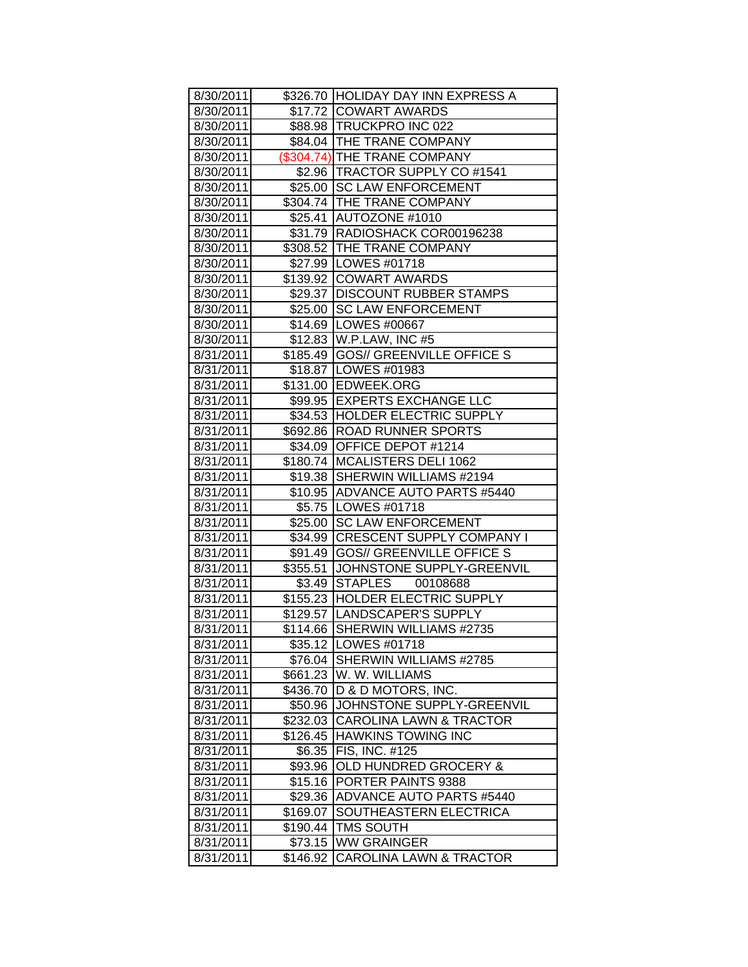| 8/30/2011 |          | \$326.70 HOLIDAY DAY INN EXPRESS A |
|-----------|----------|------------------------------------|
| 8/30/2011 |          | \$17.72 COWART AWARDS              |
| 8/30/2011 |          | \$88.98 TRUCKPRO INC 022           |
| 8/30/2011 |          | \$84.04 THE TRANE COMPANY          |
| 8/30/2011 |          | (\$304.74) THE TRANE COMPANY       |
| 8/30/2011 |          | \$2.96   TRACTOR SUPPLY CO #1541   |
| 8/30/2011 |          | \$25.00 SC LAW ENFORCEMENT         |
| 8/30/2011 |          | \$304.74 THE TRANE COMPANY         |
| 8/30/2011 |          | \$25.41 AUTOZONE #1010             |
| 8/30/2011 |          | \$31.79   RADIOSHACK COR00196238   |
| 8/30/2011 |          | \$308.52 THE TRANE COMPANY         |
| 8/30/2011 |          | \$27.99   LOWES #01718             |
| 8/30/2011 |          | \$139.92 COWART AWARDS             |
| 8/30/2011 |          | \$29.37   DISCOUNT RUBBER STAMPS   |
| 8/30/2011 |          | \$25.00 SC LAW ENFORCEMENT         |
| 8/30/2011 |          | \$14.69   LOWES #00667             |
| 8/30/2011 |          | \$12.83 W.P.LAW, INC #5            |
| 8/31/2011 |          | \$185.49 GOS// GREENVILLE OFFICE S |
| 8/31/2011 |          | \$18.87   LOWES #01983             |
| 8/31/2011 |          | \$131.00 EDWEEK.ORG                |
| 8/31/2011 |          | \$99.95 EXPERTS EXCHANGE LLC       |
| 8/31/2011 |          | \$34.53 HOLDER ELECTRIC SUPPLY     |
| 8/31/2011 |          | \$692.86   ROAD RUNNER SPORTS      |
| 8/31/2011 |          | \$34.09 OFFICE DEPOT #1214         |
| 8/31/2011 |          | \$180.74   MCALISTERS DELI 1062    |
| 8/31/2011 |          | \$19.38   SHERWIN WILLIAMS #2194   |
| 8/31/2011 |          | \$10.95 ADVANCE AUTO PARTS #5440   |
| 8/31/2011 |          | \$5.75   LOWES #01718              |
| 8/31/2011 | \$25.00  | <b>SC LAW ENFORCEMENT</b>          |
| 8/31/2011 | \$34.99  | <b>CRESCENT SUPPLY COMPANY I</b>   |
| 8/31/2011 | \$91.49  | <b>GOS// GREENVILLE OFFICE S</b>   |
| 8/31/2011 | \$355.51 | JOHNSTONE SUPPLY-GREENVIL          |
| 8/31/2011 |          | \$3.49 STAPLES 00108688            |
| 8/31/2011 |          | \$155.23 HOLDER ELECTRIC SUPPLY    |
| 8/31/2011 |          | \$129.57 LANDSCAPER'S SUPPLY       |
| 8/31/2011 |          | \$114.66 SHERWIN WILLIAMS #2735    |
| 8/31/2011 |          | \$35.12   LOWES #01718             |
| 8/31/2011 | \$76.04  | SHERWIN WILLIAMS #2785             |
| 8/31/2011 | \$661.23 | W. W. WILLIAMS                     |
| 8/31/2011 | \$436.70 | D & D MOTORS, INC.                 |
| 8/31/2011 | \$50.96  | JOHNSTONE SUPPLY-GREENVIL          |
| 8/31/2011 | \$232.03 | <b>CAROLINA LAWN &amp; TRACTOR</b> |
| 8/31/2011 | \$126.45 | <b>HAWKINS TOWING INC</b>          |
| 8/31/2011 | \$6.35   | FIS, INC. #125                     |
| 8/31/2011 | \$93.96  | OLD HUNDRED GROCERY &              |
| 8/31/2011 | \$15.16  | PORTER PAINTS 9388                 |
| 8/31/2011 | \$29.36  | <b>ADVANCE AUTO PARTS #5440</b>    |
| 8/31/2011 | \$169.07 | SOUTHEASTERN ELECTRICA             |
| 8/31/2011 | \$190.44 | <b>TMS SOUTH</b>                   |
| 8/31/2011 | \$73.15  | <b>WW GRAINGER</b>                 |
| 8/31/2011 | \$146.92 | <b>CAROLINA LAWN &amp; TRACTOR</b> |